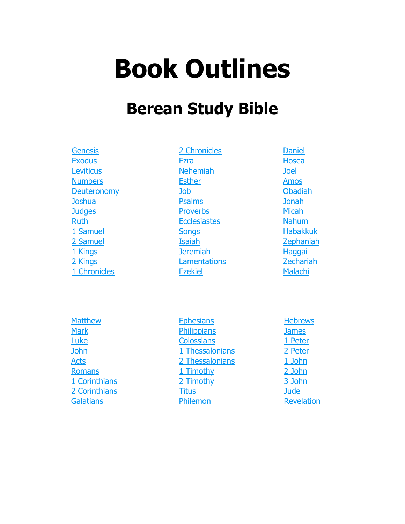# **Book Outlines**

# **Berean Study Bible**

**Genesis [Exodus](#page-5-0) [Leviticus](#page-9-0) [Numbers](#page-12-0) [Deuteronomy](#page-14-0) [Joshua](#page-18-0) [Judges](#page-20-0)** [Ruth](#page-22-0) [1 Samuel](#page-23-0) [2 Samuel](#page-26-0) [1 Kings](#page-28-0) [2 Kings](#page-32-0) [1 Chronicles](#page-37-0)

[2 Chronicles](#page-40-0) **[Ezra](#page-44-0)** [Nehemiah](#page-45-0) **[Esther](#page-47-0)** [Job](#page-49-0) [Psalms](#page-50-0) **[Proverbs](#page-52-0) [Ecclesiastes](#page-54-0) [Songs](#page-55-0)** [Isaiah](#page-56-0) [Jeremiah](#page-59-0) **[Lamentations](#page-62-0)** [Ezekiel](#page-63-0)

[Daniel](#page-67-0) [Hosea](#page-69-0) [Joel](#page-70-0) [Amos](#page-71-0) [Obadiah](#page-72-0) [Jonah](#page-73-0) [Micah](#page-74-0) [Nahum](#page-75-0) [Habakkuk](#page-76-0) [Zephaniah](#page-77-0) **[Haggai](#page-78-0)** [Zechariah](#page-79-0) **[Malachi](#page-80-0)** 

**[Matthew](#page-81-0) [Mark](#page-86-0)** [Luke](#page-90-0) [John](#page-96-0) **[Acts](#page-99-0)** [Romans](#page-103-0) [1 Corinthians](#page-105-0) [2 Corinthians](#page-106-0) **[Galatians](#page-108-0)** 

**[Ephesians](#page-109-0) [Philippians](#page-110-0) [Colossians](#page-111-0)** [1 Thessalonians](#page-112-0) [2 Thessalonians](#page-113-0) [1 Timothy](#page-114-0) [2 Timothy](#page-115-0) **[Titus](#page-116-0)** [Philemon](#page-117-0)

**[Hebrews](#page-118-0)** [James](#page-120-0) [1 Peter](#page-121-0) [2 Peter](#page-122-0) [1 John](#page-123-0) [2 John](#page-124-0) [3 John](#page-125-0) **[Jude](#page-126-0)** [Revelation](#page-127-0)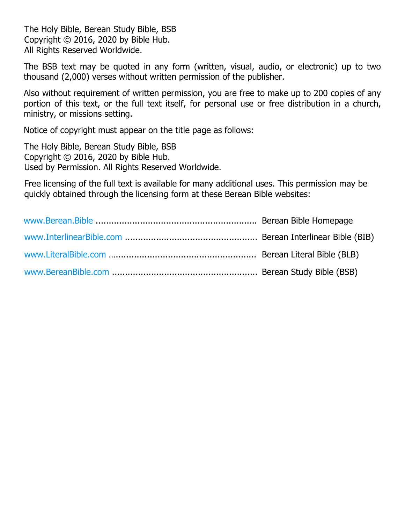The Holy Bible, Berean Study Bible, BSB Copyright © 2016, 2020 by Bible Hub. All Rights Reserved Worldwide.

The BSB text may be quoted in any form (written, visual, audio, or electronic) up to two thousand (2,000) verses without written permission of the publisher.

Also without requirement of written permission, you are free to make up to 200 copies of any portion of this text, or the full text itself, for personal use or free distribution in a church, ministry, or missions setting.

Notice of copyright must appear on the title page as follows:

The Holy Bible, Berean Study Bible, BSB Copyright © 2016, 2020 by Bible Hub. Used by Permission. All Rights Reserved Worldwide.

Free licensing of the full text is available for many additional uses. This permission may be quickly obtained through the licensing form at these Berean Bible websites: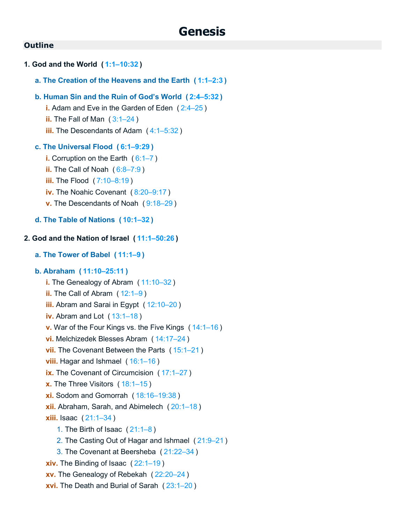# **Genesis**

# **Outline**

```
1. God and the World ( 1:1–10:32 )
   a. The Creation of the Heavens and the Earth ( 1:1–2:3 )
   b. Human Sin and the Ruin of God's World ( 2:4–5:32 )
      i. Adam and Eve in the Garden of Eden ( 2:4–25 )
      ii. The Fall of Man ( 3:1–24 )
      iii. The Descendants of Adam ( 4:1–5:32 )
   c. The Universal Flood ( 6:1–9:29 )
      i. Corruption on the Earth ( 6:1–7 )
      ii. The Call of Noah ( 6:8–7:9 )
      iii. The Flood ( 7:10–8:19 )
      iv. The Noahic Covenant ( 8:20–9:17 )
      v. The Descendants of Noah ( 9:18–29 )
   d. The Table of Nations ( 10:1–32 )
2. God and the Nation of Israel ( 11:1–50:26 )
   a. The Tower of Babel ( 11:1–9 )
   b. Abraham ( 11:10–25:11 )
      i. The Genealogy of Abram ( 11:10–32 )
      ii. The Call of Abram ( 12:1–9 )
      iii. Abram and Sarai in Egypt ( 12:10–20 )
      iv. Abram and Lot ( 13:1–18 )
      v. War of the Four Kings vs. the Five Kings ( 14:1–16 )
      vi. Melchizedek Blesses Abram ( 14:17–24 )
      vii. The Covenant Between the Parts ( 15:1–21 )
      viii. Hagar and Ishmael ( 16:1–16 )
      ix. The Covenant of Circumcision ( 17:1–27 )
      x. The Three Visitors ( 18:1–15 )
      xi. Sodom and Gomorrah ( 18:16–19:38 )
      xii. Abraham, Sarah, and Abimelech ( 20:1–18 )
      xiii. Isaac ( 21:1–34 )
          1. The Birth of Isaac ( 21:1–8 )
         2. The Casting Out of Hagar and Ishmael ( 21:9–21 )
          3. The Covenant at Beersheba ( 21:22–34 )
      xiv. The Binding of Isaac ( 22:1–19 )
      xv. The Genealogy of Rebekah ( 22:20–24 )
      xvi. The Death and Burial of Sarah ( 23:1–20 )
```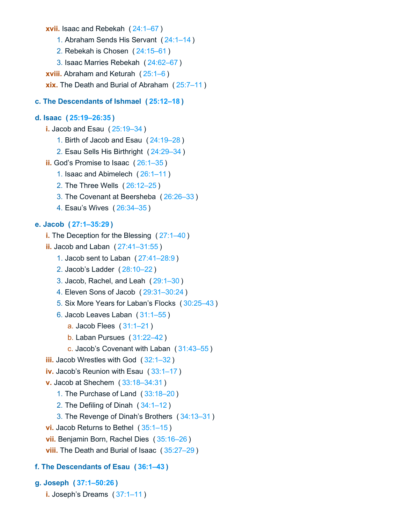**xvii.** Isaac and Rebekah ( [24:1–67](https://biblehub.com/bsb/genesis/24.htm#1) )

- 1. Abraham Sends His Servant ( [24:1–14](https://biblehub.com/bsb/genesis/24.htm#1) )
- 2. Rebekah is Chosen ( [24:15–61](https://biblehub.com/bsb/genesis/24.htm#15) )
- 3. Isaac Marries Rebekah ( [24:62–67](https://biblehub.com/bsb/genesis/24.htm#62) )

**xviii.** Abraham and Keturah ( [25:1–6](https://biblehub.com/bsb/genesis/25.htm#1) )

**xix.** The Death and Burial of Abraham ( [25:7–11](https://biblehub.com/bsb/genesis/25.htm#7) )

# **c. The Descendants of Ishmael ( [25:12–18](https://biblehub.com/bsb/genesis/25.htm#12) )**

### **d. Isaac ( [25:19–26:35](https://biblehub.com/bsb/genesis/25.htm#19) )**

- **i.** Jacob and Esau ( [25:19–34](https://biblehub.com/bsb/genesis/25.htm#19) )
	- 1. Birth of Jacob and Esau ( [24:19–28](https://biblehub.com/bsb/genesis/24.htm#19) )
	- 2. Esau Sells His Birthright ( [24:29–34](https://biblehub.com/bsb/genesis/24.htm#29) )
- **ii.** God's Promise to Isaac ( [26:1–35](https://biblehub.com/bsb/genesis/26.htm#1) )
	- 1. Isaac and Abimelech ( [26:1–11](https://biblehub.com/bsb/genesis/26.htm#1) )
	- 2. The Three Wells ( [26:12–25](https://biblehub.com/bsb/genesis/26.htm#12) )
	- 3. The Covenant at Beersheba ( [26:26–33](https://biblehub.com/bsb/genesis/26.htm#26) )
	- 4. Esau's Wives ( [26:34–35](https://biblehub.com/bsb/genesis/26.htm#34) )

### **e. Jacob ( [27:1–35:29](https://biblehub.com/bsb/genesis/27.htm#1) )**

```
i. The Deception for the Blessing ( 27:1–40 )
```
- **ii.** Jacob and Laban ( [27:41–31:55](https://biblehub.com/bsb/genesis/27.htm#41) )
	- 1. Jacob sent to Laban ( [27:41–28:9](https://biblehub.com/bsb/genesis/27.htm#41) )
	- 2. Jacob's Ladder ( [28:10–22](https://biblehub.com/bsb/genesis/28.htm#10) )
	- 3. Jacob, Rachel, and Leah ( [29:1–30](https://biblehub.com/bsb/genesis/29.htm#1) )
	- 4. Eleven Sons of Jacob ( [29:31–30:24](https://biblehub.com/bsb/genesis/29.htm#31) )
	- 5. Six More Years for Laban's Flocks ( [30:25–43](https://biblehub.com/bsb/genesis/30.htm#25) )
	- 6. Jacob Leaves Laban ( [31:1–55](https://biblehub.com/bsb/genesis/31.htm#1) )
		- a. Jacob Flees ( [31:1–21](https://biblehub.com/bsb/genesis/31.htm#1) )
		- b. Laban Pursues ( [31:22–42](https://biblehub.com/bsb/genesis/31.htm#22) )
		- c. Jacob's Covenant with Laban ( [31:43–55](https://biblehub.com/bsb/genesis/31.htm#43) )
- **iii.** Jacob Wrestles with God ( [32:1–32](https://biblehub.com/bsb/genesis/32.htm#1) )
- **iv.** Jacob's Reunion with Esau ( [33:1–17](https://biblehub.com/bsb/genesis/33.htm#1) )
- **v.** Jacob at Shechem ( [33:18–34:31](https://biblehub.com/bsb/genesis/33.htm#18) )
	- 1. The Purchase of Land ( [33:18–20](https://biblehub.com/bsb/genesis/33.htm#18) )
	- 2. The Defiling of Dinah ( [34:1–12](https://biblehub.com/bsb/genesis/34.htm#1) )
	- 3. The Revenge of Dinah's Brothers ( [34:13–31](https://biblehub.com/bsb/genesis/34.htm#13) )
- **vi.** Jacob Returns to Bethel ( [35:1–15](https://biblehub.com/bsb/genesis/35.htm#1) )
- **vii.** Benjamin Born, Rachel Dies ( [35:16–26](https://biblehub.com/bsb/genesis/35.htm#16) )
- **viii.** The Death and Burial of Isaac ( [35:27–29](https://biblehub.com/bsb/genesis/35.htm#27) )

# **f. The Descendants of Esau ( [36:1–43](https://biblehub.com/bsb/genesis/36.htm#1) )**

- **g. Joseph ( [37:1–50:26](https://biblehub.com/bsb/genesis/37.htm#1) )**
	- **i.** Joseph's Dreams ( [37:1–11](https://biblehub.com/bsb/genesis/37.htm#1) )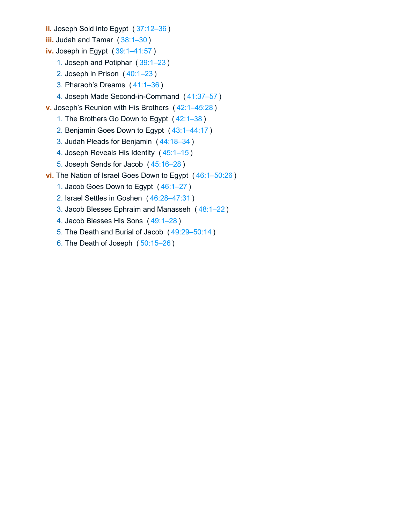- **ii.** Joseph Sold into Egypt ( [37:12–36](https://biblehub.com/bsb/genesis/37.htm#12) )
- **iii.** Judah and Tamar (38:1-30)
- **iv.** Joseph in Egypt ( [39:1–41:57](https://biblehub.com/bsb/genesis/39.htm#1) )
	- 1. Joseph and Potiphar ( [39:1–23](https://biblehub.com/bsb/genesis/39.htm#1) )
	- 2. Joseph in Prison ( [40:1–23](https://biblehub.com/bsb/genesis/40.htm#1) )
	- 3. Pharaoh's Dreams ( [41:1–36](https://biblehub.com/bsb/genesis/41.htm#1) )
	- 4. Joseph Made Second-in-Command ( [41:37–57](https://biblehub.com/bsb/genesis/41.htm#37) )
- **v.** Joseph's Reunion with His Brothers ( [42:1–45:28](https://biblehub.com/bsb/genesis/42.htm#1) )
	- 1. The Brothers Go Down to Egypt ( [42:1–38](https://biblehub.com/bsb/genesis/42.htm#1) )
	- 2. Benjamin Goes Down to Egypt ( [43:1–44:17](https://biblehub.com/bsb/genesis/43.htm#1) )
	- 3. Judah Pleads for Benjamin ( [44:18–34](https://biblehub.com/bsb/genesis/44.htm#18) )
	- 4. Joseph Reveals His Identity ( [45:1–15](https://biblehub.com/bsb/genesis/45.htm#1) )
	- 5. Joseph Sends for Jacob ( [45:16–28](https://biblehub.com/bsb/genesis/45.htm#16) )
- **vi.** The Nation of Israel Goes Down to Egypt ( [46:1–50:26](https://biblehub.com/bsb/genesis/46.htm#1) )
	- 1. Jacob Goes Down to Egypt ( [46:1–27](https://biblehub.com/bsb/genesis/46.htm#1) )
	- 2. Israel Settles in Goshen ( [46:28–47:31](https://biblehub.com/bsb/genesis/46.htm#28) )
	- 3. Jacob Blesses Ephraim and Manasseh ( [48:1–22](https://biblehub.com/bsb/genesis/48.htm#1) )
	- 4. Jacob Blesses His Sons ( [49:1–28](https://biblehub.com/bsb/genesis/49.htm#1) )
	- 5. The Death and Burial of Jacob ( [49:29–50:14](https://biblehub.com/bsb/genesis/49.htm#29) )
	- 6. The Death of Joseph ( [50:15–26](https://biblehub.com/bsb/genesis/50.htm#15) )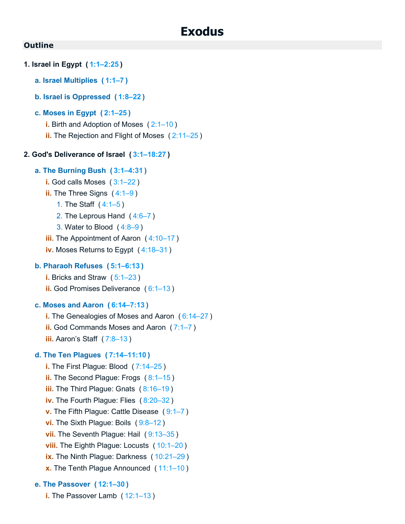# **Exodus**

### <span id="page-5-0"></span>**Outline**

- **1. Israel in Egypt ( [1:1–2:25](https://biblehub.com/bsb/exodus/1.htm#1) )**
	- **a. Israel Multiplies ( [1:1–7](https://biblehub.com/bsb/exodus/1.htm#1) )**
	- **b. Israel is Oppressed ( [1:8–22](https://biblehub.com/bsb/exodus/1.htm#8) )**

### **c. Moses in Egypt ( [2:1–25](https://biblehub.com/bsb/exodus/2.htm#1) )**

- **i.** Birth and Adoption of Moses ( [2:1–10](https://biblehub.com/bsb/exodus/2.htm#1) )
- **ii.** The Rejection and Flight of Moses ( [2:11–25](https://biblehub.com/bsb/exodus/2.htm#11) )

### **2. God's Deliverance of Israel ( [3:1–18:27](https://biblehub.com/bsb/exodus/3.htm#1) )**

### **a. The Burning Bush ( [3:1–4:31](https://biblehub.com/bsb/exodus/3.htm#1) )**

**i.** God calls Moses ( [3:1–22](https://biblehub.com/bsb/exodus/3.htm#1) ) **ii.** The Three Signs ([4:1–9](https://biblehub.com/bsb/exodus/4.htm#1)) 1. The Staff ( [4:1–5](https://biblehub.com/bsb/exodus/4.htm#1) ) 2. The Leprous Hand ( [4:6–7](https://biblehub.com/bsb/exodus/4.htm#6) ) 3. Water to Blood ( [4:8–9](https://biblehub.com/bsb/exodus/4.htm#8) ) **iii.** The Appointment of Aaron ( [4:10–17](https://biblehub.com/bsb/exodus/4.htm#10) ) **iv.** Moses Returns to Egypt ( [4:18–31](https://biblehub.com/bsb/exodus/4.htm#18) )

# **b. Pharaoh Refuses ( [5:1–6:13](https://biblehub.com/bsb/exodus/5.htm#1) )**

- **i.** Bricks and Straw ( [5:1–23](https://biblehub.com/bsb/exodus/5.htm#1) )
- **ii.** God Promises Deliverance ( [6:1–13](https://biblehub.com/bsb/exodus/6.htm#1) )

### **c. Moses and Aaron ( [6:14–7:13](https://biblehub.com/bsb/exodus/6.htm#14) )**

- **i.** The Genealogies of Moses and Aaron ( [6:14–27](https://biblehub.com/bsb/exodus/6.htm#14) )
- **ii.** God Commands Moses and Aaron ( [7:1–7](https://biblehub.com/bsb/exodus/7.htm#1) )
- **iii.** Aaron's Staff ( [7:8–13](https://biblehub.com/bsb/exodus/7.htm#8) )

### **d. The Ten Plagues ( [7:14–11:10](https://biblehub.com/bsb/exodus/7.htm#14) )**

**i.** The First Plague: Blood ( [7:14–25](https://biblehub.com/bsb/exodus/7.htm#14) ) **ii.** The Second Plague: Frogs ( [8:1–15](https://biblehub.com/bsb/exodus/8.htm#1) ) **iii.** The Third Plague: Gnats ( [8:16–19](https://biblehub.com/bsb/exodus/8.htm#16) ) **iv.** The Fourth Plague: Flies ( [8:20–32](https://biblehub.com/bsb/exodus/8.htm#20) ) **v.** The Fifth Plague: Cattle Disease ( [9:1–7](https://biblehub.com/bsb/exodus/9.htm#1) ) **vi.** The Sixth Plague: Boils ( [9:8–12](https://biblehub.com/bsb/exodus/9.htm#8) ) **vii.** The Seventh Plague: Hail ( [9:13–35](https://biblehub.com/bsb/exodus/9.htm#13) ) **viii.** The Eighth Plague: Locusts ( [10:1–20](https://biblehub.com/bsb/exodus/10.htm#1) ) **ix.** The Ninth Plague: Darkness ( [10:21–29](https://biblehub.com/bsb/exodus/10.htm#21) ) **x.** The Tenth Plague Announced ( [11:1–10](https://biblehub.com/bsb/exodus/11.htm#1) )

# **e. The Passover ( [12:1–30](https://biblehub.com/bsb/exodus/12.htm#1) )**

**i.** The Passover Lamb ( [12:1–13](https://biblehub.com/bsb/exodus/12.htm#1) )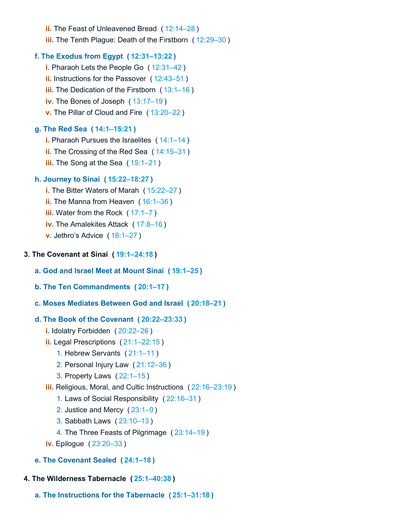**ii.** The Feast of Unleavened Bread ( [12:14–28](https://biblehub.com/bsb/exodus/12.htm#14) ) **iii.** The Tenth Plague: Death of the Firstborn ( [12:29–30](https://biblehub.com/bsb/exodus/12.htm#29) )

# **f. The Exodus from Egypt ( [12:31–13:22](https://biblehub.com/bsb/exodus/12.htm#31) )**

**i.** Pharaoh Lets the People Go ( [12:31–42](https://biblehub.com/bsb/exodus/12.htm#31) ) **ii.** Instructions for the Passover ( [12:43–51](https://biblehub.com/bsb/exodus/12.htm#43) ) **iii.** The Dedication of the Firstborn ([13:1–16](https://biblehub.com/bsb/exodus/13.htm#1)) **iv.** The Bones of Joseph ( [13:17–19](https://biblehub.com/bsb/exodus/13.htm#17) ) **v.** The Pillar of Cloud and Fire ( [13:20–22](https://biblehub.com/bsb/exodus/13.htm#20) )

# **g. The Red Sea ( [14:1–15:21](https://biblehub.com/bsb/exodus/14.htm#1) )**

- **i.** Pharaoh Pursues the Israelites ( [14:1–14](https://biblehub.com/bsb/exodus/14.htm#1) )
- **ii.** The Crossing of the Red Sea ( [14:15–31](https://biblehub.com/bsb/exodus/14.htm#15) )
- **iii.** The Song at the Sea ([15:1–21](https://biblehub.com/bsb/exodus/15.htm#1))

# **h. Journey to Sinai ( [15:22–18:27](https://biblehub.com/bsb/exodus/15.htm#22) )**

- **i.** The Bitter Waters of Marah ( [15:22–27](https://biblehub.com/bsb/exodus/15.htm#22) )
- **ii.** The Manna from Heaven ( [16:1–36](https://biblehub.com/bsb/exodus/16.htm#1) )
- **iii.** Water from the Rock ([17:1–7](https://biblehub.com/bsb/exodus/17.htm#1))
- **iv.** The Amalekites Attack ( [17:8–16](https://biblehub.com/bsb/exodus/17.htm#8) )
- **v.** Jethro's Advice ( [18:1–27](https://biblehub.com/bsb/exodus/18.htm#1) )

# **3. The Covenant at Sinai ( [19:1–24:18](https://biblehub.com/bsb/exodus/19.htm#1) )**

# **a. God and Israel Meet at Mount Sinai ( [19:1–25](https://biblehub.com/bsb/exodus/19.htm#1) )**

**b. The Ten Commandments ( [20:1–17](https://biblehub.com/bsb/exodus/20.htm#1) )**

# **c. Moses Mediates Between God and Israel ( [20:18–21](https://biblehub.com/bsb/exodus/20.htm#18) )**

# **d. The Book of the Covenant ( [20:22–23:33](https://biblehub.com/bsb/exodus/20.htm#22) )**

- **i.** Idolatry Forbidden ( [20:22–26](https://biblehub.com/bsb/exodus/20.htm#22) )
- **ii.** Legal Prescriptions ( [21:1–22:15](https://biblehub.com/bsb/exodus/21.htm#1) )
	- 1. Hebrew Servants ( [21:1–11](https://biblehub.com/bsb/exodus/21.htm#1) )
	- 2. Personal Injury Law ( [21:12–36](https://biblehub.com/bsb/exodus/21.htm#12) )
	- 3. Property Laws ( [22:1–15](https://biblehub.com/bsb/exodus/22.htm#1) )
- **iii.** Religious, Moral, and Cultic Instructions ( [22:16–23:19](https://biblehub.com/bsb/exodus/22.htm#16) )
	- 1. Laws of Social Responsibility ( [22:16–31](https://biblehub.com/bsb/exodus/22.htm#16) )
	- 2. Justice and Mercy ( [23:1–9](https://biblehub.com/bsb/exodus/23.htm#1) )
	- 3. Sabbath Laws ( [23:10–13](https://biblehub.com/bsb/exodus/23.htm#10) )
	- 4. The Three Feasts of Pilgrimage ( [23:14–19](https://biblehub.com/bsb/exodus/23.htm#14) )
- **iv.** Epilogue ( [23:20–33](https://biblehub.com/bsb/exodus/23.htm#20) )
- **e. The Covenant Sealed ( [24:1–18](https://biblehub.com/bsb/exodus/24.htm#1) )**

# **4. The Wilderness Tabernacle ( [25:1–40:38](https://biblehub.com/bsb/exodus/25.htm#1) )**

**a. The Instructions for the Tabernacle ( [25:1–31:18](https://biblehub.com/bsb/exodus/25.htm#1) )**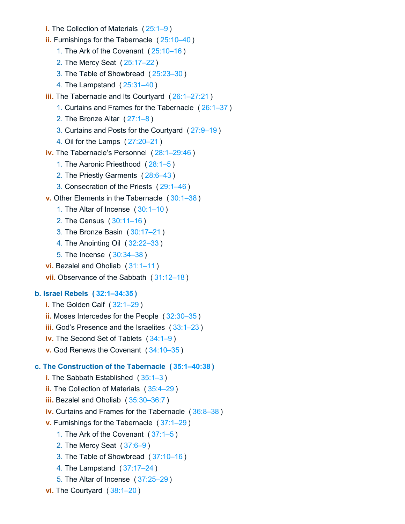- **i.** The Collection of Materials ( [25:1–9](https://biblehub.com/bsb/exodus/25.htm#1) )
- **ii.** Furnishings for the Tabernacle ( [25:10–40](https://biblehub.com/bsb/exodus/25.htm#10) )
	- 1. The Ark of the Covenant ( [25:10–16](https://biblehub.com/bsb/exodus/25.htm#10) )
	- 2. The Mercy Seat ( [25:17–22](https://biblehub.com/bsb/exodus/25.htm#17) )
	- 3. The Table of Showbread ( [25:23–30](https://biblehub.com/bsb/exodus/25.htm#23) )
	- 4. The Lampstand ( [25:31–40](https://biblehub.com/bsb/exodus/25.htm#31) )
- **iii.** The Tabernacle and Its Courtyard ( [26:1–27:21](https://biblehub.com/bsb/exodus/26.htm#1) )
	- 1. Curtains and Frames for the Tabernacle ( [26:1–37](https://biblehub.com/bsb/exodus/26.htm#1) )
	- 2. The Bronze Altar ( [27:1–8](https://biblehub.com/bsb/exodus/27.htm#1) )
	- 3. Curtains and Posts for the Courtyard ( [27:9–19](https://biblehub.com/bsb/exodus/27.htm#9) )
	- 4. Oil for the Lamps ( [27:20–21](https://biblehub.com/bsb/exodus/27.htm#20) )
- **iv.** The Tabernacle's Personnel ( [28:1–29:46](https://biblehub.com/bsb/exodus/28.htm#1) )
	- 1. The Aaronic Priesthood ( [28:1–5](https://biblehub.com/bsb/exodus/28.htm#1) )
	- 2. The Priestly Garments ( [28:6–43](https://biblehub.com/bsb/exodus/28.htm#6) )
	- 3. Consecration of the Priests ( [29:1–46](https://biblehub.com/bsb/exodus/29.htm#1) )
- **v.** Other Elements in the Tabernacle ( [30:1–38](https://biblehub.com/bsb/exodus/30.htm#1) )
	- 1. The Altar of Incense ( [30:1–10](https://biblehub.com/bsb/exodus/30.htm#1) )
	- 2. The Census ( [30:11–16](https://biblehub.com/bsb/exodus/30.htm#11) )
	- 3. The Bronze Basin ( [30:17–21](https://biblehub.com/bsb/exodus/30.htm#17) )
	- 4. The Anointing Oil ( [32:22–33](https://biblehub.com/bsb/exodus/32.htm#22) )
	- 5. The Incense ( [30:34–38](https://biblehub.com/bsb/exodus/30.htm#34) )
- **vi.** Bezalel and Oholiab ( [31:1–11](https://biblehub.com/bsb/exodus/31.htm#1) )
- **vii.** Observance of the Sabbath ( [31:12–18](https://biblehub.com/bsb/exodus/31.htm#12) )

### **b. Israel Rebels ( [32:1–34:35](https://biblehub.com/bsb/exodus/32.htm#1) )**

- **i.** The Golden Calf ( [32:1–29](https://biblehub.com/bsb/exodus/32.htm#1) )
- **ii.** Moses Intercedes for the People ( [32:30–35](https://biblehub.com/bsb/exodus/32.htm#30) )
- **iii.** God's Presence and the Israelites ([33:1–23](https://biblehub.com/bsb/exodus/33.htm#1))
- **iv.** The Second Set of Tablets ( [34:1–9](https://biblehub.com/bsb/exodus/34.htm#1) )
- **v.** God Renews the Covenant ( [34:10–35](https://biblehub.com/bsb/exodus/34.htm#10) )

### **c. The Construction of the Tabernacle ( [35:1–40:38](https://biblehub.com/bsb/exodus/35.htm#1) )**

- **i.** The Sabbath Established ( [35:1–3](https://biblehub.com/bsb/exodus/35.htm#1) )
- **ii.** The Collection of Materials ( [35:4–29](https://biblehub.com/bsb/exodus/35.htm#4) )
- **iii.** Bezalel and Oholiab ( [35:30–36:7](https://biblehub.com/bsb/exodus/35.htm#30) )
- **iv.** Curtains and Frames for the Tabernacle ( [36:8–38](https://biblehub.com/bsb/exodus/36.htm#8) )
- **v.** Furnishings for the Tabernacle ( [37:1–29](https://biblehub.com/bsb/exodus/37.htm#1) )
	- 1. The Ark of the Covenant ( [37:1–5](https://biblehub.com/bsb/exodus/37.htm#1) )
	- 2. The Mercy Seat ( [37:6–9](https://biblehub.com/bsb/exodus/37.htm#6) )
	- 3. The Table of Showbread ( [37:10–16](https://biblehub.com/bsb/exodus/37.htm#10) )
	- 4. The Lampstand ( [37:17–24](https://biblehub.com/bsb/exodus/37.htm#17) )
	- 5. The Altar of Incense ( [37:25–29](https://biblehub.com/bsb/exodus/37.htm#25) )
- **vi.** The Courtyard ( [38:1–20](https://biblehub.com/bsb/exodus/38.htm#1) )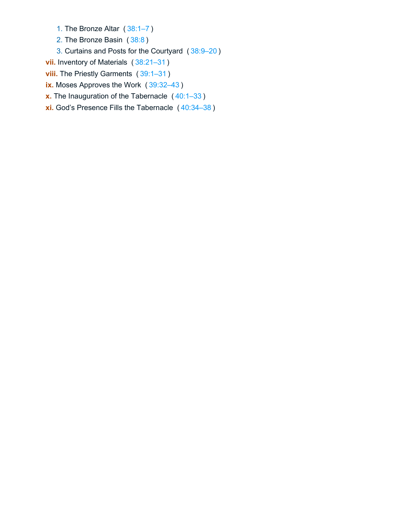1. The Bronze Altar ( [38:1–7](https://biblehub.com/bsb/exodus/38.htm#1) )

- 2. The Bronze Basin ( [38:8](https://biblehub.com/bsb/exodus/38.htm#8) )
- 3. Curtains and Posts for the Courtyard ( [38:9–20](https://biblehub.com/bsb/exodus/38.htm#9) )
- **vii.** Inventory of Materials ( [38:21–31](https://biblehub.com/bsb/exodus/38.htm#21) )
- **viii.** The Priestly Garments (39:1-31)
- **ix.** Moses Approves the Work ( [39:32–43](https://biblehub.com/bsb/exodus/39.htm#32) )
- **x.** The Inauguration of the Tabernacle ( [40:1–33](https://biblehub.com/bsb/exodus/40.htm#1) )
- **xi.** God's Presence Fills the Tabernacle ( [40:34–38](https://biblehub.com/bsb/exodus/40.htm#34) )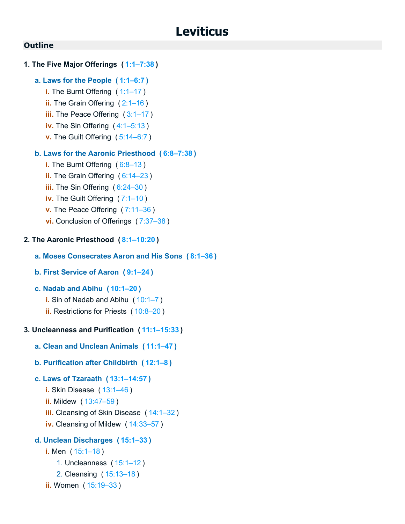# <span id="page-9-0"></span>**1. The Five Major Offerings ( [1:1–7:38](https://biblehub.com/bsb/leviticus/1.htm#1) )**

# **a. Laws for the People ( [1:1–6:7](https://biblehub.com/bsb/leviticus/1.htm#1) )**

- **i.** The Burnt Offering ([1:1–17](https://biblehub.com/bsb/leviticus/1.htm#1))
- **ii.** The Grain Offering (2:1-16)
- **iii.** The Peace Offering (3:1-17)
- **iv.** The Sin Offering ( [4:1–5:13](https://biblehub.com/bsb/leviticus/4.htm#1) )
- **v.** The Guilt Offering ( [5:14–6:7](https://biblehub.com/bsb/leviticus/5.htm#14) )

# **b. Laws for the Aaronic Priesthood ( [6:8–7:38](https://biblehub.com/bsb/leviticus/6.htm#8) )**

- **i.** The Burnt Offering (6:8-13)
- **ii.** The Grain Offering ([6:14–23](https://biblehub.com/bsb/leviticus/6.htm#14))
- **iii.** The Sin Offering ( [6:24–30](https://biblehub.com/bsb/leviticus/6.htm#24) )
- **iv.** The Guilt Offering ( [7:1–10](https://biblehub.com/bsb/leviticus/7.htm#1) )
- **v.** The Peace Offering ( [7:11–36](https://biblehub.com/bsb/leviticus/7.htm#11) )
- **vi.** Conclusion of Offerings ( [7:37–38](https://biblehub.com/bsb/leviticus/7.htm#37) )

# **2. The Aaronic Priesthood ( [8:1–10:20](https://biblehub.com/bsb/leviticus/8.htm#1) )**

# **a. Moses Consecrates Aaron and His Sons ( [8:1–36](https://biblehub.com/bsb/leviticus/8.htm#1) )**

# **b. First Service of Aaron ( [9:1–24](https://biblehub.com/bsb/leviticus/9.htm#1) )**

# **c. Nadab and Abihu ( [10:1–20](https://biblehub.com/bsb/leviticus/10.htm#1) )**

- **i.** Sin of Nadab and Abihu ( [10:1–7](https://biblehub.com/bsb/leviticus/10.htm#1) )
- **ii.** Restrictions for Priests ( [10:8–20](https://biblehub.com/bsb/leviticus/10.htm#8) )

# **3. Uncleanness and Purification ( [11:1–15:33](https://biblehub.com/bsb/leviticus/11.htm#1) )**

- **a. Clean and Unclean Animals ( [11:1–47](https://biblehub.com/bsb/leviticus/11.htm#1) )**
- **b. Purification after Childbirth ( [12:1–8](https://biblehub.com/bsb/leviticus/12.htm#1) )**

# **c. Laws of Tzaraath ( [13:1–14:57](https://biblehub.com/bsb/leviticus/13.htm#1) )**

- **i.** Skin Disease ( [13:1–46](https://biblehub.com/bsb/leviticus/13.htm#1) )
- **ii.** Mildew ( [13:47–59](https://biblehub.com/bsb/leviticus/13.htm#47) )
- **iii.** Cleansing of Skin Disease ( [14:1–32](https://biblehub.com/bsb/leviticus/14.htm#1) )
- **iv.** Cleansing of Mildew ( [14:33–57](https://biblehub.com/bsb/leviticus/14.htm#33) )

# **d. Unclean Discharges ( [15:1–33](https://biblehub.com/bsb/leviticus/15.htm#1) )**

```
i. Men ( 15:1–18 )
```
- 1. Uncleanness ( [15:1–12](https://biblehub.com/bsb/leviticus/15.htm#1) )
- 2. Cleansing ( [15:13–18](https://biblehub.com/bsb/leviticus/15.htm#13) )
- **ii.** Women ( [15:19–33](https://biblehub.com/bsb/leviticus/15.htm#19) )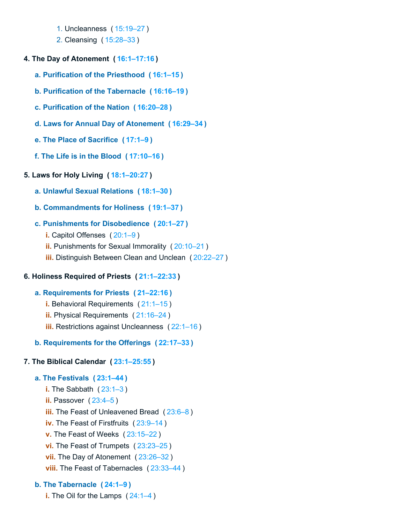- 1. Uncleanness ( [15:19–27](https://biblehub.com/bsb/leviticus/15.htm#19) )
- 2. Cleansing ( [15:28–33](https://biblehub.com/bsb/leviticus/15.htm#28) )
- **4. The Day of Atonement ( [16:1–17:16](https://biblehub.com/bsb/leviticus/16.htm#1) )**
	- **a. Purification of the Priesthood ( [16:1–15](https://biblehub.com/bsb/leviticus/16.htm#1) )**
	- **b. Purification of the Tabernacle ( [16:16–19](https://biblehub.com/bsb/leviticus/16.htm#16) )**
	- **c. Purification of the Nation ( [16:20–28](https://biblehub.com/bsb/leviticus/16.htm#20) )**
	- **d. Laws for Annual Day of Atonement ( [16:29–34](https://biblehub.com/bsb/leviticus/16.htm#29) )**
	- **e. The Place of Sacrifice ( [17:1–9](https://biblehub.com/bsb/leviticus/17.htm#1) )**
	- **f. The Life is in the Blood ( [17:10–16](https://biblehub.com/bsb/leviticus/17.htm#10) )**

# **5. Laws for Holy Living ( [18:1–20:27](https://biblehub.com/bsb/leviticus/18.htm#1) )**

- **a. Unlawful Sexual Relations ( [18:1–30](https://biblehub.com/bsb/leviticus/18.htm#1) )**
- **b. Commandments for Holiness ( [19:1–37](https://biblehub.com/bsb/leviticus/19.htm#1) )**
- **c. Punishments for Disobedience ( [20:1–27](https://biblehub.com/bsb/leviticus/20.htm#1) )**
	- **i.** Capitol Offenses ( [20:1–9](https://biblehub.com/bsb/leviticus/20.htm#1) )
	- **ii.** Punishments for Sexual Immorality ( [20:10–21](https://biblehub.com/bsb/leviticus/20.htm#10) )
	- **iii.** Distinguish Between Clean and Unclean ( [20:22–27](https://biblehub.com/bsb/leviticus/20.htm#22) )

# **6. Holiness Required of Priests ( [21:1–22:33](https://biblehub.com/bsb/leviticus/21.htm#1) )**

- **a. Requirements for Priests ( [21–22:16](https://biblehub.com/bsb/leviticus/21) )**
	- **i.** Behavioral Requirements ( [21:1–15](https://biblehub.com/bsb/leviticus/21.htm#1) )
	- **ii.** Physical Requirements ( [21:16–24](https://biblehub.com/bsb/leviticus/21.htm#16) )
	- **iii.** Restrictions against Uncleanness ( [22:1–16](https://biblehub.com/bsb/leviticus/22.htm#1) )
- **b. Requirements for the Offerings ( [22:17–33](https://biblehub.com/bsb/leviticus/22.htm#17) )**

# **7. The Biblical Calendar ( [23:1–25:55](https://biblehub.com/bsb/leviticus/23.htm#1) )**

# **a. The Festivals ( [23:1–44](https://biblehub.com/bsb/leviticus/23.htm#1) )**

**i.** The Sabbath ( [23:1–3](https://biblehub.com/bsb/leviticus/23.htm#1) ) **ii.** Passover ( $23:4-5$ ) **iii.** The Feast of Unleavened Bread ( [23:6–8](https://biblehub.com/bsb/leviticus/23.htm#6) ) **iv.** The Feast of Firstfruits ( [23:9–14](https://biblehub.com/bsb/leviticus/23.htm#9) ) **v.** The Feast of Weeks ( [23:15–22](https://biblehub.com/bsb/leviticus/23.htm#15) ) **vi.** The Feast of Trumpets ( [23:23–25](https://biblehub.com/bsb/leviticus/23.htm#23) ) **vii.** The Day of Atonement ( [23:26–32](https://biblehub.com/bsb/leviticus/23.htm#26) ) **viii.** The Feast of Tabernacles ( [23:33–44](https://biblehub.com/bsb/leviticus/23.htm#33) )

# **b. The Tabernacle ( [24:1–9](https://biblehub.com/bsb/leviticus/24.htm#1) )**

**i.** The Oil for the Lamps ( $24:1-4$ )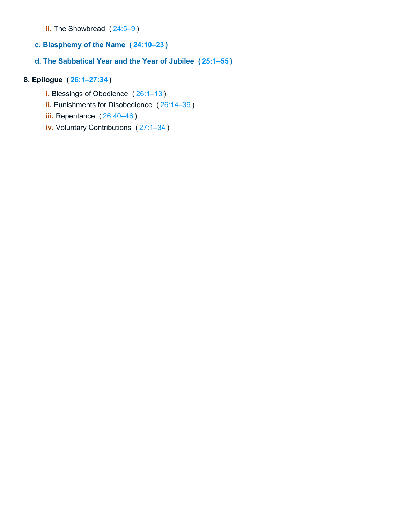- **ii.** The Showbread ( $24:5-9$ )
- **c. Blasphemy of the Name ( [24:10–23](https://biblehub.com/bsb/leviticus/24.htm#10) )**

# **d. The Sabbatical Year and the Year of Jubilee ( [25:1–55](https://biblehub.com/bsb/leviticus/25.htm#1) )**

# **8. Epilogue ( [26:1–27:34](https://biblehub.com/bsb/leviticus/26.htm#1) )**

- **i.** Blessings of Obedience ( [26:1–13](https://biblehub.com/bsb/leviticus/26.htm#1) )
- **ii.** Punishments for Disobedience ( [26:14–39](https://biblehub.com/bsb/leviticus/26.htm#14) )
- **iii.** Repentance ( [26:40–46](https://biblehub.com/bsb/leviticus/26.htm#40) )
- **iv.** Voluntary Contributions ( [27:1–34](https://biblehub.com/bsb/leviticus/27.htm#1) )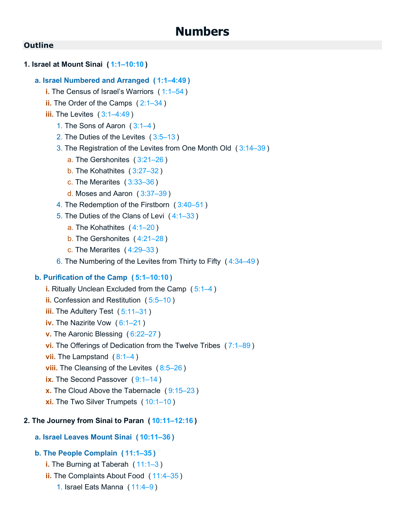# <span id="page-12-0"></span>**1. Israel at Mount Sinai ( [1:1–10:10](https://biblehub.com/bsb/numbers/1.htm#1) )**

# **a. Israel Numbered and Arranged ( [1:1–4:49](https://biblehub.com/bsb/numbers/1.htm#1) )**

- **i.** The Census of Israel's Warriors ( [1:1–54](https://biblehub.com/bsb/numbers/1.htm#1) )
- **ii.** The Order of the Camps ( [2:1–34](https://biblehub.com/bsb/numbers/2.htm#1) )
- **iii.** The Levites ( $3:1-4:49$ )
	- 1. The Sons of Aaron ( [3:1–4](https://biblehub.com/bsb/numbers/3.htm#1) )
	- 2. The Duties of the Levites ( [3:5–13](https://biblehub.com/bsb/numbers/3.htm#5) )

# 3. The Registration of the Levites from One Month Old ( [3:14–39](https://biblehub.com/bsb/numbers/3.htm#14) )

- a. The Gershonites ( [3:21–26](https://biblehub.com/bsb/numbers/3.htm#21) )
- b. The Kohathites ( [3:27–32](https://biblehub.com/bsb/numbers/3.htm#27) )
- c. The Merarites ( [3:33–36](https://biblehub.com/bsb/numbers/3.htm#33) )
- d. Moses and Aaron ( [3:37–39](https://biblehub.com/bsb/numbers/3.htm#37) )
- 4. The Redemption of the Firstborn ( [3:40–51](https://biblehub.com/bsb/numbers/3.htm#40) )
- 5. The Duties of the Clans of Levi ( [4:1–33](https://biblehub.com/bsb/numbers/4.htm#1) )
	- a. The Kohathites ( [4:1–20](https://biblehub.com/bsb/numbers/4.htm#1) )
	- b. The Gershonites ( [4:21–28](https://biblehub.com/bsb/numbers/4.htm#21) )
	- c. The Merarites ( [4:29–33](https://biblehub.com/bsb/numbers/4.htm#29) )
- 6. The Numbering of the Levites from Thirty to Fifty ( [4:34–49](https://biblehub.com/bsb/numbers/4.htm#34) )

# **b. Purification of the Camp ( [5:1–10:10](https://biblehub.com/bsb/numbers/5.htm#1) )**

- **i.** Ritually Unclean Excluded from the Camp ( [5:1–4](https://biblehub.com/bsb/numbers/5.htm#1) )
- **ii.** Confession and Restitution ( [5:5–10](https://biblehub.com/bsb/numbers/5.htm#5) )
- **iii.** The Adultery Test ([5:11–31](https://biblehub.com/bsb/numbers/5.htm#11))
- **iv.** The Nazirite Vow (6:1-21)
- **v.** The Aaronic Blessing ( [6:22–27](https://biblehub.com/bsb/numbers/6.htm#22) )
- **vi.** The Offerings of Dedication from the Twelve Tribes ( [7:1–89](https://biblehub.com/bsb/numbers/7.htm#1) )
- **vii.** The Lampstand ([8:1–4](https://biblehub.com/bsb/numbers/8.htm#1))
- **viii.** The Cleansing of the Levites ([8:5–26](https://biblehub.com/bsb/numbers/8.htm#5))
- **ix.** The Second Passover (9:1-14)
- **x.** The Cloud Above the Tabernacle ( [9:15–23](https://biblehub.com/bsb/numbers/9.htm#15) )
- **xi.** The Two Silver Trumpets ( [10:1–10](https://biblehub.com/bsb/numbers/10.htm#1) )

# **2. The Journey from Sinai to Paran ( [10:11–12:16](https://biblehub.com/bsb/numbers/10.htm#11) )**

# **a. Israel Leaves Mount Sinai ( [10:11–36](https://biblehub.com/bsb/numbers/10.htm#11) )**

# **b. The People Complain ( [11:1–35](https://biblehub.com/bsb/numbers/11.htm#1) )**

- **i.** The Burning at Taberah ( [11:1–3](https://biblehub.com/bsb/numbers/11.htm#1) )
- **ii.** The Complaints About Food ( [11:4–35](https://biblehub.com/bsb/numbers/11.htm#4) )
	- 1. Israel Eats Manna ( [11:4–9](https://biblehub.com/bsb/numbers/11.htm#4) )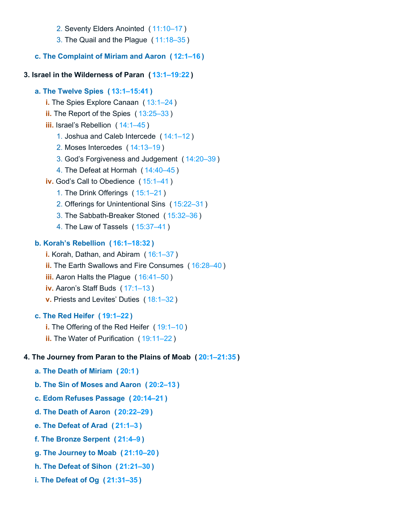- 2. Seventy Elders Anointed ( [11:10–17](https://biblehub.com/bsb/numbers/11.htm#10) )
- 3. The Quail and the Plague ( [11:18–35](https://biblehub.com/bsb/numbers/11.htm#18) )

# **c. The Complaint of Miriam and Aaron ( [12:1–16](https://biblehub.com/bsb/numbers/12.htm#1) )**

# **3. Israel in the Wilderness of Paran ( [13:1–19:22](https://biblehub.com/bsb/numbers/13.htm#1) )**

# **a. The Twelve Spies ( [13:1–15:41](https://biblehub.com/bsb/numbers/13.htm#1) )**

- **i.** The Spies Explore Canaan ( [13:1–24](https://biblehub.com/bsb/numbers/13.htm#1) )
- **ii.** The Report of the Spies ( [13:25–33](https://biblehub.com/bsb/numbers/13.htm#25) )
- **iii.** Israel's Rebellion ( [14:1–45](https://biblehub.com/bsb/numbers/14.htm#1) )
	- 1. Joshua and Caleb Intercede ( [14:1–12](https://biblehub.com/bsb/numbers/14.htm#1) )
	- 2. Moses Intercedes ( [14:13–19](https://biblehub.com/bsb/numbers/14.htm#13) )
	- 3. God's Forgiveness and Judgement ( [14:20–39](https://biblehub.com/bsb/numbers/14.htm#20) )
	- 4. The Defeat at Hormah ( [14:40–45](https://biblehub.com/bsb/numbers/14.htm#40) )
- **iv.** God's Call to Obedience ( [15:1–41](https://biblehub.com/bsb/numbers/15.htm#1) )
	- 1. The Drink Offerings ( [15:1–21](https://biblehub.com/bsb/numbers/15.htm#1) )
	- 2. Offerings for Unintentional Sins ( [15:22–31](https://biblehub.com/bsb/numbers/15.htm#22) )
	- 3. The Sabbath-Breaker Stoned ( [15:32–36](https://biblehub.com/bsb/numbers/15.htm#32) )
	- 4. The Law of Tassels ( [15:37–41](https://biblehub.com/bsb/numbers/15.htm#37) )

# **b. Korah's Rebellion ( [16:1–18:32](https://biblehub.com/bsb/numbers/16.htm#1) )**

- **i.** Korah, Dathan, and Abiram ( [16:1–37](https://biblehub.com/bsb/numbers/16.htm#1) )
- **ii.** The Earth Swallows and Fire Consumes ( [16:28–40](https://biblehub.com/bsb/numbers/16.htm#28) )
- **iii.** Aaron Halts the Plague ( [16:41–50](https://biblehub.com/bsb/numbers/16.htm#41) )
- **iv.** Aaron's Staff Buds ( [17:1–13](https://biblehub.com/bsb/numbers/17.htm#1) )
- **v.** Priests and Levites' Duties ( [18:1–32](https://biblehub.com/bsb/numbers/18.htm#1) )

# **c. The Red Heifer ( [19:1–22](https://biblehub.com/bsb/numbers/19.htm#1) )**

- **i.** The Offering of the Red Heifer ([19:1–10](https://biblehub.com/bsb/numbers/19.htm#1))
- **ii.** The Water of Purification ( [19:11–22](https://biblehub.com/bsb/numbers/19.htm#11) )

# **4. The Journey from Paran to the Plains of Moab ( [20:1–21:35](https://biblehub.com/bsb/numbers/20.htm#1) )**

- **a. The Death of Miriam ( [20:1](https://biblehub.com/bsb/numbers/20.htm#1) )**
- **b. The Sin of Moses and Aaron ( [20:2–13](https://biblehub.com/bsb/numbers/20.htm#2) )**
- **c. Edom Refuses Passage ( [20:14–21](https://biblehub.com/bsb/numbers/20.htm#14) )**
- **d. The Death of Aaron ( [20:22–29](https://biblehub.com/bsb/numbers/20.htm#22) )**
- **e. The Defeat of Arad ( [21:1–3](https://biblehub.com/bsb/numbers/21.htm#1) )**
- **f. The Bronze Serpent ( [21:4–9](https://biblehub.com/bsb/numbers/21.htm#4) )**
- **g. The Journey to Moab ( [21:10–20](https://biblehub.com/bsb/numbers/21.htm#10) )**
- **h. The Defeat of Sihon ( [21:21–30](https://biblehub.com/bsb/numbers/21.htm#21) )**
- **i. The Defeat of Og ( [21:31–35](https://biblehub.com/bsb/numbers/21.htm#31) )**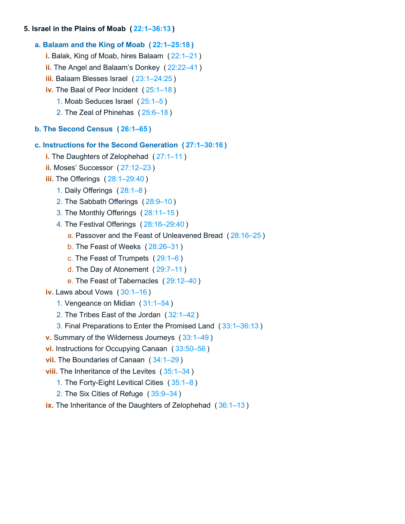# **5. Israel in the Plains of Moab ( [22:1–36:13](https://biblehub.com/bsb/numbers/22.htm#1) )**

# **a. Balaam and the King of Moab ( [22:1–25:18](https://biblehub.com/bsb/numbers/22.htm#1) )**

- **i.** Balak, King of Moab, hires Balaam ( [22:1–21](https://biblehub.com/bsb/numbers/22.htm#1) )
- **ii.** The Angel and Balaam's Donkey ( [22:22–41](https://biblehub.com/bsb/numbers/22.htm#22) )
- **iii.** Balaam Blesses Israel ( [23:1–24:25](https://biblehub.com/bsb/numbers/23.htm#1) )
- **iv.** The Baal of Peor Incident ( [25:1–18](https://biblehub.com/bsb/numbers/25.htm#1) )
	- 1. Moab Seduces Israel ( [25:1–5](https://biblehub.com/bsb/numbers/25.htm#1) )
	- 2. The Zeal of Phinehas ( [25:6–18](https://biblehub.com/bsb/numbers/25.htm#6) )

# **b. The Second Census ( [26:1–65](https://biblehub.com/bsb/numbers/26.htm#1) )**

# **c. Instructions for the Second Generation ( [27:1–30:16](https://biblehub.com/bsb/numbers/27.htm#1) )**

- **i.** The Daughters of Zelophehad ( [27:1–11](https://biblehub.com/bsb/numbers/27.htm#1) )
- **ii.** Moses' Successor ( [27:12–23](https://biblehub.com/bsb/numbers/27.htm#12) )
- **iii.** The Offerings ( [28:1–29:40](https://biblehub.com/bsb/numbers/28.htm#1) )
	- 1. Daily Offerings ( [28:1–8](https://biblehub.com/bsb/numbers/28.htm#1) )
	- 2. The Sabbath Offerings ( [28:9–10](https://biblehub.com/bsb/numbers/28.htm#9) )
	- 3. The Monthly Offerings ( [28:11–15](https://biblehub.com/bsb/numbers/28.htm#11) )
	- 4. The Festival Offerings ( [28:16–29:40](https://biblehub.com/bsb/numbers/28.htm#16) )
		- a. Passover and the Feast of Unleavened Bread ( [28:16–25](https://biblehub.com/bsb/numbers/28.htm#16) )
		- b. The Feast of Weeks ( [28:26–31](https://biblehub.com/bsb/numbers/28.htm#26) )
		- c. The Feast of Trumpets ( [29:1–6](https://biblehub.com/bsb/numbers/29.htm#1) )
		- d. The Day of Atonement ( [29:7–11](https://biblehub.com/bsb/numbers/29.htm#7) )
		- e. The Feast of Tabernacles ( [29:12–40](https://biblehub.com/bsb/numbers/29.htm#12) )
- **iv.** Laws about Vows ( [30:1–16](https://biblehub.com/bsb/numbers/30.htm#1) )
	- 1. Vengeance on Midian ( [31:1–54](https://biblehub.com/bsb/numbers/31.htm#1) )
	- 2. The Tribes East of the Jordan ( [32:1–42](https://biblehub.com/bsb/numbers/32.htm#1) )
	- 3. Final Preparations to Enter the Promised Land ( [33:1–36:13](https://biblehub.com/bsb/numbers/33.htm#1) )
- **v.** Summary of the Wilderness Journeys ( [33:1–49](https://biblehub.com/bsb/numbers/33.htm#1) )
- **vi.** Instructions for Occupying Canaan ( [33:50–56](https://biblehub.com/bsb/numbers/33.htm#50) )
- **vii.** The Boundaries of Canaan ( [34:1–29](https://biblehub.com/bsb/numbers/34.htm#1) )
- **viii.** The Inheritance of the Levites ([35:1–34](https://biblehub.com/bsb/numbers/35.htm#1))
	- 1. The Forty-Eight Levitical Cities ( [35:1–8](https://biblehub.com/bsb/numbers/35.htm#1) )
	- 2. The Six Cities of Refuge ( [35:9–34](https://biblehub.com/bsb/numbers/35.htm#9) )
- <span id="page-14-0"></span>**ix.** The Inheritance of the Daughters of Zelophehad ( [36:1–13](https://biblehub.com/bsb/numbers/36.htm#1) )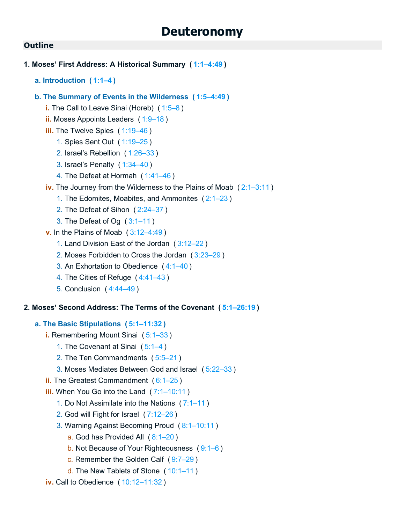```
1. Moses' First Address: A Historical Summary ( 1:1–4:49 )
   a. Introduction ( 1:1–4 )
   b. The Summary of Events in the Wilderness ( 1:5–4:49 )
      i. The Call to Leave Sinai (Horeb) ( 1:5–8 )
      ii. Moses Appoints Leaders ( 1:9–18 )
      iii.1:19–46)
         1. Spies Sent Out ( 1:19–25 )
         2. Israel's Rebellion ( 1:26–33 )
         3. Israel's Penalty ( 1:34–40 )
         4. The Defeat at Hormah ( 1:41–46 )
      iv. The Journey from the Wilderness to the Plains of Moab ( 2:1–3:11 )
         1. The Edomites, Moabites, and Ammonites ( 2:1–23 )
         2. The Defeat of Sihon ( 2:24–37 )
         3. The Defeat of Og ( 3:1–11 )
      v. In the Plains of Moab ( 3:12–4:49 )
         1. Land Division East of the Jordan ( 3:12–22 )
         2. Moses Forbidden to Cross the Jordan ( 3:23–29 )
         3. An Exhortation to Obedience ( 4:1–40 )
         4. The Cities of Refuge ( 4:41–43 )
         5. Conclusion ( 4:44–49 )
2. Moses' Second Address: The Terms of the Covenant ( 5:1–26:19 )
   a. The Basic Stipulations ( 5:1–11:32 )
      i. Remembering Mount Sinai ( 5:1–33 )
         1. The Covenant at Sinai ( 5:1–4 )
         2. The Ten Commandments ( 5:5–21 )
         3. Moses Mediates Between God and Israel ( 5:22–33 )
      ii. The Greatest Commandment ( 6:1–25 )
      iii. When You Go into the Land ( 7:1–10:11 )
         1. Do Not Assimilate into the Nations ( 7:1–11 )
         2. God will Fight for Israel ( 7:12–26 )
         3. Warning Against Becoming Proud ( 8:1–10:11 )
             a. God has Provided All ( 8:1–20 )
             b. Not Because of Your Righteousness ( 9:1–6 )
             c. Remember the Golden Calf ( 9:7–29 )
```
- d. The New Tablets of Stone ( [10:1–11](https://biblehub.com/bsb/deuteronomy/10.htm#1) )
- **iv.** Call to Obedience ( [10:12–11:32](https://biblehub.com/bsb/deuteronomy/10.htm#12) )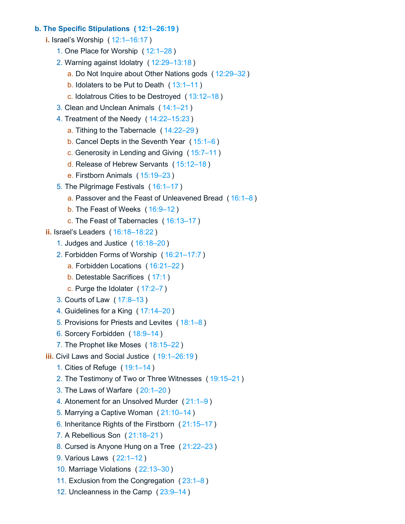### **b. The Specific Stipulations ( [12:1–26:19](https://biblehub.com/bsb/deuteronomy/12.htm#1) )**

- **i.** Israel's Worship ( [12:1–16:17](https://biblehub.com/bsb/deuteronomy/12.htm#1) )
	- 1. One Place for Worship ( [12:1–28](https://biblehub.com/bsb/deuteronomy/12.htm#1) )
	- 2. Warning against Idolatry ( [12:29–13:18](https://biblehub.com/bsb/deuteronomy/12.htm#29) )
		- a. Do Not Inquire about Other Nations gods ( [12:29–32](https://biblehub.com/bsb/deuteronomy/12.htm#29) )
		- b. Idolaters to be Put to Death ( [13:1–11](https://biblehub.com/bsb/deuteronomy/13.htm#1) )
		- c. Idolatrous Cities to be Destroyed ( [13:12–18](https://biblehub.com/bsb/deuteronomy/13.htm#12) )
	- 3. Clean and Unclean Animals ( [14:1–21](https://biblehub.com/bsb/deuteronomy/14.htm#1) )
	- 4. Treatment of the Needy ( [14:22–15:23](https://biblehub.com/bsb/deuteronomy/14.htm#22) )
		- a. Tithing to the Tabernacle ( [14:22–29](https://biblehub.com/bsb/deuteronomy/14.htm#22) )
		- b. Cancel Depts in the Seventh Year ( [15:1–6](https://biblehub.com/bsb/deuteronomy/15.htm#1) )
		- c. Generosity in Lending and Giving ( [15:7–11](https://biblehub.com/bsb/deuteronomy/15.htm#7) )
		- d. Release of Hebrew Servants ( [15:12–18](https://biblehub.com/bsb/deuteronomy/15.htm#12) )
		- e. Firstborn Animals ( [15:19–23](https://biblehub.com/bsb/deuteronomy/15.htm#19) )
	- 5. The Pilgrimage Festivals ( [16:1–17](https://biblehub.com/bsb/deuteronomy/16.htm#1) )
		- a. Passover and the Feast of Unleavened Bread ( [16:1–8](https://biblehub.com/bsb/deuteronomy/16.htm#1) )
		- b. The Feast of Weeks ( [16:9–12](https://biblehub.com/bsb/deuteronomy/16.htm#9) )
		- c. The Feast of Tabernacles ( [16:13–17](https://biblehub.com/bsb/deuteronomy/16.htm#13) )
- **ii.** Israel's Leaders ( [16:18–18:22](https://biblehub.com/bsb/deuteronomy/16.htm#18) )
	- 1. Judges and Justice ( [16:18–20](https://biblehub.com/bsb/deuteronomy/16.htm#18) )
	- 2. Forbidden Forms of Worship ( [16:21–17:7](https://biblehub.com/bsb/deuteronomy/16.htm#21) )
		- a. Forbidden Locations ( [16:21–22](https://biblehub.com/bsb/deuteronomy/16.htm#21) )
		- b. Detestable Sacrifices ( [17:1](https://biblehub.com/bsb/deuteronomy/17.htm#1) )
		- c. Purge the Idolater ( [17:2–7](https://biblehub.com/bsb/deuteronomy/17.htm#2) )
	- 3. Courts of Law ( [17:8–13](https://biblehub.com/bsb/deuteronomy/17.htm#8) )
	- 4. Guidelines for a King ( [17:14–20](https://biblehub.com/bsb/deuteronomy/17.htm#14) )
	- 5. Provisions for Priests and Levites ( [18:1–8](https://biblehub.com/bsb/deuteronomy/18.htm#1) )
	- 6. Sorcery Forbidden ( [18:9–14](https://biblehub.com/bsb/deuteronomy/18.htm#9) )
	- 7. The Prophet like Moses ( [18:15–22](https://biblehub.com/bsb/deuteronomy/18.htm#15) )
- **iii.** Civil Laws and Social Justice ( [19:1–26:19](https://biblehub.com/bsb/deuteronomy/19.htm#1) )
	- 1. Cities of Refuge ( [19:1–14](https://biblehub.com/bsb/deuteronomy/19.htm#1) )
	- 2. The Testimony of Two or Three Witnesses ( [19:15–21](https://biblehub.com/bsb/deuteronomy/19.htm#15) )
	- 3. The Laws of Warfare ( [20:1–20](https://biblehub.com/bsb/deuteronomy/20.htm#1) )
	- 4. Atonement for an Unsolved Murder ( [21:1–9](https://biblehub.com/bsb/deuteronomy/21.htm#1) )
	- 5. Marrying a Captive Woman ( [21:10–14](https://biblehub.com/bsb/deuteronomy/21.htm#10) )
	- 6. Inheritance Rights of the Firstborn ( [21:15–17](https://biblehub.com/bsb/deuteronomy/21.htm#15) )
	- 7. A Rebellious Son ( [21:18–21](https://biblehub.com/bsb/deuteronomy/21.htm#18) )
	- 8. Cursed is Anyone Hung on a Tree ( [21:22–23](https://biblehub.com/bsb/deuteronomy/21.htm#22) )
	- 9. Various Laws ( [22:1–12](https://biblehub.com/bsb/deuteronomy/22.htm#1) )
	- 10. Marriage Violations ( [22:13–30](https://biblehub.com/bsb/deuteronomy/22.htm#13) )
	- 11. Exclusion from the Congregation ( [23:1–8](https://biblehub.com/bsb/deuteronomy/23.htm#1) )
	- 12. Uncleanness in the Camp ( [23:9–14](https://biblehub.com/bsb/deuteronomy/23.htm#9) )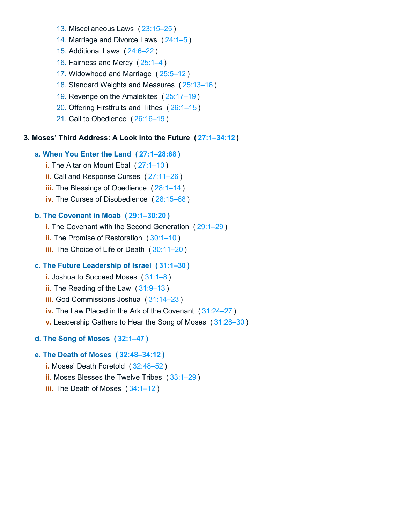- 13. Miscellaneous Laws ( [23:15–25](https://biblehub.com/bsb/deuteronomy/23.htm#15) )
- 14. Marriage and Divorce Laws ( [24:1–5](https://biblehub.com/bsb/deuteronomy/24.htm#1) )
- 15. Additional Laws ( [24:6–22](https://biblehub.com/bsb/deuteronomy/24.htm#6) )
- 16. Fairness and Mercy ( [25:1–4](https://biblehub.com/bsb/deuteronomy/25.htm#1) )
- 17. Widowhood and Marriage ( [25:5–12](https://biblehub.com/bsb/deuteronomy/25.htm#5) )
- 18. Standard Weights and Measures ( [25:13–16](https://biblehub.com/bsb/deuteronomy/25.htm#13) )
- 19. Revenge on the Amalekites ( [25:17–19](https://biblehub.com/bsb/deuteronomy/25.htm#17) )
- 20. Offering Firstfruits and Tithes ( [26:1–15](https://biblehub.com/bsb/deuteronomy/26.htm#1) )
- 21. Call to Obedience ( [26:16–19](https://biblehub.com/bsb/deuteronomy/26.htm#16) )

### **3. Moses' Third Address: A Look into the Future ( [27:1–34:12](https://biblehub.com/bsb/deuteronomy/27.htm#1) )**

# **a. When You Enter the Land ( [27:1–28:68](https://biblehub.com/bsb/deuteronomy/27.htm#1) )**

- **i.** The Altar on Mount Ebal ( [27:1–10](https://biblehub.com/bsb/deuteronomy/27.htm#1) )
- **ii.** Call and Response Curses ( [27:11–26](https://biblehub.com/bsb/deuteronomy/27.htm#11) )
- **iii.** The Blessings of Obedience ( $28:1-14$ )
- **iv.** The Curses of Disobedience ( [28:15–68](https://biblehub.com/bsb/deuteronomy/28.htm#15) )

# **b. The Covenant in Moab ( [29:1–30:20](https://biblehub.com/bsb/deuteronomy/29.htm#1) )**

- **i.** The Covenant with the Second Generation ( [29:1–29](https://biblehub.com/bsb/deuteronomy/29.htm#1) )
- **ii.** The Promise of Restoration ( [30:1–10](https://biblehub.com/bsb/deuteronomy/30.htm#1) )
- **iii.** The Choice of Life or Death ( [30:11–20](https://biblehub.com/bsb/deuteronomy/30.htm#11) )

# **c. The Future Leadership of Israel ( [31:1–30](https://biblehub.com/bsb/deuteronomy/31.htm#1) )**

- **i.** Joshua to Succeed Moses ( [31:1–8](https://biblehub.com/bsb/deuteronomy/31.htm#1) )
- **ii.** The Reading of the Law ( [31:9–13](https://biblehub.com/bsb/deuteronomy/31.htm#9) )
- **iii.** God Commissions Joshua ( [31:14–23](https://biblehub.com/bsb/deuteronomy/31.htm#14) )
- **iv.** The Law Placed in the Ark of the Covenant ( [31:24–27](https://biblehub.com/bsb/deuteronomy/31.htm#24) )
- **v.** Leadership Gathers to Hear the Song of Moses ( [31:28–30](https://biblehub.com/bsb/deuteronomy/31.htm#28) )

# **d. The Song of Moses ( [32:1–47](https://biblehub.com/bsb/deuteronomy/32.htm#1) )**

#### **e. The Death of Moses ( [32:48–34:12](https://biblehub.com/bsb/deuteronomy/32.htm#48) )**

- **i.** Moses' Death Foretold ( [32:48–52](https://biblehub.com/bsb/deuteronomy/32.htm#48) )
- **ii.** Moses Blesses the Twelve Tribes ( [33:1–29](https://biblehub.com/bsb/deuteronomy/33.htm#1) )
- **iii.** The Death of Moses ([34:1–12](https://biblehub.com/bsb/deuteronomy/34.htm#1))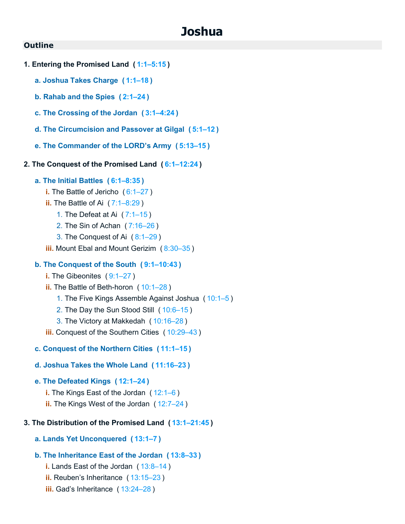# **Joshua**

### <span id="page-18-0"></span>**Outline**

- **1. Entering the Promised Land ( [1:1–5:15](https://biblehub.com/bsb/joshua/1.htm#1) )**
	- **a. Joshua Takes Charge ( [1:1–18](https://biblehub.com/bsb/joshua/1.htm#1) )**
	- **b. Rahab and the Spies ( [2:1–24](https://biblehub.com/bsb/joshua/2.htm#1) )**
	- **c. The Crossing of the Jordan ( [3:1–4:24](https://biblehub.com/bsb/joshua/3.htm#1) )**
	- **d. The Circumcision and Passover at Gilgal ( [5:1–12](https://biblehub.com/bsb/joshua/5.htm#1) )**
	- **e. The Commander of the LORD's Army ( [5:13–15](https://biblehub.com/bsb/joshua/5.htm#13) )**
- **2. The Conquest of the Promised Land ( [6:1–12:24](https://biblehub.com/bsb/joshua/6.htm#1) )**

#### **a. The Initial Battles ( [6:1–8:35](https://biblehub.com/bsb/joshua/6.htm#1) )**

- **i.** The Battle of Jericho ([6:1–27](https://biblehub.com/bsb/joshua/6.htm#1))
- **ii.** The Battle of Ai ( [7:1–8:29](https://biblehub.com/bsb/joshua/7.htm#1) )
	- 1. The Defeat at Ai ( [7:1–15](https://biblehub.com/bsb/joshua/7.htm#1) )
	- 2. The Sin of Achan ( [7:16–26](https://biblehub.com/bsb/joshua/7.htm#16) )
	- 3. The Conquest of Ai ( [8:1–29](https://biblehub.com/bsb/joshua/8.htm#1) )
- **iii.** Mount Ebal and Mount Gerizim ( [8:30–35](https://biblehub.com/bsb/joshua/8.htm#30) )

#### **b. The Conquest of the South ( [9:1–10:43](https://biblehub.com/bsb/joshua/9.htm#1) )**

- **i.** The Gibeonites ([9:1–27](https://biblehub.com/bsb/joshua/9.htm#1))
- **ii.** The Battle of Beth-horon ( [10:1–28](https://biblehub.com/bsb/joshua/10.htm#1) )
	- 1. The Five Kings Assemble Against Joshua ( [10:1–5](https://biblehub.com/bsb/joshua/10.htm#1) )
	- 2. The Day the Sun Stood Still ( [10:6–15](https://biblehub.com/bsb/joshua/10.htm#6) )
	- 3. The Victory at Makkedah ( [10:16–28](https://biblehub.com/bsb/joshua/10.htm#16) )
- **iii.** Conquest of the Southern Cities ([10:29–43](https://biblehub.com/bsb/joshua/10.htm#29))
- **c. Conquest of the Northern Cities ( [11:1–15](https://biblehub.com/bsb/joshua/11.htm#1) )**
- **d. Joshua Takes the Whole Land ( [11:16–23](https://biblehub.com/bsb/joshua/11.htm#16) )**

### **e. The Defeated Kings ( [12:1–24](https://biblehub.com/bsb/joshua/12.htm#1) )**

- **i.** The Kings East of the Jordan ( [12:1–6](https://biblehub.com/bsb/joshua/12.htm#1) )
- **ii.** The Kings West of the Jordan ( [12:7–24](https://biblehub.com/bsb/joshua/12.htm#7) )

### **3. The Distribution of the Promised Land ( [13:1–21:45](https://biblehub.com/bsb/joshua/13.htm#1) )**

**a. Lands Yet Unconquered ( [13:1–7](https://biblehub.com/bsb/joshua/13.htm#1) )**

### **b. The Inheritance East of the Jordan ( [13:8–33](https://biblehub.com/bsb/joshua/13.htm#8) )**

- **i.** Lands East of the Jordan ( [13:8–14](https://biblehub.com/bsb/joshua/13.htm#8) )
- **ii.** Reuben's Inheritance ( [13:15–23](https://biblehub.com/bsb/joshua/13.htm#15) )
- **iii.** Gad's Inheritance ( [13:24–28](https://biblehub.com/bsb/joshua/13.htm#24) )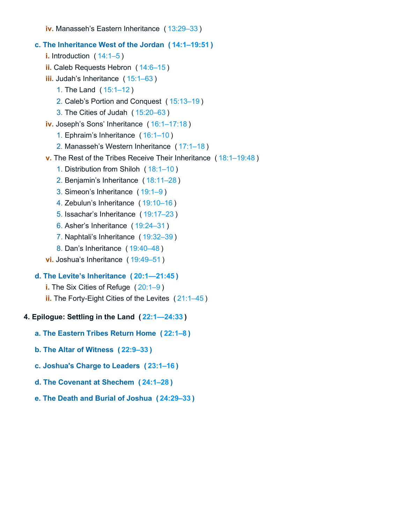**iv.** Manasseh's Eastern Inheritance ( [13:29–33](https://biblehub.com/bsb/joshua/13.htm#29) )

# **c. The Inheritance West of the Jordan ( [14:1–19:51](https://biblehub.com/bsb/joshua/14.htm#1) )**

**i.** Introduction ( [14:1–5](https://biblehub.com/bsb/joshua/14.htm#1) )

- **ii.** Caleb Requests Hebron ( [14:6–15](https://biblehub.com/bsb/joshua/14.htm#6) )
- **iii.** Judah's Inheritance ( [15:1–63](https://biblehub.com/bsb/joshua/15.htm#1) )
	- 1. The Land ( [15:1–12](https://biblehub.com/bsb/joshua/15.htm#1) )
	- 2. Caleb's Portion and Conquest ( [15:13–19](https://biblehub.com/bsb/joshua/15.htm#13) )
	- 3. The Cities of Judah ( [15:20–63](https://biblehub.com/bsb/joshua/15.htm#20) )
- **iv.** Joseph's Sons' Inheritance ( [16:1–17:18](https://biblehub.com/bsb/joshua/16.htm#1) )
	- 1. Ephraim's Inheritance ( [16:1–10](https://biblehub.com/bsb/joshua/16.htm#1) )
	- 2. Manasseh's Western Inheritance ( [17:1–18](https://biblehub.com/bsb/joshua/17.htm#1) )
- **v.** The Rest of the Tribes Receive Their Inheritance ( [18:1–19:48](https://biblehub.com/bsb/joshua/18.htm#1) )
	- 1. Distribution from Shiloh ( [18:1–10](https://biblehub.com/bsb/joshua/18.htm#1) )
	- 2. Benjamin's Inheritance ( [18:11–28](https://biblehub.com/bsb/joshua/18.htm#11) )
	- 3. Simeon's Inheritance ( [19:1–9](https://biblehub.com/bsb/joshua/19.htm#1) )
	- 4. Zebulun's Inheritance ( [19:10–16](https://biblehub.com/bsb/joshua/19.htm#10) )
	- 5. Issachar's Inheritance ( [19:17–23](https://biblehub.com/bsb/joshua/19.htm#17) )
	- 6. Asher's Inheritance ( [19:24–31](https://biblehub.com/bsb/joshua/19.htm#24) )
	- 7. Naphtali's Inheritance ( [19:32–39](https://biblehub.com/bsb/joshua/19.htm#32) )
	- 8. Dan's Inheritance ( [19:40–48](https://biblehub.com/bsb/joshua/19.htm#40) )
- **vi.** Joshua's Inheritance ( [19:49–51](https://biblehub.com/bsb/joshua/19.htm#49) )

# **d. The Levite's Inheritance ( [20:1—21:45](https://biblehub.com/bsb/joshua/20.htm#1%E2%80%9421.htm#45) )**

- **i.** The Six Cities of Refuge ( [20:1–9](https://biblehub.com/bsb/joshua/20.htm#1) )
- **ii.** The Forty-Eight Cities of the Levites ( [21:1–45](https://biblehub.com/bsb/joshua/21.htm#1) )

# **4. Epilogue: Settling in the Land ( [22:1—24:33](https://biblehub.com/bsb/joshua/22.htm#1%E2%80%9424.htm#33) )**

- **a. The Eastern Tribes Return Home ( [22:1–8](https://biblehub.com/bsb/joshua/22.htm#1) )**
- **b. The Altar of Witness ( [22:9–33](https://biblehub.com/bsb/joshua/22.htm#9) )**
- **c. Joshua's Charge to Leaders ( [23:1–16](https://biblehub.com/bsb/joshua/23.htm#1) )**
- **d. The Covenant at Shechem ( [24:1–28](https://biblehub.com/bsb/joshua/24.htm#1) )**
- **e. The Death and Burial of Joshua ( [24:29–33](https://biblehub.com/bsb/joshua/24.htm#29) )**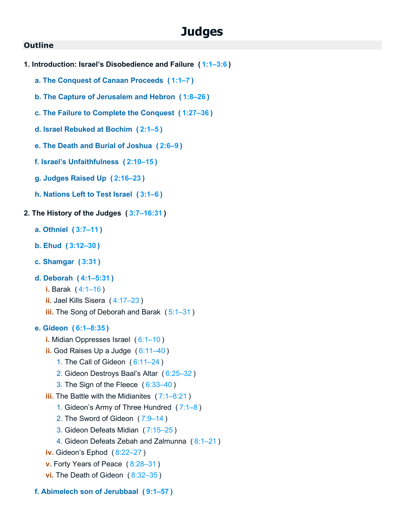# **Judges**

### <span id="page-20-0"></span>**Outline**

- **1. Introduction: Israel's Disobedience and Failure ( [1:1–3:6](https://biblehub.com/bsb/judges/1.htm#1) )**
	- **a. The Conquest of Canaan Proceeds ( [1:1–7](https://biblehub.com/bsb/judges/1.htm#1) )**
	- **b. The Capture of Jerusalem and Hebron ( [1:8–26](https://biblehub.com/bsb/judges/1.htm#8) )**
	- **c. The Failure to Complete the Conquest ( [1:27–36](https://biblehub.com/bsb/judges/1.htm#27) )**
	- **d. Israel Rebuked at Bochim ( [2:1–5](https://biblehub.com/bsb/judges/2.htm#1) )**
	- **e. The Death and Burial of Joshua ( [2:6–9](https://biblehub.com/bsb/judges/2.htm#6) )**
	- **f. Israel's Unfaithfulness ( [2:10–15](https://biblehub.com/bsb/judges/2.htm#10) )**
	- **g. Judges Raised Up ( [2:16–23](https://biblehub.com/bsb/judges/2.htm#16) )**
	- **h. Nations Left to Test Israel ( [3:1–6](https://biblehub.com/bsb/judges/3.htm#1) )**
- **2. The History of the Judges ( [3:7–16:31](https://biblehub.com/bsb/judges/3.htm#7) )**
	- **a. Othniel ( [3:7–11](https://biblehub.com/bsb/judges/3.htm#7) )**
	- **b. Ehud ( [3:12–30](https://biblehub.com/bsb/judges/3.htm#12) )**
	- **c. Shamgar ( [3:31](https://biblehub.com/bsb/judges/3.htm#31) )**
	- **d. Deborah ( [4:1–5:31](https://biblehub.com/bsb/judges/4.htm#1) )**
		- **i.** Barak ( [4:1–16](https://biblehub.com/bsb/judges/4.htm#1) )
		- **ii.** Jael Kills Sisera ( [4:17–23](https://biblehub.com/bsb/judges/4.htm#17) )
		- **iii.** The Song of Deborah and Barak ( [5:1–31](https://biblehub.com/bsb/judges/5.htm#1) )

### **e. Gideon ( [6:1–8:35](https://biblehub.com/bsb/judges/6.htm#1) )**

- **i.** Midian Oppresses Israel ( [6:1–10](https://biblehub.com/bsb/judges/6.htm#1) )
- **ii.** God Raises Up a Judge ( [6:11–40](https://biblehub.com/bsb/judges/6.htm#11) )
	- 1. The Call of Gideon ( [6:11–24](https://biblehub.com/bsb/judges/6.htm#11) )
	- 2. Gideon Destroys Baal's Altar ( [6:25–32](https://biblehub.com/bsb/judges/6.htm#25) )
	- 3. The Sign of the Fleece ( [6:33–40](https://biblehub.com/bsb/judges/6.htm#33) )
- **iii.** The Battle with the Midianites ([7:1–8:21](https://biblehub.com/bsb/judges/7.htm#1))
	- 1. Gideon's Army of Three Hundred ( [7:1–8](https://biblehub.com/bsb/judges/7.htm#1) )
	- 2. The Sword of Gideon ( [7:9–14](https://biblehub.com/bsb/judges/7.htm#9) )
	- 3. Gideon Defeats Midian ( [7:15–25](https://biblehub.com/bsb/judges/7.htm#15) )
	- 4. Gideon Defeats Zebah and Zalmunna ( [8:1–21](https://biblehub.com/bsb/judges/8.htm#1) )
- **iv.** Gideon's Ephod ( [8:22–27](https://biblehub.com/bsb/judges/8.htm#22) )
- **v.** Forty Years of Peace ( [8:28–31](https://biblehub.com/bsb/judges/8.htm#28) )
- **vi.** The Death of Gideon ([8:32–35](https://biblehub.com/bsb/judges/8.htm#32))
- **f. Abimelech son of Jerubbaal ( [9:1–57](https://biblehub.com/bsb/judges/9.htm#1) )**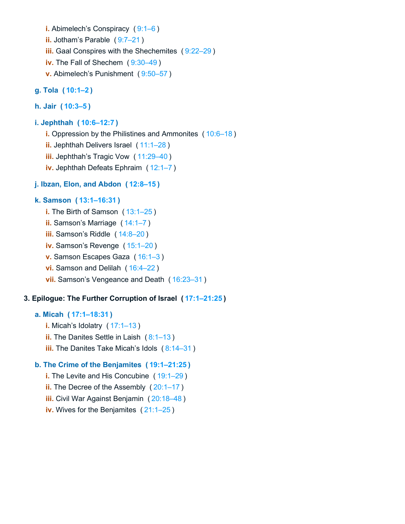**i.** Abimelech's Conspiracy ( [9:1–6](https://biblehub.com/bsb/judges/9.htm#1) ) **ii.** Jotham's Parable (9:7-21) **iii.** Gaal Conspires with the Shechemites ([9:22–29](https://biblehub.com/bsb/judges/9.htm#22)) **iv.** The Fall of Shechem ( [9:30–49](https://biblehub.com/bsb/judges/9.htm#30) ) **v.** Abimelech's Punishment ( [9:50–57](https://biblehub.com/bsb/judges/9.htm#50) )

# **g. Tola ( [10:1–2](https://biblehub.com/bsb/judges/10.htm#1) )**

### **h. Jair ( [10:3–5](https://biblehub.com/bsb/judges/10.htm#3) )**

### **i. Jephthah ( [10:6–12:7](https://biblehub.com/bsb/judges/10.htm#6) )**

**i.** Oppression by the Philistines and Ammonites ( [10:6–18](https://biblehub.com/bsb/judges/10.htm#6) ) **ii.** Jephthah Delivers Israel ( [11:1–28](https://biblehub.com/bsb/judges/11.htm#1) ) **iii.** Jephthah's Tragic Vow ( [11:29–40](https://biblehub.com/bsb/judges/11.htm#29) ) **iv.** Jephthah Defeats Ephraim ( [12:1–7](https://biblehub.com/bsb/judges/12.htm#1) )

# **j. Ibzan, Elon, and Abdon ( [12:8–15](https://biblehub.com/bsb/judges/12.htm#8) )**

# **k. Samson ( [13:1–16:31](https://biblehub.com/bsb/judges/13.htm#1) )**

- **i.** The Birth of Samson ([13:1–25](https://biblehub.com/bsb/judges/13.htm#1))
- **ii.** Samson's Marriage ( [14:1–7](https://biblehub.com/bsb/judges/14.htm#1) )
- **iii.** Samson's Riddle ( [14:8–20](https://biblehub.com/bsb/judges/14.htm#8) )
- **iv.** Samson's Revenge ( [15:1–20](https://biblehub.com/bsb/judges/15.htm#1) )
- **v.** Samson Escapes Gaza ( [16:1–3](https://biblehub.com/bsb/judges/16.htm#1) )
- **vi.** Samson and Delilah ( [16:4–22](https://biblehub.com/bsb/judges/16.htm#4) )
- **vii.** Samson's Vengeance and Death ( [16:23–31](https://biblehub.com/bsb/judges/16.htm#23) )

### **3. Epilogue: The Further Corruption of Israel ( [17:1–21:25](https://biblehub.com/bsb/judges/17.htm#1) )**

### **a. Micah ( [17:1–18:31](https://biblehub.com/bsb/judges/17.htm#1) )**

- **i.** Micah's Idolatry ( [17:1–13](https://biblehub.com/bsb/judges/17.htm#1) )
- **ii.** The Danites Settle in Laish ( [8:1–13](https://biblehub.com/bsb/judges/8.htm#1) )
- **iii.** The Danites Take Micah's Idols (8:14-31)

### **b. The Crime of the Benjamites ( [19:1–21:25](https://biblehub.com/bsb/judges/19.htm#1) )**

- **i.** The Levite and His Concubine ([19:1–29](https://biblehub.com/bsb/judges/19.htm#1))
- **ii.** The Decree of the Assembly ( $20:1-17$ )
- **iii.** Civil War Against Benjamin ( [20:18–48](https://biblehub.com/bsb/judges/20.htm#18) )
- **iv.** Wives for the Benjamites ( [21:1–25](https://biblehub.com/bsb/judges/21.htm#1) )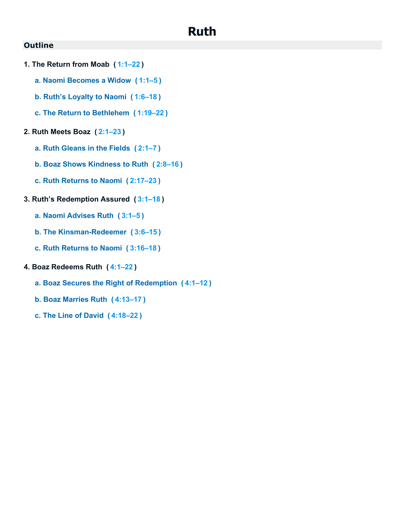# **Ruth**

# <span id="page-22-0"></span>**Outline**

- **1. The Return from Moab ( [1:1–22](https://biblehub.com/bsb/ruth/1.htm#1) )**
	- **a. Naomi Becomes a Widow ( [1:1–5](https://biblehub.com/bsb/ruth/1.htm#1) )**
	- **b. Ruth's Loyalty to Naomi ( [1:6–18](https://biblehub.com/bsb/ruth/1.htm#6) )**
	- **c. The Return to Bethlehem ( [1:19–22](https://biblehub.com/bsb/ruth/1.htm#19) )**

### **2. Ruth Meets Boaz ( [2:1–23](https://biblehub.com/bsb/ruth/2.htm#1) )**

- **a. Ruth Gleans in the Fields ( [2:1–7](https://biblehub.com/bsb/ruth/2.htm#1) )**
- **b. Boaz Shows Kindness to Ruth ( [2:8–16](https://biblehub.com/bsb/ruth/2.htm#8) )**
- **c. Ruth Returns to Naomi ( [2:17–23](https://biblehub.com/bsb/ruth/2.htm#17) )**

### **3. Ruth's Redemption Assured ( [3:1–18](https://biblehub.com/bsb/ruth/3.htm#1) )**

- **a. Naomi Advises Ruth ( [3:1–5](https://biblehub.com/bsb/ruth/3.htm#1) )**
- **b. The Kinsman-Redeemer ( [3:6–15](https://biblehub.com/bsb/ruth/3.htm#6) )**
- **c. Ruth Returns to Naomi ( [3:16–18](https://biblehub.com/bsb/ruth/3.htm#16) )**

# **4. Boaz Redeems Ruth ( [4:1–22](https://biblehub.com/bsb/ruth/4.htm#1) )**

- **a. Boaz Secures the Right of Redemption ( [4:1–12](https://biblehub.com/bsb/ruth/4.htm#1) )**
- **b. Boaz Marries Ruth ( [4:13–17](https://biblehub.com/bsb/ruth/4.htm#13) )**
- **c. The Line of David ( [4:18–22](https://biblehub.com/bsb/ruth/4.htm#18) )**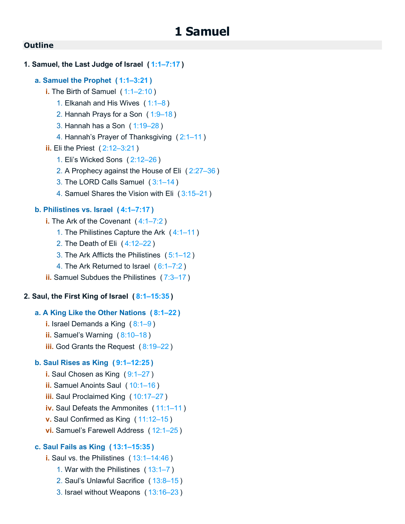### <span id="page-23-0"></span>**1. Samuel, the Last Judge of Israel ( [1:1–7:17](https://biblehub.com/bsb/1_samuel/1.htm#1) )**

### **a. Samuel the Prophet ( [1:1–3:21](https://biblehub.com/bsb/1_samuel/1.htm#1) )**

- **i.** The Birth of Samuel ( [1:1–2:10](https://biblehub.com/bsb/1_samuel/1.htm#1) )
	- 1. Elkanah and His Wives ( [1:1–8](https://biblehub.com/bsb/1_samuel/1.htm#1) )
	- 2. Hannah Prays for a Son ( [1:9–18](https://biblehub.com/bsb/1_samuel/1.htm#9) )
	- 3. Hannah has a Son ( [1:19–28](https://biblehub.com/bsb/1_samuel/1.htm#19) )
	- 4. Hannah's Prayer of Thanksgiving ( [2:1–11](https://biblehub.com/bsb/1_samuel/2.htm#1) )
- **ii.** Eli the Priest ( [2:12–3:21](https://biblehub.com/bsb/1_samuel/2.htm#12) )
	- 1. Eli's Wicked Sons ( [2:12–26](https://biblehub.com/bsb/1_samuel/2.htm#12) )
	- 2. A Prophecy against the House of Eli ( [2:27–36](https://biblehub.com/bsb/1_samuel/2.htm#27) )
	- 3. The LORD Calls Samuel ( [3:1–14](https://biblehub.com/bsb/1_samuel/3.htm#1) )
	- 4. Samuel Shares the Vision with Eli ( [3:15–21](https://biblehub.com/bsb/1_samuel/3.htm#15) )

# **b. Philistines vs. Israel ( [4:1–7:17](https://biblehub.com/bsb/1_samuel/4.htm#1) )**

- **i.** The Ark of the Covenant ( [4:1–7:2](https://biblehub.com/bsb/1_samuel/4.htm#1) )
	- 1. The Philistines Capture the Ark ( [4:1–11](https://biblehub.com/bsb/1_samuel/4.htm#1) )
	- 2. The Death of Eli ( [4:12–22](https://biblehub.com/bsb/1_samuel/4.htm#12) )
	- 3. The Ark Afflicts the Philistines ( [5:1–12](https://biblehub.com/bsb/1_samuel/5.htm#1) )
	- 4. The Ark Returned to Israel ( [6:1–7:2](https://biblehub.com/bsb/1_samuel/6.htm#1) )
- **ii.** Samuel Subdues the Philistines ( [7:3–17](https://biblehub.com/bsb/1_samuel/7.htm#3) )

### **2. Saul, the First King of Israel ( [8:1–15:35](https://biblehub.com/bsb/1_samuel/8.htm#1) )**

### **a. A King Like the Other Nations ( [8:1–22](https://biblehub.com/bsb/1_samuel/8.htm#1) )**

- **i.** Israel Demands a King ( $8:1-9$ )
- **ii.** Samuel's Warning ( [8:10–18](https://biblehub.com/bsb/1_samuel/8.htm#10) )
- **iii.** God Grants the Request ( [8:19–22](https://biblehub.com/bsb/1_samuel/8.htm#19) )

### **b. Saul Rises as King ( [9:1–12:25](https://biblehub.com/bsb/1_samuel/9.htm#1) )**

- **i.** Saul Chosen as King ([9:1–27](https://biblehub.com/bsb/1_samuel/9.htm#1))
- **ii.** Samuel Anoints Saul (10:1-16)
- **iii.** Saul Proclaimed King ( [10:17–27](https://biblehub.com/bsb/1_samuel/10.htm#17) )
- **iv.** Saul Defeats the Ammonites ( [11:1–11](https://biblehub.com/bsb/1_samuel/11.htm#1) )
- **v.** Saul Confirmed as King ( [11:12–15](https://biblehub.com/bsb/1_samuel/11.htm#12) )
- **vi.** Samuel's Farewell Address ( [12:1–25](https://biblehub.com/bsb/1_samuel/12.htm#1) )

# **c. Saul Fails as King ( [13:1–15:35](https://biblehub.com/bsb/1_samuel/13.htm#1) )**

- **i.** Saul vs. the Philistines ( [13:1–14:46](https://biblehub.com/bsb/1_samuel/13.htm#1) )
	- 1. War with the Philistines ( [13:1–7](https://biblehub.com/bsb/1_samuel/13.htm#1) )
	- 2. Saul's Unlawful Sacrifice ( [13:8–15](https://biblehub.com/bsb/1_samuel/13.htm#8) )
	- 3. Israel without Weapons ( [13:16–23](https://biblehub.com/bsb/1_samuel/13.htm#16) )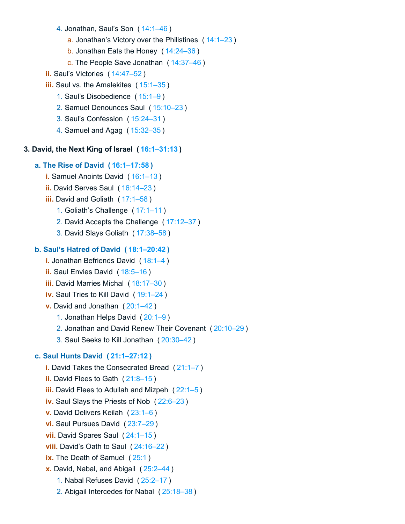- 4. Jonathan, Saul's Son ( [14:1–46](https://biblehub.com/bsb/1_samuel/14.htm#1) )
	- a. Jonathan's Victory over the Philistines ( [14:1–23](https://biblehub.com/bsb/1_samuel/14.htm#1) )
	- b. Jonathan Eats the Honey ( [14:24–36](https://biblehub.com/bsb/1_samuel/14.htm#24) )
	- c. The People Save Jonathan ( [14:37–46](https://biblehub.com/bsb/1_samuel/14.htm#37) )
- **ii.** Saul's Victories ( [14:47–52](https://biblehub.com/bsb/1_samuel/14.htm#47) )
- **iii.** Saul vs. the Amalekites ( [15:1–35](https://biblehub.com/bsb/1_samuel/15.htm#1) )
	- 1. Saul's Disobedience ( [15:1–9](https://biblehub.com/bsb/1_samuel/15.htm#1) )
	- 2. Samuel Denounces Saul ( [15:10–23](https://biblehub.com/bsb/1_samuel/15.htm#10) )
	- 3. Saul's Confession ( [15:24–31](https://biblehub.com/bsb/1_samuel/15.htm#24) )
	- 4. Samuel and Agag ( [15:32–35](https://biblehub.com/bsb/1_samuel/15.htm#32) )

# **3. David, the Next King of Israel ( [16:1–31:13](https://biblehub.com/bsb/1_samuel/16.htm#1) )**

# **a. The Rise of David ( [16:1–17:58](https://biblehub.com/bsb/1_samuel/16.htm#1) )**

- **i.** Samuel Anoints David (16:1-13)
- **ii.** David Serves Saul ( [16:14–23](https://biblehub.com/bsb/1_samuel/16.htm#14) )
- **iii.** David and Goliath ( [17:1–58](https://biblehub.com/bsb/1_samuel/17.htm#1) )
	- 1. Goliath's Challenge ( [17:1–11](https://biblehub.com/bsb/1_samuel/17.htm#1) )
	- 2. David Accepts the Challenge ( [17:12–37](https://biblehub.com/bsb/1_samuel/17.htm#12) )
	- 3. David Slays Goliath ( [17:38–58](https://biblehub.com/bsb/1_samuel/17.htm#38) )

# **b. Saul's Hatred of David ( [18:1–20:42](https://biblehub.com/bsb/1_samuel/18.htm#1) )**

- **i.** Jonathan Befriends David (18:1-4)
- **ii.** Saul Envies David ( [18:5–16](https://biblehub.com/bsb/1_samuel/18.htm#5) )
- **iii.** David Marries Michal ([18:17–30](https://biblehub.com/bsb/1_samuel/18.htm#17))
- **iv.** Saul Tries to Kill David ( [19:1–24](https://biblehub.com/bsb/1_samuel/19.htm#1) )
- **v.** David and Jonathan ( [20:1–42](https://biblehub.com/bsb/1_samuel/20.htm#1) )
	- 1. Jonathan Helps David ( [20:1–9](https://biblehub.com/bsb/1_samuel/20.htm#1) )
	- 2. Jonathan and David Renew Their Covenant ( [20:10–29](https://biblehub.com/bsb/1_samuel/20.htm#10) )
	- 3. Saul Seeks to Kill Jonathan ( [20:30–42](https://biblehub.com/bsb/1_samuel/20.htm#30) )

# **c. Saul Hunts David ( [21:1–27:12](https://biblehub.com/bsb/1_samuel/21.htm#1) )**

- **i.** David Takes the Consecrated Bread ( [21:1–7](https://biblehub.com/bsb/1_samuel/21.htm#1) )
- **ii.** David Flees to Gath (21:8-15)
- **iii.** David Flees to Adullah and Mizpeh ( [22:1–5](https://biblehub.com/bsb/1_samuel/22.htm#1) )
- **iv.** Saul Slays the Priests of Nob ( [22:6–23](https://biblehub.com/bsb/1_samuel/22.htm#6) )
- **v.** David Delivers Keilah ( [23:1–6](https://biblehub.com/bsb/1_samuel/23.htm#1) )
- **vi.** Saul Pursues David ( [23:7–29](https://biblehub.com/bsb/1_samuel/23.htm#7) )
- **vii.** David Spares Saul ( [24:1–15](https://biblehub.com/bsb/1_samuel/24.htm#1) )
- **viii.** David's Oath to Saul ( [24:16–22](https://biblehub.com/bsb/1_samuel/24.htm#16) )
- **ix.** The Death of Samuel ([25:1](https://biblehub.com/bsb/1_samuel/25.htm#1))
- **x.** David, Nabal, and Abigail ( [25:2–44](https://biblehub.com/bsb/1_samuel/25.htm#2) )
	- 1. Nabal Refuses David ( [25:2–17](https://biblehub.com/bsb/1_samuel/25.htm#2) )
	- 2. Abigail Intercedes for Nabal ( [25:18–38](https://biblehub.com/bsb/1_samuel/25.htm#18) )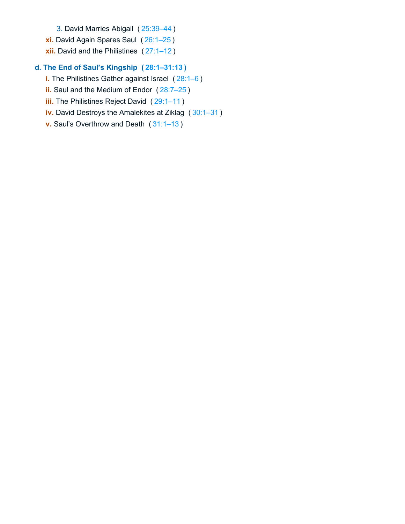- 3. David Marries Abigail ( [25:39–44](https://biblehub.com/bsb/1_samuel/25.htm#39) )
- **xi.** David Again Spares Saul ( [26:1–25](https://biblehub.com/bsb/1_samuel/26.htm#1) )
- **xii.** David and the Philistines ( [27:1–12](https://biblehub.com/bsb/1_samuel/27.htm#1) )

# **d. The End of Saul's Kingship ( [28:1–31:13](https://biblehub.com/bsb/1_samuel/28.htm#1) )**

- **i.** The Philistines Gather against Israel ( [28:1–6](https://biblehub.com/bsb/1_samuel/28.htm#1) )
- **ii.** Saul and the Medium of Endor ( [28:7–25](https://biblehub.com/bsb/1_samuel/28.htm#7) )
- **iii.** The Philistines Reject David (29:1-11)
- **iv.** David Destroys the Amalekites at Ziklag ( [30:1–31](https://biblehub.com/bsb/1_samuel/30.htm#1) )
- **v.** Saul's Overthrow and Death ( [31:1–13](https://biblehub.com/bsb/1_samuel/31.htm#1) )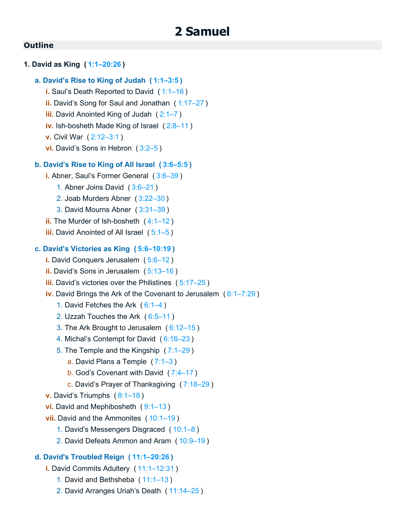# <span id="page-26-0"></span>**1. David as King ( [1:1–20:26](https://biblehub.com/bsb/2_samuel/1.htm#1) )**

# **a. David's Rise to King of Judah ( [1:1–3:5](https://biblehub.com/bsb/2_samuel/1.htm#1) )**

- **i.** Saul's Death Reported to David ( [1:1–16](https://biblehub.com/bsb/2_samuel/1.htm#1) )
- **ii.** David's Song for Saul and Jonathan ( [1:17–27](https://biblehub.com/bsb/2_samuel/1.htm#17) )
- **iii.** David Anointed King of Judah ( [2:1–7](https://biblehub.com/bsb/2_samuel/2.htm#1) )
- **iv.** Ish-bosheth Made King of Israel ( [2:8–11](https://biblehub.com/bsb/2_samuel/2.htm#8) )
- **v.** Civil War ( [2:12–3:1](https://biblehub.com/bsb/2_samuel/2.htm#12) )
- **vi.** David's Sons in Hebron ( [3:2–5](https://biblehub.com/bsb/2_samuel/3.htm#2) )

### **b. David's Rise to King of All Israel ( [3:6–5:5](https://biblehub.com/bsb/2_samuel/3.htm#6) )**

- **i.** Abner, Saul's Former General ( [3:6–39](https://biblehub.com/bsb/2_samuel/3.htm#6) )
	- 1. Abner Joins David ( [3:6–21](https://biblehub.com/bsb/2_samuel/3.htm#6) )
	- 2. Joab Murders Abner ( [3:22–30](https://biblehub.com/bsb/2_samuel/3.htm#22) )
	- 3. David Mourns Abner ( [3:31–39](https://biblehub.com/bsb/2_samuel/3.htm#31) )
- **ii.** The Murder of Ish-bosheth ( [4:1–12](https://biblehub.com/bsb/2_samuel/4.htm#1) )
- **iii.** David Anointed of All Israel ( [5:1–5](https://biblehub.com/bsb/2_samuel/5.htm#1) )

### **c. David's Victories as King ( [5:6–10:19](https://biblehub.com/bsb/2_samuel/5.htm#6) )**

- **i.** David Conquers Jerusalem ( [5:6–12](https://biblehub.com/bsb/2_samuel/5.htm#6) )
- **ii.** David's Sons in Jerusalem ( [5:13–16](https://biblehub.com/bsb/2_samuel/5.htm#13) )
- **iii.** David's victories over the Philistines ( [5:17–25](https://biblehub.com/bsb/2_samuel/5.htm#17) )
- **iv.** David Brings the Ark of the Covenant to Jerusalem ( [6:1–7:29](https://biblehub.com/bsb/2_samuel/6.htm#1) )
	- 1. David Fetches the Ark ( [6:1–4](https://biblehub.com/bsb/2_samuel/6.htm#1) )
	- 2. Uzzah Touches the Ark ( [6:5–11](https://biblehub.com/bsb/2_samuel/6.htm#5) )
	- 3. The Ark Brought to Jerusalem ( [6:12–15](https://biblehub.com/bsb/2_samuel/6.htm#12) )
	- 4. Michal's Contempt for David ( [6:16–23](https://biblehub.com/bsb/2_samuel/6.htm#16) )
	- 5. The Temple and the Kingship ( [7:1–29](https://biblehub.com/bsb/2_samuel/7.htm#1) )
		- a. David Plans a Temple ( [7:1–3](https://biblehub.com/bsb/2_samuel/7.htm#1) )
		- b. God's Covenant with David ( [7:4–17](https://biblehub.com/bsb/2_samuel/7.htm#4) )
		- c. David's Prayer of Thanksgiving ( [7:18–29](https://biblehub.com/bsb/2_samuel/7.htm#18) )
- **v.** David's Triumphs ( [8:1–18](https://biblehub.com/bsb/2_samuel/8.htm#1) )
- **vi.** David and Mephibosheth ( [9:1–13](https://biblehub.com/bsb/2_samuel/9.htm#1) )
- **vii.** David and the Ammonites ( [10:1–19](https://biblehub.com/bsb/2_samuel/10.htm#1) )
	- 1. David's Messengers Disgraced ( [10:1–8](https://biblehub.com/bsb/2_samuel/10.htm#1) )
	- 2. David Defeats Ammon and Aram ( [10:9–19](https://biblehub.com/bsb/2_samuel/10.htm#9) )

### **d. David's Troubled Reign ( [11:1–20:26](https://biblehub.com/bsb/2_samuel/11.htm#1) )**

- **i.** David Commits Adultery ( [11:1–12:31](https://biblehub.com/bsb/2_samuel/11.htm#1) )
	- 1. David and Bethsheba ( [11:1–13](https://biblehub.com/bsb/2_samuel/11.htm#1) )
	- 2. David Arranges Uriah's Death ( [11:14–25](https://biblehub.com/bsb/2_samuel/11.htm#14) )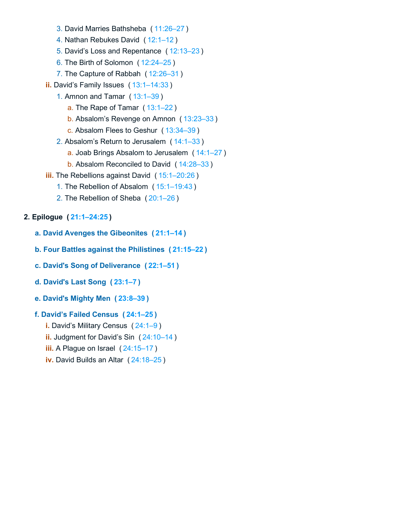- 3. David Marries Bathsheba ( [11:26–27](https://biblehub.com/bsb/2_samuel/11.htm#26) )
- 4. Nathan Rebukes David ( [12:1–12](https://biblehub.com/bsb/2_samuel/12.htm#1) )
- 5. David's Loss and Repentance ( [12:13–23](https://biblehub.com/bsb/2_samuel/12.htm#13) )
- 6. The Birth of Solomon ( [12:24–25](https://biblehub.com/bsb/2_samuel/12.htm#24) )
- 7. The Capture of Rabbah ( [12:26–31](https://biblehub.com/bsb/2_samuel/12.htm#26) )
- **ii.** David's Family Issues ( [13:1–14:33](https://biblehub.com/bsb/2_samuel/13.htm#1) )
	- 1. Amnon and Tamar ( [13:1–39](https://biblehub.com/bsb/2_samuel/13.htm#1) )
		- a. The Rape of Tamar ( [13:1–22](https://biblehub.com/bsb/2_samuel/13.htm#1) )
		- b. Absalom's Revenge on Amnon ( [13:23–33](https://biblehub.com/bsb/2_samuel/13.htm#23) )
		- c. Absalom Flees to Geshur ( [13:34–39](https://biblehub.com/bsb/2_samuel/13.htm#34) )
	- 2. Absalom's Return to Jerusalem ( [14:1–33](https://biblehub.com/bsb/2_samuel/14.htm#1) )
		- a. Joab Brings Absalom to Jerusalem (14:1-27)
		- b. Absalom Reconciled to David ( [14:28–33](https://biblehub.com/bsb/2_samuel/14.htm#28) )
- **iii.** The Rebellions against David ( [15:1–20:26](https://biblehub.com/bsb/2_samuel/15.htm#1) )
	- 1. The Rebellion of Absalom ( [15:1–19:43](https://biblehub.com/bsb/2_samuel/15.htm#1) )
	- 2. The Rebellion of Sheba ( [20:1–26](https://biblehub.com/bsb/2_samuel/20.htm#1) )

# **2. Epilogue ( [21:1–24:25](https://biblehub.com/bsb/2_samuel/21.htm#1) )**

- **a. David Avenges the Gibeonites ( [21:1–14](https://biblehub.com/bsb/2_samuel/21.htm#1) )**
- **b. Four Battles against the Philistines ( [21:15–22](https://biblehub.com/bsb/2_samuel/21.htm#15) )**
- **c. David's Song of Deliverance ( [22:1–51](https://biblehub.com/bsb/2_samuel/22.htm#1) )**
- **d. David's Last Song ( [23:1–7](https://biblehub.com/bsb/2_samuel/23.htm#1) )**
- **e. David's Mighty Men ( [23:8–39](https://biblehub.com/bsb/2_samuel/23.htm#8) )**
- **f. David's Failed Census ( [24:1–25](https://biblehub.com/bsb/2_samuel/24.htm#1) )**
	- **i.** David's Military Census ( [24:1–9](https://biblehub.com/bsb/2_samuel/24.htm#1) )
	- **ii.** Judgment for David's Sin ( [24:10–14](https://biblehub.com/bsb/2_samuel/24.htm#10) )
	- **iii.** A Plague on Israel ( [24:15–17](https://biblehub.com/bsb/2_samuel/24.htm#15) )
	- **iv.** David Builds an Altar ( [24:18–25](https://biblehub.com/bsb/2_samuel/24.htm#18) )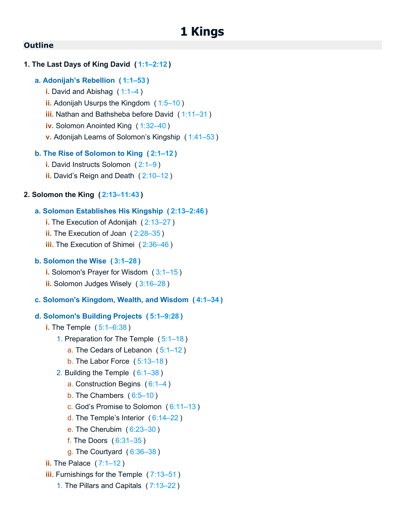### <span id="page-28-0"></span>**1. The Last Days of King David ( [1:1–2:12](https://biblehub.com/bsb/1_kings/1.htm#1) )**

# **a. Adonijah's Rebellion ( [1:1–53](https://biblehub.com/bsb/1_kings/1.htm#1) )**

- **i.** David and Abishag ( [1:1–4](https://biblehub.com/bsb/1_kings/1.htm#1) )
- **ii.** Adonijah Usurps the Kingdom ( [1:5–10](https://biblehub.com/bsb/1_kings/1.htm#5) )
- **iii.** Nathan and Bathsheba before David ( [1:11–31](https://biblehub.com/bsb/1_kings/1.htm#11) )
- **iv.** Solomon Anointed King ( [1:32–40](https://biblehub.com/bsb/1_kings/1.htm#32) )
- **v.** Adonijah Learns of Solomon's Kingship ( [1:41–53](https://biblehub.com/bsb/1_kings/1.htm#41) )

# **b. The Rise of Solomon to King ( [2:1–12](https://biblehub.com/bsb/1_kings/2.htm#1) )**

- **i.** David Instructs Solomon ( [2:1–9](https://biblehub.com/bsb/1_kings/2.htm#1) )
- **ii.** David's Reign and Death ( [2:10–12](https://biblehub.com/bsb/1_kings/2.htm#10) )

# **2. Solomon the King ( [2:13–11:43](https://biblehub.com/bsb/1_kings/2.htm#13) )**

# **a. Solomon Establishes His Kingship ( [2:13–2:46](https://biblehub.com/bsb/1_kings/2.htm#13) )**

- **i.** The Execution of Adonijah ( [2:13–27](https://biblehub.com/bsb/1_kings/2.htm#13) )
- **ii.** The Execution of Joan ( [2:28–35](https://biblehub.com/bsb/1_kings/2.htm#28) )
- **iii.** The Execution of Shimei (2:36-46)

# **b. Solomon the Wise ( [3:1–28](https://biblehub.com/bsb/1_kings/3.htm#1) )**

- **i.** Solomon's Prayer for Wisdom ( [3:1–15](https://biblehub.com/bsb/1_kings/3.htm#1) )
- **ii.** Solomon Judges Wisely ( [3:16–28](https://biblehub.com/bsb/1_kings/3.htm#16) )

# **c. Solomon's Kingdom, Wealth, and Wisdom ( [4:1–34](https://biblehub.com/bsb/1_kings/4.htm#1) )**

### **d. Solomon's Building Projects ( [5:1–9:28](https://biblehub.com/bsb/1_kings/5.htm#1) )**

- **i.** The Temple ( [5:1–6:38](https://biblehub.com/bsb/1_kings/5.htm#1) )
	- 1. Preparation for The Temple ( [5:1–18](https://biblehub.com/bsb/1_kings/5.htm#1) )
		- a. The Cedars of Lebanon ( [5:1–12](https://biblehub.com/bsb/1_kings/5.htm#1) )
		- b. The Labor Force ( [5:13–18](https://biblehub.com/bsb/1_kings/5.htm#13) )
	- 2. Building the Temple ( [6:1–38](https://biblehub.com/bsb/1_kings/6.htm#1) )
		- a. Construction Begins ( [6:1–4](https://biblehub.com/bsb/1_kings/6.htm#1) )
		- b. The Chambers ( [6:5–10](https://biblehub.com/bsb/1_kings/6.htm#5) )
		- c. God's Promise to Solomon ( [6:11–13](https://biblehub.com/bsb/1_kings/6.htm#11) )
		- d. The Temple's Interior ( [6:14–22](https://biblehub.com/bsb/1_kings/6.htm#14) )
		- e. The Cherubim ( [6:23–30](https://biblehub.com/bsb/1_kings/6.htm#23) )
		- f. The Doors ( [6:31–35](https://biblehub.com/bsb/1_kings/6.htm#31) )
		- g. The Courtyard ( [6:36–38](https://biblehub.com/bsb/1_kings/6.htm#36) )
- **ii.** The Palace (7:1-12)
- **iii.** Furnishings for the Temple ( [7:13–51](https://biblehub.com/bsb/1_kings/7.htm#13) )
	- 1. The Pillars and Capitals ( [7:13–22](https://biblehub.com/bsb/1_kings/7.htm#13) )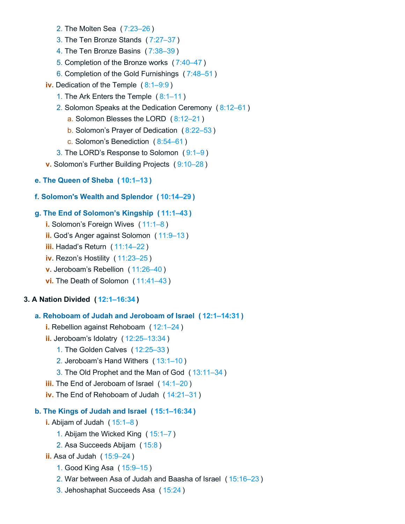- 2. The Molten Sea ( [7:23–26](https://biblehub.com/bsb/1_kings/7.htm#23) )
- 3. The Ten Bronze Stands ( [7:27–37](https://biblehub.com/bsb/1_kings/7.htm#27) )
- 4. The Ten Bronze Basins ( [7:38–39](https://biblehub.com/bsb/1_kings/7.htm#38) )
- 5. Completion of the Bronze works ( [7:40–47](https://biblehub.com/bsb/1_kings/7.htm#40) )
- 6. Completion of the Gold Furnishings ( [7:48–51](https://biblehub.com/bsb/1_kings/7.htm#48) )
- **iv.** Dedication of the Temple ( [8:1–9:9](https://biblehub.com/bsb/1_kings/8.htm#1) )
	- 1. The Ark Enters the Temple ( [8:1–11](https://biblehub.com/bsb/1_kings/8.htm#1) )
	- 2. Solomon Speaks at the Dedication Ceremony ( [8:12–61](https://biblehub.com/bsb/1_kings/8.htm#12) )
		- a. Solomon Blesses the LORD ( [8:12–21](https://biblehub.com/bsb/1_kings/8.htm#12) )
		- b. Solomon's Prayer of Dedication ( [8:22–53](https://biblehub.com/bsb/1_kings/8.htm#22) )
		- c. Solomon's Benediction ( [8:54–61](https://biblehub.com/bsb/1_kings/8.htm#54) )
	- 3. The LORD's Response to Solomon ( [9:1–9](https://biblehub.com/bsb/1_kings/9.htm#1) )
- **v.** Solomon's Further Building Projects ( [9:10–28](https://biblehub.com/bsb/1_kings/9.htm#10) )
- **e. The Queen of Sheba ( [10:1–13](https://biblehub.com/bsb/1_kings/10.htm#1) )**
- **f. Solomon's Wealth and Splendor ( [10:14–29](https://biblehub.com/bsb/1_kings/10.htm#14) )**

### **g. The End of Solomon's Kingship ( [11:1–43](https://biblehub.com/bsb/1_kings/11.htm#1) )**

- **i.** Solomon's Foreign Wives ( [11:1–8](https://biblehub.com/bsb/1_kings/11.htm#1) )
- **ii.** God's Anger against Solomon ( [11:9–13](https://biblehub.com/bsb/1_kings/11.htm#9) )
- **iii.** Hadad's Return ( [11:14–22](https://biblehub.com/bsb/1_kings/11.htm#14) )
- **iv.** Rezon's Hostility ( [11:23–25](https://biblehub.com/bsb/1_kings/11.htm#23) )
- **v.** Jeroboam's Rebellion ( [11:26–40](https://biblehub.com/bsb/1_kings/11.htm#26) )
- **vi.** The Death of Solomon ( [11:41–43](https://biblehub.com/bsb/1_kings/11.htm#41) )

### **3. A Nation Divided ( [12:1–16:34](https://biblehub.com/bsb/1_kings/12.htm#1) )**

### **a. Rehoboam of Judah and Jeroboam of Israel ( [12:1–14:31](https://biblehub.com/bsb/1_kings/12.htm#1) )**

- **i.** Rebellion against Rehoboam ( [12:1–24](https://biblehub.com/bsb/1_kings/12.htm#1) )
- **ii.** Jeroboam's Idolatry ( [12:25–13:34](https://biblehub.com/bsb/1_kings/12.htm#25) )
	- 1. The Golden Calves ( [12:25–33](https://biblehub.com/bsb/1_kings/12.htm#25) )
	- 2. Jeroboam's Hand Withers ( [13:1–10](https://biblehub.com/bsb/1_kings/13.htm#1) )
	- 3. The Old Prophet and the Man of God ( [13:11–34](https://biblehub.com/bsb/1_kings/13.htm#11) )
- **iii.** The End of Jeroboam of Israel ( [14:1–20](https://biblehub.com/bsb/1_kings/14.htm#1) )
- **iv.** The End of Rehoboam of Judah ( [14:21–31](https://biblehub.com/bsb/1_kings/14.htm#21) )

# **b. The Kings of Judah and Israel ( [15:1–16:34](https://biblehub.com/bsb/1_kings/15.htm#1) )**

- **i.** Abijam of Judah ( [15:1–8](https://biblehub.com/bsb/1_kings/15.htm#1) )
	- 1. Abijam the Wicked King ( [15:1–7](https://biblehub.com/bsb/1_kings/15.htm#1) )
	- 2. Asa Succeeds Abijam ( [15:8](https://biblehub.com/bsb/1_kings/15.htm#8) )

# **ii.** Asa of Judah ( [15:9–24](https://biblehub.com/bsb/1_kings/15.htm#9) )

- 1. Good King Asa ( [15:9–15](https://biblehub.com/bsb/1_kings/15.htm#9) )
- 2. War between Asa of Judah and Baasha of Israel ( [15:16–23](https://biblehub.com/bsb/1_kings/15.htm#16) )
- 3. Jehoshaphat Succeeds Asa ( [15:24](https://biblehub.com/bsb/1_kings/15.htm#24) )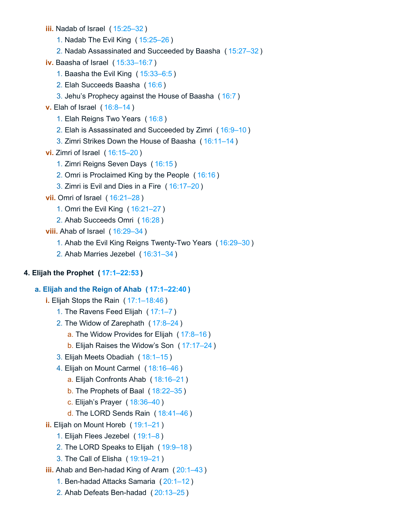- **iii.** Nadab of Israel ( [15:25–32](https://biblehub.com/bsb/1_kings/15.htm#25) )
	- 1. Nadab The Evil King ( [15:25–26](https://biblehub.com/bsb/1_kings/15.htm#25) )
	- 2. Nadab Assassinated and Succeeded by Baasha ( [15:27–32](https://biblehub.com/bsb/1_kings/15.htm#27) )
- **iv.** Baasha of Israel ( [15:33–16:7](https://biblehub.com/bsb/1_kings/15.htm#33) )
	- 1. Baasha the Evil King ( [15:33–6:5](https://biblehub.com/bsb/1_kings/15.htm#33) )
	- 2. Elah Succeeds Baasha ( [16:6](https://biblehub.com/bsb/1_kings/16.htm#6) )
	- 3. Jehu's Prophecy against the House of Baasha ( [16:7](https://biblehub.com/bsb/1_kings/16.htm#7) )
- **v.** Elah of Israel ( [16:8–14](https://biblehub.com/bsb/1_kings/16.htm#8) )
	- 1. Elah Reigns Two Years ( [16:8](https://biblehub.com/bsb/1_kings/16.htm#8) )
	- 2. Elah is Assassinated and Succeeded by Zimri ( [16:9–10](https://biblehub.com/bsb/1_kings/16.htm#9) )
	- 3. Zimri Strikes Down the House of Baasha ( [16:11–14](https://biblehub.com/bsb/1_kings/16.htm#11) )
- **vi.** Zimri of Israel ( [16:15–20](https://biblehub.com/bsb/1_kings/16.htm#15) )
	- 1. Zimri Reigns Seven Days ( [16:15](https://biblehub.com/bsb/1_kings/16.htm#15) )
	- 2. Omri is Proclaimed King by the People ( [16:16](https://biblehub.com/bsb/1_kings/16.htm#16) )
	- 3. Zimri is Evil and Dies in a Fire ( [16:17–20](https://biblehub.com/bsb/1_kings/16.htm#17) )
- **vii.** Omri of Israel ( [16:21–28](https://biblehub.com/bsb/1_kings/16.htm#21) )
	- 1. Omri the Evil King ( [16:21–27](https://biblehub.com/bsb/1_kings/16.htm#21) )
	- 2. Ahab Succeeds Omri ( [16:28](https://biblehub.com/bsb/1_kings/16.htm#28) )
- **viii.** Ahab of Israel ( [16:29–34](https://biblehub.com/bsb/1_kings/16.htm#29) )
	- 1. Ahab the Evil King Reigns Twenty-Two Years ( [16:29–30](https://biblehub.com/bsb/1_kings/16.htm#29) )
	- 2. Ahab Marries Jezebel ( [16:31–34](https://biblehub.com/bsb/1_kings/16.htm#31) )

# **4. Elijah the Prophet ( [17:1–22:53](https://biblehub.com/bsb/1_kings/17.htm#1) )**

### **a. Elijah and the Reign of Ahab ( [17:1–22:40](https://biblehub.com/bsb/1_kings/17.htm#1) )**

- **i.** Elijah Stops the Rain ( [17:1–18:46](https://biblehub.com/bsb/1_kings/17.htm#1) )
	- 1. The Ravens Feed Elijah ( [17:1–7](https://biblehub.com/bsb/1_kings/17.htm#1) )
	- 2. The Widow of Zarephath ( [17:8–24](https://biblehub.com/bsb/1_kings/17.htm#8) )
		- a. The Widow Provides for Elijah ( [17:8–16](https://biblehub.com/bsb/1_kings/17.htm#8) )
		- b. Elijah Raises the Widow's Son ( [17:17–24](https://biblehub.com/bsb/1_kings/17.htm#17) )
	- 3. Elijah Meets Obadiah ( [18:1–15](https://biblehub.com/bsb/1_kings/18.htm#1) )
	- 4. Elijah on Mount Carmel ( [18:16–46](https://biblehub.com/bsb/1_kings/18.htm#16) )
		- a. Elijah Confronts Ahab ( [18:16–21](https://biblehub.com/bsb/1_kings/18.htm#16) )
		- b. The Prophets of Baal ( [18:22–35](https://biblehub.com/bsb/1_kings/18.htm#22) )
		- c. Elijah's Prayer ( [18:36–40](https://biblehub.com/bsb/1_kings/18.htm#36) )
		- d. The LORD Sends Rain ( [18:41–46](https://biblehub.com/bsb/1_kings/18.htm#41) )
- **ii.** Elijah on Mount Horeb ( [19:1–21](https://biblehub.com/bsb/1_kings/19.htm#1) )
	- 1. Elijah Flees Jezebel ( [19:1–8](https://biblehub.com/bsb/1_kings/19.htm#1) )
	- 2. The LORD Speaks to Elijah ( [19:9–18](https://biblehub.com/bsb/1_kings/19.htm#9) )
	- 3. The Call of Elisha ( [19:19–21](https://biblehub.com/bsb/1_kings/19.htm#19) )
- **iii.** Ahab and Ben-hadad King of Aram ( [20:1–43](https://biblehub.com/bsb/1_kings/20.htm#1) )
	- 1. Ben-hadad Attacks Samaria ( [20:1–12](https://biblehub.com/bsb/1_kings/20.htm#1) )
	- 2. Ahab Defeats Ben-hadad ( [20:13–25](https://biblehub.com/bsb/1_kings/20.htm#13) )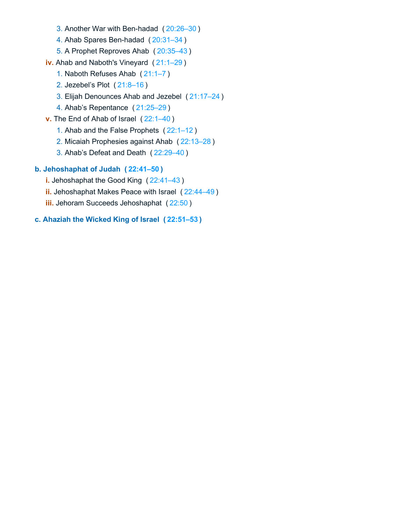- 3. Another War with Ben-hadad ( [20:26–30](https://biblehub.com/bsb/1_kings/20.htm#26) )
- 4. Ahab Spares Ben-hadad ( [20:31–34](https://biblehub.com/bsb/1_kings/20.htm#31) )
- 5. A Prophet Reproves Ahab ( [20:35–43](https://biblehub.com/bsb/1_kings/20.htm#35) )
- **iv.** Ahab and Naboth's Vineyard ( [21:1–29](https://biblehub.com/bsb/1_kings/21.htm#1) )
	- 1. Naboth Refuses Ahab ( [21:1–7](https://biblehub.com/bsb/1_kings/21.htm#1) )
	- 2. Jezebel's Plot ( [21:8–16](https://biblehub.com/bsb/1_kings/21.htm#8) )
	- 3. Elijah Denounces Ahab and Jezebel ( [21:17–24](https://biblehub.com/bsb/1_kings/21.htm#17) )
	- 4. Ahab's Repentance ( [21:25–29](https://biblehub.com/bsb/1_kings/21.htm#25) )
- **v.** The End of Ahab of Israel ( [22:1–40](https://biblehub.com/bsb/1_kings/22.htm#1) )
	- 1. Ahab and the False Prophets ( [22:1–12](https://biblehub.com/bsb/1_kings/22.htm#1) )
	- 2. Micaiah Prophesies against Ahab ( [22:13–28](https://biblehub.com/bsb/1_kings/22.htm#13) )
	- 3. Ahab's Defeat and Death ( [22:29–40](https://biblehub.com/bsb/1_kings/22.htm#29) )

# **b. Jehoshaphat of Judah ( [22:41–50](https://biblehub.com/bsb/1_kings/22.htm#41) )**

- **i.** Jehoshaphat the Good King ( [22:41–43](https://biblehub.com/bsb/1_kings/22.htm#41) )
- **ii.** Jehoshaphat Makes Peace with Israel ( [22:44–49](https://biblehub.com/bsb/1_kings/22.htm#44) )
- **iii.** Jehoram Succeeds Jehoshaphat ( [22:50](https://biblehub.com/bsb/1_kings/22.htm#50) )

# **c. Ahaziah the Wicked King of Israel ( [22:51–53](https://biblehub.com/bsb/1_kings/22.htm#51) )**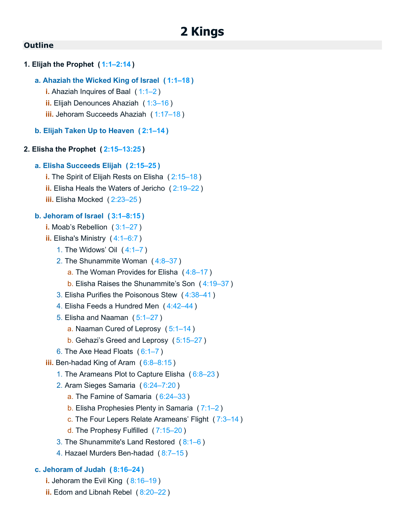# <span id="page-32-0"></span>**1. Elijah the Prophet ( [1:1–2:14](https://biblehub.com/bsb/2_kings/1.htm#1) )**

### **a. Ahaziah the Wicked King of Israel ( [1:1–18](https://biblehub.com/bsb/2_kings/1.htm#1) )**

- **i.** Ahaziah Inquires of Baal ( [1:1–2](https://biblehub.com/bsb/2_kings/1.htm#1) )
- **ii.** Elijah Denounces Ahaziah ( [1:3–16](https://biblehub.com/bsb/2_kings/1.htm#3) )
- **iii.** Jehoram Succeeds Ahaziah ( [1:17–18](https://biblehub.com/bsb/2_kings/1.htm#17) )
- **b. Elijah Taken Up to Heaven ( [2:1–14](https://biblehub.com/bsb/2_kings/2.htm#1) )**

### **2. Elisha the Prophet ( [2:15–13:25](https://biblehub.com/bsb/2_kings/2.htm#15) )**

### **a. Elisha Succeeds Elijah ( [2:15–25](https://biblehub.com/bsb/2_kings/2.htm#15) )**

- **i.** The Spirit of Elijah Rests on Elisha ( [2:15–18](https://biblehub.com/bsb/2_kings/2.htm#15) )
- **ii.** Elisha Heals the Waters of Jericho ( [2:19–22](https://biblehub.com/bsb/2_kings/2.htm#19) )
- **iii.** Elisha Mocked ( [2:23–25](https://biblehub.com/bsb/2_kings/2.htm#23) )

### **b. Jehoram of Israel ( [3:1–8:15](https://biblehub.com/bsb/2_kings/3.htm#1) )**

- **i.** Moab's Rebellion ( [3:1–27](https://biblehub.com/bsb/2_kings/3.htm#1) )
- **ii.** Elisha's Ministry ( [4:1–6:7](https://biblehub.com/bsb/2_kings/4.htm#1) )
	- 1. The Widows' Oil ( [4:1–7](https://biblehub.com/bsb/2_kings/4.htm#1) )
	- 2. The Shunammite Woman ( [4:8–37](https://biblehub.com/bsb/2_kings/4.htm#8) )
		- a. The Woman Provides for Elisha (4:8-17)
		- b. Elisha Raises the Shunammite's Son ( [4:19–37](https://biblehub.com/bsb/2_kings/4.htm#19) )
	- 3. Elisha Purifies the Poisonous Stew ( [4:38–41](https://biblehub.com/bsb/2_kings/4.htm#38) )
	- 4. Elisha Feeds a Hundred Men ( [4:42–44](https://biblehub.com/bsb/2_kings/4.htm#42) )
	- 5. Elisha and Naaman ( [5:1–27](https://biblehub.com/bsb/2_kings/5.htm#1) )
		- a. Naaman Cured of Leprosy ( [5:1–14](https://biblehub.com/bsb/2_kings/5.htm#1) )
		- b. Gehazi's Greed and Leprosy ( [5:15–27](https://biblehub.com/bsb/2_kings/5.htm#15) )
	- 6. The Axe Head Floats ( [6:1–7](https://biblehub.com/bsb/2_kings/6.htm#1) )
- **iii.** Ben-hadad King of Aram ( [6:8–8:15](https://biblehub.com/bsb/2_kings/6.htm#8) )
	- 1. The Arameans Plot to Capture Elisha ( [6:8–23](https://biblehub.com/bsb/2_kings/6.htm#8) )
	- 2. Aram Sieges Samaria ( [6:24–7:20](https://biblehub.com/bsb/2_kings/6.htm#24) )
		- a. The Famine of Samaria ( [6:24–33](https://biblehub.com/bsb/2_kings/6.htm#24) )
		- b. Elisha Prophesies Plenty in Samaria ( [7:1–2](https://biblehub.com/bsb/2_kings/7.htm#1) )
		- c. The Four Lepers Relate Arameans' Flight ( [7:3–14](https://biblehub.com/bsb/2_kings/7.htm#3) )
		- d. The Prophesy Fulfilled ( [7:15–20](https://biblehub.com/bsb/2_kings/7.htm#15) )
	- 3. The Shunammite's Land Restored ( [8:1–6](https://biblehub.com/bsb/2_kings/8.htm#1) )
	- 4. Hazael Murders Ben-hadad ( [8:7–15](https://biblehub.com/bsb/2_kings/8.htm#7) )

# **c. Jehoram of Judah ( [8:16–24](https://biblehub.com/bsb/2_kings/8.htm#16) )**

- **i.** Jehoram the Evil King ([8:16–19](https://biblehub.com/bsb/2_kings/8.htm#16))
- **ii.** Edom and Libnah Rebel ( [8:20–22](https://biblehub.com/bsb/2_kings/8.htm#20) )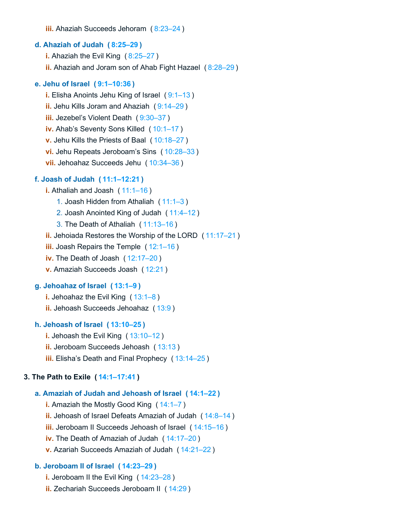**iii.** Ahaziah Succeeds Jehoram ( [8:23–24](https://biblehub.com/bsb/2_kings/8.htm#23) )

### **d. Ahaziah of Judah ( [8:25–29](https://biblehub.com/bsb/2_kings/8.htm#25) )**

**i.** Ahaziah the Evil King ( [8:25–27](https://biblehub.com/bsb/2_kings/8.htm#25) ) **ii.** Ahaziah and Joram son of Ahab Fight Hazael ( [8:28–29](https://biblehub.com/bsb/2_kings/8.htm#28) )

### **e. Jehu of Israel ( [9:1–10:36](https://biblehub.com/bsb/2_kings/9.htm#1) )**

**i.** Elisha Anoints Jehu King of Israel (9:1-13) **ii.** Jehu Kills Joram and Ahaziah ( [9:14–29](https://biblehub.com/bsb/2_kings/9.htm#14) ) **iii.** Jezebel's Violent Death ( [9:30–37](https://biblehub.com/bsb/2_kings/9.htm#30) ) **iv.** Ahab's Seventy Sons Killed ( [10:1–17](https://biblehub.com/bsb/2_kings/10.htm#1) ) **v.** Jehu Kills the Priests of Baal ( [10:18–27](https://biblehub.com/bsb/2_kings/10.htm#18) ) **vi.** Jehu Repeats Jeroboam's Sins ( [10:28–33](https://biblehub.com/bsb/2_kings/10.htm#28) ) **vii.** Jehoahaz Succeeds Jehu ( [10:34–36](https://biblehub.com/bsb/2_kings/10.htm#34) )

### **f. Joash of Judah ( [11:1–12:21](https://biblehub.com/bsb/2_kings/11.htm#1) )**

**i.** Athaliah and Joash ( [11:1–16](https://biblehub.com/bsb/2_kings/11.htm#1) )

- 1. Joash Hidden from Athaliah ( [11:1–3](https://biblehub.com/bsb/2_kings/11.htm#1) )
- 2. Joash Anointed King of Judah ( [11:4–12](https://biblehub.com/bsb/2_kings/11.htm#4) )
- 3. The Death of Athaliah ( [11:13–16](https://biblehub.com/bsb/2_kings/11.htm#13) )

**ii.** Jehoiada Restores the Worship of the LORD ( [11:17–21](https://biblehub.com/bsb/2_kings/11.htm#17) )

- **iii.** Joash Repairs the Temple ( [12:1–16](https://biblehub.com/bsb/2_kings/12.htm#1) )
- **iv.** The Death of Joash ( [12:17–20](https://biblehub.com/bsb/2_kings/12.htm#17) )
- **v.** Amaziah Succeeds Joash ( [12:21](https://biblehub.com/bsb/2_kings/12.htm#21) )

# **g. Jehoahaz of Israel ( [13:1–9](https://biblehub.com/bsb/2_kings/13.htm#1) )**

**i.** Jehoahaz the Evil King ( [13:1–8](https://biblehub.com/bsb/2_kings/13.htm#1) ) **ii.** Jehoash Succeeds Jehoahaz ( [13:9](https://biblehub.com/bsb/2_kings/13.htm#9) )

### **h. Jehoash of Israel ( [13:10–25](https://biblehub.com/bsb/2_kings/13.htm#10) )**

**i.** Jehoash the Evil King ( [13:10–12](https://biblehub.com/bsb/2_kings/13.htm#10) ) **ii.** Jeroboam Succeeds Jehoash ([13:13](https://biblehub.com/bsb/2_kings/13.htm#13)) **iii.** Elisha's Death and Final Prophecy ( [13:14–25](https://biblehub.com/bsb/2_kings/13.htm#14) )

### **3. The Path to Exile ( [14:1–17:41](https://biblehub.com/bsb/2_kings/14.htm#1) )**

### **a. Amaziah of Judah and Jehoash of Israel ( [14:1–22](https://biblehub.com/bsb/2_kings/14.htm#1) )**

**i.** Amaziah the Mostly Good King ( [14:1–7](https://biblehub.com/bsb/2_kings/14.htm#1) ) **ii.** Jehoash of Israel Defeats Amaziah of Judah ( [14:8–14](https://biblehub.com/bsb/2_kings/14.htm#8) ) **iii.** Jeroboam II Succeeds Jehoash of Israel ( [14:15–16](https://biblehub.com/bsb/2_kings/14.htm#15) ) **iv.** The Death of Amaziah of Judah ( [14:17–20](https://biblehub.com/bsb/2_kings/14.htm#17) ) **v.** Azariah Succeeds Amaziah of Judah ( [14:21–22](https://biblehub.com/bsb/2_kings/14.htm#21) )

### **b. Jeroboam II of Israel ( [14:23–29](https://biblehub.com/bsb/2_kings/14.htm#23) )**

- **i.** Jeroboam II the Evil King ( [14:23–28](https://biblehub.com/bsb/2_kings/14.htm#23) )
- **ii.** Zechariah Succeeds Jeroboam II ( [14:29](https://biblehub.com/bsb/2_kings/14.htm#29) )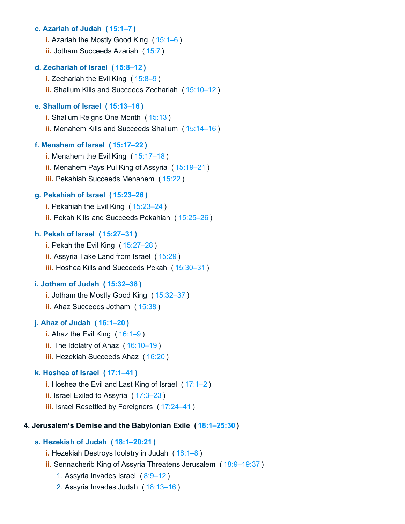### **c. Azariah of Judah ( [15:1–7](https://biblehub.com/bsb/2_kings/15.htm#1) )**

- **i.** Azariah the Mostly Good King ( [15:1–6](https://biblehub.com/bsb/2_kings/15.htm#1) )
- **ii.** Jotham Succeeds Azariah ( [15:7](https://biblehub.com/bsb/2_kings/15.htm#7) )

### **d. Zechariah of Israel ( [15:8–12](https://biblehub.com/bsb/2_kings/15.htm#8) )**

**i.** Zechariah the Evil King ( [15:8–9](https://biblehub.com/bsb/2_kings/15.htm#8) ) **ii.** Shallum Kills and Succeeds Zechariah ( [15:10–12](https://biblehub.com/bsb/2_kings/15.htm#10) )

# **e. Shallum of Israel ( [15:13–16](https://biblehub.com/bsb/2_kings/15.htm#13) )**

- **i.** Shallum Reigns One Month ( [15:13](https://biblehub.com/bsb/2_kings/15.htm#13) )
- **ii.** Menahem Kills and Succeeds Shallum ( [15:14–16](https://biblehub.com/bsb/2_kings/15.htm#14) )

### **f. Menahem of Israel ( [15:17–22](https://biblehub.com/bsb/2_kings/15.htm#17) )**

- **i.** Menahem the Evil King ( [15:17–18](https://biblehub.com/bsb/2_kings/15.htm#17) ) **ii.** Menahem Pays Pul King of Assyria ( [15:19–21](https://biblehub.com/bsb/2_kings/15.htm#19) )
- **iii.** Pekahiah Succeeds Menahem ( [15:22](https://biblehub.com/bsb/2_kings/15.htm#22) )

### **g. Pekahiah of Israel ( [15:23–26](https://biblehub.com/bsb/2_kings/15.htm#23) )**

**i.** Pekahiah the Evil King ( [15:23–24](https://biblehub.com/bsb/2_kings/15.htm#23) ) **ii.** Pekah Kills and Succeeds Pekahiah ( [15:25–26](https://biblehub.com/bsb/2_kings/15.htm#25) )

### **h. Pekah of Israel ( [15:27–31](https://biblehub.com/bsb/2_kings/15.htm#27) )**

**i.** Pekah the Evil King ( [15:27–28](https://biblehub.com/bsb/2_kings/15.htm#27) ) **ii.** Assyria Take Land from Israel ( [15:29](https://biblehub.com/bsb/2_kings/15.htm#29) ) **iii.** Hoshea Kills and Succeeds Pekah ( [15:30–31](https://biblehub.com/bsb/2_kings/15.htm#30) )

### **i. Jotham of Judah ( [15:32–38](https://biblehub.com/bsb/2_kings/15.htm#32) )**

**i.** Jotham the Mostly Good King ( [15:32–37](https://biblehub.com/bsb/2_kings/15.htm#32) ) **ii.** Ahaz Succeeds Jotham ( [15:38](https://biblehub.com/bsb/2_kings/15.htm#38) )

### **j. Ahaz of Judah ( [16:1–20](https://biblehub.com/bsb/2_kings/16.htm#1) )**

**i.** Ahaz the Evil King ([16:1–9](https://biblehub.com/bsb/2_kings/16.htm#1)) **ii.** The Idolatry of Ahaz ( [16:10–19](https://biblehub.com/bsb/2_kings/16.htm#10) ) **iii.** Hezekiah Succeeds Ahaz ( [16:20](https://biblehub.com/bsb/2_kings/16.htm#20) )

### **k. Hoshea of Israel ( [17:1–41](https://biblehub.com/bsb/2_kings/17.htm#1) )**

**i.** Hoshea the Evil and Last King of Israel ( [17:1–2](https://biblehub.com/bsb/2_kings/17.htm#1) ) **ii.** Israel Exiled to Assyria ( [17:3–23](https://biblehub.com/bsb/2_kings/17.htm#3) ) **iii.** Israel Resettled by Foreigners ( [17:24–41](https://biblehub.com/bsb/2_kings/17.htm#24) )

### **4. Jerusalem's Demise and the Babylonian Exile ( [18:1–25:30](https://biblehub.com/bsb/2_kings/18.htm#1) )**

### **a. Hezekiah of Judah ( [18:1–20:21](https://biblehub.com/bsb/2_kings/18.htm#1) )**

- **i.** Hezekiah Destroys Idolatry in Judah ([18:1–8](https://biblehub.com/bsb/2_kings/18.htm#1))
- **ii.** Sennacherib King of Assyria Threatens Jerusalem ( [18:9–19:37](https://biblehub.com/bsb/2_kings/18.htm#9) )
	- 1. Assyria Invades Israel ( [8:9–12](https://biblehub.com/bsb/2_kings/8.htm#9) )
	- 2. Assyria Invades Judah ( [18:13–16](https://biblehub.com/bsb/2_kings/18.htm#13) )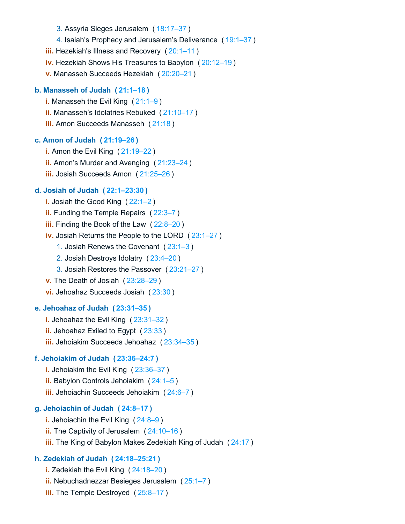- 3. Assyria Sieges Jerusalem ( [18:17–37](https://biblehub.com/bsb/2_kings/18.htm#17) )
- 4. Isaiah's Prophecy and Jerusalem's Deliverance ( [19:1–37](https://biblehub.com/bsb/2_kings/19.htm#1) )
- **iii.** Hezekiah's Illness and Recovery ([20:1–11](https://biblehub.com/bsb/2_kings/20.htm#1))
- **iv.** Hezekiah Shows His Treasures to Babylon ( [20:12–19](https://biblehub.com/bsb/2_kings/20.htm#12) )
- **v.** Manasseh Succeeds Hezekiah ( [20:20–21](https://biblehub.com/bsb/2_kings/20.htm#20) )

### **b. Manasseh of Judah ( [21:1–18](https://biblehub.com/bsb/2_kings/21.htm#1) )**

**i.** Manasseh the Evil King ( [21:1–9](https://biblehub.com/bsb/2_kings/21.htm#1) ) **ii.** Manasseh's Idolatries Rebuked ( [21:10–17](https://biblehub.com/bsb/2_kings/21.htm#10) ) **iii.** Amon Succeeds Manasseh ( [21:18](https://biblehub.com/bsb/2_kings/21.htm#18) )

### **c. Amon of Judah ( [21:19–26](https://biblehub.com/bsb/2_kings/21.htm#19) )**

**i.** Amon the Evil King ( [21:19–22](https://biblehub.com/bsb/2_kings/21.htm#19) ) **ii.** Amon's Murder and Avenging ( [21:23–24](https://biblehub.com/bsb/2_kings/21.htm#23) ) **iii.** Josiah Succeeds Amon ( [21:25–26](https://biblehub.com/bsb/2_kings/21.htm#25) )

### **d. Josiah of Judah ( [22:1–23:30](https://biblehub.com/bsb/2_kings/22.htm#1) )**

- **i.** Josiah the Good King ( $22:1-2$ )
- **ii.** Funding the Temple Repairs ( [22:3–7](https://biblehub.com/bsb/2_kings/22.htm#3) )
- **iii.** Finding the Book of the Law ( [22:8–20](https://biblehub.com/bsb/2_kings/22.htm#8) )
- **iv.** Josiah Returns the People to the LORD ( [23:1–27](https://biblehub.com/bsb/2_kings/23.htm#1) )
	- 1. Josiah Renews the Covenant ( [23:1–3](https://biblehub.com/bsb/2_kings/23.htm#1) )
	- 2. Josiah Destroys Idolatry ( [23:4–20](https://biblehub.com/bsb/2_kings/23.htm#4) )
	- 3. Josiah Restores the Passover ( [23:21–27](https://biblehub.com/bsb/2_kings/23.htm#21) )
- **v.** The Death of Josiah ( [23:28–29](https://biblehub.com/bsb/2_kings/23.htm#28) )
- **vi.** Jehoahaz Succeeds Josiah ( [23:30](https://biblehub.com/bsb/2_kings/23.htm#30) )

### **e. Jehoahaz of Judah ( [23:31–35](https://biblehub.com/bsb/2_kings/23.htm#31) )**

- **i.** Jehoahaz the Evil King ( [23:31–32](https://biblehub.com/bsb/2_kings/23.htm#31) )
- **ii.** Jehoahaz Exiled to Egypt ( [23:33](https://biblehub.com/bsb/2_kings/23.htm#33) )
- **iii.** Jehoiakim Succeeds Jehoahaz ( [23:34–35](https://biblehub.com/bsb/2_kings/23.htm#34) )

### **f. Jehoiakim of Judah ( [23:36–24:7](https://biblehub.com/bsb/2_kings/23.htm#36) )**

- **i.** Jehoiakim the Evil King ( [23:36–37](https://biblehub.com/bsb/2_kings/23.htm#36) )
- **ii.** Babylon Controls Jehoiakim ( [24:1–5](https://biblehub.com/bsb/2_kings/24.htm#1) )
- **iii.** Jehoiachin Succeeds Jehoiakim ( [24:6–7](https://biblehub.com/bsb/2_kings/24.htm#6) )

### **g. Jehoiachin of Judah ( [24:8–17](https://biblehub.com/bsb/2_kings/24.htm#8) )**

- **i.** Jehoiachin the Evil King ( [24:8–9](https://biblehub.com/bsb/2_kings/24.htm#8) )
- **ii.** The Captivity of Jerusalem ( [24:10–16](https://biblehub.com/bsb/2_kings/24.htm#10) )
- **iii.** The King of Babylon Makes Zedekiah King of Judah ( [24:17](https://biblehub.com/bsb/2_kings/24.htm#17) )

# **h. Zedekiah of Judah ( [24:18–25:21](https://biblehub.com/bsb/2_kings/24.htm#18) )**

- **i.** Zedekiah the Evil King ( [24:18–20](https://biblehub.com/bsb/2_kings/24.htm#18) ) **ii.** Nebuchadnezzar Besieges Jerusalem ( [25:1–7](https://biblehub.com/bsb/2_kings/25.htm#1) )
- **iii.** The Temple Destroyed ([25:8–17](https://biblehub.com/bsb/2_kings/25.htm#8))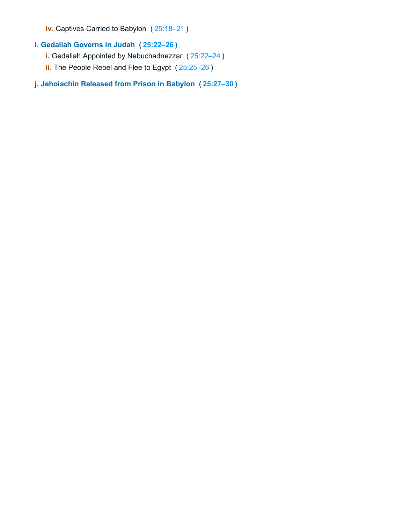**iv.** Captives Carried to Babylon ( [25:18–21](https://biblehub.com/bsb/2_kings/25.htm#18) )

- **i. Gedaliah Governs in Judah ( [25:22–26](https://biblehub.com/bsb/2_kings/25.htm#22) )**
	- **i.** Gedaliah Appointed by Nebuchadnezzar ( [25:22–24](https://biblehub.com/bsb/2_kings/25.htm#22) )
	- **ii.** The People Rebel and Flee to Egypt ( [25:25–26](https://biblehub.com/bsb/2_kings/25.htm#25) )

## **j. Jehoiachin Released from Prison in Babylon ( [25:27–30](https://biblehub.com/bsb/2_kings/25.htm#27) )**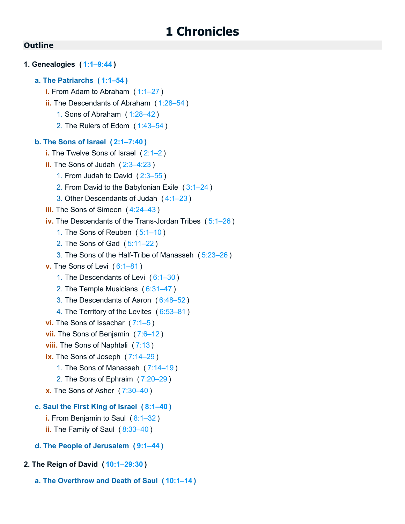```
1. Genealogies ( 1:1–9:44 )
   a. The Patriarchs ( 1:1–54 )
      i. From Adam to Abraham ( 1:1–27 )
      ii. The Descendants of Abraham ( 1:28–54 )
         1. Sons of Abraham ( 1:28–42 )
         2. The Rulers of Edom ( 1:43–54 )
   b. The Sons of Israel ( 2:1–7:40 )
      i. The Twelve Sons of Israel ( 2:1–2 )
      ii. The Sons of Judah (2:3-4:23)
         1. From Judah to David ( 2:3–55 )
         2. From David to the Babylonian Exile ( 3:1–24 )
         3. Other Descendants of Judah ( 4:1–23 )
      iii.4:24–43)
      iv. The Descendants of the Trans-Jordan Tribes ( 5:1–26 )
         1. The Sons of Reuben ( 5:1–10 )
         2. The Sons of Gad ( 5:11–22 )
         3. The Sons of the Half-Tribe of Manasseh ( 5:23–26 )
      v. The Sons of Levi ( 6:1–81 )
         1. The Descendants of Levi ( 6:1–30 )
         2. The Temple Musicians ( 6:31–47 )
         3. The Descendants of Aaron ( 6:48–52 )
         4. The Territory of the Levites ( 6:53–81 )
      vi. The Sons of Issachar ( 7:1–5 )
      vii. The Sons of Benjamin ( 7:6–12 )
      viii.7:13)
      ix. The Sons of Joseph (7:14-29)
         1. The Sons of Manasseh ( 7:14–19 )
         2. The Sons of Ephraim ( 7:20–29 )
      x. The Sons of Asher ( 7:30–40 )
   c. Saul the First King of Israel ( 8:1–40 )
      i. From Benjamin to Saul ( 8:1–32 )
      ii.8:33–40)
   d. The People of Jerusalem ( 9:1–44 )
2. The Reign of David ( 10:1–29:30 )
```
**a. The Overthrow and Death of Saul ( [10:1–14](https://biblehub.com/bsb/1_chronicles/10.htm#1) )**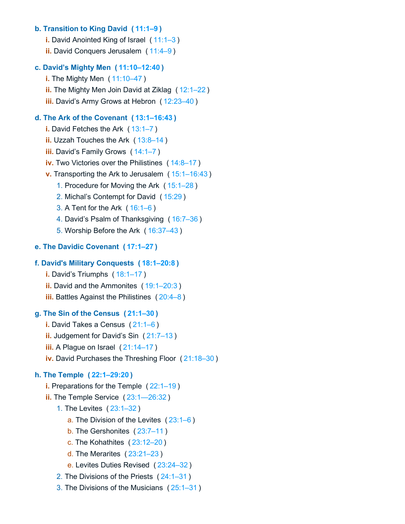## **b. Transition to King David ( [11:1–9](https://biblehub.com/bsb/1_chronicles/11.htm#1) )**

- **i.** David Anointed King of Israel ( [11:1–3](https://biblehub.com/bsb/1_chronicles/11.htm#1) )
- **ii.** David Conquers Jerusalem ( [11:4–9](https://biblehub.com/bsb/1_chronicles/11.htm#4) )

## **c. David's Mighty Men ( [11:10–12:40](https://biblehub.com/bsb/1_chronicles/11.htm#10) )**

- **i.** The Mighty Men ( [11:10–47](https://biblehub.com/bsb/1_chronicles/11.htm#10) )
- **ii.** The Mighty Men Join David at Ziklag ( [12:1–22](https://biblehub.com/bsb/1_chronicles/12.htm#1) )
- **iii.** David's Army Grows at Hebron ( [12:23–40](https://biblehub.com/bsb/1_chronicles/12.htm#23) )

## **d. The Ark of the Covenant ( [13:1–16:43](https://biblehub.com/bsb/1_chronicles/13.htm#1) )**

- **i.** David Fetches the Ark ( [13:1–7](https://biblehub.com/bsb/1_chronicles/13.htm#1) )
- **ii.** Uzzah Touches the Ark ( [13:8–14](https://biblehub.com/bsb/1_chronicles/13.htm#8) )
- **iii.** David's Family Grows ( [14:1–7](https://biblehub.com/bsb/1_chronicles/14.htm#1) )
- **iv.** Two Victories over the Philistines ( [14:8–17](https://biblehub.com/bsb/1_chronicles/14.htm#8) )
- **v.** Transporting the Ark to Jerusalem ( [15:1–16:43](https://biblehub.com/bsb/1_chronicles/15.htm#1) )
	- 1. Procedure for Moving the Ark ( [15:1–28](https://biblehub.com/bsb/1_chronicles/15.htm#1) )
	- 2. Michal's Contempt for David ( [15:29](https://biblehub.com/bsb/1_chronicles/15.htm#29) )
	- 3. A Tent for the Ark ( [16:1–6](https://biblehub.com/bsb/1_chronicles/16.htm#1) )
	- 4. David's Psalm of Thanksgiving ( [16:7–36](https://biblehub.com/bsb/1_chronicles/16.htm#7) )
	- 5. Worship Before the Ark ( [16:37–43](https://biblehub.com/bsb/1_chronicles/16.htm#37) )

## **e. The Davidic Covenant ( [17:1–27](https://biblehub.com/bsb/1_chronicles/17.htm#1) )**

## **f. David's Military Conquests ( [18:1–20:8](https://biblehub.com/bsb/1_chronicles/18.htm#1) )**

- **i.** David's Triumphs ( [18:1–17](https://biblehub.com/bsb/1_chronicles/18.htm#1) )
- **ii.** David and the Ammonites ([19:1–20:3](https://biblehub.com/bsb/1_chronicles/19.htm#1))
- **iii.** Battles Against the Philistines ( $20:4-8$ )

## **g. The Sin of the Census ( [21:1–30](https://biblehub.com/bsb/1_chronicles/21.htm#1) )**

- **i.** David Takes a Census ( [21:1–6](https://biblehub.com/bsb/1_chronicles/21.htm#1) )
- **ii.** Judgement for David's Sin ( [21:7–13](https://biblehub.com/bsb/1_chronicles/21.htm#7) )
- **iii.** A Plague on Israel ( [21:14–17](https://biblehub.com/bsb/1_chronicles/21.htm#14) )
- **iv.** David Purchases the Threshing Floor ( [21:18–30](https://biblehub.com/bsb/1_chronicles/21.htm#18) )

## **h. The Temple ( [22:1–29:20](https://biblehub.com/bsb/1_chronicles/22.htm#1) )**

- **i.** Preparations for the Temple ( [22:1–19](https://biblehub.com/bsb/1_chronicles/22.htm#1) )
- **ii.** The Temple Service ( [23:1—26:32](https://biblehub.com/bsb/1_chronicles/23.htm#1%E2%80%9426.htm#32) )
	- 1. The Levites ( [23:1–32](https://biblehub.com/bsb/1_chronicles/23.htm#1) )
		- a. The Division of the Levites ( [23:1–6](https://biblehub.com/bsb/1_chronicles/23.htm#1) )
		- b. The Gershonites ( [23:7–11](https://biblehub.com/bsb/1_chronicles/23.htm#7) )
		- c. The Kohathites ( [23:12–20](https://biblehub.com/bsb/1_chronicles/23.htm#12) )
		- d. The Merarites ( [23:21–23](https://biblehub.com/bsb/1_chronicles/23.htm#21) )
		- e. Levites Duties Revised ( [23:24–32](https://biblehub.com/bsb/1_chronicles/23.htm#24) )
	- 2. The Divisions of the Priests ( [24:1–31](https://biblehub.com/bsb/1_chronicles/24.htm#1) )
	- 3. The Divisions of the Musicians ( [25:1–31](https://biblehub.com/bsb/1_chronicles/25.htm#1) )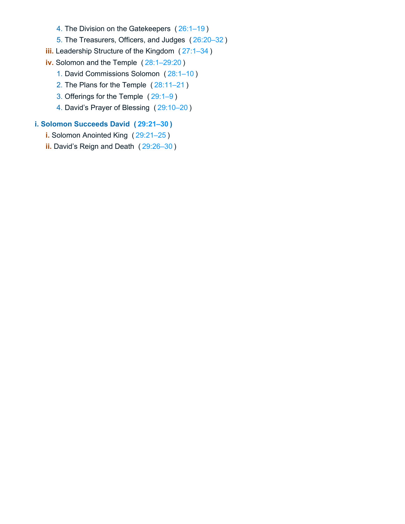- 4. The Division on the Gatekeepers ( [26:1–19](https://biblehub.com/bsb/1_chronicles/26.htm#1) )
- 5. The Treasurers, Officers, and Judges ( [26:20–32](https://biblehub.com/bsb/1_chronicles/26.htm#20) )
- **iii.** Leadership Structure of the Kingdom ( $27:1-34$ )
- **iv.** Solomon and the Temple ( [28:1–29:20](https://biblehub.com/bsb/1_chronicles/28.htm#1) )
	- 1. David Commissions Solomon ( [28:1–10](https://biblehub.com/bsb/1_chronicles/28.htm#1) )
	- 2. The Plans for the Temple ( [28:11–21](https://biblehub.com/bsb/1_chronicles/28.htm#11) )
	- 3. Offerings for the Temple ( [29:1–9](https://biblehub.com/bsb/1_chronicles/29.htm#1) )
	- 4. David's Prayer of Blessing ( [29:10–20](https://biblehub.com/bsb/1_chronicles/29.htm#10) )

## **i. Solomon Succeeds David ( [29:21–30](https://biblehub.com/bsb/1_chronicles/29.htm#21) )**

- **i.** Solomon Anointed King ( [29:21–25](https://biblehub.com/bsb/1_chronicles/29.htm#21) )
- **ii.** David's Reign and Death ( [29:26–30](https://biblehub.com/bsb/1_chronicles/29.htm#26) )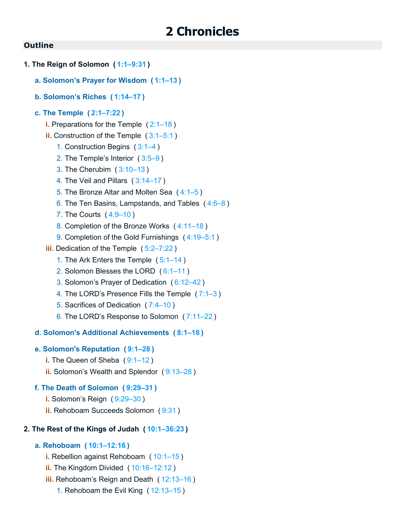# **2 Chronicles**

## **Outline**

- **1. The Reign of Solomon ( [1:1–9:31](https://biblehub.com/bsb/2_chronicles/1.htm#1) )**
	- **a. Solomon's Prayer for Wisdom ( [1:1–13](https://biblehub.com/bsb/2_chronicles/1.htm#1) )**
	- **b. Solomon's Riches ( [1:14–17](https://biblehub.com/bsb/2_chronicles/1.htm#14) )**

#### **c. The Temple ( [2:1–7:22](https://biblehub.com/bsb/2_chronicles/2.htm#1) )**

- **i.** Preparations for the Temple ([2:1–18](https://biblehub.com/bsb/2_chronicles/2.htm#1))
- **ii.** Construction of the Temple ([3:1–5:1](https://biblehub.com/bsb/2_chronicles/3.htm#1))
	- 1. Construction Begins ( [3:1–4](https://biblehub.com/bsb/2_chronicles/3.htm#1) )
	- 2. The Temple's Interior ( [3:5–9](https://biblehub.com/bsb/2_chronicles/3.htm#5) )
	- 3. The Cherubim ( [3:10–13](https://biblehub.com/bsb/2_chronicles/3.htm#10) )
	- 4. The Veil and Pillars ( [3:14–17](https://biblehub.com/bsb/2_chronicles/3.htm#14) )
	- 5. The Bronze Altar and Molten Sea ( [4:1–5](https://biblehub.com/bsb/2_chronicles/4.htm#1) )
	- 6. The Ten Basins, Lampstands, and Tables ( [4:6–8](https://biblehub.com/bsb/2_chronicles/4.htm#6) )
	- 7. The Courts ( [4:9–10](https://biblehub.com/bsb/2_chronicles/4.htm#9) )
	- 8. Completion of the Bronze Works ( [4:11–18](https://biblehub.com/bsb/2_chronicles/4.htm#11) )
	- 9. Completion of the Gold Furnishings ( [4:19–5:1](https://biblehub.com/bsb/2_chronicles/4.htm#19) )
- **iii.** Dedication of the Temple ( [5:2–7:22](https://biblehub.com/bsb/2_chronicles/5.htm#2) )
	- 1. The Ark Enters the Temple ( [5:1–14](https://biblehub.com/bsb/2_chronicles/5.htm#1) )
	- 2. Solomon Blesses the LORD ( [6:1–11](https://biblehub.com/bsb/2_chronicles/6.htm#1) )
	- 3. Solomon's Prayer of Dedication ( [6:12–42](https://biblehub.com/bsb/2_chronicles/6.htm#12) )
	- 4. The LORD's Presence Fills the Temple ( [7:1–3](https://biblehub.com/bsb/2_chronicles/7.htm#1) )
	- 5. Sacrifices of Dedication ( [7:4–10](https://biblehub.com/bsb/2_chronicles/7.htm#4) )
	- 6. The LORD's Response to Solomon ( [7:11–22](https://biblehub.com/bsb/2_chronicles/7.htm#11) )

#### **d. Solomon's Additional Achievements ( [8:1–18](https://biblehub.com/bsb/2_chronicles/8.htm#1) )**

### **e. Solomon's Reputation ( [9:1–28](https://biblehub.com/bsb/2_chronicles/9.htm#1) )**

- **i.** The Queen of Sheba (9:1-12)
- **ii.** Solomon's Wealth and Splendor ( [9:13–28](https://biblehub.com/bsb/2_chronicles/9.htm#13) )

## **f. The Death of Solomon ( [9:29–31](https://biblehub.com/bsb/2_chronicles/9.htm#29) )**

- **i.** Solomon's Reign ( [9:29–30](https://biblehub.com/bsb/2_chronicles/9.htm#29) )
- **ii.** Rehoboam Succeeds Solomon ( [9:31](https://biblehub.com/bsb/2_chronicles/9.htm#31) )

#### **2. The Rest of the Kings of Judah ( [10:1–36:23](https://biblehub.com/bsb/2_chronicles/10.htm#1) )**

## **a. Rehoboam ( [10:1–12:16](https://biblehub.com/bsb/2_chronicles/10.htm#1) )**

- **i.** Rebellion against Rehoboam ( [10:1–15](https://biblehub.com/bsb/2_chronicles/10.htm#1) )
- **ii.** The Kingdom Divided ( [10:16–12:12](https://biblehub.com/bsb/2_chronicles/10.htm#16) )
- **iii.** Rehoboam's Reign and Death ( [12:13–16](https://biblehub.com/bsb/2_chronicles/12.htm#13) )
	- 1. Rehoboam the Evil King ( [12:13–15](https://biblehub.com/bsb/2_chronicles/12.htm#13) )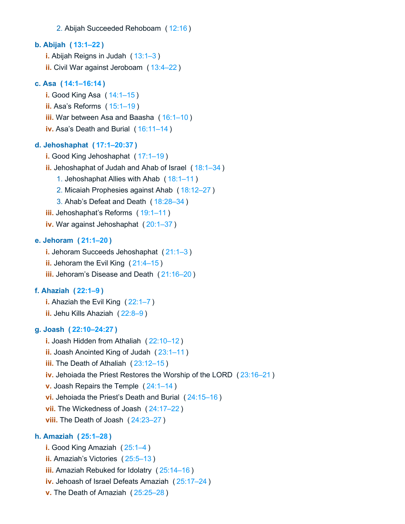#### 2. Abijah Succeeded Rehoboam ( [12:16](https://biblehub.com/bsb/2_chronicles/12.htm#16) )

## **b. Abijah ( [13:1–22](https://biblehub.com/bsb/2_chronicles/13.htm#1) )**

**i.** Abijah Reigns in Judah ( [13:1–3](https://biblehub.com/bsb/2_chronicles/13.htm#1) ) **ii.** Civil War against Jeroboam ( [13:4–22](https://biblehub.com/bsb/2_chronicles/13.htm#4) )

## **c. Asa ( [14:1–16:14](https://biblehub.com/bsb/2_chronicles/14.htm#1) )**

**i.** Good King Asa ( [14:1–15](https://biblehub.com/bsb/2_chronicles/14.htm#1) ) **ii.** Asa's Reforms ( [15:1–19](https://biblehub.com/bsb/2_chronicles/15.htm#1) ) **iii.** War between Asa and Baasha ( [16:1–10](https://biblehub.com/bsb/2_chronicles/16.htm#1) ) **iv.** Asa's Death and Burial ( [16:11–14](https://biblehub.com/bsb/2_chronicles/16.htm#11) )

#### **d. Jehoshaphat ( [17:1–20:37](https://biblehub.com/bsb/2_chronicles/17.htm#1) )**

- **i.** Good King Jehoshaphat ( [17:1–19](https://biblehub.com/bsb/2_chronicles/17.htm#1) )
- **ii.** Jehoshaphat of Judah and Ahab of Israel ( [18:1–34](https://biblehub.com/bsb/2_chronicles/18.htm#1) )
	- 1. Jehoshaphat Allies with Ahab ( [18:1–11](https://biblehub.com/bsb/2_chronicles/18.htm#1) )
	- 2. Micaiah Prophesies against Ahab ( [18:12–27](https://biblehub.com/bsb/2_chronicles/18.htm#12) )
	- 3. Ahab's Defeat and Death ( [18:28–34](https://biblehub.com/bsb/2_chronicles/18.htm#28) )
- **iii.** Jehoshaphat's Reforms ( [19:1–11](https://biblehub.com/bsb/2_chronicles/19.htm#1) )
- **iv.** War against Jehoshaphat ( [20:1–37](https://biblehub.com/bsb/2_chronicles/20.htm#1) )

#### **e. Jehoram ( [21:1–20](https://biblehub.com/bsb/2_chronicles/21.htm#1) )**

**i.** Jehoram Succeeds Jehoshaphat ( [21:1–3](https://biblehub.com/bsb/2_chronicles/21.htm#1) ) **ii.** Jehoram the Evil King ( [21:4–15](https://biblehub.com/bsb/2_chronicles/21.htm#4) )

**iii.** Jehoram's Disease and Death ( [21:16–20](https://biblehub.com/bsb/2_chronicles/21.htm#16) )

## **f. Ahaziah ( [22:1–9](https://biblehub.com/bsb/2_chronicles/22.htm#1) )**

**i.** Ahaziah the Evil King ([22:1–7](https://biblehub.com/bsb/2_chronicles/22.htm#1)) **ii.** Jehu Kills Ahaziah ( [22:8–9](https://biblehub.com/bsb/2_chronicles/22.htm#8) )

#### **g. Joash ( [22:10–24:27](https://biblehub.com/bsb/2_chronicles/22.htm#10) )**

**i.** Joash Hidden from Athaliah ( [22:10–12](https://biblehub.com/bsb/2_chronicles/22.htm#10) ) **ii.** Joash Anointed King of Judah ( [23:1–11](https://biblehub.com/bsb/2_chronicles/23.htm#1) ) **iii.** The Death of Athaliah ( [23:12–15](https://biblehub.com/bsb/2_chronicles/23.htm#12) ) **iv.** Jehoiada the Priest Restores the Worship of the LORD ( [23:16–21](https://biblehub.com/bsb/2_chronicles/23.htm#16) ) **v.** Joash Repairs the Temple ( [24:1–14](https://biblehub.com/bsb/2_chronicles/24.htm#1) ) **vi.** Jehoiada the Priest's Death and Burial ( [24:15–16](https://biblehub.com/bsb/2_chronicles/24.htm#15) ) **vii.** The Wickedness of Joash ( [24:17–22](https://biblehub.com/bsb/2_chronicles/24.htm#17) ) **viii.** The Death of Joash ( [24:23–27](https://biblehub.com/bsb/2_chronicles/24.htm#23) )

#### **h. Amaziah ( [25:1–28](https://biblehub.com/bsb/2_chronicles/25.htm#1) )**

- **i.** Good King Amaziah ( [25:1–4](https://biblehub.com/bsb/2_chronicles/25.htm#1) )
- **ii.** Amaziah's Victories ( [25:5–13](https://biblehub.com/bsb/2_chronicles/25.htm#5) )
- **iii.** Amaziah Rebuked for Idolatry ( [25:14–16](https://biblehub.com/bsb/2_chronicles/25.htm#14) )
- **iv.** Jehoash of Israel Defeats Amaziah ( [25:17–24](https://biblehub.com/bsb/2_chronicles/25.htm#17) )
- **v.** The Death of Amaziah ( [25:25–28](https://biblehub.com/bsb/2_chronicles/25.htm#25) )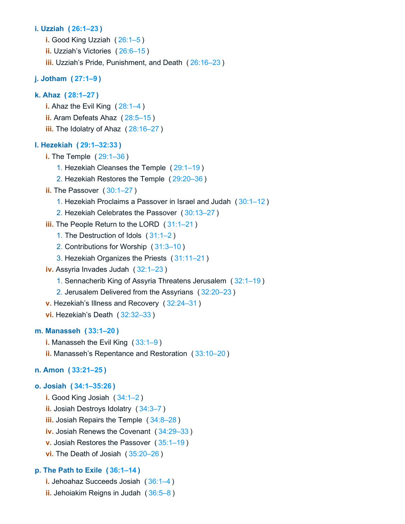## **i. Uzziah ( [26:1–23](https://biblehub.com/bsb/2_chronicles/26.htm#1) )**

- **i.** Good King Uzziah ( [26:1–5](https://biblehub.com/bsb/2_chronicles/26.htm#1) )
- **ii.** Uzziah's Victories ( [26:6–15](https://biblehub.com/bsb/2_chronicles/26.htm#6) )
- **iii.** Uzziah's Pride, Punishment, and Death ( [26:16–23](https://biblehub.com/bsb/2_chronicles/26.htm#16) )

## **j. Jotham ( [27:1–9](https://biblehub.com/bsb/2_chronicles/27.htm#1) )**

## **k. Ahaz ( [28:1–27](https://biblehub.com/bsb/2_chronicles/28.htm#1) )**

- **i.** Ahaz the Evil King ( $28:1-4$ )
- **ii.** Aram Defeats Ahaz ( [28:5–15](https://biblehub.com/bsb/2_chronicles/28.htm#5) )
- **iii.** The Idolatry of Ahaz ( [28:16–27](https://biblehub.com/bsb/2_chronicles/28.htm#16) )

#### **l. Hezekiah ( [29:1–32:33](https://biblehub.com/bsb/2_chronicles/29.htm#1) )**

- **i.** The Temple ( [29:1–36](https://biblehub.com/bsb/2_chronicles/29.htm#1) )
	- 1. Hezekiah Cleanses the Temple ( [29:1–19](https://biblehub.com/bsb/2_chronicles/29.htm#1) )
	- 2. Hezekiah Restores the Temple ( [29:20–36](https://biblehub.com/bsb/2_chronicles/29.htm#20) )
- **ii.** The Passover (30:1-27)
	- 1. Hezekiah Proclaims a Passover in Israel and Judah ( [30:1–12](https://biblehub.com/bsb/2_chronicles/30.htm#1) )
	- 2. Hezekiah Celebrates the Passover ( [30:13–27](https://biblehub.com/bsb/2_chronicles/30.htm#13) )
- **iii.** The People Return to the LORD ( [31:1–21](https://biblehub.com/bsb/2_chronicles/31.htm#1) )
	- 1. The Destruction of Idols ( [31:1–2](https://biblehub.com/bsb/2_chronicles/31.htm#1) )
	- 2. Contributions for Worship ( [31:3–10](https://biblehub.com/bsb/2_chronicles/31.htm#3) )
	- 3. Hezekiah Organizes the Priests ( [31:11–21](https://biblehub.com/bsb/2_chronicles/31.htm#11) )
- **iv.** Assyria Invades Judah ( [32:1–23](https://biblehub.com/bsb/2_chronicles/32.htm#1) )
	- 1. Sennacherib King of Assyria Threatens Jerusalem ( [32:1–19](https://biblehub.com/bsb/2_chronicles/32.htm#1) )
	- 2. Jerusalem Delivered from the Assyrians ( [32:20–23](https://biblehub.com/bsb/2_chronicles/32.htm#20) )
- **v.** Hezekiah's Illness and Recovery ( [32:24–31](https://biblehub.com/bsb/2_chronicles/32.htm#24) )
- **vi.** Hezekiah's Death ( [32:32–33](https://biblehub.com/bsb/2_chronicles/32.htm#32) )

## **m. Manasseh ( [33:1–20](https://biblehub.com/bsb/2_chronicles/33.htm#1) )**

- **i.** Manasseh the Evil King ( [33:1–9](https://biblehub.com/bsb/2_chronicles/33.htm#1) )
- **ii.** Manasseh's Repentance and Restoration ( [33:10–20](https://biblehub.com/bsb/2_chronicles/33.htm#10) )

## **n. Amon ( [33:21–25](https://biblehub.com/bsb/2_chronicles/33.htm#21) )**

#### **o. Josiah ( [34:1–35:26](https://biblehub.com/bsb/2_chronicles/34.htm#1) )**

**i.** Good King Josiah ( [34:1–2](https://biblehub.com/bsb/2_chronicles/34.htm#1) ) **ii.** Josiah Destroys Idolatry ( [34:3–7](https://biblehub.com/bsb/2_chronicles/34.htm#3) ) **iii.** Josiah Repairs the Temple ( [34:8–28](https://biblehub.com/bsb/2_chronicles/34.htm#8) ) **iv.** Josiah Renews the Covenant ( [34:29–33](https://biblehub.com/bsb/2_chronicles/34.htm#29) ) **v.** Josiah Restores the Passover ( [35:1–19](https://biblehub.com/bsb/2_chronicles/35.htm#1) ) **vi.** The Death of Josiah ( [35:20–26](https://biblehub.com/bsb/2_chronicles/35.htm#20) )

## **p. The Path to Exile ( [36:1–14](https://biblehub.com/bsb/2_chronicles/36.htm#1) )**

- **i.** Jehoahaz Succeeds Josiah ( [36:1–4](https://biblehub.com/bsb/2_chronicles/36.htm#1) )
- **ii.** Jehoiakim Reigns in Judah ( [36:5–8](https://biblehub.com/bsb/2_chronicles/36.htm#5) )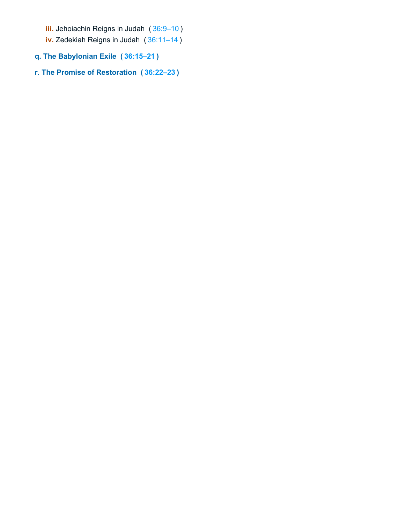- **iii.** Jehoiachin Reigns in Judah ( [36:9–10](https://biblehub.com/bsb/2_chronicles/36.htm#9) )
- **iv.** Zedekiah Reigns in Judah ( [36:11–14](https://biblehub.com/bsb/2_chronicles/36.htm#11) )
- **q. The Babylonian Exile ( [36:15–21](https://biblehub.com/bsb/2_chronicles/36.htm#15) )**
- **r. The Promise of Restoration ( [36:22–23](https://biblehub.com/bsb/2_chronicles/36.htm#22) )**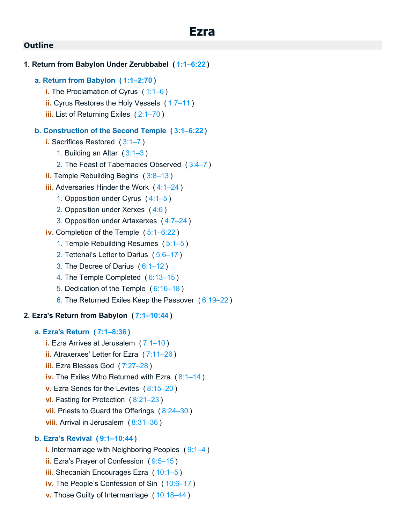# **b. Ezra's Revival ( [9:1–10:44](https://biblehub.com/bsb/ezra/9.htm#1) )**

- **i.** Intermarriage with Neighboring Peoples ( [9:1–4](https://biblehub.com/bsb/ezra/9.htm#1) )
- **ii.** Ezra's Prayer of Confession ( [9:5–15](https://biblehub.com/bsb/ezra/9.htm#5) )
- **iii.** Shecaniah Encourages Ezra ( [10:1–5](https://biblehub.com/bsb/ezra/10.htm#1) )
- **iv.** The People's Confession of Sin ( [10:6–17](https://biblehub.com/bsb/ezra/10.htm#6) )
- **v.** Those Guilty of Intermarriage ( [10:18–44](https://biblehub.com/bsb/ezra/10.htm#18) )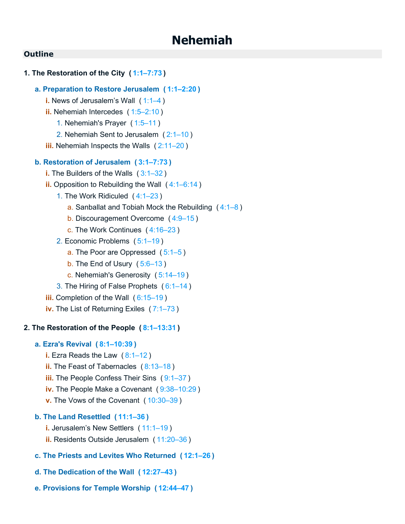# **Nehemiah**

## **Outline**

## **1. The Restoration of the City ( [1:1–7:73](https://biblehub.com/bsb/nehemiah/1.htm#1) )**

#### **a. Preparation to Restore Jerusalem ( [1:1–2:20](https://biblehub.com/bsb/nehemiah/1.htm#1) )**

- **i.** News of Jerusalem's Wall ([1:1–4](https://biblehub.com/bsb/nehemiah/1.htm#1))
- **ii.** Nehemiah Intercedes ( [1:5–2:10](https://biblehub.com/bsb/nehemiah/1.htm#5) )
	- 1. Nehemiah's Prayer ( [1:5–11](https://biblehub.com/bsb/nehemiah/1.htm#5) )
	- 2. Nehemiah Sent to Jerusalem ( [2:1–10](https://biblehub.com/bsb/nehemiah/2.htm#1) )
- **iii.** Nehemiah Inspects the Walls ([2:11–20](https://biblehub.com/bsb/nehemiah/2.htm#11))

#### **b. Restoration of Jerusalem ( [3:1–7:73](https://biblehub.com/bsb/nehemiah/3.htm#1) )**

- **i.** The Builders of the Walls ( [3:1–32](https://biblehub.com/bsb/nehemiah/3.htm#1) )
- **ii.** Opposition to Rebuilding the Wall ( [4:1–6:14](https://biblehub.com/bsb/nehemiah/4.htm#1) )
	- 1. The Work Ridiculed ( [4:1–23](https://biblehub.com/bsb/nehemiah/4.htm#1) )
		- a. Sanballat and Tobiah Mock the Rebuilding  $(4:1-8)$
		- b. Discouragement Overcome ( [4:9–15](https://biblehub.com/bsb/nehemiah/4.htm#9) )
		- c. The Work Continues ( [4:16–23](https://biblehub.com/bsb/nehemiah/4.htm#16) )
	- 2. Economic Problems ( [5:1–19](https://biblehub.com/bsb/nehemiah/5.htm#1) )
		- a. The Poor are Oppressed ( [5:1–5](https://biblehub.com/bsb/nehemiah/5.htm#1) )
		- b. The End of Usury ( [5:6–13](https://biblehub.com/bsb/nehemiah/5.htm#6) )
		- c. Nehemiah's Generosity ( [5:14–19](https://biblehub.com/bsb/nehemiah/5.htm#14) )
	- 3. The Hiring of False Prophets ( [6:1–14](https://biblehub.com/bsb/nehemiah/6.htm#1) )
- **iii.** Completion of the Wall ( [6:15–19](https://biblehub.com/bsb/nehemiah/6.htm#15) )
- **iv.** The List of Returning Exiles ( [7:1–73](https://biblehub.com/bsb/nehemiah/7.htm#1) )

#### **2. The Restoration of the People ( [8:1–13:31](https://biblehub.com/bsb/nehemiah/8.htm#1) )**

#### **a. Ezra's Revival ( [8:1–10:39](https://biblehub.com/bsb/nehemiah/8.htm#1) )**

- **i.** Ezra Reads the Law ( [8:1–12](https://biblehub.com/bsb/nehemiah/8.htm#1) )
- **ii.** The Feast of Tabernacles ( [8:13–18](https://biblehub.com/bsb/nehemiah/8.htm#13) )
- **iii.** The People Confess Their Sins ([9:1–37](https://biblehub.com/bsb/nehemiah/9.htm#1))
- **iv.** The People Make a Covenant ( [9:38–10:29](https://biblehub.com/bsb/nehemiah/9.htm#38) )
- **v.** The Vows of the Covenant ( [10:30–39](https://biblehub.com/bsb/nehemiah/10.htm#30) )

#### **b. The Land Resettled ( [11:1–36](https://biblehub.com/bsb/nehemiah/11.htm#1) )**

- **i.** Jerusalem's New Settlers ( [11:1–19](https://biblehub.com/bsb/nehemiah/11.htm#1) )
- **ii.** Residents Outside Jerusalem ( [11:20–36](https://biblehub.com/bsb/nehemiah/11.htm#20) )
- **c. The Priests and Levites Who Returned ( [12:1–26](https://biblehub.com/bsb/nehemiah/12.htm#1) )**
- **d. The Dedication of the Wall ( [12:27–43](https://biblehub.com/bsb/nehemiah/12.htm#27) )**
- **e. Provisions for Temple Worship ( [12:44–47](https://biblehub.com/bsb/nehemiah/12.htm#44) )**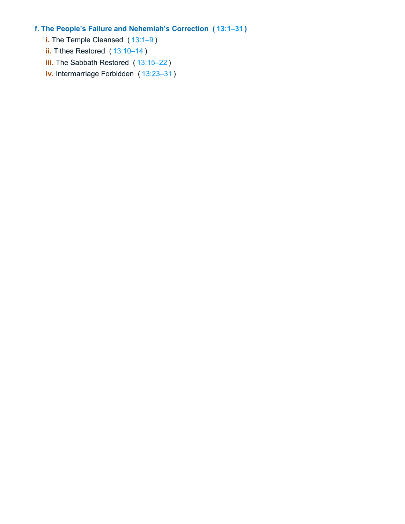## **f. The People's Failure and Nehemiah's Correction ( [13:1–31](https://biblehub.com/bsb/nehemiah/13.htm#1) )**

- **i.** The Temple Cleansed ([13:1–9](https://biblehub.com/bsb/nehemiah/13.htm#1))
- **ii.** Tithes Restored ([13:10–14](https://biblehub.com/bsb/nehemiah/13.htm#10))
- **iii.** The Sabbath Restored ([13:15–22](https://biblehub.com/bsb/nehemiah/13.htm#15))
- **iv.** Intermarriage Forbidden ( [13:23–31](https://biblehub.com/bsb/nehemiah/13.htm#23) )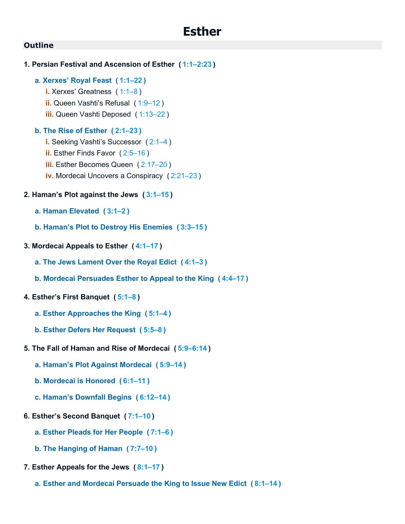- **1. Persian Festival and Ascension of Esther ( [1:1–2:23](https://biblehub.com/bsb/esther/1.htm#1) ) a. Xerxes' Royal Feast ( [1:1–22](https://biblehub.com/bsb/esther/1.htm#1) ) i.** Xerxes' Greatness ( [1:1–8](https://biblehub.com/bsb/esther/1.htm#1) ) **ii.** Queen Vashti's Refusal ( [1:9–12](https://biblehub.com/bsb/esther/1.htm#9) ) **iii.** Queen Vashti Deposed ( [1:13–22](https://biblehub.com/bsb/esther/1.htm#13) ) **b. The Rise of Esther ( [2:1–23](https://biblehub.com/bsb/esther/2.htm#1) ) i.** Seeking Vashti's Successor ( [2:1–4](https://biblehub.com/bsb/esther/2.htm#1) ) **ii.** Esther Finds Favor ( [2:5–16](https://biblehub.com/bsb/esther/2.htm#5) ) **iii.** Esther Becomes Queen ([2:17–20](https://biblehub.com/bsb/esther/2.htm#17)) **iv.** Mordecai Uncovers a Conspiracy ( [2:21–23](https://biblehub.com/bsb/esther/2.htm#21) ) **2. Haman's Plot against the Jews ( [3:1–15](https://biblehub.com/bsb/esther/3.htm#1) ) a. Haman Elevated ( [3:1–2](https://biblehub.com/bsb/esther/3.htm#1) ) b. Haman's Plot to Destroy His Enemies ( [3:3–15](https://biblehub.com/bsb/esther/3.htm#3) ) 3. Mordecai Appeals to Esther ( [4:1–17](https://biblehub.com/bsb/esther/4.htm#1) ) a. The Jews Lament Over the Royal Edict ( [4:1–3](https://biblehub.com/bsb/esther/4.htm#1) ) b. Mordecai Persuades Esther to Appeal to the King ( [4:4–17](https://biblehub.com/bsb/esther/4.htm#4) ) 4. Esther's First Banquet ( [5:1–8](https://biblehub.com/bsb/esther/5.htm#1) ) a. Esther Approaches the King ( [5:1–4](https://biblehub.com/bsb/esther/5.htm#1) ) b. Esther Defers Her Request ( [5:5–8](https://biblehub.com/bsb/esther/5.htm#5) ) 5. The Fall of Haman and Rise of Mordecai ( [5:9–6:14](https://biblehub.com/bsb/esther/5.htm#9) ) a. Haman's Plot Against Mordecai ( [5:9–14](https://biblehub.com/bsb/esther/5.htm#9) ) b. Mordecai is Honored ( [6:1–11](https://biblehub.com/bsb/esther/6.htm#1) ) c. Haman's Downfall Begins ( [6:12–14](https://biblehub.com/bsb/esther/6.htm#12) )**
- **6. Esther's Second Banquet ( [7:1–10](https://biblehub.com/bsb/esther/7.htm#1) )**
	- **a. Esther Pleads for Her People ( [7:1–6](https://biblehub.com/bsb/esther/7.htm#1) )**
	- **b. The Hanging of Haman ( [7:7–10](https://biblehub.com/bsb/esther/7.htm#7) )**
- **7. Esther Appeals for the Jews ( [8:1–17](https://biblehub.com/bsb/esther/8.htm#1) )**
	- **a. Esther and Mordecai Persuade the King to Issue New Edict ( [8:1–14](https://biblehub.com/bsb/esther/8.htm#1) )**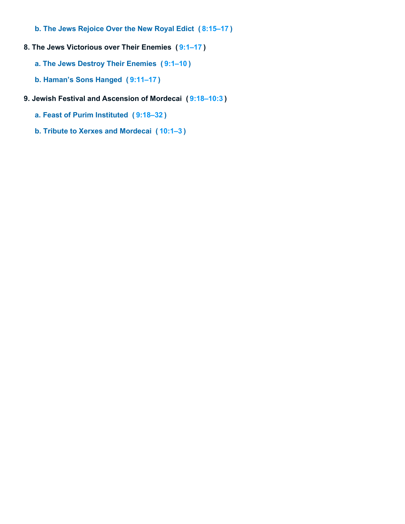- **b. The Jews Rejoice Over the New Royal Edict ( [8:15–17](https://biblehub.com/bsb/esther/8.htm#15) )**
- **8. The Jews Victorious over Their Enemies ( [9:1–17](https://biblehub.com/bsb/esther/9.htm#1) )**
	- **a. The Jews Destroy Their Enemies ( [9:1–10](https://biblehub.com/bsb/esther/9.htm#1) )**
	- **b. Haman's Sons Hanged ( [9:11–17](https://biblehub.com/bsb/esther/9.htm#11) )**
- **9. Jewish Festival and Ascension of Mordecai ( [9:18–10:3](https://biblehub.com/bsb/esther/9.htm#18) )**
	- **a. Feast of Purim Instituted ( [9:18–32](https://biblehub.com/bsb/esther/9.htm#18) )**
	- **b. Tribute to Xerxes and Mordecai ( [10:1–3](https://biblehub.com/bsb/esther/10.htm#1) )**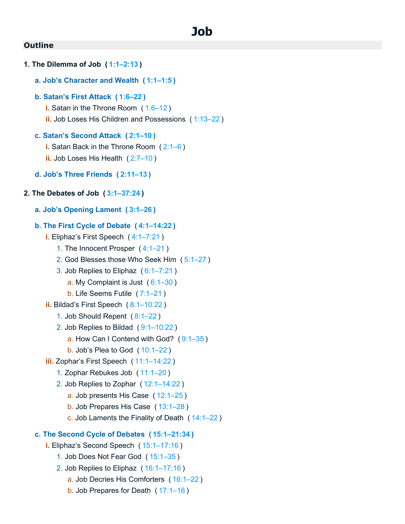**1. The Dilemma of Job ( [1:1–2:13](https://biblehub.com/bsb/job/1.htm#1) ) a. Job's Character and Wealth ( [1:1–1:5](https://biblehub.com/bsb/job/1.htm#1) ) b. Satan's First Attack ( [1:6–22](https://biblehub.com/bsb/job/1.htm#6) ) i.** Satan in the Throne Room ( [1:6–12](https://biblehub.com/bsb/job/1.htm#6) ) **ii.** Job Loses His Children and Possessions ( [1:13–22](https://biblehub.com/bsb/job/1.htm#13) ) **c. Satan's Second Attack ( [2:1–10](https://biblehub.com/bsb/job/2.htm#1) ) i.** Satan Back in the Throne Room ( [2:1–6](https://biblehub.com/bsb/job/2.htm#1) ) **ii.** Job Loses His Health ( [2:7–10](https://biblehub.com/bsb/job/2.htm#7) ) **d. Job's Three Friends ( [2:11–13](https://biblehub.com/bsb/job/2.htm#11) ) 2. The Debates of Job ( [3:1–37:24](https://biblehub.com/bsb/job/3.htm#1) ) a. Job's Opening Lament ( [3:1–26](https://biblehub.com/bsb/job/3.htm#1) ) b. The First Cycle of Debate ( [4:1–14:22](https://biblehub.com/bsb/job/4.htm#1) ) i.** Eliphaz's First Speech ( [4:1–7:21](https://biblehub.com/bsb/job/4.htm#1) ) 1. The Innocent Prosper ( [4:1–21](https://biblehub.com/bsb/job/4.htm#1) ) 2. God Blesses those Who Seek Him ( [5:1–27](https://biblehub.com/bsb/job/5.htm#1) ) 3. Job Replies to Eliphaz ( [6:1–7:21](https://biblehub.com/bsb/job/6.htm#1) ) a. My Complaint is Just  $(6:1-30)$ b. Life Seems Futile ( [7:1–21](https://biblehub.com/bsb/job/7.htm#1) ) **ii.** Bildad's First Speech ( [8:1–10:22](https://biblehub.com/bsb/job/8.htm#1) ) 1. Job Should Repent ( [8:1–22](https://biblehub.com/bsb/job/8.htm#1) ) 2. Job Replies to Bildad ( [9:1–10:22](https://biblehub.com/bsb/job/9.htm#1) ) a. How Can I Contend with God? ( [9:1–35](https://biblehub.com/bsb/job/9.htm#1) ) b. Job's Plea to God ( [10:1–22](https://biblehub.com/bsb/job/10.htm#1) ) **iii.** Zophar's First Speech ( [11:1–14:22](https://biblehub.com/bsb/job/11.htm#1) ) 1. Zophar Rebukes Job ( [11:1–20](https://biblehub.com/bsb/job/11.htm#1) ) 2. Job Replies to Zophar ( [12:1–14:22](https://biblehub.com/bsb/job/12.htm#1) ) a. Job presents His Case ( [12:1–25](https://biblehub.com/bsb/job/12.htm#1) ) b. Job Prepares His Case ( [13:1–28](https://biblehub.com/bsb/job/13.htm#1) ) c. Job Laments the Finality of Death ( [14:1–22](https://biblehub.com/bsb/job/14.htm#1) ) **c. The Second Cycle of Debates ( [15:1–21:34](https://biblehub.com/bsb/job/15.htm#1) ) i.** Eliphaz's Second Speech ( [15:1–17:16](https://biblehub.com/bsb/job/15.htm#1) ) 1. Job Does Not Fear God ( [15:1–35](https://biblehub.com/bsb/job/15.htm#1) ) 2. Job Replies to Eliphaz ( [16:1–17:16](https://biblehub.com/bsb/job/16.htm#1) ) a. Job Decries His Comforters ( [16:1–22](https://biblehub.com/bsb/job/16.htm#1) ) b. Job Prepares for Death ( [17:1–16](https://biblehub.com/bsb/job/17.htm#1) )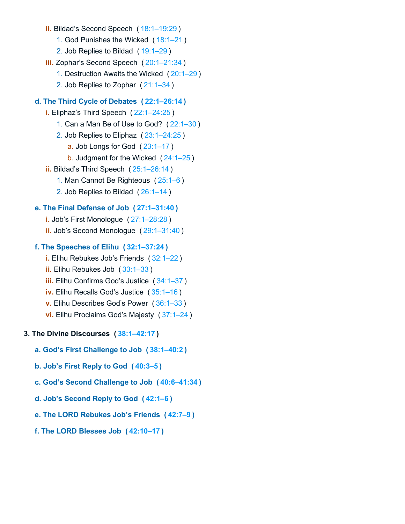- **ii.** Bildad's Second Speech ( [18:1–19:29](https://biblehub.com/bsb/job/18.htm#1) )
	- 1. God Punishes the Wicked ( [18:1–21](https://biblehub.com/bsb/job/18.htm#1) )
	- 2. Job Replies to Bildad ( [19:1–29](https://biblehub.com/bsb/job/19.htm#1) )
- **iii.** Zophar's Second Speech ( [20:1–21:34](https://biblehub.com/bsb/job/20.htm#1) )
	- 1. Destruction Awaits the Wicked ( [20:1–29](https://biblehub.com/bsb/job/20.htm#1) )
	- 2. Job Replies to Zophar ( [21:1–34](https://biblehub.com/bsb/job/21.htm#1) )

#### **d. The Third Cycle of Debates ( [22:1–26:14](https://biblehub.com/bsb/job/22.htm#1) )**

- **i.** Eliphaz's Third Speech ( [22:1–24:25](https://biblehub.com/bsb/job/22.htm#1) )
	- 1. Can a Man Be of Use to God? ( [22:1–30](https://biblehub.com/bsb/job/22.htm#1) )
	- 2. Job Replies to Eliphaz ( [23:1–24:25](https://biblehub.com/bsb/job/23.htm#1) )
		- a. Job Longs for God ( [23:1–17](https://biblehub.com/bsb/job/23.htm#1) )
		- b. Judgment for the Wicked ( [24:1–25](https://biblehub.com/bsb/job/24.htm#1) )
- **ii.** Bildad's Third Speech ( [25:1–26:14](https://biblehub.com/bsb/job/25.htm#1) )
	- 1. Man Cannot Be Righteous ( [25:1–6](https://biblehub.com/bsb/job/25.htm#1) )
	- 2. Job Replies to Bildad ( [26:1–14](https://biblehub.com/bsb/job/26.htm#1) )

## **e. The Final Defense of Job ( [27:1–31:40](https://biblehub.com/bsb/job/27.htm#1) )**

- **i.** Job's First Monologue ( [27:1–28:28](https://biblehub.com/bsb/job/27.htm#1) )
- **ii.** Job's Second Monologue ( [29:1–31:40](https://biblehub.com/bsb/job/29.htm#1) )

## **f. The Speeches of Elihu ( [32:1–37:24](https://biblehub.com/bsb/job/32.htm#1) )**

- **i.** Elihu Rebukes Job's Friends ( [32:1–22](https://biblehub.com/bsb/job/32.htm#1) )
- **ii.** Elihu Rebukes Job ( [33:1–33](https://biblehub.com/bsb/job/33.htm#1) )
- **iii.** Elihu Confirms God's Justice ( [34:1–37](https://biblehub.com/bsb/job/34.htm#1) )
- **iv.** Elihu Recalls God's Justice ( [35:1–16](https://biblehub.com/bsb/job/35.htm#1) )
- **v.** Elihu Describes God's Power ( [36:1–33](https://biblehub.com/bsb/job/36.htm#1) )
- **vi.** Elihu Proclaims God's Majesty ( [37:1–24](https://biblehub.com/bsb/job/37.htm#1) )
- **3. The Divine Discourses ( [38:1–42:17](https://biblehub.com/bsb/job/38.htm#1) )**
	- **a. God's First Challenge to Job ( [38:1–40:2](https://biblehub.com/bsb/job/38.htm#1) )**
	- **b. Job's First Reply to God ( [40:3–5](https://biblehub.com/bsb/job/40.htm#3) )**
	- **c. God's Second Challenge to Job ( [40:6–41:34](https://biblehub.com/bsb/job/40.htm#6) )**
	- **d. Job's Second Reply to God ( [42:1–6](https://biblehub.com/bsb/job/42.htm#1) )**
	- **e. The LORD Rebukes Job's Friends ( [42:7–9](https://biblehub.com/bsb/job/42.htm#7) )**
	- **f. The LORD Blesses Job ( [42:10–17](https://biblehub.com/bsb/job/42.htm#10) )**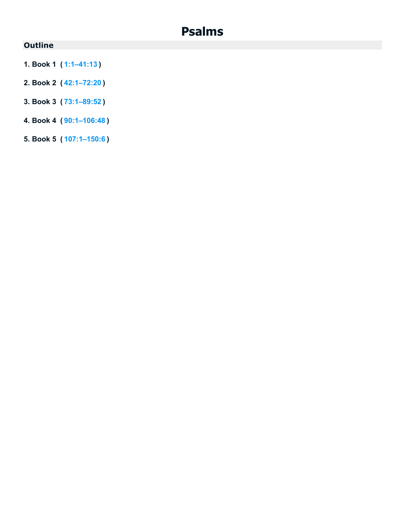# **Psalms**

# **Outline**

- **1. Book 1 ( [1:1–41:13](https://biblehub.com/bsb/psalms/1.htm#1) )**
- **2. Book 2 ( [42:1–72:20](https://biblehub.com/bsb/psalms/42.htm#1) )**
- **3. Book 3 ( [73:1–89:52](https://biblehub.com/bsb/psalms/73.htm#1) )**
- **4. Book 4 ( [90:1–106:48](https://biblehub.com/bsb/psalms/90.htm#1) )**
- **5. Book 5 ( [107:1–150:6](https://biblehub.com/bsb/psalms/107.htm#1) )**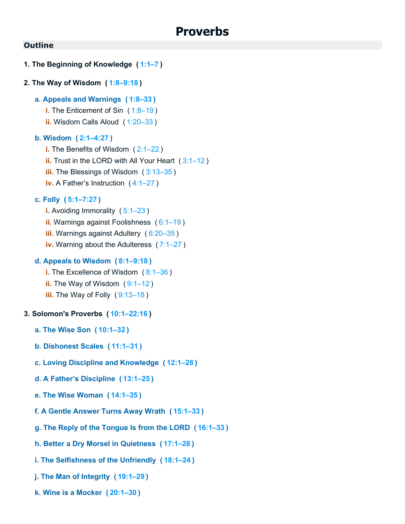## **1. The Beginning of Knowledge ( [1:1–7](https://biblehub.com/bsb/proverbs/1.htm#1) )**

## **2. The Way of Wisdom ( [1:8–9:18](https://biblehub.com/bsb/proverbs/1.htm#8) )**

- **a. Appeals and Warnings ( [1:8–33](https://biblehub.com/bsb/proverbs/1.htm#8) )**
	- **i.** The Enticement of Sin (1:8-19)
	- **ii.** Wisdom Calls Aloud ( [1:20–33](https://biblehub.com/bsb/proverbs/1.htm#20) )

#### **b. Wisdom ( [2:1–4:27](https://biblehub.com/bsb/proverbs/2.htm#1) )**

**i.** The Benefits of Wisdom ( [2:1–22](https://biblehub.com/bsb/proverbs/2.htm#1) ) **ii.** Trust in the LORD with All Your Heart ( [3:1–12](https://biblehub.com/bsb/proverbs/3.htm#1) ) **iii.** The Blessings of Wisdom ( [3:13–35](https://biblehub.com/bsb/proverbs/3.htm#13) ) **iv.** A Father's Instruction ( [4:1–27](https://biblehub.com/bsb/proverbs/4.htm#1) )

#### **c. Folly ( [5:1–7:27](https://biblehub.com/bsb/proverbs/5.htm#1) )**

**i.** Avoiding Immorality (5:1-23) **ii.** Warnings against Foolishness ( [6:1–19](https://biblehub.com/bsb/proverbs/6.htm#1) ) **iii.** Warnings against Adultery ( [6:20–35](https://biblehub.com/bsb/proverbs/6.htm#20) ) **iv.** Warning about the Adulteress ( [7:1–27](https://biblehub.com/bsb/proverbs/7.htm#1) )

#### **d. Appeals to Wisdom ( [8:1–9:18](https://biblehub.com/bsb/proverbs/8.htm#1) )**

- **i.** The Excellence of Wisdom ( [8:1–36](https://biblehub.com/bsb/proverbs/8.htm#1) )
- **ii.** The Way of Wisdom (9:1-12)
- **iii.** The Way of Folly ( [9:13–18](https://biblehub.com/bsb/proverbs/9.htm#13) )

#### **3. Solomon's Proverbs ( [10:1–22:16](https://biblehub.com/bsb/proverbs/10.htm#1) )**

- **a. The Wise Son ( [10:1–32](https://biblehub.com/bsb/proverbs/10.htm#1) )**
- **b. Dishonest Scales ( [11:1–31](https://biblehub.com/bsb/proverbs/11.htm#1) )**
- **c. Loving Discipline and Knowledge ( [12:1–28](https://biblehub.com/bsb/proverbs/12.htm#1) )**
- **d. A Father's Discipline ( [13:1–25](https://biblehub.com/bsb/proverbs/13.htm#1) )**
- **e. The Wise Woman ( [14:1–35](https://biblehub.com/bsb/proverbs/14.htm#1) )**
- **f. A Gentle Answer Turns Away Wrath ( [15:1–33](https://biblehub.com/bsb/proverbs/15.htm#1) )**
- **g. The Reply of the Tongue Is from the LORD ( [16:1–33](https://biblehub.com/bsb/proverbs/16.htm#1) )**
- **h. Better a Dry Morsel in Quietness ( [17:1–28](https://biblehub.com/bsb/proverbs/17.htm#1) )**
- **i. The Selfishness of the Unfriendly ( [18:1–24](https://biblehub.com/bsb/proverbs/18.htm#1) )**
- **j. The Man of Integrity ( [19:1–29](https://biblehub.com/bsb/proverbs/19.htm#1) )**
- **k. Wine is a Mocker ( [20:1–30](https://biblehub.com/bsb/proverbs/20.htm#1) )**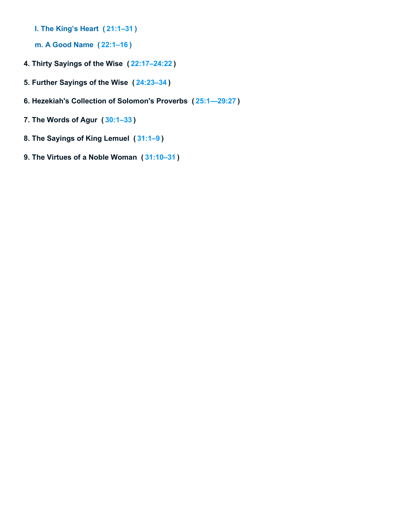- **l. The King's Heart ( [21:1–31](https://biblehub.com/bsb/proverbs/21.htm#1) )**
- **m. A Good Name ( [22:1–16](https://biblehub.com/bsb/proverbs/22.htm#1) )**
- **4. Thirty Sayings of the Wise ( [22:17–24:22](https://biblehub.com/bsb/proverbs/22.htm#17) )**
- **5. Further Sayings of the Wise ( [24:23–34](https://biblehub.com/bsb/proverbs/24.htm#23) )**
- **6. Hezekiah's Collection of Solomon's Proverbs ( [25:1—29:27](https://biblehub.com/bsb/proverbs/25.htm#1%E2%80%9429.htm#27) )**
- **7. The Words of Agur ( [30:1–33](https://biblehub.com/bsb/proverbs/30.htm#1) )**
- **8. The Sayings of King Lemuel ( [31:1–9](https://biblehub.com/bsb/proverbs/31.htm#1) )**
- **9. The Virtues of a Noble Woman ( [31:10–31](https://biblehub.com/bsb/proverbs/31.htm#10) )**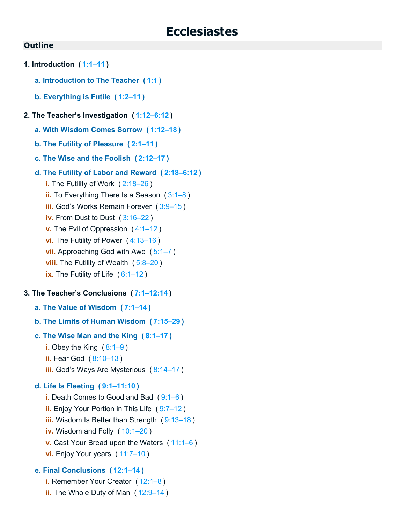- **1. Introduction ( [1:1–11](https://biblehub.com/bsb/ecclesiastes/1.htm#1) )**
	- **a. Introduction to The Teacher ( [1:1](https://biblehub.com/bsb/ecclesiastes/1.htm#1) )**
	- **b. Everything is Futile ( [1:2–11](https://biblehub.com/bsb/ecclesiastes/1.htm#2) )**
- **2. The Teacher's Investigation ( [1:12–6:12](https://biblehub.com/bsb/ecclesiastes/1.htm#12) )**
	- **a. With Wisdom Comes Sorrow ( [1:12–18](https://biblehub.com/bsb/ecclesiastes/1.htm#12) )**
	- **b. The Futility of Pleasure ( [2:1–11](https://biblehub.com/bsb/ecclesiastes/2.htm#1) )**
	- **c. The Wise and the Foolish ( [2:12–17](https://biblehub.com/bsb/ecclesiastes/2.htm#12) )**
	- **d. The Futility of Labor and Reward ( [2:18–6:12](https://biblehub.com/bsb/ecclesiastes/2.htm#18) )**
		- **i.** The Futility of Work ( [2:18–26](https://biblehub.com/bsb/ecclesiastes/2.htm#18) ) **ii.** To Everything There Is a Season ( [3:1–8](https://biblehub.com/bsb/ecclesiastes/3.htm#1) )
		- **iii.** God's Works Remain Forever ( [3:9–15](https://biblehub.com/bsb/ecclesiastes/3.htm#9) )
		- **iv.** From Dust to Dust ( [3:16–22](https://biblehub.com/bsb/ecclesiastes/3.htm#16) )
		- **v.** The Evil of Oppression ( [4:1–12](https://biblehub.com/bsb/ecclesiastes/4.htm#1) )
		- **vi.** The Futility of Power (4:13-16)
		- **vii.** Approaching God with Awe ( [5:1–7](https://biblehub.com/bsb/ecclesiastes/5.htm#1) )
		- **viii.** The Futility of Wealth ([5:8–20](https://biblehub.com/bsb/ecclesiastes/5.htm#8))
		- **ix.** The Futility of Life ([6:1–12](https://biblehub.com/bsb/ecclesiastes/6.htm#1))

## **3. The Teacher's Conclusions ( [7:1–12:14](https://biblehub.com/bsb/ecclesiastes/7.htm#1) )**

- **a. The Value of Wisdom ( [7:1–14](https://biblehub.com/bsb/ecclesiastes/7.htm#1) )**
- **b. The Limits of Human Wisdom ( [7:15–29](https://biblehub.com/bsb/ecclesiastes/7.htm#15) )**
- **c. The Wise Man and the King ( [8:1–17](https://biblehub.com/bsb/ecclesiastes/8.htm#1) )**
	- **i.** Obey the King ( [8:1–9](https://biblehub.com/bsb/ecclesiastes/8.htm#1) )
	- **ii.** Fear God ( [8:10–13](https://biblehub.com/bsb/ecclesiastes/8.htm#10) )
	- **iii.** God's Ways Are Mysterious ( [8:14–17](https://biblehub.com/bsb/ecclesiastes/8.htm#14) )

## **d. Life Is Fleeting ( [9:1–11:10](https://biblehub.com/bsb/ecclesiastes/9.htm#1) )**

**i.** Death Comes to Good and Bad ( [9:1–6](https://biblehub.com/bsb/ecclesiastes/9.htm#1) ) **ii.** Enjoy Your Portion in This Life ( [9:7–12](https://biblehub.com/bsb/ecclesiastes/9.htm#7) ) **iii.** Wisdom Is Better than Strength ( $9:13-18$ ) **iv.** Wisdom and Folly ([10:1–20](https://biblehub.com/bsb/ecclesiastes/10.htm#1)) **v.** Cast Your Bread upon the Waters ( [11:1–6](https://biblehub.com/bsb/ecclesiastes/11.htm#1) ) **vi.** Enjoy Your years ( [11:7–10](https://biblehub.com/bsb/ecclesiastes/11.htm#7) )

## **e. Final Conclusions ( [12:1–14](https://biblehub.com/bsb/ecclesiastes/12.htm#1) )**

- **i.** Remember Your Creator ([12:1–8](https://biblehub.com/bsb/ecclesiastes/12.htm#1))
- **ii.** The Whole Duty of Man ( [12:9–14](https://biblehub.com/bsb/ecclesiastes/12.htm#9) )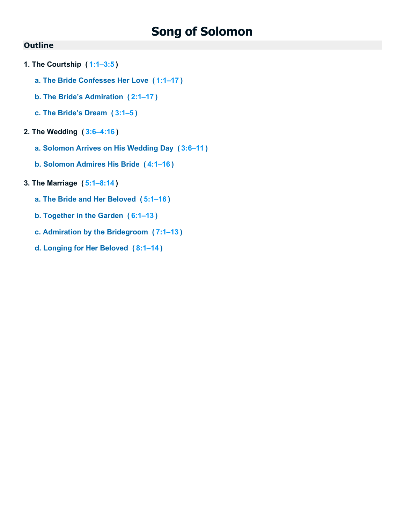- **1. The Courtship ( [1:1–3:5](https://biblehub.com/bsb/songs/1.htm#1) )**
	- **a. The Bride Confesses Her Love ( [1:1–17](https://biblehub.com/bsb/songs/1.htm#1) )**
	- **b. The Bride's Admiration ( [2:1–17](https://biblehub.com/bsb/songs/2.htm#1) )**
	- **c. The Bride's Dream ( [3:1–5](https://biblehub.com/bsb/songs/3.htm#1) )**
- **2. The Wedding ( [3:6–4:16](https://biblehub.com/bsb/songs/3.htm#6) )**
	- **a. Solomon Arrives on His Wedding Day ( [3:6–11](https://biblehub.com/bsb/songs/3.htm#6) )**
	- **b. Solomon Admires His Bride ( [4:1–16](https://biblehub.com/bsb/songs/4.htm#1) )**
- **3. The Marriage ( [5:1–8:14](https://biblehub.com/bsb/songs/5.htm#1) )**
	- **a. The Bride and Her Beloved ( [5:1–16](https://biblehub.com/bsb/songs/5.htm#1) )**
	- **b. Together in the Garden ( [6:1–13](https://biblehub.com/bsb/songs/6.htm#1) )**
	- **c. Admiration by the Bridegroom ( [7:1–13](https://biblehub.com/bsb/songs/7.htm#1) )**
	- **d. Longing for Her Beloved ( [8:1–14](https://biblehub.com/bsb/songs/8.htm#1) )**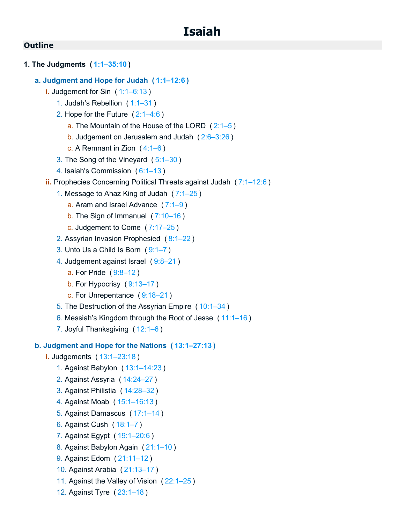# **1. The Judgments ( [1:1–35:10](https://biblehub.com/bsb/isaiah/1.htm#1) )**

## **a. Judgment and Hope for Judah ( [1:1–12:6](https://biblehub.com/bsb/isaiah/1.htm#1) )**

- **i.** Judgement for Sin ( [1:1–6:13](https://biblehub.com/bsb/isaiah/1.htm#1) )
	- 1. Judah's Rebellion ( [1:1–31](https://biblehub.com/bsb/isaiah/1.htm#1) )
	- 2. Hope for the Future ( [2:1–4:6](https://biblehub.com/bsb/isaiah/2.htm#1) )
		- a. The Mountain of the House of the LORD  $(2:1-5)$
		- b. Judgement on Jerusalem and Judah ( [2:6–3:26](https://biblehub.com/bsb/isaiah/2.htm#6) )
		- c. A Remnant in Zion  $(4:1-6)$
	- 3. The Song of the Vineyard ( [5:1–30](https://biblehub.com/bsb/isaiah/5.htm#1) )
	- 4. Isaiah's Commission ( [6:1–13](https://biblehub.com/bsb/isaiah/6.htm#1) )
- **ii.** Prophecies Concerning Political Threats against Judah ( [7:1–12:6](https://biblehub.com/bsb/isaiah/7.htm#1) )
	- 1. Message to Ahaz King of Judah ( [7:1–25](https://biblehub.com/bsb/isaiah/7.htm#1) )
		- a. Aram and Israel Advance ( [7:1–9](https://biblehub.com/bsb/isaiah/7.htm#1) )
		- b. The Sign of Immanuel ( [7:10–16](https://biblehub.com/bsb/isaiah/7.htm#10) )
		- c. Judgement to Come ( [7:17–25](https://biblehub.com/bsb/isaiah/7.htm#17) )
	- 2. Assyrian Invasion Prophesied ( [8:1–22](https://biblehub.com/bsb/isaiah/8.htm#1) )
	- 3. Unto Us a Child Is Born ( [9:1–7](https://biblehub.com/bsb/isaiah/9.htm#1) )
	- 4. Judgement against Israel ( [9:8–21](https://biblehub.com/bsb/isaiah/9.htm#8) )
		- a. For Pride ( [9:8–12](https://biblehub.com/bsb/isaiah/9.htm#8) )
		- b. For Hypocrisy ( [9:13–17](https://biblehub.com/bsb/isaiah/9.htm#13) )
		- c. For Unrepentance ( [9:18–21](https://biblehub.com/bsb/isaiah/9.htm#18) )
	- 5. The Destruction of the Assyrian Empire ( [10:1–34](https://biblehub.com/bsb/isaiah/10.htm#1) )
	- 6. Messiah's Kingdom through the Root of Jesse ( [11:1–16](https://biblehub.com/bsb/isaiah/11.htm#1) )
	- 7. Joyful Thanksgiving ( [12:1–6](https://biblehub.com/bsb/isaiah/12.htm#1) )

## **b. Judgment and Hope for the Nations ( [13:1–27:13](https://biblehub.com/bsb/isaiah/13.htm#1) )**

- **i.** Judgements ( [13:1–23:18](https://biblehub.com/bsb/isaiah/13.htm#1) )
	- 1. Against Babylon ( [13:1–14:23](https://biblehub.com/bsb/isaiah/13.htm#1) )
	- 2. Against Assyria ( [14:24–27](https://biblehub.com/bsb/isaiah/14.htm#24) )
	- 3. Against Philistia ( [14:28–32](https://biblehub.com/bsb/isaiah/14.htm#28) )
	- 4. Against Moab ( [15:1–16:13](https://biblehub.com/bsb/isaiah/15.htm#1) )
	- 5. Against Damascus ( [17:1–14](https://biblehub.com/bsb/isaiah/17.htm#1) )
	- 6. Against Cush ( [18:1–7](https://biblehub.com/bsb/isaiah/18.htm#1) )
	- 7. Against Egypt ( [19:1–20:6](https://biblehub.com/bsb/isaiah/19.htm#1) )
	- 8. Against Babylon Again ( [21:1–10](https://biblehub.com/bsb/isaiah/21.htm#1) )
	- 9. Against Edom ( [21:11–12](https://biblehub.com/bsb/isaiah/21.htm#11) )
	- 10. Against Arabia ( [21:13–17](https://biblehub.com/bsb/isaiah/21.htm#13) )
	- 11. Against the Valley of Vision ( [22:1–25](https://biblehub.com/bsb/isaiah/22.htm#1) )
	- 12. Against Tyre ( [23:1–18](https://biblehub.com/bsb/isaiah/23.htm#1) )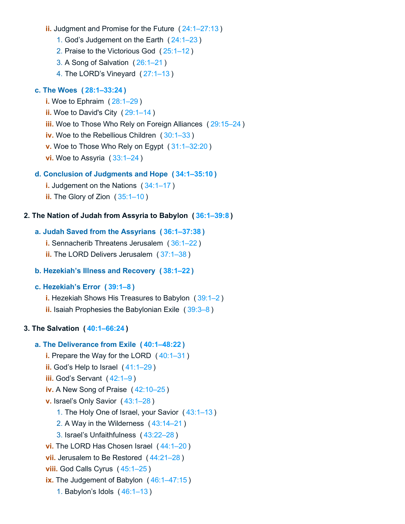- **ii.** Judgment and Promise for the Future ( [24:1–27:13](https://biblehub.com/bsb/isaiah/24.htm#1) )
	- 1. God's Judgement on the Earth ( [24:1–23](https://biblehub.com/bsb/isaiah/24.htm#1) )
	- 2. Praise to the Victorious God ( [25:1–12](https://biblehub.com/bsb/isaiah/25.htm#1) )
	- 3. A Song of Salvation ( [26:1–21](https://biblehub.com/bsb/isaiah/26.htm#1) )
	- 4. The LORD's Vineyard ( [27:1–13](https://biblehub.com/bsb/isaiah/27.htm#1) )

## **c. The Woes ( [28:1–33:24](https://biblehub.com/bsb/isaiah/28.htm#1) )**

- **i.** Woe to Ephraim ( [28:1–29](https://biblehub.com/bsb/isaiah/28.htm#1) )
- **ii.** Woe to David's City ( $29:1-14$ )
- **iii.** Woe to Those Who Rely on Foreign Alliances ( [29:15–24](https://biblehub.com/bsb/isaiah/29.htm#15) )
- **iv.** Woe to the Rebellious Children ( [30:1–33](https://biblehub.com/bsb/isaiah/30.htm#1) )
- **v.** Woe to Those Who Rely on Egypt ( [31:1–32:20](https://biblehub.com/bsb/isaiah/31.htm#1) )
- **vi.** Woe to Assyria ( [33:1–24](https://biblehub.com/bsb/isaiah/33.htm#1) )

#### **d. Conclusion of Judgments and Hope ( [34:1–35:10](https://biblehub.com/bsb/isaiah/34.htm#1) )**

- **i.** Judgement on the Nations ( [34:1–17](https://biblehub.com/bsb/isaiah/34.htm#1) )
- **ii.** The Glory of Zion ( [35:1–10](https://biblehub.com/bsb/isaiah/35.htm#1) )

## **2. The Nation of Judah from Assyria to Babylon ( [36:1–39:8](https://biblehub.com/bsb/isaiah/36.htm#1) )**

## **a. Judah Saved from the Assyrians ( [36:1–37:38](https://biblehub.com/bsb/isaiah/36.htm#1) )**

- **i.** Sennacherib Threatens Jerusalem ( [36:1–22](https://biblehub.com/bsb/isaiah/36.htm#1) )
- **ii.** The LORD Delivers Jerusalem ( [37:1–38](https://biblehub.com/bsb/isaiah/37.htm#1) )

## **b. Hezekiah's Illness and Recovery ( [38:1–22](https://biblehub.com/bsb/isaiah/38.htm#1) )**

## **c. Hezekiah's Error ( [39:1–8](https://biblehub.com/bsb/isaiah/39.htm#1) )**

**i.** Hezekiah Shows His Treasures to Babylon ( [39:1–2](https://biblehub.com/bsb/isaiah/39.htm#1) ) **ii.** Isaiah Prophesies the Babylonian Exile ( [39:3–8](https://biblehub.com/bsb/isaiah/39.htm#3) )

#### **3. The Salvation ( [40:1–66:24](https://biblehub.com/bsb/isaiah/40.htm#1) )**

## **a. The Deliverance from Exile ( [40:1–48:22](https://biblehub.com/bsb/isaiah/40.htm#1) )**

- **i.** Prepare the Way for the LORD ( [40:1–31](https://biblehub.com/bsb/isaiah/40.htm#1) )
- **ii.** God's Help to Israel ( [41:1–29](https://biblehub.com/bsb/isaiah/41.htm#1) )
- **iii.** God's Servant ([42:1–9](https://biblehub.com/bsb/isaiah/42.htm#1))
- **iv.** A New Song of Praise ( [42:10–25](https://biblehub.com/bsb/isaiah/42.htm#10) )
- **v.** Israel's Only Savior ( [43:1–28](https://biblehub.com/bsb/isaiah/43.htm#1) )
	- 1. The Holy One of Israel, your Savior ( [43:1–13](https://biblehub.com/bsb/isaiah/43.htm#1) )
	- 2. A Way in the Wilderness ( [43:14–21](https://biblehub.com/bsb/isaiah/43.htm#14) )
	- 3. Israel's Unfaithfulness ( [43:22–28](https://biblehub.com/bsb/isaiah/43.htm#22) )
- **vi.** The LORD Has Chosen Israel ( [44:1–20](https://biblehub.com/bsb/isaiah/44.htm#1) )
- **vii.** Jerusalem to Be Restored ( [44:21–28](https://biblehub.com/bsb/isaiah/44.htm#21) )
- **viii.** God Calls Cyrus ( [45:1–25](https://biblehub.com/bsb/isaiah/45.htm#1) )
- **ix.** The Judgement of Babylon ( [46:1–47:15](https://biblehub.com/bsb/isaiah/46.htm#1) )
	- 1. Babylon's Idols ( [46:1–13](https://biblehub.com/bsb/isaiah/46.htm#1) )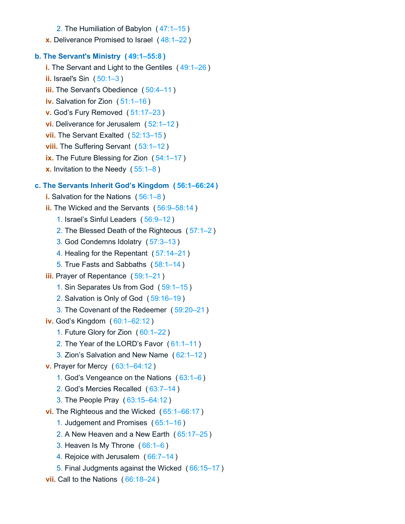- 2. The Humiliation of Babylon ( [47:1–15](https://biblehub.com/bsb/isaiah/47.htm#1) )
- **x.** Deliverance Promised to Israel ( [48:1–22](https://biblehub.com/bsb/isaiah/48.htm#1) )

#### **b. The Servant's Ministry ( [49:1–55:8](https://biblehub.com/bsb/isaiah/49.htm#1) )**

- **i.** The Servant and Light to the Gentiles ( [49:1–26](https://biblehub.com/bsb/isaiah/49.htm#1) ) **ii.** Israel's Sin ( [50:1–3](https://biblehub.com/bsb/isaiah/50.htm#1) ) **iii.** The Servant's Obedience (50:4-11) **iv.** Salvation for Zion ( [51:1–16](https://biblehub.com/bsb/isaiah/51.htm#1) ) **v.** God's Fury Removed ( [51:17–23](https://biblehub.com/bsb/isaiah/51.htm#17) ) **vi.** Deliverance for Jerusalem ( [52:1–12](https://biblehub.com/bsb/isaiah/52.htm#1) ) **vii.** The Servant Exalted (52:13-15) **viii.** The Suffering Servant ( [53:1–12](https://biblehub.com/bsb/isaiah/53.htm#1) ) **ix.** The Future Blessing for Zion ([54:1–17](https://biblehub.com/bsb/isaiah/54.htm#1))
- **x.** Invitation to the Needy ( [55:1–8](https://biblehub.com/bsb/isaiah/55.htm#1) )

## **c. The Servants Inherit God's Kingdom ( [56:1–66:24](https://biblehub.com/bsb/isaiah/56.htm#1) )**

- **i.** Salvation for the Nations ( [56:1–8](https://biblehub.com/bsb/isaiah/56.htm#1) )
- **ii.** The Wicked and the Servants ( [56:9–58:14](https://biblehub.com/bsb/isaiah/56.htm#9) )
	- 1. Israel's Sinful Leaders ( [56:9–12](https://biblehub.com/bsb/isaiah/56.htm#9) )
	- 2. The Blessed Death of the Righteous ( [57:1–2](https://biblehub.com/bsb/isaiah/57.htm#1) )
	- 3. God Condemns Idolatry ( [57:3–13](https://biblehub.com/bsb/isaiah/57.htm#3) )
	- 4. Healing for the Repentant ( [57:14–21](https://biblehub.com/bsb/isaiah/57.htm#14) )
	- 5. True Fasts and Sabbaths ( [58:1–14](https://biblehub.com/bsb/isaiah/58.htm#1) )
- **iii.** Prayer of Repentance ([59:1–21](https://biblehub.com/bsb/isaiah/59.htm#1))
	- 1. Sin Separates Us from God ( [59:1–15](https://biblehub.com/bsb/isaiah/59.htm#1) )
	- 2. Salvation is Only of God ( [59:16–19](https://biblehub.com/bsb/isaiah/59.htm#16) )
	- 3. The Covenant of the Redeemer ( [59:20–21](https://biblehub.com/bsb/isaiah/59.htm#20) )
- **iv.** God's Kingdom ( [60:1–62:12](https://biblehub.com/bsb/isaiah/60.htm#1) )
	- 1. Future Glory for Zion ( [60:1–22](https://biblehub.com/bsb/isaiah/60.htm#1) )
	- 2. The Year of the LORD's Favor ( [61:1–11](https://biblehub.com/bsb/isaiah/61.htm#1) )
	- 3. Zion's Salvation and New Name ( [62:1–12](https://biblehub.com/bsb/isaiah/62.htm#1) )
- **v.** Prayer for Mercy ( [63:1–64:12](https://biblehub.com/bsb/isaiah/63.htm#1) )
	- 1. God's Vengeance on the Nations ( [63:1–6](https://biblehub.com/bsb/isaiah/63.htm#1) )
	- 2. God's Mercies Recalled ( [63:7–14](https://biblehub.com/bsb/isaiah/63.htm#7) )
	- 3. The People Pray ( [63:15–64:12](https://biblehub.com/bsb/isaiah/63.htm#15) )
- **vi.** The Righteous and the Wicked ( [65:1–66:17](https://biblehub.com/bsb/isaiah/65.htm#1) )
	- 1. Judgement and Promises ( [65:1–16](https://biblehub.com/bsb/isaiah/65.htm#1) )
	- 2. A New Heaven and a New Earth ( [65:17–25](https://biblehub.com/bsb/isaiah/65.htm#17) )
	- 3. Heaven Is My Throne ( [66:1–6](https://biblehub.com/bsb/isaiah/66.htm#1) )
	- 4. Rejoice with Jerusalem ( [66:7–14](https://biblehub.com/bsb/isaiah/66.htm#7) )
	- 5. Final Judgments against the Wicked ( [66:15–17](https://biblehub.com/bsb/isaiah/66.htm#15) )
- **vii.** Call to the Nations ( [66:18–24](https://biblehub.com/bsb/isaiah/66.htm#18) )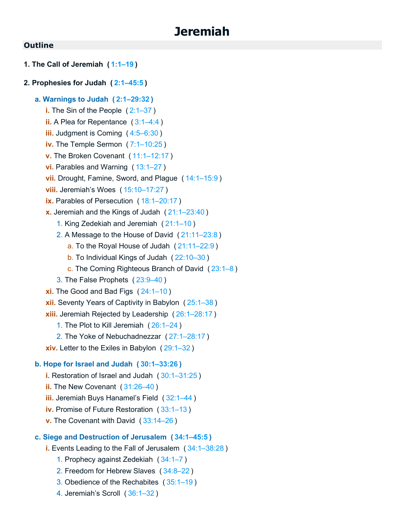# **1. The Call of Jeremiah ( [1:1–19](https://biblehub.com/bsb/jeremiah/1.htm#1) )**

#### **2. Prophesies for Judah ( [2:1–45:5](https://biblehub.com/bsb/jeremiah/2.htm#1) )**

#### **a. Warnings to Judah ( [2:1–29:32](https://biblehub.com/bsb/jeremiah/2.htm#1) )**

- **i.** The Sin of the People ([2:1–37](https://biblehub.com/bsb/jeremiah/2.htm#1))
- **ii.** A Plea for Repentance ([3:1–4:4](https://biblehub.com/bsb/jeremiah/3.htm#1))
- **iii.** Judgment is Coming ( [4:5–6:30](https://biblehub.com/bsb/jeremiah/4.htm#5) )
- **iv.** The Temple Sermon ( [7:1–10:25](https://biblehub.com/bsb/jeremiah/7.htm#1) )
- **v.** The Broken Covenant ( [11:1–12:17](https://biblehub.com/bsb/jeremiah/11.htm#1) )
- **vi.** Parables and Warning ( [13:1–27](https://biblehub.com/bsb/jeremiah/13.htm#1) )
- **vii.** Drought, Famine, Sword, and Plague ( [14:1–15:9](https://biblehub.com/bsb/jeremiah/14.htm#1) )
- **viii.** Jeremiah's Woes ( [15:10–17:27](https://biblehub.com/bsb/jeremiah/15.htm#10) )
- **ix.** Parables of Persecution ( [18:1–20:17](https://biblehub.com/bsb/jeremiah/18.htm#1) )
- **x.** Jeremiah and the Kings of Judah ( [21:1–23:40](https://biblehub.com/bsb/jeremiah/21.htm#1) )
	- 1. King Zedekiah and Jeremiah ( [21:1–10](https://biblehub.com/bsb/jeremiah/21.htm#1) )
	- 2. A Message to the House of David ( [21:11–23:8](https://biblehub.com/bsb/jeremiah/21.htm#11) )
		- a. To the Royal House of Judah ( [21:11–22:9](https://biblehub.com/bsb/jeremiah/21.htm#11) )
		- b. To Individual Kings of Judah ( [22:10–30](https://biblehub.com/bsb/jeremiah/22.htm#10) )
		- c. The Coming Righteous Branch of David ( [23:1–8](https://biblehub.com/bsb/jeremiah/23.htm#1) )
	- 3. The False Prophets ( [23:9–40](https://biblehub.com/bsb/jeremiah/23.htm#9) )
- **xi.** The Good and Bad Figs ( [24:1–10](https://biblehub.com/bsb/jeremiah/24.htm#1) )
- **xii.** Seventy Years of Captivity in Babylon ( [25:1–38](https://biblehub.com/bsb/jeremiah/25.htm#1) )
- **xiii.** Jeremiah Rejected by Leadership ( [26:1–28:17](https://biblehub.com/bsb/jeremiah/26.htm#1) )
	- 1. The Plot to Kill Jeremiah ( [26:1–24](https://biblehub.com/bsb/jeremiah/26.htm#1) )
	- 2. The Yoke of Nebuchadnezzar ( [27:1–28:17](https://biblehub.com/bsb/jeremiah/27.htm#1) )
- **xiv.** Letter to the Exiles in Babylon ( [29:1–32](https://biblehub.com/bsb/jeremiah/29.htm#1) )

#### **b. Hope for Israel and Judah ( [30:1–33:26](https://biblehub.com/bsb/jeremiah/30.htm#1) )**

- **i.** Restoration of Israel and Judah ( [30:1–31:25](https://biblehub.com/bsb/jeremiah/30.htm#1) )
- **ii.** The New Covenant ( [31:26–40](https://biblehub.com/bsb/jeremiah/31.htm#26) )
- **iii.** Jeremiah Buys Hanamel's Field ( [32:1–44](https://biblehub.com/bsb/jeremiah/32.htm#1) )
- **iv.** Promise of Future Restoration ( [33:1–13](https://biblehub.com/bsb/jeremiah/33.htm#1) )
- **v.** The Covenant with David ( [33:14–26](https://biblehub.com/bsb/jeremiah/33.htm#14) )

#### **c. Siege and Destruction of Jerusalem ( [34:1–45:5](https://biblehub.com/bsb/jeremiah/34.htm#1) )**

- **i.** Events Leading to the Fall of Jerusalem ( [34:1–38:28](https://biblehub.com/bsb/jeremiah/34.htm#1) )
	- 1. Prophecy against Zedekiah ( [34:1–7](https://biblehub.com/bsb/jeremiah/34.htm#1) )
	- 2. Freedom for Hebrew Slaves ( [34:8–22](https://biblehub.com/bsb/jeremiah/34.htm#8) )
	- 3. Obedience of the Rechabites ( [35:1–19](https://biblehub.com/bsb/jeremiah/35.htm#1) )
	- 4. Jeremiah's Scroll ( [36:1–32](https://biblehub.com/bsb/jeremiah/36.htm#1) )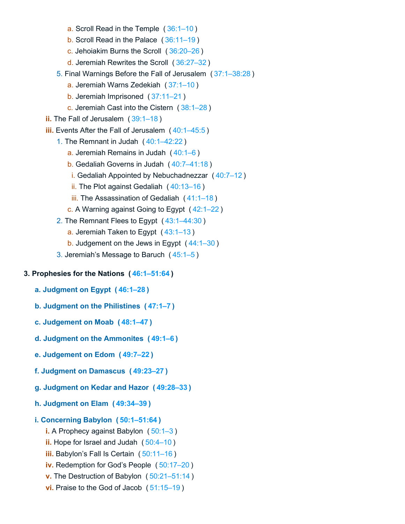- a. Scroll Read in the Temple ( [36:1–10](https://biblehub.com/bsb/jeremiah/36.htm#1) )
- b. Scroll Read in the Palace ( [36:11–19](https://biblehub.com/bsb/jeremiah/36.htm#11) )
- c. Jehoiakim Burns the Scroll ( [36:20–26](https://biblehub.com/bsb/jeremiah/36.htm#20) )
- d. Jeremiah Rewrites the Scroll ( [36:27–32](https://biblehub.com/bsb/jeremiah/36.htm#27) )
- 5. Final Warnings Before the Fall of Jerusalem ( [37:1–38:28](https://biblehub.com/bsb/jeremiah/37.htm#1) )
	- a. Jeremiah Warns Zedekiah ( [37:1–10](https://biblehub.com/bsb/jeremiah/37.htm#1) )
	- b. Jeremiah Imprisoned ( [37:11–21](https://biblehub.com/bsb/jeremiah/37.htm#11) )
	- c. Jeremiah Cast into the Cistern ( [38:1–28](https://biblehub.com/bsb/jeremiah/38.htm#1) )
- **ii.** The Fall of Jerusalem ( [39:1–18](https://biblehub.com/bsb/jeremiah/39.htm#1) )
- **iii.** Events After the Fall of Jerusalem ( [40:1–45:5](https://biblehub.com/bsb/jeremiah/40.htm#1) )
	- 1. The Remnant in Judah ( [40:1–42:22](https://biblehub.com/bsb/jeremiah/40.htm#1) )
		- a. Jeremiah Remains in Judah ( [40:1–6](https://biblehub.com/bsb/jeremiah/40.htm#1) )
		- b. Gedaliah Governs in Judah ( [40:7–41:18](https://biblehub.com/bsb/jeremiah/40.htm#7) )
		- i. Gedaliah Appointed by Nebuchadnezzar ( [40:7–12](https://biblehub.com/bsb/jeremiah/40.htm#7) )
		- ii. The Plot against Gedaliah ( [40:13–16](https://biblehub.com/bsb/jeremiah/40.htm#13) )
		- iii. The Assassination of Gedaliah ( [41:1–18](https://biblehub.com/bsb/jeremiah/41.htm#1) )
		- c. A Warning against Going to Egypt ( [42:1–22](https://biblehub.com/bsb/jeremiah/42.htm#1) )
	- 2. The Remnant Flees to Egypt ( [43:1–44:30](https://biblehub.com/bsb/jeremiah/43.htm#1) )
		- a. Jeremiah Taken to Egypt ( [43:1–13](https://biblehub.com/bsb/jeremiah/43.htm#1) )
		- b. Judgement on the Jews in Egypt ( [44:1–30](https://biblehub.com/bsb/jeremiah/44.htm#1) )
	- 3. Jeremiah's Message to Baruch ( [45:1–5](https://biblehub.com/bsb/jeremiah/45.htm#1) )

## **3. Prophesies for the Nations ( [46:1–51:64](https://biblehub.com/bsb/jeremiah/46.htm#1) )**

- **a. Judgment on Egypt ( [46:1–28](https://biblehub.com/bsb/jeremiah/46.htm#1) )**
- **b. Judgment on the Philistines ( [47:1–7](https://biblehub.com/bsb/jeremiah/47.htm#1) )**
- **c. Judgement on Moab ( [48:1–47](https://biblehub.com/bsb/jeremiah/48.htm#1) )**
- **d. Judgment on the Ammonites ( [49:1–6](https://biblehub.com/bsb/jeremiah/49.htm#1) )**
- **e. Judgement on Edom ( [49:7–22](https://biblehub.com/bsb/jeremiah/49.htm#7) )**
- **f. Judgment on Damascus ( [49:23–27](https://biblehub.com/bsb/jeremiah/49.htm#23) )**
- **g. Judgment on Kedar and Hazor ( [49:28–33](https://biblehub.com/bsb/jeremiah/49.htm#28) )**
- **h. Judgment on Elam ( [49:34–39](https://biblehub.com/bsb/jeremiah/49.htm#34) )**

## **i. Concerning Babylon ( [50:1–51:64](https://biblehub.com/bsb/jeremiah/50.htm#1) )**

- **i.** A Prophecy against Babylon ( [50:1–3](https://biblehub.com/bsb/jeremiah/50.htm#1) )
- **ii.** Hope for Israel and Judah ( [50:4–10](https://biblehub.com/bsb/jeremiah/50.htm#4) )
- **iii.** Babylon's Fall Is Certain ( [50:11–16](https://biblehub.com/bsb/jeremiah/50.htm#11) )
- **iv.** Redemption for God's People ( [50:17–20](https://biblehub.com/bsb/jeremiah/50.htm#17) )
- **v.** The Destruction of Babylon ( [50:21–51:14](https://biblehub.com/bsb/jeremiah/50.htm#21) )
- **vi.** Praise to the God of Jacob ( [51:15–19](https://biblehub.com/bsb/jeremiah/51.htm#15) )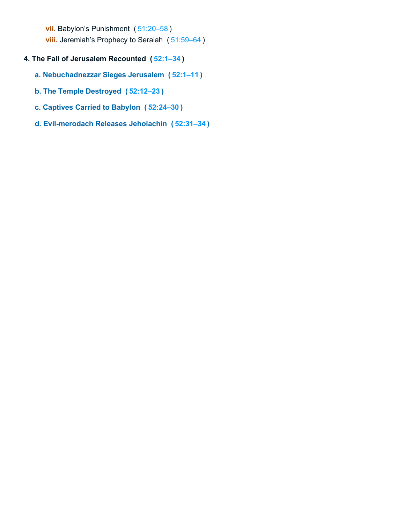**vii.** Babylon's Punishment ( [51:20–58](https://biblehub.com/bsb/jeremiah/51.htm#20) )

**viii.** Jeremiah's Prophecy to Seraiah ( [51:59–64](https://biblehub.com/bsb/jeremiah/51.htm#59) )

## **4. The Fall of Jerusalem Recounted ( [52:1–34](https://biblehub.com/bsb/jeremiah/52.htm#1) )**

- **a. Nebuchadnezzar Sieges Jerusalem ( [52:1–11](https://biblehub.com/bsb/jeremiah/52.htm#1) )**
- **b. The Temple Destroyed ( [52:12–23](https://biblehub.com/bsb/jeremiah/52.htm#12) )**
- **c. Captives Carried to Babylon ( [52:24–30](https://biblehub.com/bsb/jeremiah/52.htm#24) )**
- **d. Evil-merodach Releases Jehoiachin ( [52:31–34](https://biblehub.com/bsb/jeremiah/52.htm#31) )**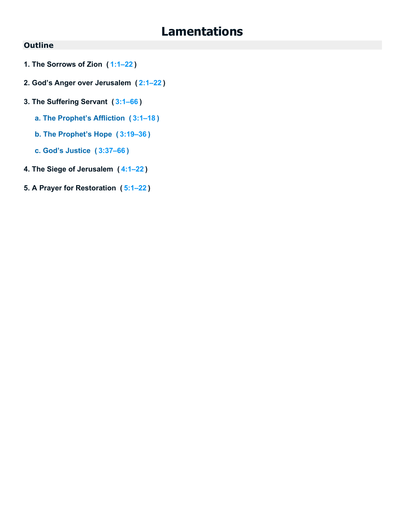# **Lamentations**

## **Outline**

- **1. The Sorrows of Zion ( [1:1–22](https://biblehub.com/bsb/lamentations/1.htm#1) )**
- **2. God's Anger over Jerusalem ( [2:1–22](https://biblehub.com/bsb/lamentations/2.htm#1) )**
- **3. The Suffering Servant ( [3:1–66](https://biblehub.com/bsb/lamentations/3.htm#1) )**
	- **a. The Prophet's Affliction ( [3:1–18](https://biblehub.com/bsb/lamentations/3.htm#1) )**
	- **b. The Prophet's Hope ( [3:19–36](https://biblehub.com/bsb/lamentations/3.htm#19) )**
	- **c. God's Justice ( [3:37–66](https://biblehub.com/bsb/lamentations/3.htm#37) )**
- **4. The Siege of Jerusalem ( [4:1–22](https://biblehub.com/bsb/lamentations/4.htm#1) )**
- **5. A Prayer for Restoration ( [5:1–22](https://biblehub.com/bsb/lamentations/5.htm#1) )**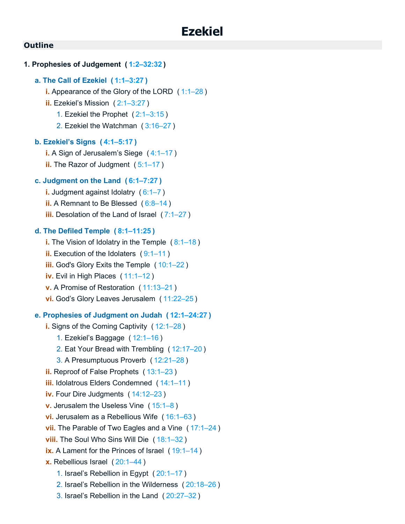# **1. Prophesies of Judgement ( [1:2–32:32](https://biblehub.com/bsb/ezekiel/1.htm#2) ) a. The Call of Ezekiel ( [1:1–3:27](https://biblehub.com/bsb/ezekiel/1.htm#1) ) i.** Appearance of the Glory of the LORD ([1:1–28](https://biblehub.com/bsb/ezekiel/1.htm#1)) **ii.** Ezekiel's Mission ( [2:1–3:27](https://biblehub.com/bsb/ezekiel/2.htm#1) ) 1. Ezekiel the Prophet ( [2:1–3:15](https://biblehub.com/bsb/ezekiel/2.htm#1) ) 2. Ezekiel the Watchman ( [3:16–27](https://biblehub.com/bsb/ezekiel/3.htm#16) ) **b. Ezekiel's Signs ( [4:1–5:17](https://biblehub.com/bsb/ezekiel/4.htm#1) ) i.** A Sign of Jerusalem's Siege ( [4:1–17](https://biblehub.com/bsb/ezekiel/4.htm#1) ) **ii.** The Razor of Judgment (5:1-17) **c. Judgment on the Land ( [6:1–7:27](https://biblehub.com/bsb/ezekiel/6.htm#1) ) i.** Judgment against Idolatry ( [6:1–7](https://biblehub.com/bsb/ezekiel/6.htm#1) ) **ii.** A Remnant to Be Blessed ( [6:8–14](https://biblehub.com/bsb/ezekiel/6.htm#8) ) **iii.** Desolation of the Land of Israel ([7:1–27](https://biblehub.com/bsb/ezekiel/7.htm#1)) **d. The Defiled Temple ( [8:1–11:25](https://biblehub.com/bsb/ezekiel/8.htm#1) ) i.** The Vision of Idolatry in the Temple ([8:1–18](https://biblehub.com/bsb/ezekiel/8.htm#1)) **ii.** Execution of the Idolaters ( [9:1–11](https://biblehub.com/bsb/ezekiel/9.htm#1) ) **iii.** God's Glory Exits the Temple ( [10:1–22](https://biblehub.com/bsb/ezekiel/10.htm#1) ) **iv.** Evil in High Places ( [11:1–12](https://biblehub.com/bsb/ezekiel/11.htm#1) ) **v.** A Promise of Restoration ( [11:13–21](https://biblehub.com/bsb/ezekiel/11.htm#13) ) **vi.** God's Glory Leaves Jerusalem ( [11:22–25](https://biblehub.com/bsb/ezekiel/11.htm#22) ) **e. Prophesies of Judgment on Judah ( [12:1–24:27](https://biblehub.com/bsb/ezekiel/12.htm#1) ) i.** Signs of the Coming Captivity ( [12:1–28](https://biblehub.com/bsb/ezekiel/12.htm#1) ) 1. Ezekiel's Baggage ( [12:1–16](https://biblehub.com/bsb/ezekiel/12.htm#1) ) 2. Eat Your Bread with Trembling ( [12:17–20](https://biblehub.com/bsb/ezekiel/12.htm#17) ) 3. A Presumptuous Proverb ( [12:21–28](https://biblehub.com/bsb/ezekiel/12.htm#21) ) **ii.** Reproof of False Prophets ( [13:1–23](https://biblehub.com/bsb/ezekiel/13.htm#1) ) **iii.** Idolatrous Elders Condemned ( [14:1–11](https://biblehub.com/bsb/ezekiel/14.htm#1) ) **iv.** Four Dire Judgments ( [14:12–23](https://biblehub.com/bsb/ezekiel/14.htm#12) ) **v.** Jerusalem the Useless Vine ( [15:1–8](https://biblehub.com/bsb/ezekiel/15.htm#1) ) **vi.** Jerusalem as a Rebellious Wife ( [16:1–63](https://biblehub.com/bsb/ezekiel/16.htm#1) ) **vii.** The Parable of Two Eagles and a Vine ( [17:1–24](https://biblehub.com/bsb/ezekiel/17.htm#1) ) **viii.** The Soul Who Sins Will Die ( [18:1–32](https://biblehub.com/bsb/ezekiel/18.htm#1) ) **ix.** A Lament for the Princes of Israel ([19:1–14](https://biblehub.com/bsb/ezekiel/19.htm#1)) **x.** Rebellious Israel ( [20:1–44](https://biblehub.com/bsb/ezekiel/20.htm#1) ) 1. Israel's Rebellion in Egypt ( [20:1–17](https://biblehub.com/bsb/ezekiel/20.htm#1) ) 2. Israel's Rebellion in the Wilderness ( [20:18–26](https://biblehub.com/bsb/ezekiel/20.htm#18) )

3. Israel's Rebellion in the Land ( [20:27–32](https://biblehub.com/bsb/ezekiel/20.htm#27) )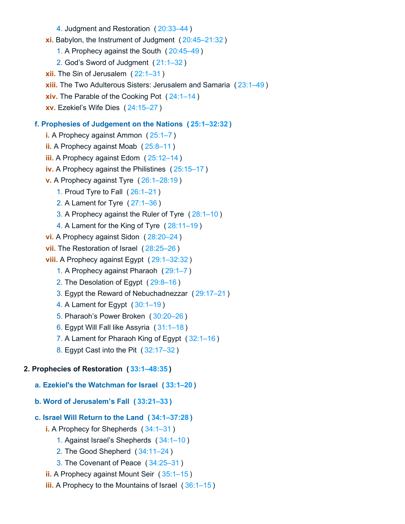- 4. Judgment and Restoration ( [20:33–44](https://biblehub.com/bsb/ezekiel/20.htm#33) )
- **xi.** Babylon, the Instrument of Judgment ( [20:45–21:32](https://biblehub.com/bsb/ezekiel/20.htm#45) )
	- 1. A Prophecy against the South ( [20:45–49](https://biblehub.com/bsb/ezekiel/20.htm#45) )
	- 2. God's Sword of Judgment ( [21:1–32](https://biblehub.com/bsb/ezekiel/21.htm#1) )
- **xii.** The Sin of Jerusalem ( [22:1–31](https://biblehub.com/bsb/ezekiel/22.htm#1) )
- **xiii.** The Two Adulterous Sisters: Jerusalem and Samaria ([23:1–49](https://biblehub.com/bsb/ezekiel/23.htm#1))
- **xiv.** The Parable of the Cooking Pot ( [24:1–14](https://biblehub.com/bsb/ezekiel/24.htm#1) )
- **xv.** Ezekiel's Wife Dies ( [24:15–27](https://biblehub.com/bsb/ezekiel/24.htm#15) )

## **f. Prophesies of Judgement on the Nations ( [25:1–32:32](https://biblehub.com/bsb/ezekiel/25.htm#1) )**

- **i.** A Prophecy against Ammon ( [25:1–7](https://biblehub.com/bsb/ezekiel/25.htm#1) )
- **ii.** A Prophecy against Moab ( [25:8–11](https://biblehub.com/bsb/ezekiel/25.htm#8) )
- **iii.** A Prophecy against Edom ( [25:12–14](https://biblehub.com/bsb/ezekiel/25.htm#12) )
- **iv.** A Prophecy against the Philistines ( [25:15–17](https://biblehub.com/bsb/ezekiel/25.htm#15) )
- **v.** A Prophecy against Tyre ( [26:1–28:19](https://biblehub.com/bsb/ezekiel/26.htm#1) )
	- 1. Proud Tyre to Fall ( [26:1–21](https://biblehub.com/bsb/ezekiel/26.htm#1) )
	- 2. A Lament for Tyre ( [27:1–36](https://biblehub.com/bsb/ezekiel/27.htm#1) )
	- 3. A Prophecy against the Ruler of Tyre ( [28:1–10](https://biblehub.com/bsb/ezekiel/28.htm#1) )
	- 4. A Lament for the King of Tyre ( [28:11–19](https://biblehub.com/bsb/ezekiel/28.htm#11) )
- **vi.** A Prophecy against Sidon ( [28:20–24](https://biblehub.com/bsb/ezekiel/28.htm#20) )
- **vii.** The Restoration of Israel ( [28:25–26](https://biblehub.com/bsb/ezekiel/28.htm#25) )
- **viii.** A Prophecy against Egypt ( [29:1–32:32](https://biblehub.com/bsb/ezekiel/29.htm#1) )
	- 1. A Prophecy against Pharaoh ( [29:1–7](https://biblehub.com/bsb/ezekiel/29.htm#1) )
	- 2. The Desolation of Egypt ( [29:8–16](https://biblehub.com/bsb/ezekiel/29.htm#8) )
	- 3. Egypt the Reward of Nebuchadnezzar ( [29:17–21](https://biblehub.com/bsb/ezekiel/29.htm#17) )
	- 4. A Lament for Egypt ( [30:1–19](https://biblehub.com/bsb/ezekiel/30.htm#1) )
	- 5. Pharaoh's Power Broken ( [30:20–26](https://biblehub.com/bsb/ezekiel/30.htm#20) )
	- 6. Egypt Will Fall like Assyria ( [31:1–18](https://biblehub.com/bsb/ezekiel/31.htm#1) )
	- 7. A Lament for Pharaoh King of Egypt ( [32:1–16](https://biblehub.com/bsb/ezekiel/32.htm#1) )
	- 8. Egypt Cast into the Pit ( [32:17–32](https://biblehub.com/bsb/ezekiel/32.htm#17) )

## **2. Prophecies of Restoration ( [33:1–48:35](https://biblehub.com/bsb/ezekiel/33.htm#1) )**

- **a. Ezekiel's the Watchman for Israel ( [33:1–20](https://biblehub.com/bsb/ezekiel/33.htm#1) )**
- **b. Word of Jerusalem's Fall ( [33:21–33](https://biblehub.com/bsb/ezekiel/33.htm#21) )**

## **c. Israel Will Return to the Land ( [34:1–37:28](https://biblehub.com/bsb/ezekiel/34.htm#1) )**

- **i.** A Prophecy for Shepherds ( [34:1–31](https://biblehub.com/bsb/ezekiel/34.htm#1) )
	- 1. Against Israel's Shepherds ( [34:1–10](https://biblehub.com/bsb/ezekiel/34.htm#1) )
	- 2. The Good Shepherd ( [34:11–24](https://biblehub.com/bsb/ezekiel/34.htm#11) )
	- 3. The Covenant of Peace ( [34:25–31](https://biblehub.com/bsb/ezekiel/34.htm#25) )
- **ii.** A Prophecy against Mount Seir ( [35:1–15](https://biblehub.com/bsb/ezekiel/35.htm#1) )
- **iii.** A Prophecy to the Mountains of Israel ([36:1–15](https://biblehub.com/bsb/ezekiel/36.htm#1))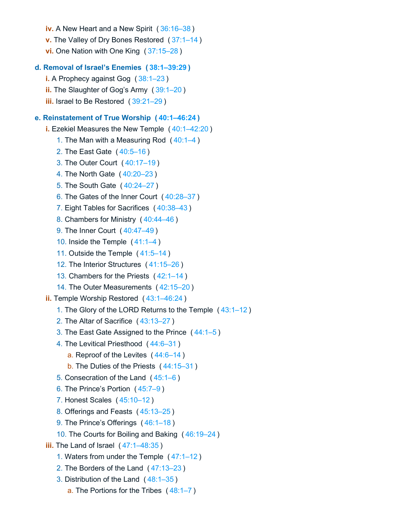**v.** The Valley of Dry Bones Restored ( [37:1–14](https://biblehub.com/bsb/ezekiel/37.htm#1) ) **vi.** One Nation with One King ( [37:15–28](https://biblehub.com/bsb/ezekiel/37.htm#15) ) **d. Removal of Israel's Enemies ( [38:1–39:29](https://biblehub.com/bsb/ezekiel/38.htm#1) ) i.** A Prophecy against Gog ( [38:1–23](https://biblehub.com/bsb/ezekiel/38.htm#1) ) **ii.** The Slaughter of Gog's Army ( [39:1–20](https://biblehub.com/bsb/ezekiel/39.htm#1) ) **iii.** Israel to Be Restored ( [39:21–29](https://biblehub.com/bsb/ezekiel/39.htm#21) ) **e. Reinstatement of True Worship ( [40:1–46:24](https://biblehub.com/bsb/ezekiel/40.htm#1) ) i.** Ezekiel Measures the New Temple ( [40:1–42:20](https://biblehub.com/bsb/ezekiel/40.htm#1) ) 1. The Man with a Measuring Rod ( [40:1–4](https://biblehub.com/bsb/ezekiel/40.htm#1) ) 2. The East Gate ( [40:5–16](https://biblehub.com/bsb/ezekiel/40.htm#5) ) 3. The Outer Court ( [40:17–19](https://biblehub.com/bsb/ezekiel/40.htm#17) ) 4. The North Gate ( [40:20–23](https://biblehub.com/bsb/ezekiel/40.htm#20) ) 5. The South Gate ( [40:24–27](https://biblehub.com/bsb/ezekiel/40.htm#24) ) 6. The Gates of the Inner Court ( [40:28–37](https://biblehub.com/bsb/ezekiel/40.htm#28) ) 7. Eight Tables for Sacrifices ( [40:38–43](https://biblehub.com/bsb/ezekiel/40.htm#38) ) 8. Chambers for Ministry ( [40:44–46](https://biblehub.com/bsb/ezekiel/40.htm#44) ) 9. The Inner Court ( [40:47–49](https://biblehub.com/bsb/ezekiel/40.htm#47) ) 10. Inside the Temple ( [41:1–4](https://biblehub.com/bsb/ezekiel/41.htm#1) ) 11. Outside the Temple ( [41:5–14](https://biblehub.com/bsb/ezekiel/41.htm#5) ) 12. The Interior Structures ( [41:15–26](https://biblehub.com/bsb/ezekiel/41.htm#15) ) 13. Chambers for the Priests ( [42:1–14](https://biblehub.com/bsb/ezekiel/42.htm#1) ) 14. The Outer Measurements ( [42:15–20](https://biblehub.com/bsb/ezekiel/42.htm#15) ) **ii.** Temple Worship Restored ( [43:1–46:24](https://biblehub.com/bsb/ezekiel/43.htm#1) ) 1. The Glory of the LORD Returns to the Temple ( [43:1–12](https://biblehub.com/bsb/ezekiel/43.htm#1) ) 2. The Altar of Sacrifice ( [43:13–27](https://biblehub.com/bsb/ezekiel/43.htm#13) ) 3. The East Gate Assigned to the Prince ( [44:1–5](https://biblehub.com/bsb/ezekiel/44.htm#1) ) 4. The Levitical Priesthood ( [44:6–31](https://biblehub.com/bsb/ezekiel/44.htm#6) ) a. Reproof of the Levites ( [44:6–14](https://biblehub.com/bsb/ezekiel/44.htm#6) ) b. The Duties of the Priests ( [44:15–31](https://biblehub.com/bsb/ezekiel/44.htm#15) ) 5. Consecration of the Land ( [45:1–6](https://biblehub.com/bsb/ezekiel/45.htm#1) ) 6. The Prince's Portion ( [45:7–9](https://biblehub.com/bsb/ezekiel/45.htm#7) ) 7. Honest Scales ( [45:10–12](https://biblehub.com/bsb/ezekiel/45.htm#10) ) 8. Offerings and Feasts ( [45:13–25](https://biblehub.com/bsb/ezekiel/45.htm#13) ) 9. The Prince's Offerings ( [46:1–18](https://biblehub.com/bsb/ezekiel/46.htm#1) ) 10. The Courts for Boiling and Baking ( [46:19–24](https://biblehub.com/bsb/ezekiel/46.htm#19) ) **iii.** The Land of Israel ( [47:1–48:35](https://biblehub.com/bsb/ezekiel/47.htm#1) ) 1. Waters from under the Temple ( [47:1–12](https://biblehub.com/bsb/ezekiel/47.htm#1) ) 2. The Borders of the Land ( [47:13–23](https://biblehub.com/bsb/ezekiel/47.htm#13) ) 3. Distribution of the Land ( [48:1–35](https://biblehub.com/bsb/ezekiel/48.htm#1) ) a. The Portions for the Tribes ( [48:1–7](https://biblehub.com/bsb/ezekiel/48.htm#1) )

**iv.** A New Heart and a New Spirit ( [36:16–38](https://biblehub.com/bsb/ezekiel/36.htm#16) )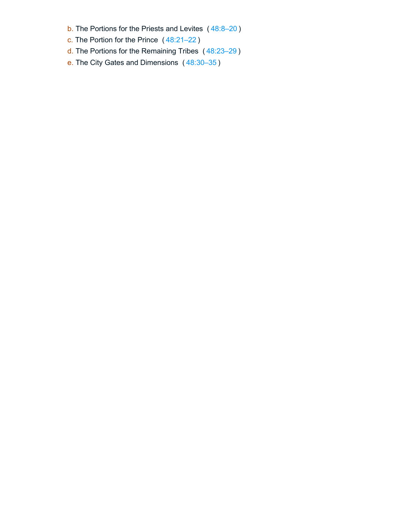- b. The Portions for the Priests and Levites ( [48:8–20](https://biblehub.com/bsb/ezekiel/48.htm#8) )
- c. The Portion for the Prince ( [48:21–22](https://biblehub.com/bsb/ezekiel/48.htm#21) )
- d. The Portions for the Remaining Tribes ( [48:23–29](https://biblehub.com/bsb/ezekiel/48.htm#23) )
- e. The City Gates and Dimensions ( [48:30–35](https://biblehub.com/bsb/ezekiel/48.htm#30) )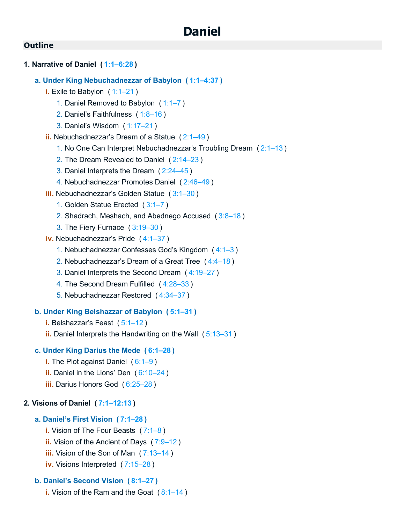## **1. Narrative of Daniel ( [1:1–6:28](https://biblehub.com/bsb/daniel/1.htm#1) )**

- **a. Under King Nebuchadnezzar of Babylon ( [1:1–4:37](https://biblehub.com/bsb/daniel/1.htm#1) )**
	- **i.** Exile to Babylon ( [1:1–21](https://biblehub.com/bsb/daniel/1.htm#1) )
		- 1. Daniel Removed to Babylon ( [1:1–7](https://biblehub.com/bsb/daniel/1.htm#1) )
		- 2. Daniel's Faithfulness ( [1:8–16](https://biblehub.com/bsb/daniel/1.htm#8) )
		- 3. Daniel's Wisdom ( [1:17–21](https://biblehub.com/bsb/daniel/1.htm#17) )
	- **ii.** Nebuchadnezzar's Dream of a Statue ( [2:1–49](https://biblehub.com/bsb/daniel/2.htm#1) )
		- 1. No One Can Interpret Nebuchadnezzar's Troubling Dream ( [2:1–13](https://biblehub.com/bsb/daniel/2.htm#1) )
		- 2. The Dream Revealed to Daniel ( [2:14–23](https://biblehub.com/bsb/daniel/2.htm#14) )
		- 3. Daniel Interprets the Dream ( [2:24–45](https://biblehub.com/bsb/daniel/2.htm#24) )
		- 4. Nebuchadnezzar Promotes Daniel ( [2:46–49](https://biblehub.com/bsb/daniel/2.htm#46) )
	- **iii.** Nebuchadnezzar's Golden Statue ( [3:1–30](https://biblehub.com/bsb/daniel/3.htm#1) )
		- 1. Golden Statue Erected ( [3:1–7](https://biblehub.com/bsb/daniel/3.htm#1) )
		- 2. Shadrach, Meshach, and Abednego Accused ( [3:8–18](https://biblehub.com/bsb/daniel/3.htm#8) )
		- 3. The Fiery Furnace ( [3:19–30](https://biblehub.com/bsb/daniel/3.htm#19) )
	- **iv.** Nebuchadnezzar's Pride ( [4:1–37](https://biblehub.com/bsb/daniel/4.htm#1) )
		- 1. Nebuchadnezzar Confesses God's Kingdom ( [4:1–3](https://biblehub.com/bsb/daniel/4.htm#1) )
		- 2. Nebuchadnezzar's Dream of a Great Tree ( [4:4–18](https://biblehub.com/bsb/daniel/4.htm#4) )
		- 3. Daniel Interprets the Second Dream ( [4:19–27](https://biblehub.com/bsb/daniel/4.htm#19) )
		- 4. The Second Dream Fulfilled ( [4:28–33](https://biblehub.com/bsb/daniel/4.htm#28) )
		- 5. Nebuchadnezzar Restored ( [4:34–37](https://biblehub.com/bsb/daniel/4.htm#34) )

#### **b. Under King Belshazzar of Babylon ( [5:1–31](https://biblehub.com/bsb/daniel/5.htm#1) )**

- **i.** Belshazzar's Feast ( [5:1–12](https://biblehub.com/bsb/daniel/5.htm#1) )
- **ii.** Daniel Interprets the Handwriting on the Wall ( [5:13–31](https://biblehub.com/bsb/daniel/5.htm#13) )

## **c. Under King Darius the Mede ( [6:1–28](https://biblehub.com/bsb/daniel/6.htm#1) )**

- **i.** The Plot against Daniel ( [6:1–9](https://biblehub.com/bsb/daniel/6.htm#1) )
- **ii.** Daniel in the Lions' Den ( [6:10–24](https://biblehub.com/bsb/daniel/6.htm#10) )
- **iii.** Darius Honors God ( [6:25–28](https://biblehub.com/bsb/daniel/6.htm#25) )

## **2. Visions of Daniel ( [7:1–12:13](https://biblehub.com/bsb/daniel/7.htm#1) )**

#### **a. Daniel's First Vision ( [7:1–28](https://biblehub.com/bsb/daniel/7.htm#1) )**

- **i.** Vision of The Four Beasts ( [7:1–8](https://biblehub.com/bsb/daniel/7.htm#1) )
- **ii.** Vision of the Ancient of Days ( [7:9–12](https://biblehub.com/bsb/daniel/7.htm#9) )
- **iii.** Vision of the Son of Man ( [7:13–14](https://biblehub.com/bsb/daniel/7.htm#13) )
- **iv.** Visions Interpreted ( [7:15–28](https://biblehub.com/bsb/daniel/7.htm#15) )

## **b. Daniel's Second Vision ( [8:1–27](https://biblehub.com/bsb/daniel/8.htm#1) )**

**i.** Vision of the Ram and the Goat ( [8:1–14](https://biblehub.com/bsb/daniel/8.htm#1) )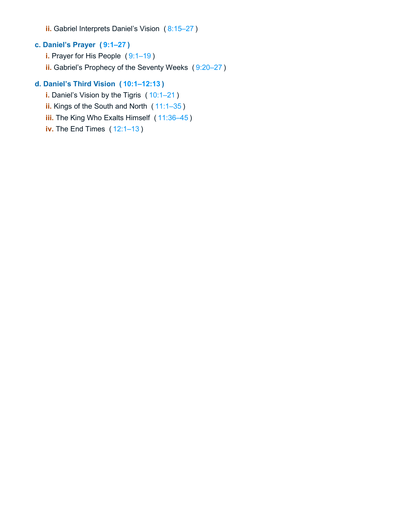**ii.** Gabriel Interprets Daniel's Vision ( [8:15–27](https://biblehub.com/bsb/daniel/8.htm#15) )

# **c. Daniel's Prayer ( [9:1–27](https://biblehub.com/bsb/daniel/9.htm#1) )**

- **i.** Prayer for His People (9:1-19)
- **ii.** Gabriel's Prophecy of the Seventy Weeks ( [9:20–27](https://biblehub.com/bsb/daniel/9.htm#20) )

## **d. Daniel's Third Vision ( [10:1–12:13](https://biblehub.com/bsb/daniel/10.htm#1) )**

- **i.** Daniel's Vision by the Tigris ([10:1–21](https://biblehub.com/bsb/daniel/10.htm#1))
- **ii.** Kings of the South and North ( [11:1–35](https://biblehub.com/bsb/daniel/11.htm#1) )
- **iii.** The King Who Exalts Himself ( [11:36–45](https://biblehub.com/bsb/daniel/11.htm#36) )
- **iv.** The End Times ( [12:1–13](https://biblehub.com/bsb/daniel/12.htm#1) )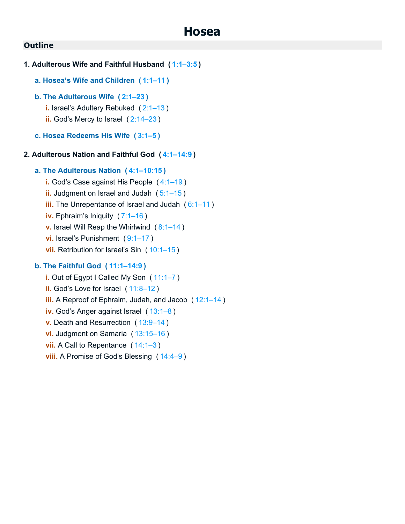```
1. Adulterous Wife and Faithful Husband ( 1:1–3:5 )
   a. Hosea's Wife and Children ( 1:1–11 )
   b. The Adulterous Wife ( 2:1–23 )
      i. Israel's Adultery Rebuked ( 2:1–13 )
      ii. God's Mercy to Israel ( 2:14–23 )
   c. Hosea Redeems His Wife ( 3:1–5 )
2. Adulterous Nation and Faithful God ( 4:1–14:9 )
   a. The Adulterous Nation ( 4:1–10:15 )
      i. God's Case against His People ( 4:1–19 )
      ii. Judgment on Israel and Judah ( 5:1–15 )
      iii. The Unrepentance of Israel and Judah (6:1-11)
      iv. Ephraim's Iniquity ( 7:1–16 )
      v. Israel Will Reap the Whirlwind ( 8:1–14 )
      vi. Israel's Punishment (9:1-17)
      vii. Retribution for Israel's Sin ( 10:1–15 )
   b. The Faithful God ( 11:1–14:9 )
      i. Out of Egypt I Called My Son ( 11:1–7 )
      ii. God's Love for Israel ( 11:8–12 )
      iii. A Reproof of Ephraim, Judah, and Jacob ( 12:1–14 )
      iv. God's Anger against Israel ( 13:1–8 )
      v. Death and Resurrection ( 13:9–14 )
      vi. Judgment on Samaria ( 13:15–16 )
```
**vii.** A Call to Repentance ([14:1–3](https://biblehub.com/bsb/hosea/14.htm#1)) **viii.** A Promise of God's Blessing ( [14:4–9](https://biblehub.com/bsb/hosea/14.htm#4) )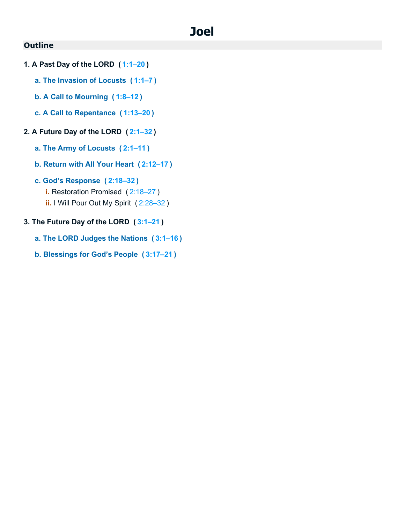# **Joel**

## **Outline**

- **1. A Past Day of the LORD ( [1:1–20](https://biblehub.com/bsb/joel/1.htm#1) )**
	- **a. The Invasion of Locusts ( [1:1–7](https://biblehub.com/bsb/joel/1.htm#1) )**
	- **b. A Call to Mourning ( [1:8–12](https://biblehub.com/bsb/joel/1.htm#8) )**
	- **c. A Call to Repentance ( [1:13–20](https://biblehub.com/bsb/joel/1.htm#13) )**

## **2. A Future Day of the LORD ( [2:1–32](https://biblehub.com/bsb/joel/2.htm#1) )**

- **a. The Army of Locusts ( [2:1–11](https://biblehub.com/bsb/joel/2.htm#1) )**
- **b. Return with All Your Heart ( [2:12–17](https://biblehub.com/bsb/joel/2.htm#12) )**
- **c. God's Response ( [2:18–32](https://biblehub.com/bsb/joel/2.htm#18) )**
	- **i.** Restoration Promised ( [2:18–27](https://biblehub.com/bsb/joel/2.htm#18) )
	- **ii.** I Will Pour Out My Spirit ( [2:28–32](https://biblehub.com/bsb/joel/2.htm#28) )
- **3. The Future Day of the LORD ( [3:1–21](https://biblehub.com/bsb/joel/3.htm#1) )**
	- **a. The LORD Judges the Nations ( [3:1–16](https://biblehub.com/bsb/joel/3.htm#1) )**
	- **b. Blessings for God's People ( [3:17–21](https://biblehub.com/bsb/joel/3.htm#17) )**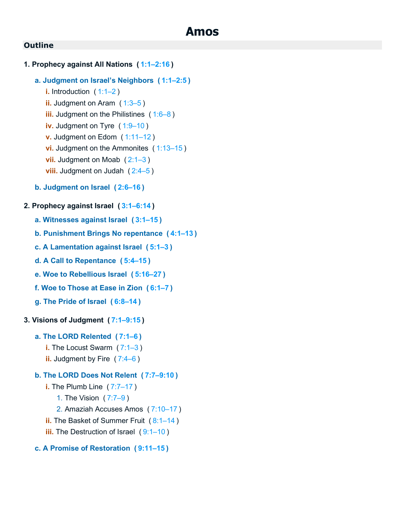## **1. Prophecy against All Nations ( [1:1–2:16](https://biblehub.com/bsb/amos/1.htm#1) )**

#### **a. Judgment on Israel's Neighbors ( [1:1–2:5](https://biblehub.com/bsb/amos/1.htm#1) )**

- **i.** Introduction ( [1:1–2](https://biblehub.com/bsb/amos/1.htm#1) ) **ii.** Judgment on Aram ([1:3–5](https://biblehub.com/bsb/amos/1.htm#3)) **iii.** Judgment on the Philistines ([1:6–8](https://biblehub.com/bsb/amos/1.htm#6)) **iv.** Judgment on Tyre (1:9-10) **v.** Judgment on Edom ( [1:11–12](https://biblehub.com/bsb/amos/1.htm#11) ) **vi.** Judgment on the Ammonites ( [1:13–15](https://biblehub.com/bsb/amos/1.htm#13) ) **vii.** Judgment on Moab ([2:1–3](https://biblehub.com/bsb/amos/2.htm#1)) **viii.** Judgment on Judah ([2:4–5](https://biblehub.com/bsb/amos/2.htm#4))
- **b. Judgment on Israel ( [2:6–16](https://biblehub.com/bsb/amos/2.htm#6) )**

#### **2. Prophecy against Israel ( [3:1–6:14](https://biblehub.com/bsb/amos/3.htm#1) )**

- **a. Witnesses against Israel ( [3:1–15](https://biblehub.com/bsb/amos/3.htm#1) )**
- **b. Punishment Brings No repentance ( [4:1–13](https://biblehub.com/bsb/amos/4.htm#1) )**
- **c. A Lamentation against Israel ( [5:1–3](https://biblehub.com/bsb/amos/5.htm#1) )**
- **d. A Call to Repentance ( [5:4–15](https://biblehub.com/bsb/amos/5.htm#4) )**
- **e. Woe to Rebellious Israel ( [5:16–27](https://biblehub.com/bsb/amos/5.htm#16) )**
- **f. Woe to Those at Ease in Zion ( [6:1–7](https://biblehub.com/bsb/amos/6.htm#1) )**
- **g. The Pride of Israel ( [6:8–14](https://biblehub.com/bsb/amos/6.htm#8) )**

## **3. Visions of Judgment ( [7:1–9:15](https://biblehub.com/bsb/amos/7.htm#1) )**

## **a. The LORD Relented ( [7:1–6](https://biblehub.com/bsb/amos/7.htm#1) )**

- **i.** The Locust Swarm ( [7:1–3](https://biblehub.com/bsb/amos/7.htm#1) )
- **ii.** Judgment by Fire ([7:4–6](https://biblehub.com/bsb/amos/7.htm#4))

## **b. The LORD Does Not Relent ( [7:7–9:10](https://biblehub.com/bsb/amos/7.htm#7) )**

- **i.** The Plumb Line ( [7:7–17](https://biblehub.com/bsb/amos/7.htm#7) )
	- 1. The Vision ( [7:7–9](https://biblehub.com/bsb/amos/7.htm#7) )
	- 2. Amaziah Accuses Amos ( [7:10–17](https://biblehub.com/bsb/amos/7.htm#10) )
- **ii.** The Basket of Summer Fruit ( [8:1–14](https://biblehub.com/bsb/amos/8.htm#1) )
- **iii.** The Destruction of Israel (9:1-10)

### **c. A Promise of Restoration ( [9:11–15](https://biblehub.com/bsb/amos/9.htm#11) )**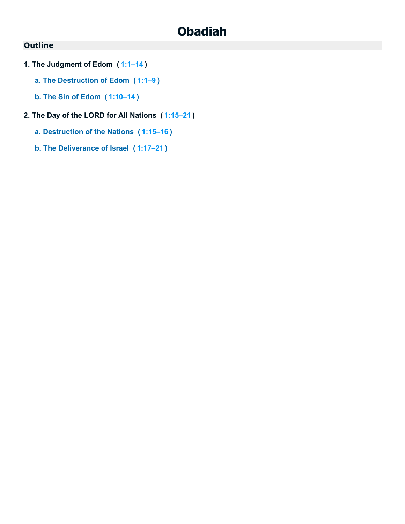# **Obadiah**

- **1. The Judgment of Edom ( [1:1–14](https://biblehub.com/bsb/obadiah/1.htm#1) )**
	- **a. The Destruction of Edom ( [1:1–9](https://biblehub.com/bsb/obadiah/1.htm#1) )**
	- **b. The Sin of Edom ( [1:10–14](https://biblehub.com/bsb/obadiah/1.htm#10) )**
- **2. The Day of the LORD for All Nations ( [1:15–21](https://biblehub.com/bsb/obadiah/1.htm#15) )**
	- **a. Destruction of the Nations ( [1:15–16](https://biblehub.com/bsb/obadiah/1.htm#15) )**
	- **b. The Deliverance of Israel ( [1:17–21](https://biblehub.com/bsb/obadiah/1.htm#17) )**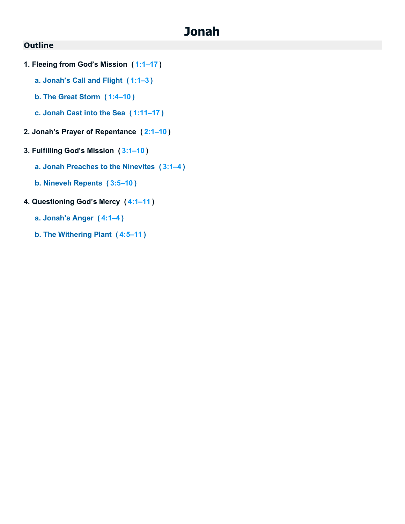# **Jonah**

- **1. Fleeing from God's Mission ( [1:1–17](https://biblehub.com/bsb/jonah/1.htm#1) )**
	- **a. Jonah's Call and Flight ( [1:1–3](https://biblehub.com/bsb/jonah/1.htm#1) )**
	- **b. The Great Storm ( [1:4–10](https://biblehub.com/bsb/jonah/1.htm#4) )**
	- **c. Jonah Cast into the Sea ( [1:11–17](https://biblehub.com/bsb/jonah/1.htm#11) )**
- **2. Jonah's Prayer of Repentance ( [2:1–10](https://biblehub.com/bsb/jonah/2.htm#1) )**
- **3. Fulfilling God's Mission ( [3:1–10](https://biblehub.com/bsb/jonah/3.htm#1) )**
	- **a. Jonah Preaches to the Ninevites ( [3:1–4](https://biblehub.com/bsb/jonah/3.htm#1) )**
	- **b. Nineveh Repents ( [3:5–10](https://biblehub.com/bsb/jonah/3.htm#5) )**
- **4. Questioning God's Mercy ( [4:1–11](https://biblehub.com/bsb/jonah/4.htm#1) )**
	- **a. Jonah's Anger ( [4:1–4](https://biblehub.com/bsb/jonah/4.htm#1) )**
	- **b. The Withering Plant ( [4:5–11](https://biblehub.com/bsb/jonah/4.htm#5) )**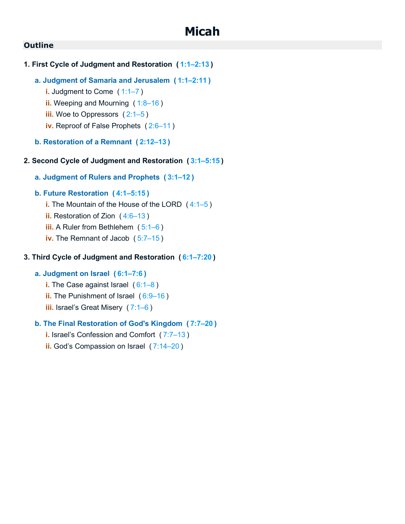- **1. First Cycle of Judgment and Restoration ( [1:1–2:13](https://biblehub.com/bsb/micah/1.htm#1) )**
	- **a. Judgment of Samaria and Jerusalem ( [1:1–2:11](https://biblehub.com/bsb/micah/1.htm#1) )**
		- **i.** Judgment to Come ([1:1–7](https://biblehub.com/bsb/micah/1.htm#1))
		- **ii.** Weeping and Mourning ( [1:8–16](https://biblehub.com/bsb/micah/1.htm#8) )
		- **iii.** Woe to Oppressors ([2:1–5](https://biblehub.com/bsb/micah/2.htm#1))
		- **iv.** Reproof of False Prophets ( [2:6–11](https://biblehub.com/bsb/micah/2.htm#6) )
	- **b. Restoration of a Remnant ( [2:12–13](https://biblehub.com/bsb/micah/2.htm#12) )**
- **2. Second Cycle of Judgment and Restoration ( [3:1–5:15](https://biblehub.com/bsb/micah/3.htm#1) )**
	- **a. Judgment of Rulers and Prophets ( [3:1–12](https://biblehub.com/bsb/micah/3.htm#1) )**
	- **b. Future Restoration ( [4:1–5:15](https://biblehub.com/bsb/micah/4.htm#1) )**
		- **i.** The Mountain of the House of the LORD ( [4:1–5](https://biblehub.com/bsb/micah/4.htm#1) )
		- **ii.** Restoration of Zion ( [4:6–13](https://biblehub.com/bsb/micah/4.htm#6) )
		- **iii.** A Ruler from Bethlehem ([5:1–6](https://biblehub.com/bsb/micah/5.htm#1))
		- **iv.** The Remnant of Jacob ( [5:7–15](https://biblehub.com/bsb/micah/5.htm#7) )

## **3. Third Cycle of Judgment and Restoration ( [6:1–7:20](https://biblehub.com/bsb/micah/6.htm#1) )**

## **a. Judgment on Israel ( [6:1–7:6](https://biblehub.com/bsb/micah/6.htm#1) )**

- **i.** The Case against Israel ( [6:1–8](https://biblehub.com/bsb/micah/6.htm#1) )
- **ii.** The Punishment of Israel ( [6:9–16](https://biblehub.com/bsb/micah/6.htm#9) )
- **iii.** Israel's Great Misery ( [7:1–6](https://biblehub.com/bsb/micah/7.htm#1) )

## **b. The Final Restoration of God's Kingdom ( [7:7–20](https://biblehub.com/bsb/micah/7.htm#7) )**

- **i.** Israel's Confession and Comfort ( [7:7–13](https://biblehub.com/bsb/micah/7.htm#7) )
- **ii.** God's Compassion on Israel ( [7:14–20](https://biblehub.com/bsb/micah/7.htm#14) )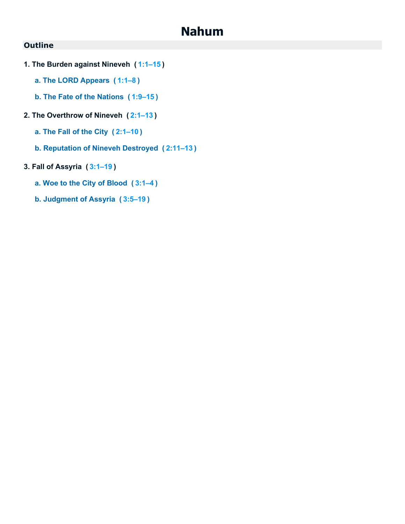## **Nahum**

- **1. The Burden against Nineveh ( [1:1–15](https://biblehub.com/bsb/nahum/1.htm#1) )**
	- **a. The LORD Appears ( [1:1–8](https://biblehub.com/bsb/nahum/1.htm#1) )**
	- **b. The Fate of the Nations ( [1:9–15](https://biblehub.com/bsb/nahum/1.htm#9) )**
- **2. The Overthrow of Nineveh ( [2:1–13](https://biblehub.com/bsb/nahum/2.htm#1) )**
	- **a. The Fall of the City ( [2:1–10](https://biblehub.com/bsb/nahum/2.htm#1) )**
	- **b. Reputation of Nineveh Destroyed ( [2:11–13](https://biblehub.com/bsb/nahum/2.htm#11) )**
- **3. Fall of Assyria ( [3:1–19](https://biblehub.com/bsb/nahum/3.htm#1) )**
	- **a. Woe to the City of Blood ( [3:1–4](https://biblehub.com/bsb/nahum/3.htm#1) )**
	- **b. Judgment of Assyria ( [3:5–19](https://biblehub.com/bsb/nahum/3.htm#5) )**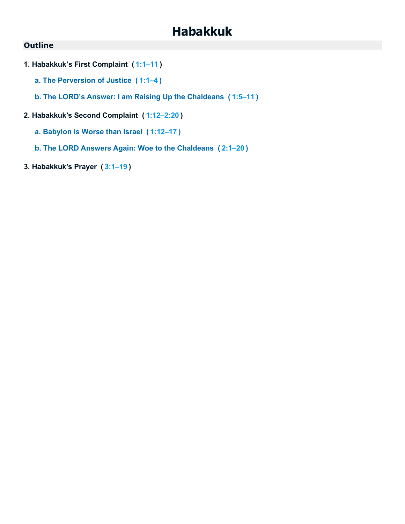# **Habakkuk**

- **1. Habakkuk's First Complaint ( [1:1–11](https://biblehub.com/bsb/habakkuk/1.htm#1) )**
	- **a. The Perversion of Justice ( [1:1–4](https://biblehub.com/bsb/habakkuk/1.htm#1) )**
	- **b. The LORD's Answer: I am Raising Up the Chaldeans ( [1:5–11](https://biblehub.com/bsb/habakkuk/1.htm#5) )**
- **2. Habakkuk's Second Complaint ( [1:12–2:20](https://biblehub.com/bsb/habakkuk/1.htm#12) )**
	- **a. Babylon is Worse than Israel ( [1:12–17](https://biblehub.com/bsb/habakkuk/1.htm#12) )**
	- **b. The LORD Answers Again: Woe to the Chaldeans ( [2:1–20](https://biblehub.com/bsb/habakkuk/2.htm#1) )**
- **3. Habakkuk's Prayer ( [3:1–19](https://biblehub.com/bsb/habakkuk/3.htm#1) )**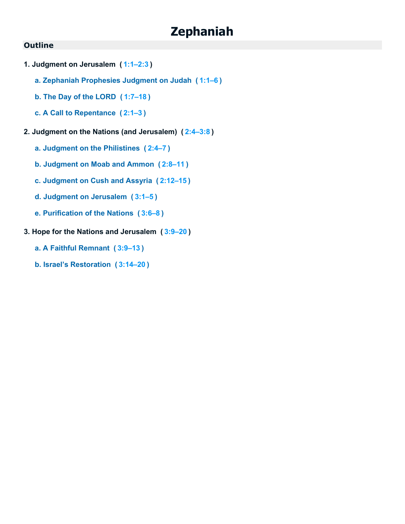# **Zephaniah**

- **1. Judgment on Jerusalem ( [1:1–2:3](https://biblehub.com/bsb/zephaniah/1.htm#1) )**
	- **a. Zephaniah Prophesies Judgment on Judah ( [1:1–6](https://biblehub.com/bsb/zephaniah/1.htm#1) )**
	- **b. The Day of the LORD ( [1:7–18](https://biblehub.com/bsb/zephaniah/1.htm#7) )**
	- **c. A Call to Repentance ( [2:1–3](https://biblehub.com/bsb/zephaniah/2.htm#1) )**
- **2. Judgment on the Nations (and Jerusalem) ( [2:4–3:8](https://biblehub.com/bsb/zephaniah/2.htm#4) )**
	- **a. Judgment on the Philistines ( [2:4–7](https://biblehub.com/bsb/zephaniah/2.htm#4) )**
	- **b. Judgment on Moab and Ammon ( [2:8–11](https://biblehub.com/bsb/zephaniah/2.htm#8) )**
	- **c. Judgment on Cush and Assyria ( [2:12–15](https://biblehub.com/bsb/zephaniah/2.htm#12) )**
	- **d. Judgment on Jerusalem ( [3:1–5](https://biblehub.com/bsb/zephaniah/3.htm#1) )**
	- **e. Purification of the Nations ( [3:6–8](https://biblehub.com/bsb/zephaniah/3.htm#6) )**
- **3. Hope for the Nations and Jerusalem ( [3:9–20](https://biblehub.com/bsb/zephaniah/3.htm#9) )**
	- **a. A Faithful Remnant ( [3:9–13](https://biblehub.com/bsb/zephaniah/3.htm#9) )**
	- **b. Israel's Restoration ( [3:14–20](https://biblehub.com/bsb/zephaniah/3.htm#14) )**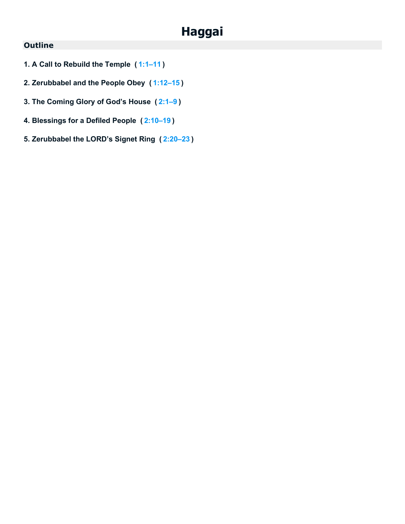# **Haggai**

- **1. A Call to Rebuild the Temple ( [1:1–11](https://biblehub.com/bsb/haggai/1.htm#1) )**
- **2. Zerubbabel and the People Obey ( [1:12–15](https://biblehub.com/bsb/haggai/1.htm#12) )**
- **3. The Coming Glory of God's House ( [2:1–9](https://biblehub.com/bsb/haggai/2.htm#1) )**
- **4. Blessings for a Defiled People ( [2:10–19](https://biblehub.com/bsb/haggai/2.htm#10) )**
- **5. Zerubbabel the LORD's Signet Ring ( [2:20–23](https://biblehub.com/bsb/haggai/2.htm#20) )**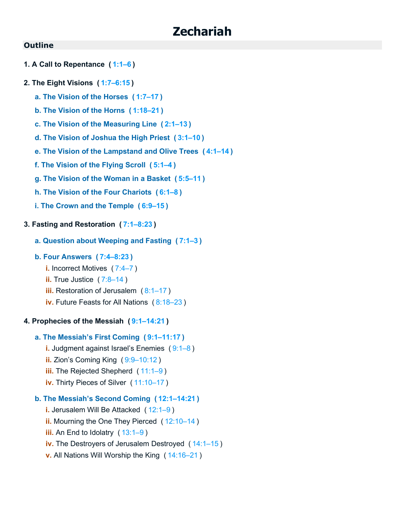## **Zechariah**

## **Outline**

- **1. A Call to Repentance ( [1:1–6](https://biblehub.com/bsb/zechariah/1.htm#1) )**
- **2. The Eight Visions ( [1:7–6:15](https://biblehub.com/bsb/zechariah/1.htm#7) )**
	- **a. The Vision of the Horses ( [1:7–17](https://biblehub.com/bsb/zechariah/1.htm#7) )**
	- **b. The Vision of the Horns ( [1:18–21](https://biblehub.com/bsb/zechariah/1.htm#18) )**
	- **c. The Vision of the Measuring Line ( [2:1–13](https://biblehub.com/bsb/zechariah/2.htm#1) )**
	- **d. The Vision of Joshua the High Priest ( [3:1–10](https://biblehub.com/bsb/zechariah/3.htm#1) )**
	- **e. The Vision of the Lampstand and Olive Trees ( [4:1–14](https://biblehub.com/bsb/zechariah/4.htm#1) )**
	- **f. The Vision of the Flying Scroll ( [5:1–4](https://biblehub.com/bsb/zechariah/5.htm#1) )**
	- **g. The Vision of the Woman in a Basket ( [5:5–11](https://biblehub.com/bsb/zechariah/5.htm#5) )**
	- **h. The Vision of the Four Chariots ( [6:1–8](https://biblehub.com/bsb/zechariah/6.htm#1) )**
	- **i. The Crown and the Temple ( [6:9–15](https://biblehub.com/bsb/zechariah/6.htm#9) )**

## **3. Fasting and Restoration ( [7:1–8:23](https://biblehub.com/bsb/zechariah/7.htm#1) )**

**a. Question about Weeping and Fasting ( [7:1–3](https://biblehub.com/bsb/zechariah/7.htm#1) )**

## **b. Four Answers ( [7:4–8:23](https://biblehub.com/bsb/zechariah/7.htm#4) )**

- **i.** Incorrect Motives ( [7:4–7](https://biblehub.com/bsb/zechariah/7.htm#4) )
- **ii.** True Justice (7:8-14)
- **iii.** Restoration of Jerusalem (8:1-17)
- **iv.** Future Feasts for All Nations ( [8:18–23](https://biblehub.com/bsb/zechariah/8.htm#18) )

#### **4. Prophecies of the Messiah ( [9:1–14:21](https://biblehub.com/bsb/zechariah/9.htm#1) )**

## **a. The Messiah's First Coming ( [9:1–11:17](https://biblehub.com/bsb/zechariah/9.htm#1) )**

- **i.** Judgment against Israel's Enemies ( [9:1–8](https://biblehub.com/bsb/zechariah/9.htm#1) )
- **ii.** Zion's Coming King ( [9:9–10:12](https://biblehub.com/bsb/zechariah/9.htm#9) )
- **iii.** The Rejected Shepherd ([11:1–9](https://biblehub.com/bsb/zechariah/11.htm#1))
- **iv.** Thirty Pieces of Silver ( [11:10–17](https://biblehub.com/bsb/zechariah/11.htm#10) )

## **b. The Messiah's Second Coming ( [12:1–14:21](https://biblehub.com/bsb/zechariah/12.htm#1) )**

- **i.** Jerusalem Will Be Attacked ( [12:1–9](https://biblehub.com/bsb/zechariah/12.htm#1) )
- **ii.** Mourning the One They Pierced ([12:10–14](https://biblehub.com/bsb/zechariah/12.htm#10))
- **iii.** An End to Idolatry ( [13:1–9](https://biblehub.com/bsb/zechariah/13.htm#1) )
- **iv.** The Destroyers of Jerusalem Destroyed ( [14:1–15](https://biblehub.com/bsb/zechariah/14.htm#1) )
- **v.** All Nations Will Worship the King ( [14:16–21](https://biblehub.com/bsb/zechariah/14.htm#16) )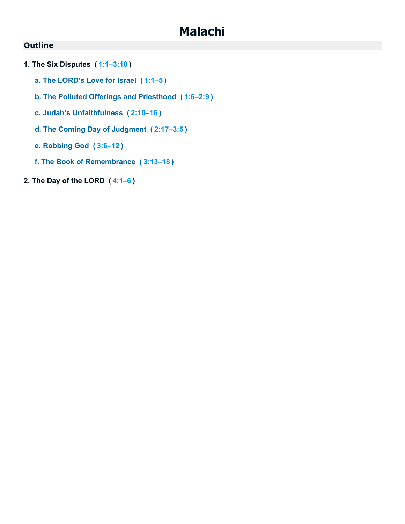## **Malachi**

- **1. The Six Disputes ( [1:1–3:18](https://biblehub.com/bsb/malachi/1.htm#1) )**
	- **a. The LORD's Love for Israel ( [1:1–5](https://biblehub.com/bsb/malachi/1.htm#1) )**
	- **b. The Polluted Offerings and Priesthood ( [1:6–2:9](https://biblehub.com/bsb/malachi/1.htm#6) )**
	- **c. Judah's Unfaithfulness ( [2:10–16](https://biblehub.com/bsb/malachi/2.htm#10) )**
	- **d. The Coming Day of Judgment ( [2:17–3:5](https://biblehub.com/bsb/malachi/2.htm#17) )**
	- **e. Robbing God ( [3:6–12](https://biblehub.com/bsb/malachi/3.htm#6) )**
	- **f. The Book of Remembrance ( [3:13–18](https://biblehub.com/bsb/malachi/3.htm#13) )**
- **2. The Day of the LORD ( [4:1–6](https://biblehub.com/bsb/malachi/4.htm#1) )**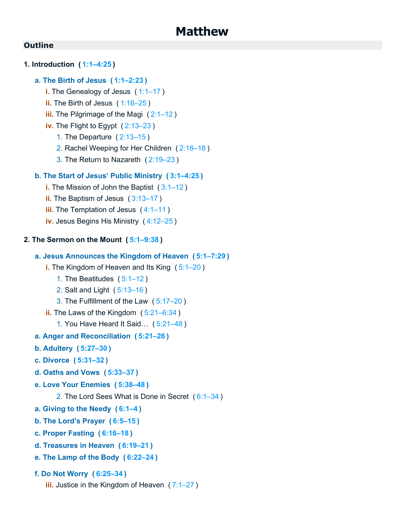## **1. Introduction ( [1:1–4:25](https://biblehub.com/bsb/matthew/1.htm#1) )**

## **a. The Birth of Jesus ( [1:1–2:23](https://biblehub.com/bsb/matthew/1.htm#1) )**

- **i.** The Genealogy of Jesus ( [1:1–17](https://biblehub.com/bsb/matthew/1.htm#1) )
- **ii.** The Birth of Jesus ([1:18–25](https://biblehub.com/bsb/matthew/1.htm#18))
- **iii.** The Pilgrimage of the Magi ( [2:1–12](https://biblehub.com/bsb/matthew/2.htm#1) )
- **iv.** The Flight to Egypt ( [2:13–23](https://biblehub.com/bsb/matthew/2.htm#13) )
	- 1. The Departure ( [2:13–15](https://biblehub.com/bsb/matthew/2.htm#13) )
	- 2. Rachel Weeping for Her Children ( [2:16–18](https://biblehub.com/bsb/matthew/2.htm#16) )
	- 3. The Return to Nazareth ( [2:19–23](https://biblehub.com/bsb/matthew/2.htm#19) )

## **b. The Start of Jesus' Public Ministry ( [3:1–4:25](https://biblehub.com/bsb/matthew/3.htm#1) )**

- **i.** The Mission of John the Baptist ( [3:1–12](https://biblehub.com/bsb/matthew/3.htm#1) )
- **ii.** The Baptism of Jesus ([3:13–17](https://biblehub.com/bsb/matthew/3.htm#13))
- **iii.** The Temptation of Jesus ( [4:1–11](https://biblehub.com/bsb/matthew/4.htm#1) )
- **iv.** Jesus Begins His Ministry ( [4:12–25](https://biblehub.com/bsb/matthew/4.htm#12) )

## **2. The Sermon on the Mount ( [5:1–9:38](https://biblehub.com/bsb/matthew/5.htm#1) )**

## **a. Jesus Announces the Kingdom of Heaven ( [5:1–7:29](https://biblehub.com/bsb/matthew/5.htm#1) )**

- **i.** The Kingdom of Heaven and Its King ( [5:1–20](https://biblehub.com/bsb/matthew/5.htm#1) )
	- 1. The Beatitudes ( [5:1–12](https://biblehub.com/bsb/matthew/5.htm#1) )
	- 2. Salt and Light ( [5:13–16](https://biblehub.com/bsb/matthew/5.htm#13) )
	- 3. The Fulfillment of the Law ( [5:17–20](https://biblehub.com/bsb/matthew/5.htm#17) )
- **ii.** The Laws of the Kingdom ( [5:21–6:34](https://biblehub.com/bsb/matthew/5.htm#21) )
	- 1. You Have Heard It Said… ( [5:21–48](https://biblehub.com/bsb/matthew/5.htm#21) )

#### **a. Anger and Reconciliation ( [5:21–26](https://biblehub.com/bsb/matthew/5.htm#21) )**

- **b. Adultery ( [5:27–30](https://biblehub.com/bsb/matthew/5.htm#27) )**
- **c. Divorce ( [5:31–32](https://biblehub.com/bsb/matthew/5.htm#31) )**
- **d. Oaths and Vows ( [5:33–37](https://biblehub.com/bsb/matthew/5.htm#33) )**
- **e. Love Your Enemies ( [5:38–48](https://biblehub.com/bsb/matthew/5.htm#38) )**
	- 2. The Lord Sees What is Done in Secret ( [6:1–34](https://biblehub.com/bsb/matthew/6.htm#1) )
- **a. Giving to the Needy ( [6:1–4](https://biblehub.com/bsb/matthew/6.htm#1) )**
- **b. The Lord's Prayer ( [6:5–15](https://biblehub.com/bsb/matthew/6.htm#5) )**
- **c. Proper Fasting ( [6:16–18](https://biblehub.com/bsb/matthew/6.htm#16) )**
- **d. Treasures in Heaven ( [6:19–21](https://biblehub.com/bsb/matthew/6.htm#19) )**
- **e. The Lamp of the Body ( [6:22–24](https://biblehub.com/bsb/matthew/6.htm#22) )**
- **f. Do Not Worry ( [6:25–34](https://biblehub.com/bsb/matthew/6.htm#25) )**
	- **iii.** Justice in the Kingdom of Heaven ([7:1–27](https://biblehub.com/bsb/matthew/7.htm#1))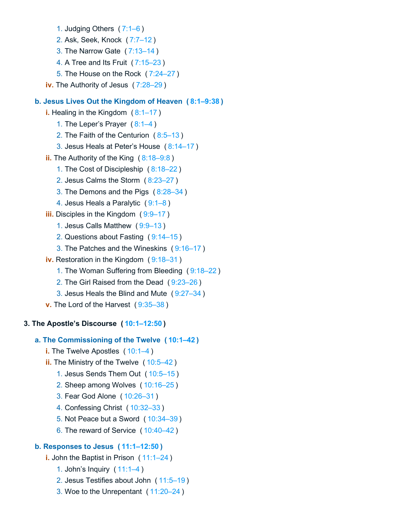- 1. Judging Others ( [7:1–6](https://biblehub.com/bsb/matthew/7.htm#1) )
- 2. Ask, Seek, Knock ( [7:7–12](https://biblehub.com/bsb/matthew/7.htm#7) )
- 3. The Narrow Gate ( [7:13–14](https://biblehub.com/bsb/matthew/7.htm#13) )
- 4. A Tree and Its Fruit ( [7:15–23](https://biblehub.com/bsb/matthew/7.htm#15) )
- 5. The House on the Rock ( [7:24–27](https://biblehub.com/bsb/matthew/7.htm#24) )
- **iv.** The Authority of Jesus ( [7:28–29](https://biblehub.com/bsb/matthew/7.htm#28) )

## **b. Jesus Lives Out the Kingdom of Heaven ( [8:1–9:38](https://biblehub.com/bsb/matthew/8.htm#1) )**

- **i.** Healing in the Kingdom (8:1-17)
	- 1. The Leper's Prayer ( [8:1–4](https://biblehub.com/bsb/matthew/8.htm#1) )
	- 2. The Faith of the Centurion ( [8:5–13](https://biblehub.com/bsb/matthew/8.htm#5) )
	- 3. Jesus Heals at Peter's House ( [8:14–17](https://biblehub.com/bsb/matthew/8.htm#14) )
- **ii.** The Authority of the King ( [8:18–9:8](https://biblehub.com/bsb/matthew/8.htm#18) )
	- 1. The Cost of Discipleship ( [8:18–22](https://biblehub.com/bsb/matthew/8.htm#18) )
	- 2. Jesus Calms the Storm ( [8:23–27](https://biblehub.com/bsb/matthew/8.htm#23) )
	- 3. The Demons and the Pigs ( [8:28–34](https://biblehub.com/bsb/matthew/8.htm#28) )
	- 4. Jesus Heals a Paralytic ( [9:1–8](https://biblehub.com/bsb/matthew/9.htm#1) )
- **iii.** Disciples in the Kingdom ([9:9–17](https://biblehub.com/bsb/matthew/9.htm#9))
	- 1. Jesus Calls Matthew ( [9:9–13](https://biblehub.com/bsb/matthew/9.htm#9) )
	- 2. Questions about Fasting ( [9:14–15](https://biblehub.com/bsb/matthew/9.htm#14) )
	- 3. The Patches and the Wineskins ( [9:16–17](https://biblehub.com/bsb/matthew/9.htm#16) )
- **iv.** Restoration in the Kingdom ( [9:18–31](https://biblehub.com/bsb/matthew/9.htm#18) )
	- 1. The Woman Suffering from Bleeding ( [9:18–22](https://biblehub.com/bsb/matthew/9.htm#18) )
	- 2. The Girl Raised from the Dead ( [9:23–26](https://biblehub.com/bsb/matthew/9.htm#23) )
	- 3. Jesus Heals the Blind and Mute ( [9:27–34](https://biblehub.com/bsb/matthew/9.htm#27) )
- **v.** The Lord of the Harvest ( [9:35–38](https://biblehub.com/bsb/matthew/9.htm#35) )

## **3. The Apostle's Discourse ( [10:1–12:50](https://biblehub.com/bsb/matthew/10.htm#1) )**

## **a. The Commissioning of the Twelve ( [10:1–42](https://biblehub.com/bsb/matthew/10.htm#1) )**

- **i.** The Twelve Apostles ([10:1–4](https://biblehub.com/bsb/matthew/10.htm#1))
- **ii.** The Ministry of the Twelve ([10:5–42](https://biblehub.com/bsb/matthew/10.htm#5))
	- 1. Jesus Sends Them Out ( [10:5–15](https://biblehub.com/bsb/matthew/10.htm#5) )
	- 2. Sheep among Wolves ( [10:16–25](https://biblehub.com/bsb/matthew/10.htm#16) )
	- 3. Fear God Alone ( [10:26–31](https://biblehub.com/bsb/matthew/10.htm#26) )
	- 4. Confessing Christ ( [10:32–33](https://biblehub.com/bsb/matthew/10.htm#32) )
	- 5. Not Peace but a Sword ( [10:34–39](https://biblehub.com/bsb/matthew/10.htm#34) )
	- 6. The reward of Service ( [10:40–42](https://biblehub.com/bsb/matthew/10.htm#40) )

## **b. Responses to Jesus ( [11:1–12:50](https://biblehub.com/bsb/matthew/11.htm#1) )**

- **i.** John the Baptist in Prison ([11:1–24](https://biblehub.com/bsb/matthew/11.htm#1))
	- 1. John's Inquiry ( [11:1–4](https://biblehub.com/bsb/matthew/11.htm#1) )
	- 2. Jesus Testifies about John ( [11:5–19](https://biblehub.com/bsb/matthew/11.htm#5) )
	- 3. Woe to the Unrepentant ( [11:20–24](https://biblehub.com/bsb/matthew/11.htm#20) )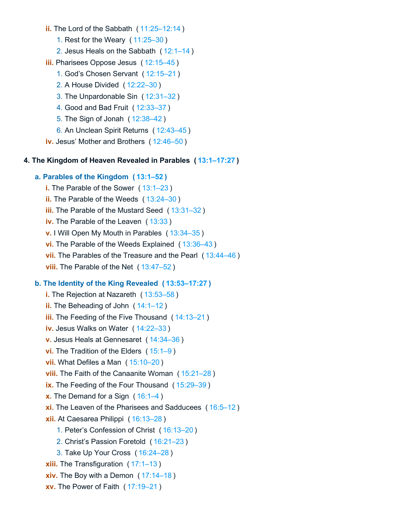- **ii.** The Lord of the Sabbath ( [11:25–12:14](https://biblehub.com/bsb/matthew/11.htm#25) )
	- 1. Rest for the Weary ( [11:25–30](https://biblehub.com/bsb/matthew/11.htm#25) )
	- 2. Jesus Heals on the Sabbath ( [12:1–14](https://biblehub.com/bsb/matthew/12.htm#1) )
- **iii.** Pharisees Oppose Jesus ( [12:15–45](https://biblehub.com/bsb/matthew/12.htm#15) )
	- 1. God's Chosen Servant ( [12:15–21](https://biblehub.com/bsb/matthew/12.htm#15) )
	- 2. A House Divided ( [12:22–30](https://biblehub.com/bsb/matthew/12.htm#22) )
	- 3. The Unpardonable Sin ( [12:31–32](https://biblehub.com/bsb/matthew/12.htm#31) )
	- 4. Good and Bad Fruit ( [12:33–37](https://biblehub.com/bsb/matthew/12.htm#33) )
	- 5. The Sign of Jonah ( [12:38–42](https://biblehub.com/bsb/matthew/12.htm#38) )
	- 6. An Unclean Spirit Returns ( [12:43–45](https://biblehub.com/bsb/matthew/12.htm#43) )
- **iv.** Jesus' Mother and Brothers ( [12:46–50](https://biblehub.com/bsb/matthew/12.htm#46) )

#### **4. The Kingdom of Heaven Revealed in Parables ( [13:1–17:27](https://biblehub.com/bsb/matthew/13.htm#1) )**

#### **a. Parables of the Kingdom ( [13:1–52](https://biblehub.com/bsb/matthew/13.htm#1) )**

- **i.** The Parable of the Sower ( [13:1–23](https://biblehub.com/bsb/matthew/13.htm#1) )
- **ii.** The Parable of the Weeds ( [13:24–30](https://biblehub.com/bsb/matthew/13.htm#24) )
- **iii.** The Parable of the Mustard Seed ([13:31–32](https://biblehub.com/bsb/matthew/13.htm#31))
- **iv.** The Parable of the Leaven ( [13:33](https://biblehub.com/bsb/matthew/13.htm#33) )
- **v.** I Will Open My Mouth in Parables ( [13:34–35](https://biblehub.com/bsb/matthew/13.htm#34) )
- **vi.** The Parable of the Weeds Explained ( [13:36–43](https://biblehub.com/bsb/matthew/13.htm#36) )
- **vii.** The Parables of the Treasure and the Pearl ( [13:44–46](https://biblehub.com/bsb/matthew/13.htm#44) )
- **viii.** The Parable of the Net ( [13:47–52](https://biblehub.com/bsb/matthew/13.htm#47) )

#### **b. The Identity of the King Revealed ( [13:53–17:27](https://biblehub.com/bsb/matthew/13.htm#53) )**

**i.** The Rejection at Nazareth ( [13:53–58](https://biblehub.com/bsb/matthew/13.htm#53) ) **ii.** The Beheading of John ( [14:1–12](https://biblehub.com/bsb/matthew/14.htm#1) ) **iii.** The Feeding of the Five Thousand ( [14:13–21](https://biblehub.com/bsb/matthew/14.htm#13) ) **iv.** Jesus Walks on Water ( [14:22–33](https://biblehub.com/bsb/matthew/14.htm#22) ) **v.** Jesus Heals at Gennesaret ( [14:34–36](https://biblehub.com/bsb/matthew/14.htm#34) ) **vi.** The Tradition of the Elders ( [15:1–9](https://biblehub.com/bsb/matthew/15.htm#1) ) **vii.** What Defiles a Man ( [15:10–20](https://biblehub.com/bsb/matthew/15.htm#10) ) **viii.** The Faith of the Canaanite Woman ( [15:21–28](https://biblehub.com/bsb/matthew/15.htm#21) ) **ix.** The Feeding of the Four Thousand ( [15:29–39](https://biblehub.com/bsb/matthew/15.htm#29) ) **x.** The Demand for a Sign ([16:1–4](https://biblehub.com/bsb/matthew/16.htm#1)) **xi.** The Leaven of the Pharisees and Sadducees ( [16:5–12](https://biblehub.com/bsb/matthew/16.htm#5) ) **xii.** At Caesarea Philippi ( [16:13–28](https://biblehub.com/bsb/matthew/16.htm#13) ) 1. Peter's Confession of Christ ( [16:13–20](https://biblehub.com/bsb/matthew/16.htm#13) ) 2. Christ's Passion Foretold ( [16:21–23](https://biblehub.com/bsb/matthew/16.htm#21) ) 3. Take Up Your Cross ( [16:24–28](https://biblehub.com/bsb/matthew/16.htm#24) ) **xiii.** The Transfiguration ( [17:1–13](https://biblehub.com/bsb/matthew/17.htm#1) ) **xiv.** The Boy with a Demon ( [17:14–18](https://biblehub.com/bsb/matthew/17.htm#14) ) **xv.** The Power of Faith ( [17:19–21](https://biblehub.com/bsb/matthew/17.htm#19) )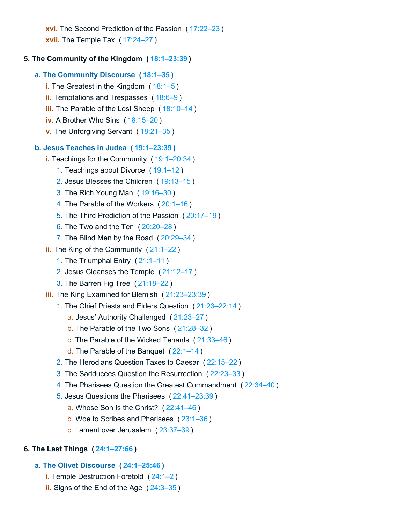**xvi.** The Second Prediction of the Passion ( [17:22–23](https://biblehub.com/bsb/matthew/17.htm#22) ) **xvii.** The Temple Tax ( [17:24–27](https://biblehub.com/bsb/matthew/17.htm#24) )

## **5. The Community of the Kingdom ( [18:1–23:39](https://biblehub.com/bsb/matthew/18.htm#1) )**

- **a. The Community Discourse ( [18:1–35](https://biblehub.com/bsb/matthew/18.htm#1) )**
	- **i.** The Greatest in the Kingdom ([18:1–5](https://biblehub.com/bsb/matthew/18.htm#1))
	- **ii.** Temptations and Trespasses ( [18:6–9](https://biblehub.com/bsb/matthew/18.htm#6) )
	- **iii.** The Parable of the Lost Sheep ( [18:10–14](https://biblehub.com/bsb/matthew/18.htm#10) )
	- **iv.** A Brother Who Sins ( [18:15–20](https://biblehub.com/bsb/matthew/18.htm#15) )
	- **v.** The Unforgiving Servant ( [18:21–35](https://biblehub.com/bsb/matthew/18.htm#21) )

## **b. Jesus Teaches in Judea ( [19:1–23:39](https://biblehub.com/bsb/matthew/19.htm#1) )**

- **i.** Teachings for the Community ( [19:1–20:34](https://biblehub.com/bsb/matthew/19.htm#1) )
	- 1. Teachings about Divorce ( [19:1–12](https://biblehub.com/bsb/matthew/19.htm#1) )
	- 2. Jesus Blesses the Children ( [19:13–15](https://biblehub.com/bsb/matthew/19.htm#13) )
	- 3. The Rich Young Man ( [19:16–30](https://biblehub.com/bsb/matthew/19.htm#16) )
	- 4. The Parable of the Workers ( [20:1–16](https://biblehub.com/bsb/matthew/20.htm#1) )
	- 5. The Third Prediction of the Passion ( [20:17–19](https://biblehub.com/bsb/matthew/20.htm#17) )
	- 6. The Two and the Ten ( [20:20–28](https://biblehub.com/bsb/matthew/20.htm#20) )
	- 7. The Blind Men by the Road ( [20:29–34](https://biblehub.com/bsb/matthew/20.htm#29) )
- **ii.** The King of the Community ( [21:1–22](https://biblehub.com/bsb/matthew/21.htm#1) )
	- 1. The Triumphal Entry ( [21:1–11](https://biblehub.com/bsb/matthew/21.htm#1) )
	- 2. Jesus Cleanses the Temple ( [21:12–17](https://biblehub.com/bsb/matthew/21.htm#12) )
	- 3. The Barren Fig Tree ( [21:18–22](https://biblehub.com/bsb/matthew/21.htm#18) )
- **iii.** The King Examined for Blemish ( [21:23–23:39](https://biblehub.com/bsb/matthew/21.htm#23) )
	- 1. The Chief Priests and Elders Question ( [21:23–22:14](https://biblehub.com/bsb/matthew/21.htm#23) )
		- a. Jesus' Authority Challenged ( [21:23–27](https://biblehub.com/bsb/matthew/21.htm#23) )
		- b. The Parable of the Two Sons ( [21:28–32](https://biblehub.com/bsb/matthew/21.htm#28) )
		- c. The Parable of the Wicked Tenants ( [21:33–46](https://biblehub.com/bsb/matthew/21.htm#33) )
		- d. The Parable of the Banquet ( [22:1–14](https://biblehub.com/bsb/matthew/22.htm#1) )
	- 2. The Herodians Question Taxes to Caesar ( [22:15–22](https://biblehub.com/bsb/matthew/22.htm#15) )
	- 3. The Sadducees Question the Resurrection ( [22:23–33](https://biblehub.com/bsb/matthew/22.htm#23) )
	- 4. The Pharisees Question the Greatest Commandment ( [22:34–40](https://biblehub.com/bsb/matthew/22.htm#34) )
	- 5. Jesus Questions the Pharisees ( [22:41–23:39](https://biblehub.com/bsb/matthew/22.htm#41) )
		- a. Whose Son Is the Christ? ( [22:41–46](https://biblehub.com/bsb/matthew/22.htm#41) )
		- b. Woe to Scribes and Pharisees ( [23:1–36](https://biblehub.com/bsb/matthew/23.htm#1) )
		- c. Lament over Jerusalem ( [23:37–39](https://biblehub.com/bsb/matthew/23.htm#37) )

## **6. The Last Things ( [24:1–27:66](https://biblehub.com/bsb/matthew/24.htm#1) )**

## **a. The Olivet Discourse ( [24:1–25:46](https://biblehub.com/bsb/matthew/24.htm#1) )**

- **i.** Temple Destruction Foretold ( [24:1–2](https://biblehub.com/bsb/matthew/24.htm#1) )
- **ii.** Signs of the End of the Age ( [24:3–35](https://biblehub.com/bsb/matthew/24.htm#3) )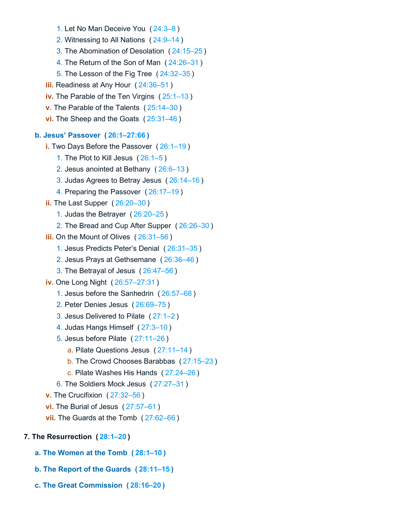- 1. Let No Man Deceive You ( [24:3–8](https://biblehub.com/bsb/matthew/24.htm#3) )
- 2. Witnessing to All Nations ( [24:9–14](https://biblehub.com/bsb/matthew/24.htm#9) )
- 3. The Abomination of Desolation ( [24:15–25](https://biblehub.com/bsb/matthew/24.htm#15) )
- 4. The Return of the Son of Man ( [24:26–31](https://biblehub.com/bsb/matthew/24.htm#26) )
- 5. The Lesson of the Fig Tree ( [24:32–35](https://biblehub.com/bsb/matthew/24.htm#32) )
- **iii.** Readiness at Any Hour ( [24:36–51](https://biblehub.com/bsb/matthew/24.htm#36) )
- **iv.** The Parable of the Ten Virgins ( [25:1–13](https://biblehub.com/bsb/matthew/25.htm#1) )
- **v.** The Parable of the Talents ( [25:14–30](https://biblehub.com/bsb/matthew/25.htm#14) )
- **vi.** The Sheep and the Goats ( [25:31–46](https://biblehub.com/bsb/matthew/25.htm#31) )

## **b. Jesus' Passover ( [26:1–27:66](https://biblehub.com/bsb/matthew/26.htm#1) )**

- **i.** Two Days Before the Passover ( [26:1–19](https://biblehub.com/bsb/matthew/26.htm#1) )
	- 1. The Plot to Kill Jesus ( [26:1–5](https://biblehub.com/bsb/matthew/26.htm#1) )
	- 2. Jesus anointed at Bethany ( [26:6–13](https://biblehub.com/bsb/matthew/26.htm#6) )
	- 3. Judas Agrees to Betray Jesus ( [26:14–16](https://biblehub.com/bsb/matthew/26.htm#14) )
	- 4. Preparing the Passover ( [26:17–19](https://biblehub.com/bsb/matthew/26.htm#17) )
- **ii.** The Last Supper ( [26:20–30](https://biblehub.com/bsb/matthew/26.htm#20) )
	- 1. Judas the Betrayer ( [26:20–25](https://biblehub.com/bsb/matthew/26.htm#20) )
	- 2. The Bread and Cup After Supper ( [26:26–30](https://biblehub.com/bsb/matthew/26.htm#26) )
- **iii.** On the Mount of Olives ( [26:31–56](https://biblehub.com/bsb/matthew/26.htm#31) )
	- 1. Jesus Predicts Peter's Denial ( [26:31–35](https://biblehub.com/bsb/matthew/26.htm#31) )
	- 2. Jesus Prays at Gethsemane ( [26:36–46](https://biblehub.com/bsb/matthew/26.htm#36) )
	- 3. The Betrayal of Jesus ( [26:47–56](https://biblehub.com/bsb/matthew/26.htm#47) )

**iv.** One Long Night ( [26:57–27:31](https://biblehub.com/bsb/matthew/26.htm#57) )

- 1. Jesus before the Sanhedrin ( [26:57–68](https://biblehub.com/bsb/matthew/26.htm#57) )
- 2. Peter Denies Jesus ( [26:69–75](https://biblehub.com/bsb/matthew/26.htm#69) )
- 3. Jesus Delivered to Pilate ( [27:1–2](https://biblehub.com/bsb/matthew/27.htm#1) )
- 4. Judas Hangs Himself ( [27:3–10](https://biblehub.com/bsb/matthew/27.htm#3) )
- 5. Jesus before Pilate ( [27:11–26](https://biblehub.com/bsb/matthew/27.htm#11) )
	- a. Pilate Questions Jesus ( [27:11–14](https://biblehub.com/bsb/matthew/27.htm#11) )
	- b. The Crowd Chooses Barabbas ( [27:15–23](https://biblehub.com/bsb/matthew/27.htm#15) )
	- c. Pilate Washes His Hands ( [27:24–26](https://biblehub.com/bsb/matthew/27.htm#24) )
- 6. The Soldiers Mock Jesus ( [27:27–31](https://biblehub.com/bsb/matthew/27.htm#27) )
- **v.** The Crucifixion ( [27:32–56](https://biblehub.com/bsb/matthew/27.htm#32) )
- **vi.** The Burial of Jesus ( [27:57–61](https://biblehub.com/bsb/matthew/27.htm#57) )
- **vii.** The Guards at the Tomb ( [27:62–66](https://biblehub.com/bsb/matthew/27.htm#62) )

## **7. The Resurrection ( [28:1–20](https://biblehub.com/bsb/matthew/28.htm#1) )**

- **a. The Women at the Tomb ( [28:1–10](https://biblehub.com/bsb/matthew/28.htm#1) )**
- **b. The Report of the Guards ( [28:11–15](https://biblehub.com/bsb/matthew/28.htm#11) )**
- **c. The Great Commission ( [28:16–20](https://biblehub.com/bsb/matthew/28.htm#16) )**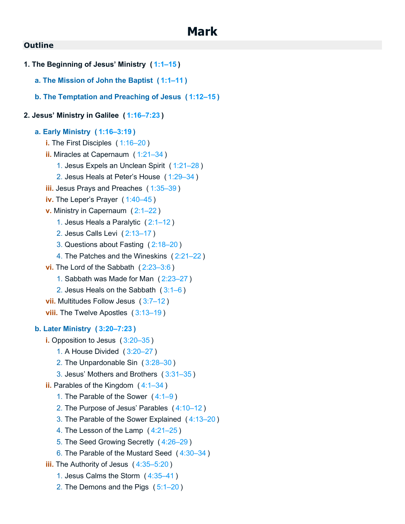**1. The Beginning of Jesus' Ministry ( [1:1–15](https://biblehub.com/bsb/mark/1.htm#1) ) a. The Mission of John the Baptist ( [1:1–11](https://biblehub.com/bsb/mark/1.htm#1) ) b. The Temptation and Preaching of Jesus ( [1:12–15](https://biblehub.com/bsb/mark/1.htm#12) ) 2. Jesus' Ministry in Galilee ( [1:16–7:23](https://biblehub.com/bsb/mark/1.htm#16) ) a. Early Ministry ( [1:16–3:19](https://biblehub.com/bsb/mark/1.htm#16) ) i.** The First Disciples ([1:16–20](https://biblehub.com/bsb/mark/1.htm#16)) **ii.** Miracles at Capernaum ( [1:21–34](https://biblehub.com/bsb/mark/1.htm#21) ) 1. Jesus Expels an Unclean Spirit ( [1:21–28](https://biblehub.com/bsb/mark/1.htm#21) ) 2. Jesus Heals at Peter's House ( [1:29–34](https://biblehub.com/bsb/mark/1.htm#29) ) **iii.** Jesus Prays and Preaches ( [1:35–39](https://biblehub.com/bsb/mark/1.htm#35) ) **iv.** The Leper's Prayer ( [1:40–45](https://biblehub.com/bsb/mark/1.htm#40) ) **v.** Ministry in Capernaum ( [2:1–22](https://biblehub.com/bsb/mark/2.htm#1) ) 1. Jesus Heals a Paralytic ( [2:1–12](https://biblehub.com/bsb/mark/2.htm#1) ) 2. Jesus Calls Levi ( [2:13–17](https://biblehub.com/bsb/mark/2.htm#13) ) 3. Questions about Fasting ( [2:18–20](https://biblehub.com/bsb/mark/2.htm#18) ) 4. The Patches and the Wineskins ( [2:21–22](https://biblehub.com/bsb/mark/2.htm#21) ) **vi.** The Lord of the Sabbath ( [2:23–3:6](https://biblehub.com/bsb/mark/2.htm#23) ) 1. Sabbath was Made for Man ( [2:23–27](https://biblehub.com/bsb/mark/2.htm#23) ) 2. Jesus Heals on the Sabbath ( [3:1–6](https://biblehub.com/bsb/mark/3.htm#1) ) **vii.** Multitudes Follow Jesus ( [3:7–12](https://biblehub.com/bsb/mark/3.htm#7) ) **viii.** The Twelve Apostles ([3:13–19](https://biblehub.com/bsb/mark/3.htm#13)) **b. Later Ministry ( [3:20–7:23](https://biblehub.com/bsb/mark/3.htm#20) ) i.** Opposition to Jesus ( [3:20–35](https://biblehub.com/bsb/mark/3.htm#20) ) 1. A House Divided ( [3:20–27](https://biblehub.com/bsb/mark/3.htm#20) ) 2. The Unpardonable Sin ( [3:28–30](https://biblehub.com/bsb/mark/3.htm#28) ) 3. Jesus' Mothers and Brothers ( [3:31–35](https://biblehub.com/bsb/mark/3.htm#31) ) **ii.** Parables of the Kingdom ( [4:1–34](https://biblehub.com/bsb/mark/4.htm#1) ) 1. The Parable of the Sower ( [4:1–9](https://biblehub.com/bsb/mark/4.htm#1) ) 2. The Purpose of Jesus' Parables ( [4:10–12](https://biblehub.com/bsb/mark/4.htm#10) ) 3. The Parable of the Sower Explained ( [4:13–20](https://biblehub.com/bsb/mark/4.htm#13) ) 4. The Lesson of the Lamp ( [4:21–25](https://biblehub.com/bsb/mark/4.htm#21) ) 5. The Seed Growing Secretly ( [4:26–29](https://biblehub.com/bsb/mark/4.htm#26) ) 6. The Parable of the Mustard Seed ( [4:30–34](https://biblehub.com/bsb/mark/4.htm#30) ) **iii.** The Authority of Jesus ( [4:35–5:20](https://biblehub.com/bsb/mark/4.htm#35) ) 1. Jesus Calms the Storm ( [4:35–41](https://biblehub.com/bsb/mark/4.htm#35) ) 2. The Demons and the Pigs ( [5:1–20](https://biblehub.com/bsb/mark/5.htm#1) )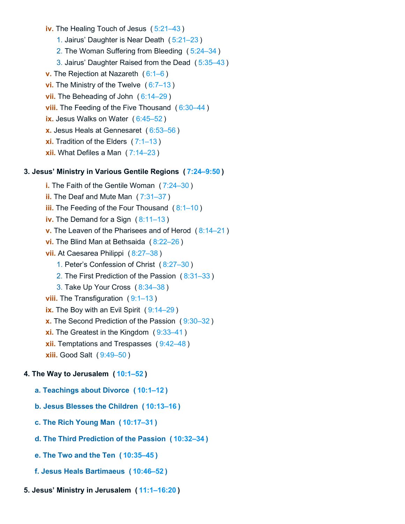**iv.** The Healing Touch of Jesus ( [5:21–43](https://biblehub.com/bsb/mark/5.htm#21) )

1. Jairus' Daughter is Near Death ( [5:21–23](https://biblehub.com/bsb/mark/5.htm#21) )

2. The Woman Suffering from Bleeding ( [5:24–34](https://biblehub.com/bsb/mark/5.htm#24) )

3. Jairus' Daughter Raised from the Dead ( [5:35–43](https://biblehub.com/bsb/mark/5.htm#35) )

**v.** The Rejection at Nazareth ( [6:1–6](https://biblehub.com/bsb/mark/6.htm#1) )

**vi.** The Ministry of the Twelve ( [6:7–13](https://biblehub.com/bsb/mark/6.htm#7) )

**vii.** The Beheading of John ( [6:14–29](https://biblehub.com/bsb/mark/6.htm#14) )

**viii.** The Feeding of the Five Thousand ([6:30–44](https://biblehub.com/bsb/mark/6.htm#30))

**ix.** Jesus Walks on Water ( [6:45–52](https://biblehub.com/bsb/mark/6.htm#45) )

**x.** Jesus Heals at Gennesaret ( [6:53–56](https://biblehub.com/bsb/mark/6.htm#53) )

**xi.** Tradition of the Elders ( $7:1-13$ )

**xii.** What Defiles a Man ( [7:14–23](https://biblehub.com/bsb/mark/7.htm#14) )

#### **3. Jesus' Ministry in Various Gentile Regions ( [7:24–9:50](https://biblehub.com/bsb/mark/7.htm#24) )**

- **i.** The Faith of the Gentile Woman ( [7:24–30](https://biblehub.com/bsb/mark/7.htm#24) )
- **ii.** The Deaf and Mute Man ( [7:31–37](https://biblehub.com/bsb/mark/7.htm#31) )

**iii.** The Feeding of the Four Thousand ([8:1–10](https://biblehub.com/bsb/mark/8.htm#1))

**iv.** The Demand for a Sign ( [8:11–13](https://biblehub.com/bsb/mark/8.htm#11) )

**v.** The Leaven of the Pharisees and of Herod ( [8:14–21](https://biblehub.com/bsb/mark/8.htm#14) )

- **vi.** The Blind Man at Bethsaida ( [8:22–26](https://biblehub.com/bsb/mark/8.htm#22) )
- **vii.** At Caesarea Philippi ( [8:27–38](https://biblehub.com/bsb/mark/8.htm#27) )

1. Peter's Confession of Christ ( [8:27–30](https://biblehub.com/bsb/mark/8.htm#27) )

- 2. The First Prediction of the Passion ( [8:31–33](https://biblehub.com/bsb/mark/8.htm#31) )
- 3. Take Up Your Cross ( [8:34–38](https://biblehub.com/bsb/mark/8.htm#34) )
- **viii.** The Transfiguration ([9:1–13](https://biblehub.com/bsb/mark/9.htm#1))
- **ix.** The Boy with an Evil Spirit ( [9:14–29](https://biblehub.com/bsb/mark/9.htm#14) )

**x.** The Second Prediction of the Passion ( [9:30–32](https://biblehub.com/bsb/mark/9.htm#30) )

- **xi.** The Greatest in the Kingdom ([9:33–41](https://biblehub.com/bsb/mark/9.htm#33))
- **xii.** Temptations and Trespasses ( [9:42–48](https://biblehub.com/bsb/mark/9.htm#42) )

**xiii.** Good Salt ( [9:49–50](https://biblehub.com/bsb/mark/9.htm#49) )

#### **4. The Way to Jerusalem ( [10:1–52](https://biblehub.com/bsb/mark/10.htm#1) )**

- **a. Teachings about Divorce ( [10:1–12](https://biblehub.com/bsb/mark/10.htm#1) )**
- **b. Jesus Blesses the Children ( [10:13–16](https://biblehub.com/bsb/mark/10.htm#13) )**
- **c. The Rich Young Man ( [10:17–31](https://biblehub.com/bsb/mark/10.htm#17) )**
- **d. The Third Prediction of the Passion ( [10:32–34](https://biblehub.com/bsb/mark/10.htm#32) )**
- **e. The Two and the Ten ( [10:35–45](https://biblehub.com/bsb/mark/10.htm#35) )**
- **f. Jesus Heals Bartimaeus ( [10:46–52](https://biblehub.com/bsb/mark/10.htm#46) )**
- **5. Jesus' Ministry in Jerusalem ( [11:1–16:20](https://biblehub.com/bsb/mark/11.htm#1) )**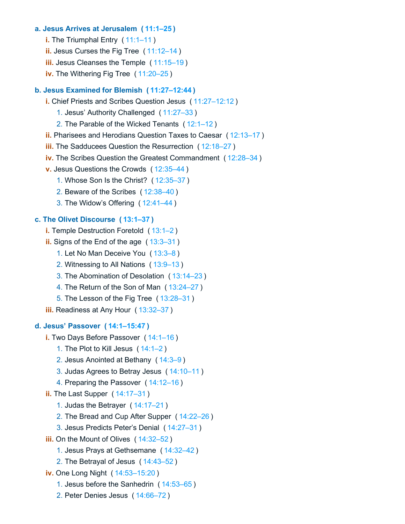#### **a. Jesus Arrives at Jerusalem ( [11:1–25](https://biblehub.com/bsb/mark/11.htm#1) )**

- **i.** The Triumphal Entry ([11:1–11](https://biblehub.com/bsb/mark/11.htm#1))
- **ii.** Jesus Curses the Fig Tree ( [11:12–14](https://biblehub.com/bsb/mark/11.htm#12) )
- **iii.** Jesus Cleanses the Temple ( [11:15–19](https://biblehub.com/bsb/mark/11.htm#15) )
- **iv.** The Withering Fig Tree ( [11:20–25](https://biblehub.com/bsb/mark/11.htm#20) )

#### **b. Jesus Examined for Blemish ( [11:27–12:44](https://biblehub.com/bsb/mark/11.htm#27) )**

- **i.** Chief Priests and Scribes Question Jesus ( [11:27–12:12](https://biblehub.com/bsb/mark/11.htm#27) )
	- 1. Jesus' Authority Challenged ( [11:27–33](https://biblehub.com/bsb/mark/11.htm#27) )
	- 2. The Parable of the Wicked Tenants ( [12:1–12](https://biblehub.com/bsb/mark/12.htm#1) )
- **ii.** Pharisees and Herodians Question Taxes to Caesar ( [12:13–17](https://biblehub.com/bsb/mark/12.htm#13) )
- **iii.** The Sadducees Question the Resurrection ( [12:18–27](https://biblehub.com/bsb/mark/12.htm#18) )
- **iv.** The Scribes Question the Greatest Commandment ( [12:28–34](https://biblehub.com/bsb/mark/12.htm#28) )
- **v.** Jesus Questions the Crowds ( [12:35–44](https://biblehub.com/bsb/mark/12.htm#35) )
	- 1. Whose Son Is the Christ? ( [12:35–37](https://biblehub.com/bsb/mark/12.htm#35) )
	- 2. Beware of the Scribes ( [12:38–40](https://biblehub.com/bsb/mark/12.htm#38) )
	- 3. The Widow's Offering ( [12:41–44](https://biblehub.com/bsb/mark/12.htm#41) )

#### **c. The Olivet Discourse ( [13:1–37](https://biblehub.com/bsb/mark/13.htm#1) )**

- **i.** Temple Destruction Foretold ([13:1–2](https://biblehub.com/bsb/mark/13.htm#1))
- **ii.** Signs of the End of the age ( [13:3–31](https://biblehub.com/bsb/mark/13.htm#3) )
	- 1. Let No Man Deceive You ( [13:3–8](https://biblehub.com/bsb/mark/13.htm#3) )
	- 2. Witnessing to All Nations ( [13:9–13](https://biblehub.com/bsb/mark/13.htm#9) )
	- 3. The Abomination of Desolation ( [13:14–23](https://biblehub.com/bsb/mark/13.htm#14) )
	- 4. The Return of the Son of Man ( [13:24–27](https://biblehub.com/bsb/mark/13.htm#24) )
	- 5. The Lesson of the Fig Tree ( [13:28–31](https://biblehub.com/bsb/mark/13.htm#28) )
- **iii.** Readiness at Any Hour ( [13:32–37](https://biblehub.com/bsb/mark/13.htm#32) )

#### **d. Jesus' Passover ( [14:1–15:47](https://biblehub.com/bsb/mark/14.htm#1) )**

- **i.** Two Days Before Passover ( [14:1–16](https://biblehub.com/bsb/mark/14.htm#1) )
	- 1. The Plot to Kill Jesus ( [14:1–2](https://biblehub.com/bsb/mark/14.htm#1) )
	- 2. Jesus Anointed at Bethany ( [14:3–9](https://biblehub.com/bsb/mark/14.htm#3) )
	- 3. Judas Agrees to Betray Jesus ( [14:10–11](https://biblehub.com/bsb/mark/14.htm#10) )
	- 4. Preparing the Passover ( [14:12–16](https://biblehub.com/bsb/mark/14.htm#12) )

#### **ii.** The Last Supper ( [14:17–31](https://biblehub.com/bsb/mark/14.htm#17) )

- 1. Judas the Betrayer ( [14:17–21](https://biblehub.com/bsb/mark/14.htm#17) )
- 2. The Bread and Cup After Supper ( [14:22–26](https://biblehub.com/bsb/mark/14.htm#22) )
- 3. Jesus Predicts Peter's Denial ( [14:27–31](https://biblehub.com/bsb/mark/14.htm#27) )
- **iii.** On the Mount of Olives ( [14:32–52](https://biblehub.com/bsb/mark/14.htm#32) )
	- 1. Jesus Prays at Gethsemane ( [14:32–42](https://biblehub.com/bsb/mark/14.htm#32) )
	- 2. The Betrayal of Jesus ( [14:43–52](https://biblehub.com/bsb/mark/14.htm#43) )
- **iv.** One Long Night ( [14:53–15:20](https://biblehub.com/bsb/mark/14.htm#53) )
	- 1. Jesus before the Sanhedrin ( [14:53–65](https://biblehub.com/bsb/mark/14.htm#53) )
	- 2. Peter Denies Jesus ( [14:66–72](https://biblehub.com/bsb/mark/14.htm#66) )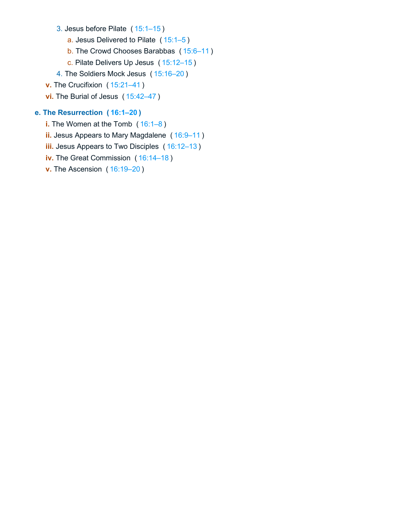- 3. Jesus before Pilate ( [15:1–15](https://biblehub.com/bsb/mark/15.htm#1) )
	- a. Jesus Delivered to Pilate ( [15:1–5](https://biblehub.com/bsb/mark/15.htm#1) )
	- b. The Crowd Chooses Barabbas ( [15:6–11](https://biblehub.com/bsb/mark/15.htm#6) )
	- c. Pilate Delivers Up Jesus ( [15:12–15](https://biblehub.com/bsb/mark/15.htm#12) )
- 4. The Soldiers Mock Jesus ( [15:16–20](https://biblehub.com/bsb/mark/15.htm#16) )
- **v.** The Crucifixion ( [15:21–41](https://biblehub.com/bsb/mark/15.htm#21) )
- **vi.** The Burial of Jesus ( [15:42–47](https://biblehub.com/bsb/mark/15.htm#42) )

## **e. The Resurrection ( [16:1–20](https://biblehub.com/bsb/mark/16.htm#1) )**

- **i.** The Women at the Tomb ( $16:1-8$ )
- **ii.** Jesus Appears to Mary Magdalene ( [16:9–11](https://biblehub.com/bsb/mark/16.htm#9) )
- **iii.** Jesus Appears to Two Disciples ( [16:12–13](https://biblehub.com/bsb/mark/16.htm#12) )
- **iv.** The Great Commission ( [16:14–18](https://biblehub.com/bsb/mark/16.htm#14) )
- **v.** The Ascension ( [16:19–20](https://biblehub.com/bsb/mark/16.htm#19) )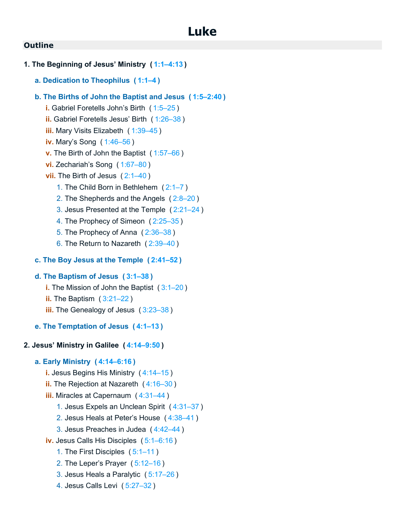**1. The Beginning of Jesus' Ministry ( [1:1–4:13](https://biblehub.com/bsb/luke/1.htm#1) ) a. Dedication to Theophilus ( [1:1–4](https://biblehub.com/bsb/luke/1.htm#1) ) b. The Births of John the Baptist and Jesus ( [1:5–2:40](https://biblehub.com/bsb/luke/1.htm#5) ) i.** Gabriel Foretells John's Birth ( [1:5–25](https://biblehub.com/bsb/luke/1.htm#5) ) **ii.** Gabriel Foretells Jesus' Birth ( [1:26–38](https://biblehub.com/bsb/luke/1.htm#26) ) **iii.** Mary Visits Elizabeth ( [1:39–45](https://biblehub.com/bsb/luke/1.htm#39) ) **iv.** Mary's Song ( [1:46–56](https://biblehub.com/bsb/luke/1.htm#46) ) **v.** The Birth of John the Baptist ( [1:57–66](https://biblehub.com/bsb/luke/1.htm#57) ) **vi.** Zechariah's Song ( [1:67–80](https://biblehub.com/bsb/luke/1.htm#67) ) **vii.** The Birth of Jesus ([2:1–40](https://biblehub.com/bsb/luke/2.htm#1)) 1. The Child Born in Bethlehem ( [2:1–7](https://biblehub.com/bsb/luke/2.htm#1) ) 2. The Shepherds and the Angels ( [2:8–20](https://biblehub.com/bsb/luke/2.htm#8) ) 3. Jesus Presented at the Temple ( [2:21–24](https://biblehub.com/bsb/luke/2.htm#21) ) 4. The Prophecy of Simeon ( [2:25–35](https://biblehub.com/bsb/luke/2.htm#25) ) 5. The Prophecy of Anna ( [2:36–38](https://biblehub.com/bsb/luke/2.htm#36) ) 6. The Return to Nazareth ( [2:39–40](https://biblehub.com/bsb/luke/2.htm#39) ) **c. The Boy Jesus at the Temple ( [2:41–52](https://biblehub.com/bsb/luke/2.htm#41) ) d. The Baptism of Jesus ( [3:1–38](https://biblehub.com/bsb/luke/3.htm#1) ) i.** The Mission of John the Baptist ([3:1–20](https://biblehub.com/bsb/luke/3.htm#1)) **ii.** The Baptism ( [3:21–22](https://biblehub.com/bsb/luke/3.htm#21) ) **iii.** The Genealogy of Jesus ( [3:23–38](https://biblehub.com/bsb/luke/3.htm#23) ) **e. The Temptation of Jesus ( [4:1–13](https://biblehub.com/bsb/luke/4.htm#1) ) 2. Jesus' Ministry in Galilee ( [4:14–9:50](https://biblehub.com/bsb/luke/4.htm#14) ) a. Early Ministry ( [4:14–6:16](https://biblehub.com/bsb/luke/4.htm#14) ) i.** Jesus Begins His Ministry ( [4:14–15](https://biblehub.com/bsb/luke/4.htm#14) ) **ii.** The Rejection at Nazareth ( [4:16–30](https://biblehub.com/bsb/luke/4.htm#16) ) **iii.** Miracles at Capernaum (4:31-44) 1. Jesus Expels an Unclean Spirit ( [4:31–37](https://biblehub.com/bsb/luke/4.htm#31) ) 2. Jesus Heals at Peter's House ( [4:38–41](https://biblehub.com/bsb/luke/4.htm#38) ) 3. Jesus Preaches in Judea ( [4:42–44](https://biblehub.com/bsb/luke/4.htm#42) ) **iv.** Jesus Calls His Disciples ( [5:1–6:16](https://biblehub.com/bsb/luke/5.htm#1) ) 1. The First Disciples ( [5:1–11](https://biblehub.com/bsb/luke/5.htm#1) ) 2. The Leper's Prayer ( [5:12–16](https://biblehub.com/bsb/luke/5.htm#12) ) 3. Jesus Heals a Paralytic ( [5:17–26](https://biblehub.com/bsb/luke/5.htm#17) ) 4. Jesus Calls Levi ( [5:27–32](https://biblehub.com/bsb/luke/5.htm#27) )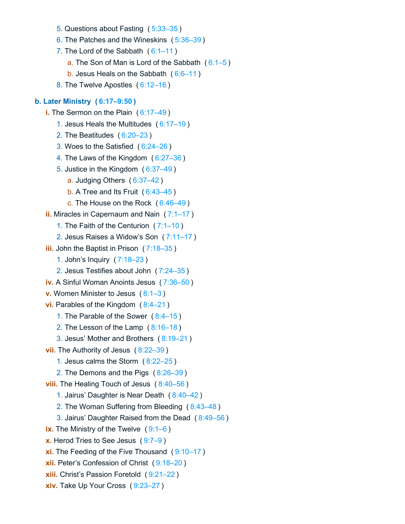- 5. Questions about Fasting ( [5:33–35](https://biblehub.com/bsb/luke/5.htm#33) )
- 6. The Patches and the Wineskins ( [5:36–39](https://biblehub.com/bsb/luke/5.htm#36) )
- 7. The Lord of the Sabbath  $(6:1-11)$ 
	- a. The Son of Man is Lord of the Sabbath  $(6:1-5)$
	- b. Jesus Heals on the Sabbath ( [6:6–11](https://biblehub.com/bsb/luke/6.htm#6) )
- 8. The Twelve Apostles ( [6:12–16](https://biblehub.com/bsb/luke/6.htm#12) )

#### **b. Later Ministry ( [6:17–9:50](https://biblehub.com/bsb/luke/6.htm#17) )**

- **i.** The Sermon on the Plain ( [6:17–49](https://biblehub.com/bsb/luke/6.htm#17) )
	- 1. Jesus Heals the Multitudes ( [6:17–19](https://biblehub.com/bsb/luke/6.htm#17) )
	- 2. The Beatitudes ( [6:20–23](https://biblehub.com/bsb/luke/6.htm#20) )
	- 3. Woes to the Satisfied ( [6:24–26](https://biblehub.com/bsb/luke/6.htm#24) )
	- 4. The Laws of the Kingdom ( [6:27–36](https://biblehub.com/bsb/luke/6.htm#27) )
	- 5. Justice in the Kingdom ( [6:37–49](https://biblehub.com/bsb/luke/6.htm#37) )
		- a. Judging Others ( [6:37–42](https://biblehub.com/bsb/luke/6.htm#37) )
		- b. A Tree and Its Fruit ( [6:43–45](https://biblehub.com/bsb/luke/6.htm#43) )
		- c. The House on the Rock ( [6:46–49](https://biblehub.com/bsb/luke/6.htm#46) )
- **ii.** Miracles in Capernaum and Nain ( [7:1–17](https://biblehub.com/bsb/luke/7.htm#1) )
	- 1. The Faith of the Centurion ( [7:1–10](https://biblehub.com/bsb/luke/7.htm#1) )
	- 2. Jesus Raises a Widow's Son ( [7:11–17](https://biblehub.com/bsb/luke/7.htm#11) )
- **iii.** John the Baptist in Prison ( [7:18–35](https://biblehub.com/bsb/luke/7.htm#18) )
	- 1. John's Inquiry ( [7:18–23](https://biblehub.com/bsb/luke/7.htm#18) )
	- 2. Jesus Testifies about John ( [7:24–35](https://biblehub.com/bsb/luke/7.htm#24) )
- **iv.** A Sinful Woman Anoints Jesus ( [7:36–50](https://biblehub.com/bsb/luke/7.htm#36) )
- **v.** Women Minister to Jesus ( [8:1–3](https://biblehub.com/bsb/luke/8.htm#1) )
- **vi.** Parables of the Kingdom ( [8:4–21](https://biblehub.com/bsb/luke/8.htm#4) )
	- 1. The Parable of the Sower ( [8:4–15](https://biblehub.com/bsb/luke/8.htm#4) )
	- 2. The Lesson of the Lamp ( [8:16–18](https://biblehub.com/bsb/luke/8.htm#16) )
	- 3. Jesus' Mother and Brothers ( [8:19–21](https://biblehub.com/bsb/luke/8.htm#19) )
- **vii.** The Authority of Jesus ( [8:22–39](https://biblehub.com/bsb/luke/8.htm#22) )
	- 1. Jesus calms the Storm ( [8:22–25](https://biblehub.com/bsb/luke/8.htm#22) )
	- 2. The Demons and the Pigs ( [8:26–39](https://biblehub.com/bsb/luke/8.htm#26) )
- **viii.** The Healing Touch of Jesus ( [8:40–56](https://biblehub.com/bsb/luke/8.htm#40) )
	- 1. Jairus' Daughter is Near Death ( [8:40–42](https://biblehub.com/bsb/luke/8.htm#40) )
	- 2. The Woman Suffering from Bleeding ( [8:43–48](https://biblehub.com/bsb/luke/8.htm#43) )
	- 3. Jairus' Daughter Raised from the Dead ( [8:49–56](https://biblehub.com/bsb/luke/8.htm#49) )
- **ix.** The Ministry of the Twelve ([9:1–6](https://biblehub.com/bsb/luke/9.htm#1))
- **x.** Herod Tries to See Jesus ( [9:7–9](https://biblehub.com/bsb/luke/9.htm#7) )
- **xi.** The Feeding of the Five Thousand ([9:10–17](https://biblehub.com/bsb/luke/9.htm#10))
- **xii.** Peter's Confession of Christ ( [9:18–20](https://biblehub.com/bsb/luke/9.htm#18) )
- **xiii.** Christ's Passion Foretold ( [9:21–22](https://biblehub.com/bsb/luke/9.htm#21) )
- **xiv.** Take Up Your Cross ( [9:23–27](https://biblehub.com/bsb/luke/9.htm#23) )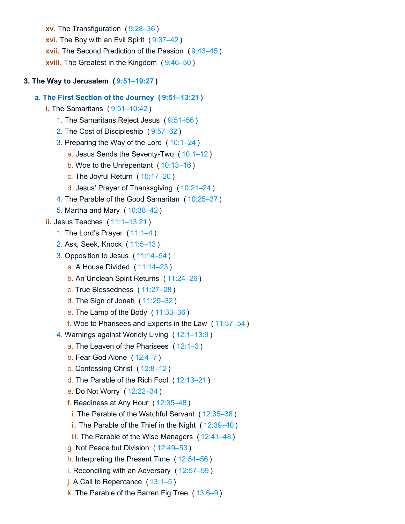**xv.** The Transfiguration ( [9:28–36](https://biblehub.com/bsb/luke/9.htm#28) ) **xvi.** The Boy with an Evil Spirit ( [9:37–42](https://biblehub.com/bsb/luke/9.htm#37) ) **xvii.** The Second Prediction of the Passion ( [9:43–45](https://biblehub.com/bsb/luke/9.htm#43) ) **xviii.** The Greatest in the Kingdom ( [9:46–50](https://biblehub.com/bsb/luke/9.htm#46) )

## **3. The Way to Jerusalem ( [9:51–19:27](https://biblehub.com/bsb/luke/9.htm#51) )**

## **a. The First Section of the Journey ( [9:51–13:21](https://biblehub.com/bsb/luke/9.htm#51) )**

- **i.** The Samaritans ( [9:51–10:42](https://biblehub.com/bsb/luke/9.htm#51) )
	- 1. The Samaritans Reject Jesus ( [9:51–56](https://biblehub.com/bsb/luke/9.htm#51) )
	- 2. The Cost of Discipleship ( [9:57–62](https://biblehub.com/bsb/luke/9.htm#57) )
	- 3. Preparing the Way of the Lord ( [10:1–24](https://biblehub.com/bsb/luke/10.htm#1) )
		- a. Jesus Sends the Seventy-Two ( [10:1–12](https://biblehub.com/bsb/luke/10.htm#1) )
		- b. Woe to the Unrepentant ( [10:13–16](https://biblehub.com/bsb/luke/10.htm#13) )
		- c. The Joyful Return ( [10:17–20](https://biblehub.com/bsb/luke/10.htm#17) )
		- d. Jesus' Prayer of Thanksgiving ( [10:21–24](https://biblehub.com/bsb/luke/10.htm#21) )
	- 4. The Parable of the Good Samaritan ( [10:25–37](https://biblehub.com/bsb/luke/10.htm#25) )
	- 5. Martha and Mary ( [10:38–42](https://biblehub.com/bsb/luke/10.htm#38) )

## **ii.** Jesus Teaches ( [11:1–13:21](https://biblehub.com/bsb/luke/11.htm#1) )

- 1. The Lord's Prayer ( [11:1–4](https://biblehub.com/bsb/luke/11.htm#1) )
- 2. Ask, Seek, Knock ( [11:5–13](https://biblehub.com/bsb/luke/11.htm#5) )
- 3. Opposition to Jesus ( [11:14–54](https://biblehub.com/bsb/luke/11.htm#14) )
	- a. A House Divided ( [11:14–23](https://biblehub.com/bsb/luke/11.htm#14) )
	- b. An Unclean Spirit Returns ( [11:24–26](https://biblehub.com/bsb/luke/11.htm#24) )
	- c. True Blessedness ( [11:27–28](https://biblehub.com/bsb/luke/11.htm#27) )
	- d. The Sign of Jonah ( [11:29–32](https://biblehub.com/bsb/luke/11.htm#29) )
	- e. The Lamp of the Body ( [11:33–36](https://biblehub.com/bsb/luke/11.htm#33) )
	- f. Woe to Pharisees and Experts in the Law ( [11:37–54](https://biblehub.com/bsb/luke/11.htm#37) )
- 4. Warnings against Worldly Living ( [12:1–13:9](https://biblehub.com/bsb/luke/12.htm#1) )
	- a. The Leaven of the Pharisees ([12:1–3](https://biblehub.com/bsb/luke/12.htm#1))
	- b. Fear God Alone ( [12:4–7](https://biblehub.com/bsb/luke/12.htm#4) )
	- c. Confessing Christ ( [12:8–12](https://biblehub.com/bsb/luke/12.htm#8) )
	- d. The Parable of the Rich Fool ( [12:13–21](https://biblehub.com/bsb/luke/12.htm#13) )
	- e. Do Not Worry ( [12:22–34](https://biblehub.com/bsb/luke/12.htm#22) )
	- f. Readiness at Any Hour ( [12:35–48](https://biblehub.com/bsb/luke/12.htm#35) )
	- i. The Parable of the Watchful Servant ( [12:35–38](https://biblehub.com/bsb/luke/12.htm#35) )
	- ii. The Parable of the Thief in the Night ( [12:39–40](https://biblehub.com/bsb/luke/12.htm#39) )
	- iii. The Parable of the Wise Managers ([12:41–48](https://biblehub.com/bsb/luke/12.htm#41))
	- g. Not Peace but Division ( [12:49–53](https://biblehub.com/bsb/luke/12.htm#49) )
	- h. Interpreting the Present Time ( [12:54–56](https://biblehub.com/bsb/luke/12.htm#54) )
	- i. Reconciling with an Adversary ( [12:57–59](https://biblehub.com/bsb/luke/12.htm#57) )
	- j. A Call to Repentance ( [13:1–5](https://biblehub.com/bsb/luke/13.htm#1) )
	- k. The Parable of the Barren Fig Tree  $(13:6-9)$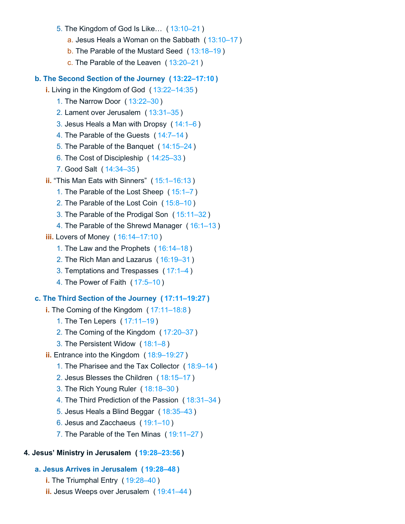- 5. The Kingdom of God Is Like… ( [13:10–21](https://biblehub.com/bsb/luke/13.htm#10) )
	- a. Jesus Heals a Woman on the Sabbath ( [13:10–17](https://biblehub.com/bsb/luke/13.htm#10) )
	- b. The Parable of the Mustard Seed ( [13:18–19](https://biblehub.com/bsb/luke/13.htm#18) )
	- c. The Parable of the Leaven ( [13:20–21](https://biblehub.com/bsb/luke/13.htm#20) )

#### **b. The Second Section of the Journey ( [13:22–17:10](https://biblehub.com/bsb/luke/13.htm#22) )**

- **i.** Living in the Kingdom of God ( [13:22–14:35](https://biblehub.com/bsb/luke/13.htm#22) )
	- 1. The Narrow Door ( [13:22–30](https://biblehub.com/bsb/luke/13.htm#22) )
	- 2. Lament over Jerusalem ( [13:31–35](https://biblehub.com/bsb/luke/13.htm#31) )
	- 3. Jesus Heals a Man with Dropsy ( [14:1–6](https://biblehub.com/bsb/luke/14.htm#1) )
	- 4. The Parable of the Guests ( [14:7–14](https://biblehub.com/bsb/luke/14.htm#7) )
	- 5. The Parable of the Banquet ( [14:15–24](https://biblehub.com/bsb/luke/14.htm#15) )
	- 6. The Cost of Discipleship ( [14:25–33](https://biblehub.com/bsb/luke/14.htm#25) )
	- 7. Good Salt ( [14:34–35](https://biblehub.com/bsb/luke/14.htm#34) )
- **ii.** "This Man Eats with Sinners" ( [15:1–16:13](https://biblehub.com/bsb/luke/15.htm#1) )
	- 1. The Parable of the Lost Sheep ( [15:1–7](https://biblehub.com/bsb/luke/15.htm#1) )
	- 2. The Parable of the Lost Coin ( [15:8–10](https://biblehub.com/bsb/luke/15.htm#8) )
	- 3. The Parable of the Prodigal Son ( [15:11–32](https://biblehub.com/bsb/luke/15.htm#11) )
	- 4. The Parable of the Shrewd Manager ( [16:1–13](https://biblehub.com/bsb/luke/16.htm#1) )
- **iii.** Lovers of Money ( [16:14–17:10](https://biblehub.com/bsb/luke/16.htm#14) )
	- 1. The Law and the Prophets ( [16:14–18](https://biblehub.com/bsb/luke/16.htm#14) )
	- 2. The Rich Man and Lazarus ( [16:19–31](https://biblehub.com/bsb/luke/16.htm#19) )
	- 3. Temptations and Trespasses ( [17:1–4](https://biblehub.com/bsb/luke/17.htm#1) )
	- 4. The Power of Faith ( [17:5–10](https://biblehub.com/bsb/luke/17.htm#5) )

## **c. The Third Section of the Journey ( [17:11–19:27](https://biblehub.com/bsb/luke/17.htm#11) )**

- **i.** The Coming of the Kingdom ( [17:11–18:8](https://biblehub.com/bsb/luke/17.htm#11) )
	- 1. The Ten Lepers ( [17:11–19](https://biblehub.com/bsb/luke/17.htm#11) )
	- 2. The Coming of the Kingdom ( [17:20–37](https://biblehub.com/bsb/luke/17.htm#20) )
	- 3. The Persistent Widow ( [18:1–8](https://biblehub.com/bsb/luke/18.htm#1) )
- **ii.** Entrance into the Kingdom ( [18:9–19:27](https://biblehub.com/bsb/luke/18.htm#9) )
	- 1. The Pharisee and the Tax Collector ( [18:9–14](https://biblehub.com/bsb/luke/18.htm#9) )
	- 2. Jesus Blesses the Children ( [18:15–17](https://biblehub.com/bsb/luke/18.htm#15) )
	- 3. The Rich Young Ruler ( [18:18–30](https://biblehub.com/bsb/luke/18.htm#18) )
	- 4. The Third Prediction of the Passion ( [18:31–34](https://biblehub.com/bsb/luke/18.htm#31) )
	- 5. Jesus Heals a Blind Beggar ( [18:35–43](https://biblehub.com/bsb/luke/18.htm#35) )
	- 6. Jesus and Zacchaeus ( [19:1–10](https://biblehub.com/bsb/luke/19.htm#1) )
	- 7. The Parable of the Ten Minas ( [19:11–27](https://biblehub.com/bsb/luke/19.htm#11) )

#### **4. Jesus' Ministry in Jerusalem ( [19:28–23:56](https://biblehub.com/bsb/luke/19.htm#28) )**

## **a. Jesus Arrives in Jerusalem ( [19:28–48](https://biblehub.com/bsb/luke/19.htm#28) )**

- **i.** The Triumphal Entry ( [19:28–40](https://biblehub.com/bsb/luke/19.htm#28) )
- **ii.** Jesus Weeps over Jerusalem ( [19:41–44](https://biblehub.com/bsb/luke/19.htm#41) )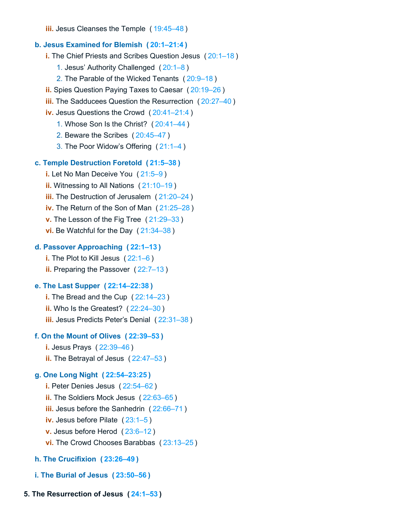**iii.** Jesus Cleanses the Temple ( [19:45–48](https://biblehub.com/bsb/luke/19.htm#45) )

#### **b. Jesus Examined for Blemish ( [20:1–21:4](https://biblehub.com/bsb/luke/20.htm#1) )**

**i.** The Chief Priests and Scribes Question Jesus ( [20:1–18](https://biblehub.com/bsb/luke/20.htm#1) )

- 1. Jesus' Authority Challenged ( [20:1–8](https://biblehub.com/bsb/luke/20.htm#1) )
- 2. The Parable of the Wicked Tenants ( [20:9–18](https://biblehub.com/bsb/luke/20.htm#9) )
- **ii.** Spies Question Paying Taxes to Caesar ( [20:19–26](https://biblehub.com/bsb/luke/20.htm#19) )
- **iii.** The Sadducees Question the Resurrection ( [20:27–40](https://biblehub.com/bsb/luke/20.htm#27) )
- **iv.** Jesus Questions the Crowd ( [20:41–21:4](https://biblehub.com/bsb/luke/20.htm#41) )
	- 1. Whose Son Is the Christ? ( [20:41–44](https://biblehub.com/bsb/luke/20.htm#41) )
	- 2. Beware the Scribes ( [20:45–47](https://biblehub.com/bsb/luke/20.htm#45) )
	- 3. The Poor Widow's Offering ( [21:1–4](https://biblehub.com/bsb/luke/21.htm#1) )

#### **c. Temple Destruction Foretold ( [21:5–38](https://biblehub.com/bsb/luke/21.htm#5) )**

- **i.** Let No Man Deceive You ( [21:5–9](https://biblehub.com/bsb/luke/21.htm#5) )
- **ii.** Witnessing to All Nations ( [21:10–19](https://biblehub.com/bsb/luke/21.htm#10) )
- **iii.** The Destruction of Jerusalem ( [21:20–24](https://biblehub.com/bsb/luke/21.htm#20) )
- **iv.** The Return of the Son of Man ( [21:25–28](https://biblehub.com/bsb/luke/21.htm#25) )
- **v.** The Lesson of the Fig Tree ( [21:29–33](https://biblehub.com/bsb/luke/21.htm#29) )
- **vi.** Be Watchful for the Day ( [21:34–38](https://biblehub.com/bsb/luke/21.htm#34) )

#### **d. Passover Approaching ( [22:1–13](https://biblehub.com/bsb/luke/22.htm#1) )**

**i.** The Plot to Kill Jesus ( [22:1–6](https://biblehub.com/bsb/luke/22.htm#1) )

**ii.** Preparing the Passover (22:7-13)

#### **e. The Last Supper ( [22:14–22:38](https://biblehub.com/bsb/luke/22.htm#14) )**

**i.** The Bread and the Cup ( [22:14–23](https://biblehub.com/bsb/luke/22.htm#14) ) **ii.** Who Is the Greatest? ( [22:24–30](https://biblehub.com/bsb/luke/22.htm#24) ) **iii.** Jesus Predicts Peter's Denial ( [22:31–38](https://biblehub.com/bsb/luke/22.htm#31) )

#### **f. On the Mount of Olives ( [22:39–53](https://biblehub.com/bsb/luke/22.htm#39) )**

**i.** Jesus Prays ( [22:39–46](https://biblehub.com/bsb/luke/22.htm#39) )

**ii.** The Betrayal of Jesus ( [22:47–53](https://biblehub.com/bsb/luke/22.htm#47) )

#### **g. One Long Night ( [22:54–23:25](https://biblehub.com/bsb/luke/22.htm#54) )**

- **i.** Peter Denies Jesus ( [22:54–62](https://biblehub.com/bsb/luke/22.htm#54) ) **ii.** The Soldiers Mock Jesus ( [22:63–65](https://biblehub.com/bsb/luke/22.htm#63) ) **iii.** Jesus before the Sanhedrin ( [22:66–71](https://biblehub.com/bsb/luke/22.htm#66) ) **iv.** Jesus before Pilate ( [23:1–5](https://biblehub.com/bsb/luke/23.htm#1) ) **v.** Jesus before Herod ( [23:6–12](https://biblehub.com/bsb/luke/23.htm#6) ) **vi.** The Crowd Chooses Barabbas ( [23:13–25](https://biblehub.com/bsb/luke/23.htm#13) )
- **h. The Crucifixion ( [23:26–49](https://biblehub.com/bsb/luke/23.htm#26) )**
- **i. The Burial of Jesus ( [23:50–56](https://biblehub.com/bsb/luke/23.htm#50) )**

#### **5. The Resurrection of Jesus ( [24:1–53](https://biblehub.com/bsb/luke/24.htm#1) )**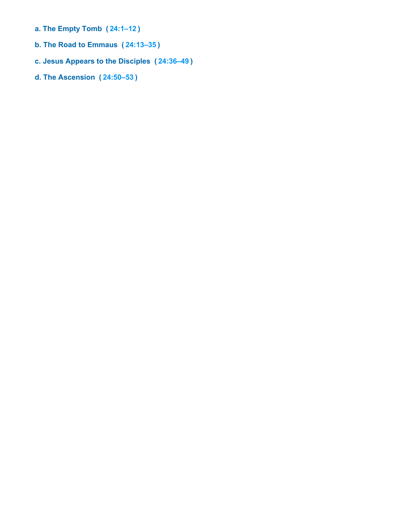- **a. The Empty Tomb ( [24:1–12](https://biblehub.com/bsb/luke/24.htm#1) )**
- **b. The Road to Emmaus ( [24:13–35](https://biblehub.com/bsb/luke/24.htm#13) )**
- **c. Jesus Appears to the Disciples ( [24:36–49](https://biblehub.com/bsb/luke/24.htm#36) )**
- **d. The Ascension ( [24:50–53](https://biblehub.com/bsb/luke/24.htm#50) )**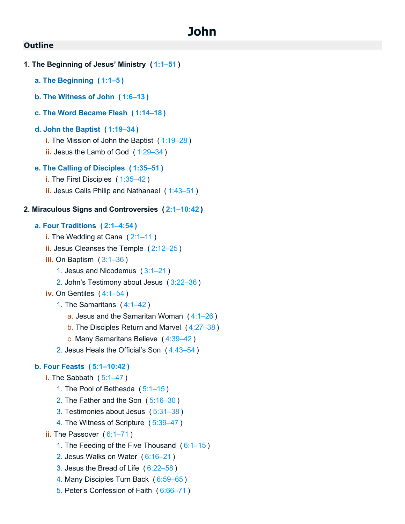## **John**

```
1. The Beginning of Jesus' Ministry ( 1:1–51 )
   a. The Beginning ( 1:1–5 )
   b. The Witness of John ( 1:6–13 )
   c. The Word Became Flesh ( 1:14–18 )
   d. John the Baptist ( 1:19–34 )
      i. The Mission of John the Baptist ( 1:19–28 )
      ii. Jesus the Lamb of God ( 1:29–34 )
   e. The Calling of Disciples ( 1:35–51 )
      i.1:35–42)
      ii. Jesus Calls Philip and Nathanael ( 1:43–51 )
2. Miraculous Signs and Controversies ( 2:1–10:42 )
   a. Four Traditions ( 2:1–4:54 )
      i.2:1–11)
      ii. Jesus Cleanses the Temple ( 2:12–25 )
      iii. On Baptism ( 3:1–36 )
         1. Jesus and Nicodemus ( 3:1–21 )
         2. John's Testimony about Jesus ( 3:22–36 )
      iv.4:1–54)
         1. The Samaritans ( 4:1–42 )
            a. Jesus and the Samaritan Woman (4:1-26)b. The Disciples Return and Marvel ( 4:27–38 )
            c. Many Samaritans Believe ( 4:39–42 )
         2. Jesus Heals the Official's Son ( 4:43–54 )
   b. Four Feasts ( 5:1–10:42 )
      i. The Sabbath ( 5:1–47 )
         1. The Pool of Bethesda ( 5:1–15 )
         2. The Father and the Son ( 5:16–30 )
```
- 3. Testimonies about Jesus ( [5:31–38](https://biblehub.com/bsb/john/5.htm#31) )
- 4. The Witness of Scripture ( [5:39–47](https://biblehub.com/bsb/john/5.htm#39) )
- **ii.** The Passover ([6:1–71](https://biblehub.com/bsb/john/6.htm#1))
	- 1. The Feeding of the Five Thousand ( [6:1–15](https://biblehub.com/bsb/john/6.htm#1) )
	- 2. Jesus Walks on Water ( [6:16–21](https://biblehub.com/bsb/john/6.htm#16) )
	- 3. Jesus the Bread of Life ( [6:22–58](https://biblehub.com/bsb/john/6.htm#22) )
	- 4. Many Disciples Turn Back ( [6:59–65](https://biblehub.com/bsb/john/6.htm#59) )
	- 5. Peter's Confession of Faith ( [6:66–71](https://biblehub.com/bsb/john/6.htm#66) )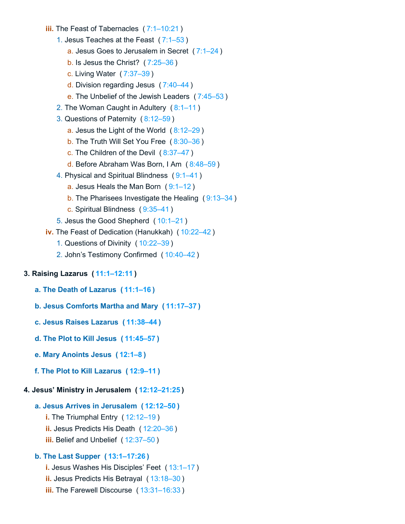- **iii.** The Feast of Tabernacles ( [7:1–10:21](https://biblehub.com/bsb/john/7.htm#1) )
	- 1. Jesus Teaches at the Feast ( [7:1–53](https://biblehub.com/bsb/john/7.htm#1) )
		- a. Jesus Goes to Jerusalem in Secret ( [7:1–24](https://biblehub.com/bsb/john/7.htm#1) )
		- b. Is Jesus the Christ? ( [7:25–36](https://biblehub.com/bsb/john/7.htm#25) )
		- c. Living Water ( [7:37–39](https://biblehub.com/bsb/john/7.htm#37) )
		- d. Division regarding Jesus ( [7:40–44](https://biblehub.com/bsb/john/7.htm#40) )
		- e. The Unbelief of the Jewish Leaders ( [7:45–53](https://biblehub.com/bsb/john/7.htm#45) )
	- 2. The Woman Caught in Adultery ( [8:1–11](https://biblehub.com/bsb/john/8.htm#1) )
	- 3. Questions of Paternity ( [8:12–59](https://biblehub.com/bsb/john/8.htm#12) )
		- a. Jesus the Light of the World ( [8:12–29](https://biblehub.com/bsb/john/8.htm#12) )
		- b. The Truth Will Set You Free ( [8:30–36](https://biblehub.com/bsb/john/8.htm#30) )
		- c. The Children of the Devil ( [8:37–47](https://biblehub.com/bsb/john/8.htm#37) )
		- d. Before Abraham Was Born, I Am ( [8:48–59](https://biblehub.com/bsb/john/8.htm#48) )
	- 4. Physical and Spiritual Blindness ( [9:1–41](https://biblehub.com/bsb/john/9.htm#1) )
		- a. Jesus Heals the Man Born ( [9:1–12](https://biblehub.com/bsb/john/9.htm#1) )
		- b. The Pharisees Investigate the Healing ( [9:13–34](https://biblehub.com/bsb/john/9.htm#13) )
		- c. Spiritual Blindness ( [9:35–41](https://biblehub.com/bsb/john/9.htm#35) )
	- 5. Jesus the Good Shepherd ( [10:1–21](https://biblehub.com/bsb/john/10.htm#1) )
- **iv.** The Feast of Dedication (Hanukkah) ( [10:22–42](https://biblehub.com/bsb/john/10.htm#22) )
	- 1. Questions of Divinity ( [10:22–39](https://biblehub.com/bsb/john/10.htm#22) )
	- 2. John's Testimony Confirmed ( [10:40–42](https://biblehub.com/bsb/john/10.htm#40) )

#### **3. Raising Lazarus ( [11:1–12:11](https://biblehub.com/bsb/john/11.htm#1) )**

- **a. The Death of Lazarus ( [11:1–16](https://biblehub.com/bsb/john/11.htm#1) )**
- **b. Jesus Comforts Martha and Mary ( [11:17–37](https://biblehub.com/bsb/john/11.htm#17) )**
- **c. Jesus Raises Lazarus ( [11:38–44](https://biblehub.com/bsb/john/11.htm#38) )**
- **d. The Plot to Kill Jesus ( [11:45–57](https://biblehub.com/bsb/john/11.htm#45) )**
- **e. Mary Anoints Jesus ( [12:1–8](https://biblehub.com/bsb/john/12.htm#1) )**
- **f. The Plot to Kill Lazarus ( [12:9–11](https://biblehub.com/bsb/john/12.htm#9) )**

#### **4. Jesus' Ministry in Jerusalem ( [12:12–21:25](https://biblehub.com/bsb/john/12.htm#12) )**

#### **a. Jesus Arrives in Jerusalem ( [12:12–50](https://biblehub.com/bsb/john/12.htm#12) )**

- **i.** The Triumphal Entry ( [12:12–19](https://biblehub.com/bsb/john/12.htm#12) )
- **ii.** Jesus Predicts His Death ( [12:20–36](https://biblehub.com/bsb/john/12.htm#20) )
- **iii.** Belief and Unbelief ( [12:37–50](https://biblehub.com/bsb/john/12.htm#37) )

## **b. The Last Supper ( [13:1–17:26](https://biblehub.com/bsb/john/13.htm#1) )**

- **i.** Jesus Washes His Disciples' Feet ( [13:1–17](https://biblehub.com/bsb/john/13.htm#1) )
- **ii.** Jesus Predicts His Betrayal ( [13:18–30](https://biblehub.com/bsb/john/13.htm#18) )
- **iii.** The Farewell Discourse ( [13:31–16:33](https://biblehub.com/bsb/john/13.htm#31) )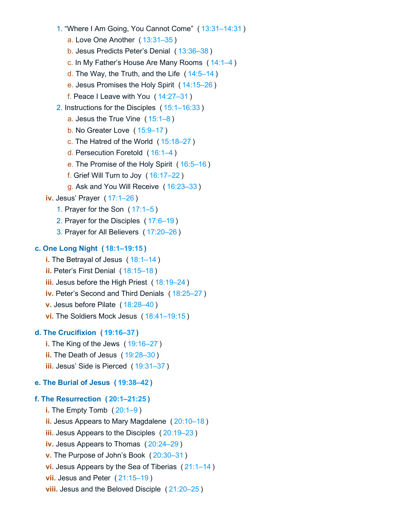1. "Where I Am Going, You Cannot Come" ( [13:31–14:31](https://biblehub.com/bsb/john/13.htm#31) )

a. Love One Another ( [13:31–35](https://biblehub.com/bsb/john/13.htm#31) )

b. Jesus Predicts Peter's Denial ( [13:36–38](https://biblehub.com/bsb/john/13.htm#36) )

c. In My Father's House Are Many Rooms ( [14:1–4](https://biblehub.com/bsb/john/14.htm#1) )

d. The Way, the Truth, and the Life ( [14:5–14](https://biblehub.com/bsb/john/14.htm#5) )

e. Jesus Promises the Holy Spirit ( [14:15–26](https://biblehub.com/bsb/john/14.htm#15) )

f. Peace I Leave with You ( [14:27–31](https://biblehub.com/bsb/john/14.htm#27) )

2. Instructions for the Disciples ( [15:1–16:33](https://biblehub.com/bsb/john/15.htm#1) )

a. Jesus the True Vine ( [15:1–8](https://biblehub.com/bsb/john/15.htm#1) )

b. No Greater Love ( [15:9–17](https://biblehub.com/bsb/john/15.htm#9) )

c. The Hatred of the World ( [15:18–27](https://biblehub.com/bsb/john/15.htm#18) )

d. Persecution Foretold ( [16:1–4](https://biblehub.com/bsb/john/16.htm#1) )

e. The Promise of the Holy Spirit ( [16:5–16](https://biblehub.com/bsb/john/16.htm#5) )

f. Grief Will Turn to Joy ( [16:17–22](https://biblehub.com/bsb/john/16.htm#17) )

g. Ask and You Will Receive ( [16:23–33](https://biblehub.com/bsb/john/16.htm#23) )

**iv.** Jesus' Prayer ( [17:1–26](https://biblehub.com/bsb/john/17.htm#1) )

1. Prayer for the Son ( [17:1–5](https://biblehub.com/bsb/john/17.htm#1) )

2. Prayer for the Disciples ( [17:6–19](https://biblehub.com/bsb/john/17.htm#6) )

3. Prayer for All Believers ( [17:20–26](https://biblehub.com/bsb/john/17.htm#20) )

#### **c. One Long Night ( [18:1–19:15](https://biblehub.com/bsb/john/18.htm#1) )**

**i.** The Betrayal of Jesus ( [18:1–14](https://biblehub.com/bsb/john/18.htm#1) )

**ii.** Peter's First Denial ( [18:15–18](https://biblehub.com/bsb/john/18.htm#15) )

**iii.** Jesus before the High Priest ( [18:19–24](https://biblehub.com/bsb/john/18.htm#19) )

**iv.** Peter's Second and Third Denials ( [18:25–27](https://biblehub.com/bsb/john/18.htm#25) )

**v.** Jesus before Pilate ( [18:28–40](https://biblehub.com/bsb/john/18.htm#28) )

**vi.** The Soldiers Mock Jesus ( [18:41–19:15](https://biblehub.com/bsb/john/18.htm#41) )

#### **d. The Crucifixion ( [19:16–37](https://biblehub.com/bsb/john/19.htm#16) )**

**i.** The King of the Jews ( [19:16–27](https://biblehub.com/bsb/john/19.htm#16) )

**ii.** The Death of Jesus ( [19:28–30](https://biblehub.com/bsb/john/19.htm#28) )

**iii.** Jesus' Side is Pierced ( [19:31–37](https://biblehub.com/bsb/john/19.htm#31) )

## **e. The Burial of Jesus ( [19:38–42](https://biblehub.com/bsb/john/19.htm#38) )**

#### **f. The Resurrection ( [20:1–21:25](https://biblehub.com/bsb/john/20.htm#1) )**

**i.** The Empty Tomb ( [20:1–9](https://biblehub.com/bsb/john/20.htm#1) ) **ii.** Jesus Appears to Mary Magdalene ( [20:10–18](https://biblehub.com/bsb/john/20.htm#10) ) **iii.** Jesus Appears to the Disciples ( [20:19–23](https://biblehub.com/bsb/john/20.htm#19) ) **iv.** Jesus Appears to Thomas ( [20:24–29](https://biblehub.com/bsb/john/20.htm#24) ) **v.** The Purpose of John's Book ( [20:30–31](https://biblehub.com/bsb/john/20.htm#30) ) **vi.** Jesus Appears by the Sea of Tiberias ( [21:1–14](https://biblehub.com/bsb/john/21.htm#1) ) **vii.** Jesus and Peter ( [21:15–19](https://biblehub.com/bsb/john/21.htm#15) ) **viii.** Jesus and the Beloved Disciple ( [21:20–25](https://biblehub.com/bsb/john/21.htm#20) )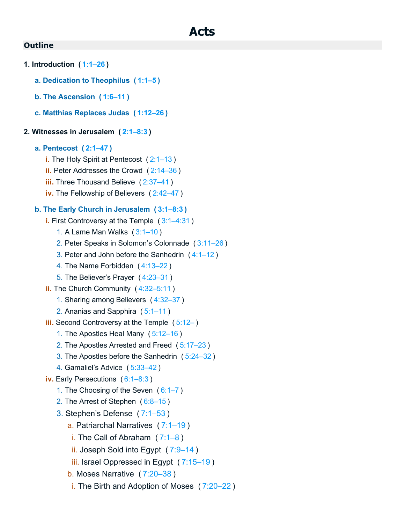```
1. Introduction ( 1:1–26 )
```
- **a. Dedication to Theophilus ( [1:1–5](https://biblehub.com/bsb/acts/1.htm#1) )**
- **b. The Ascension ( [1:6–11](https://biblehub.com/bsb/acts/1.htm#6) )**
- **c. Matthias Replaces Judas ( [1:12–26](https://biblehub.com/bsb/acts/1.htm#12) )**

## **2. Witnesses in Jerusalem ( [2:1–8:3](https://biblehub.com/bsb/acts/2.htm#1) )**

#### **a. Pentecost ( [2:1–47](https://biblehub.com/bsb/acts/2.htm#1) )**

- **i.** The Holy Spirit at Pentecost ( [2:1–13](https://biblehub.com/bsb/acts/2.htm#1) )
- **ii.** Peter Addresses the Crowd ( [2:14–36](https://biblehub.com/bsb/acts/2.htm#14) )
- **iii.** Three Thousand Believe ( [2:37–41](https://biblehub.com/bsb/acts/2.htm#37) )
- **iv.** The Fellowship of Believers ( [2:42–47](https://biblehub.com/bsb/acts/2.htm#42) )

## **b. The Early Church in Jerusalem ( [3:1–8:3](https://biblehub.com/bsb/acts/3.htm#1) )**

- **i.** First Controversy at the Temple ( [3:1–4:31](https://biblehub.com/bsb/acts/3.htm#1) )
	- 1. A Lame Man Walks ( [3:1–10](https://biblehub.com/bsb/acts/3.htm#1) )
	- 2. Peter Speaks in Solomon's Colonnade ( [3:11–26](https://biblehub.com/bsb/acts/3.htm#11) )
	- 3. Peter and John before the Sanhedrin ( [4:1–12](https://biblehub.com/bsb/acts/4.htm#1) )
	- 4. The Name Forbidden ( [4:13–22](https://biblehub.com/bsb/acts/4.htm#13) )
	- 5. The Believer's Prayer ( [4:23–31](https://biblehub.com/bsb/acts/4.htm#23) )
- **ii.** The Church Community ( [4:32–5:11](https://biblehub.com/bsb/acts/4.htm#32) )
	- 1. Sharing among Believers ( [4:32–37](https://biblehub.com/bsb/acts/4.htm#32) )
	- 2. Ananias and Sapphira ( [5:1–11](https://biblehub.com/bsb/acts/5.htm#1) )
- **iii.** Second Controversy at the Temple ([5:12–](https://biblehub.com/bsb/acts/5.htm#12))
	- 1. The Apostles Heal Many ( [5:12–16](https://biblehub.com/bsb/acts/5.htm#12) )
	- 2. The Apostles Arrested and Freed ( [5:17–23](https://biblehub.com/bsb/acts/5.htm#17) )
	- 3. The Apostles before the Sanhedrin ( [5:24–32](https://biblehub.com/bsb/acts/5.htm#24) )
	- 4. Gamaliel's Advice ( [5:33–42](https://biblehub.com/bsb/acts/5.htm#33) )
- **iv.** Early Persecutions ( [6:1–8:3](https://biblehub.com/bsb/acts/6.htm#1) )
	- 1. The Choosing of the Seven ( [6:1–7](https://biblehub.com/bsb/acts/6.htm#1) )
	- 2. The Arrest of Stephen ( [6:8–15](https://biblehub.com/bsb/acts/6.htm#8) )
	- 3. Stephen's Defense ( [7:1–53](https://biblehub.com/bsb/acts/7.htm#1) )
		- a. Patriarchal Narratives ( [7:1–19](https://biblehub.com/bsb/acts/7.htm#1) )
		- i. The Call of Abraham ( [7:1–8](https://biblehub.com/bsb/acts/7.htm#1) )
		- ii. Joseph Sold into Egypt ( [7:9–14](https://biblehub.com/bsb/acts/7.htm#9) )
		- iii. Israel Oppressed in Egypt ( [7:15–19](https://biblehub.com/bsb/acts/7.htm#15) )
		- b. Moses Narrative ( [7:20–38](https://biblehub.com/bsb/acts/7.htm#20) )
		- i. The Birth and Adoption of Moses ( [7:20–22](https://biblehub.com/bsb/acts/7.htm#20) )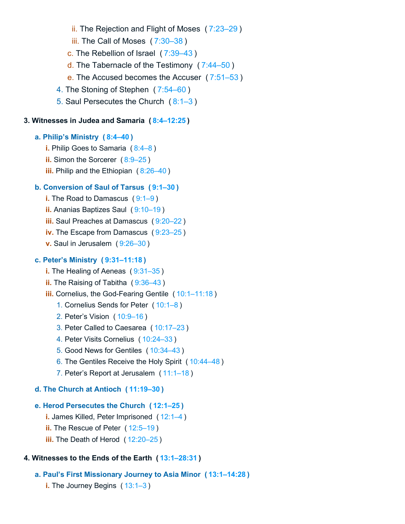- ii. The Rejection and Flight of Moses ( [7:23–29](https://biblehub.com/bsb/acts/7.htm#23) )
- iii. The Call of Moses ( [7:30–38](https://biblehub.com/bsb/acts/7.htm#30) )
- c. The Rebellion of Israel ( [7:39–43](https://biblehub.com/bsb/acts/7.htm#39) )
- d. The Tabernacle of the Testimony ( [7:44–50](https://biblehub.com/bsb/acts/7.htm#44) )
- e. The Accused becomes the Accuser ( [7:51–53](https://biblehub.com/bsb/acts/7.htm#51) )
- 4. The Stoning of Stephen ( [7:54–60](https://biblehub.com/bsb/acts/7.htm#54) )
- 5. Saul Persecutes the Church ( [8:1–3](https://biblehub.com/bsb/acts/8.htm#1) )

#### **3. Witnesses in Judea and Samaria ( [8:4–12:25](https://biblehub.com/bsb/acts/8.htm#4) )**

#### **a. Philip's Ministry ( [8:4–40](https://biblehub.com/bsb/acts/8.htm#4) )**

- **i.** Philip Goes to Samaria ( [8:4–8](https://biblehub.com/bsb/acts/8.htm#4) )
- **ii.** Simon the Sorcerer (8:9-25)
- **iii.** Philip and the Ethiopian ([8:26–40](https://biblehub.com/bsb/acts/8.htm#26))

### **b. Conversion of Saul of Tarsus ( [9:1–30](https://biblehub.com/bsb/acts/9.htm#1) )**

- **i.** The Road to Damascus ([9:1–9](https://biblehub.com/bsb/acts/9.htm#1))
- **ii.** Ananias Baptizes Saul ( [9:10–19](https://biblehub.com/bsb/acts/9.htm#10) )
- **iii.** Saul Preaches at Damascus ( [9:20–22](https://biblehub.com/bsb/acts/9.htm#20) )
- **iv.** The Escape from Damascus ( [9:23–25](https://biblehub.com/bsb/acts/9.htm#23) )
- **v.** Saul in Jerusalem ( [9:26–30](https://biblehub.com/bsb/acts/9.htm#26) )

#### **c. Peter's Ministry ( [9:31–11:18](https://biblehub.com/bsb/acts/9.htm#31) )**

- **i.** The Healing of Aeneas ( $9:31-35$ )
- **ii.** The Raising of Tabitha ( [9:36–43](https://biblehub.com/bsb/acts/9.htm#36) )
- **iii.** Cornelius, the God-Fearing Gentile ( [10:1–11:18](https://biblehub.com/bsb/acts/10.htm#1) )
	- 1. Cornelius Sends for Peter ( [10:1–8](https://biblehub.com/bsb/acts/10.htm#1) )
	- 2. Peter's Vision ( [10:9–16](https://biblehub.com/bsb/acts/10.htm#9) )
	- 3. Peter Called to Caesarea ( [10:17–23](https://biblehub.com/bsb/acts/10.htm#17) )
	- 4. Peter Visits Cornelius ( [10:24–33](https://biblehub.com/bsb/acts/10.htm#24) )
	- 5. Good News for Gentiles ( [10:34–43](https://biblehub.com/bsb/acts/10.htm#34) )
	- 6. The Gentiles Receive the Holy Spirit ( [10:44–48](https://biblehub.com/bsb/acts/10.htm#44) )
	- 7. Peter's Report at Jerusalem ( [11:1–18](https://biblehub.com/bsb/acts/11.htm#1) )

#### **d. The Church at Antioch ( [11:19–30](https://biblehub.com/bsb/acts/11.htm#19) )**

#### **e. Herod Persecutes the Church ( [12:1–25](https://biblehub.com/bsb/acts/12.htm#1) )**

- **i.** James Killed, Peter Imprisoned ( [12:1–4](https://biblehub.com/bsb/acts/12.htm#1) )
- **ii.** The Rescue of Peter (12:5-19)
- **iii.** The Death of Herod ( [12:20–25](https://biblehub.com/bsb/acts/12.htm#20) )

## **4. Witnesses to the Ends of the Earth ( [13:1–28:31](https://biblehub.com/bsb/acts/13.htm#1) )**

- **a. Paul's First Missionary Journey to Asia Minor ( [13:1–14:28](https://biblehub.com/bsb/acts/13.htm#1) )**
	- **i.** The Journey Begins (13:1-3)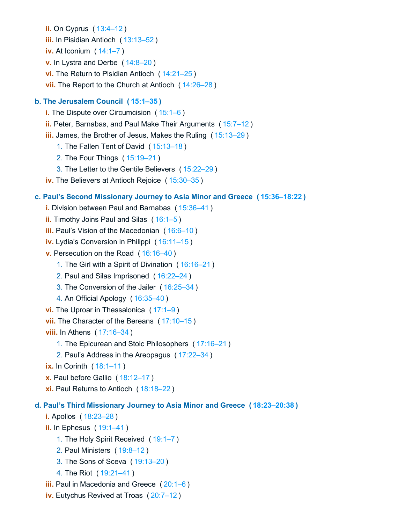**ii.** On Cyprus ( [13:4–12](https://biblehub.com/bsb/acts/13.htm#4) ) **iii.** In Pisidian Antioch ( [13:13–52](https://biblehub.com/bsb/acts/13.htm#13) ) **iv.** At Iconium ( [14:1–7](https://biblehub.com/bsb/acts/14.htm#1) ) **v.** In Lystra and Derbe ( [14:8–20](https://biblehub.com/bsb/acts/14.htm#8) ) **vi.** The Return to Pisidian Antioch ( [14:21–25](https://biblehub.com/bsb/acts/14.htm#21) ) **vii.** The Report to the Church at Antioch ( [14:26–28](https://biblehub.com/bsb/acts/14.htm#26) ) **b. The Jerusalem Council ( [15:1–35](https://biblehub.com/bsb/acts/15.htm#1) ) i.** The Dispute over Circumcision ([15:1–6](https://biblehub.com/bsb/acts/15.htm#1)) **ii.** Peter, Barnabas, and Paul Make Their Arguments ( [15:7–12](https://biblehub.com/bsb/acts/15.htm#7) ) **iii.** James, the Brother of Jesus, Makes the Ruling ( [15:13–29](https://biblehub.com/bsb/acts/15.htm#13) ) 1. The Fallen Tent of David ( [15:13–18](https://biblehub.com/bsb/acts/15.htm#13) ) 2. The Four Things ( [15:19–21](https://biblehub.com/bsb/acts/15.htm#19) ) 3. The Letter to the Gentile Believers ( [15:22–29](https://biblehub.com/bsb/acts/15.htm#22) ) **iv.** The Believers at Antioch Rejoice ( [15:30–35](https://biblehub.com/bsb/acts/15.htm#30) ) **c. Paul's Second Missionary Journey to Asia Minor and Greece ( [15:36–18:22](https://biblehub.com/bsb/acts/15.htm#36) ) i.** Division between Paul and Barnabas ( [15:36–41](https://biblehub.com/bsb/acts/15.htm#36) ) **ii.** Timothy Joins Paul and Silas ( [16:1–5](https://biblehub.com/bsb/acts/16.htm#1) ) **iii.** Paul's Vision of the Macedonian (16:6-10) **iv.** Lydia's Conversion in Philippi ( [16:11–15](https://biblehub.com/bsb/acts/16.htm#11) ) **v.** Persecution on the Road ( [16:16–40](https://biblehub.com/bsb/acts/16.htm#16) ) 1. The Girl with a Spirit of Divination ( [16:16–21](https://biblehub.com/bsb/acts/16.htm#16) ) 2. Paul and Silas Imprisoned ( [16:22–24](https://biblehub.com/bsb/acts/16.htm#22) ) 3. The Conversion of the Jailer ( [16:25–34](https://biblehub.com/bsb/acts/16.htm#25) ) 4. An Official Apology ( [16:35–40](https://biblehub.com/bsb/acts/16.htm#35) ) **vi.** The Uproar in Thessalonica ( [17:1–9](https://biblehub.com/bsb/acts/17.htm#1) ) **vii.** The Character of the Bereans ( [17:10–15](https://biblehub.com/bsb/acts/17.htm#10) ) **viii.** In Athens ( [17:16–34](https://biblehub.com/bsb/acts/17.htm#16) ) 1. The Epicurean and Stoic Philosophers ( [17:16–21](https://biblehub.com/bsb/acts/17.htm#16) ) 2. Paul's Address in the Areopagus ( [17:22–34](https://biblehub.com/bsb/acts/17.htm#22) ) **ix.** In Corinth ( $18:1-11$ ) **x.** Paul before Gallio ( [18:12–17](https://biblehub.com/bsb/acts/18.htm#12) ) **xi.** Paul Returns to Antioch ( [18:18–22](https://biblehub.com/bsb/acts/18.htm#18) ) **d. Paul's Third Missionary Journey to Asia Minor and Greece ( [18:23–20:38](https://biblehub.com/bsb/acts/18.htm#23) ) i.** Apollos ( [18:23–28](https://biblehub.com/bsb/acts/18.htm#23) ) **ii.** In Ephesus ( [19:1–41](https://biblehub.com/bsb/acts/19.htm#1) )

- 1. The Holy Spirit Received ( [19:1–7](https://biblehub.com/bsb/acts/19.htm#1) )
- 2. Paul Ministers ( [19:8–12](https://biblehub.com/bsb/acts/19.htm#8) )
- 3. The Sons of Sceva ( [19:13–20](https://biblehub.com/bsb/acts/19.htm#13) )
- 4. The Riot ( [19:21–41](https://biblehub.com/bsb/acts/19.htm#21) )
- **iii.** Paul in Macedonia and Greece ( [20:1–6](https://biblehub.com/bsb/acts/20.htm#1) )
- **iv.** Eutychus Revived at Troas ( [20:7–12](https://biblehub.com/bsb/acts/20.htm#7) )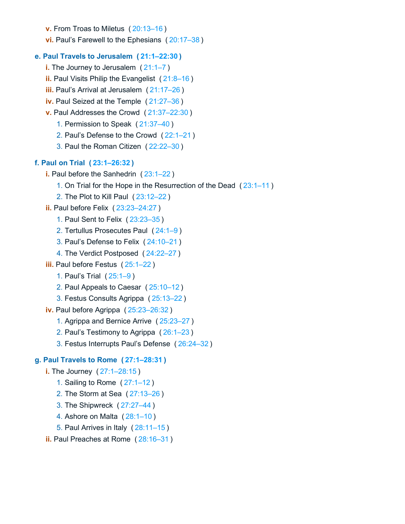**v.** From Troas to Miletus ( [20:13–16](https://biblehub.com/bsb/acts/20.htm#13) )

**vi.** Paul's Farewell to the Ephesians ( [20:17–38](https://biblehub.com/bsb/acts/20.htm#17) )

## **e. Paul Travels to Jerusalem ( [21:1–22:30](https://biblehub.com/bsb/acts/21.htm#1) )**

- **i.** The Journey to Jerusalem ( [21:1–7](https://biblehub.com/bsb/acts/21.htm#1) )
- **ii.** Paul Visits Philip the Evangelist ( [21:8–16](https://biblehub.com/bsb/acts/21.htm#8) )
- **iii.** Paul's Arrival at Jerusalem ( [21:17–26](https://biblehub.com/bsb/acts/21.htm#17) )
- **iv.** Paul Seized at the Temple ( [21:27–36](https://biblehub.com/bsb/acts/21.htm#27) )
- **v.** Paul Addresses the Crowd ( [21:37–22:30](https://biblehub.com/bsb/acts/21.htm#37) )
	- 1. Permission to Speak ( [21:37–40](https://biblehub.com/bsb/acts/21.htm#37) )
	- 2. Paul's Defense to the Crowd ( [22:1–21](https://biblehub.com/bsb/acts/22.htm#1) )
	- 3. Paul the Roman Citizen ( [22:22–30](https://biblehub.com/bsb/acts/22.htm#22) )

## **f. Paul on Trial ( [23:1–26:32](https://biblehub.com/bsb/acts/23.htm#1) )**

- **i.** Paul before the Sanhedrin ( [23:1–22](https://biblehub.com/bsb/acts/23.htm#1) )
	- 1. On Trial for the Hope in the Resurrection of the Dead ( [23:1–11](https://biblehub.com/bsb/acts/23.htm#1) )
	- 2. The Plot to Kill Paul ( [23:12–22](https://biblehub.com/bsb/acts/23.htm#12) )
- **ii.** Paul before Felix ( [23:23–24:27](https://biblehub.com/bsb/acts/23.htm#23) )
	- 1. Paul Sent to Felix ( [23:23–35](https://biblehub.com/bsb/acts/23.htm#23) )
	- 2. Tertullus Prosecutes Paul ( [24:1–9](https://biblehub.com/bsb/acts/24.htm#1) )
	- 3. Paul's Defense to Felix ( [24:10–21](https://biblehub.com/bsb/acts/24.htm#10) )
	- 4. The Verdict Postposed ( [24:22–27](https://biblehub.com/bsb/acts/24.htm#22) )
- **iii.** Paul before Festus ( [25:1–22](https://biblehub.com/bsb/acts/25.htm#1) )
	- 1. Paul's Trial ( [25:1–9](https://biblehub.com/bsb/acts/25.htm#1) )
	- 2. Paul Appeals to Caesar ( [25:10–12](https://biblehub.com/bsb/acts/25.htm#10) )
	- 3. Festus Consults Agrippa ( [25:13–22](https://biblehub.com/bsb/acts/25.htm#13) )
- **iv.** Paul before Agrippa ( [25:23–26:32](https://biblehub.com/bsb/acts/25.htm#23) )
	- 1. Agrippa and Bernice Arrive ( [25:23–27](https://biblehub.com/bsb/acts/25.htm#23) )
	- 2. Paul's Testimony to Agrippa ( [26:1–23](https://biblehub.com/bsb/acts/26.htm#1) )
	- 3. Festus Interrupts Paul's Defense ( [26:24–32](https://biblehub.com/bsb/acts/26.htm#24) )

## **g. Paul Travels to Rome ( [27:1–28:31](https://biblehub.com/bsb/acts/27.htm#1) )**

- **i.** The Journey ( [27:1–28:15](https://biblehub.com/bsb/acts/27.htm#1) )
	- 1. Sailing to Rome ( [27:1–12](https://biblehub.com/bsb/acts/27.htm#1) )
	- 2. The Storm at Sea ( [27:13–26](https://biblehub.com/bsb/acts/27.htm#13) )
	- 3. The Shipwreck ( [27:27–44](https://biblehub.com/bsb/acts/27.htm#27) )
	- 4. Ashore on Malta ( [28:1–10](https://biblehub.com/bsb/acts/28.htm#1) )
	- 5. Paul Arrives in Italy ( [28:11–15](https://biblehub.com/bsb/acts/28.htm#11) )
- **ii.** Paul Preaches at Rome ( [28:16–31](https://biblehub.com/bsb/acts/28.htm#16) )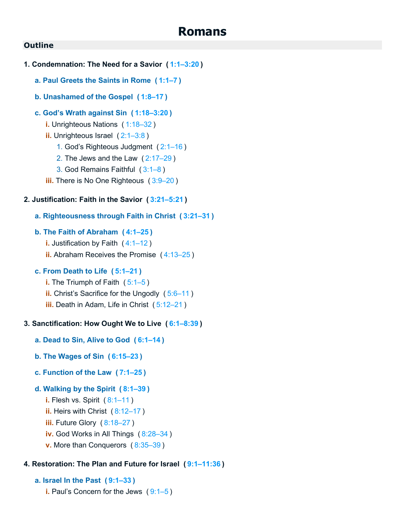## **Romans**

## **Outline**

- **1. Condemnation: The Need for a Savior ( [1:1–3:20](https://biblehub.com/bsb/romans/1.htm#1) )**
	- **a. Paul Greets the Saints in Rome ( [1:1–7](https://biblehub.com/bsb/romans/1.htm#1) )**
	- **b. Unashamed of the Gospel ( [1:8–17](https://biblehub.com/bsb/romans/1.htm#8) )**

#### **c. God's Wrath against Sin ( [1:18–3:20](https://biblehub.com/bsb/romans/1.htm#18) )**

- **i.** Unrighteous Nations ( [1:18–32](https://biblehub.com/bsb/romans/1.htm#18) )
- **ii.** Unrighteous Israel ( [2:1–3:8](https://biblehub.com/bsb/romans/2.htm#1) )
	- 1. God's Righteous Judgment ( [2:1–16](https://biblehub.com/bsb/romans/2.htm#1) )
	- 2. The Jews and the Law ( [2:17–29](https://biblehub.com/bsb/romans/2.htm#17) )
	- 3. God Remains Faithful ( [3:1–8](https://biblehub.com/bsb/romans/3.htm#1) )
- **iii.** There is No One Righteous ( [3:9–20](https://biblehub.com/bsb/romans/3.htm#9) )

#### **2. Justification: Faith in the Savior ( [3:21–5:21](https://biblehub.com/bsb/romans/3.htm#21) )**

#### **a. Righteousness through Faith in Christ ( [3:21–31](https://biblehub.com/bsb/romans/3.htm#21) )**

#### **b. The Faith of Abraham ( [4:1–25](https://biblehub.com/bsb/romans/4.htm#1) )**

- **i.** Justification by Faith (4:1-12)
- **ii.** Abraham Receives the Promise ( [4:13–25](https://biblehub.com/bsb/romans/4.htm#13) )

#### **c. From Death to Life ( [5:1–21](https://biblehub.com/bsb/romans/5.htm#1) )**

- **i.** The Triumph of Faith ([5:1–5](https://biblehub.com/bsb/romans/5.htm#1))
- **ii.** Christ's Sacrifice for the Ungodly ( [5:6–11](https://biblehub.com/bsb/romans/5.htm#6) )
- **iii.** Death in Adam, Life in Christ ( [5:12–21](https://biblehub.com/bsb/romans/5.htm#12) )

#### **3. Sanctification: How Ought We to Live ( [6:1–8:39](https://biblehub.com/bsb/romans/6.htm#1) )**

- **a. Dead to Sin, Alive to God ( [6:1–14](https://biblehub.com/bsb/romans/6.htm#1) )**
- **b. The Wages of Sin ( [6:15–23](https://biblehub.com/bsb/romans/6.htm#15) )**
- **c. Function of the Law ( [7:1–25](https://biblehub.com/bsb/romans/7.htm#1) )**
- **d. Walking by the Spirit ( [8:1–39](https://biblehub.com/bsb/romans/8.htm#1) )**
	- **i.** Flesh vs. Spirit ( [8:1–11](https://biblehub.com/bsb/romans/8.htm#1) )
	- **ii.** Heirs with Christ ( [8:12–17](https://biblehub.com/bsb/romans/8.htm#12) )
	- **iii.** Future Glory ([8:18–27](https://biblehub.com/bsb/romans/8.htm#18))
	- **iv.** God Works in All Things ( [8:28–34](https://biblehub.com/bsb/romans/8.htm#28) )
	- **v.** More than Conquerors ( [8:35–39](https://biblehub.com/bsb/romans/8.htm#35) )

#### **4. Restoration: The Plan and Future for Israel ( [9:1–11:36](https://biblehub.com/bsb/romans/9.htm#1) )**

#### **a. Israel In the Past ( [9:1–33](https://biblehub.com/bsb/romans/9.htm#1) )**

**i.** Paul's Concern for the Jews ( [9:1–5](https://biblehub.com/bsb/romans/9.htm#1) )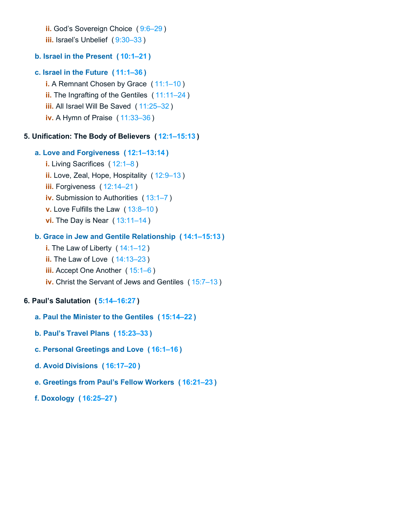**ii.** God's Sovereign Choice ( [9:6–29](https://biblehub.com/bsb/romans/9.htm#6) )

**iii.** Israel's Unbelief (9:30-33)

## **b. Israel in the Present ( [10:1–21](https://biblehub.com/bsb/romans/10.htm#1) )**

## **c. Israel in the Future ( [11:1–36](https://biblehub.com/bsb/romans/11.htm#1) )**

**i.** A Remnant Chosen by Grace (11:1-10) **ii.** The Ingrafting of the Gentiles ( [11:11–24](https://biblehub.com/bsb/romans/11.htm#11) ) **iii.** All Israel Will Be Saved ( [11:25–32](https://biblehub.com/bsb/romans/11.htm#25) ) **iv.** A Hymn of Praise ( [11:33–36](https://biblehub.com/bsb/romans/11.htm#33) )

## **5. Unification: The Body of Believers ( [12:1–15:13](https://biblehub.com/bsb/romans/12.htm#1) )**

## **a. Love and Forgiveness ( [12:1–13:14](https://biblehub.com/bsb/romans/12.htm#1) )**

- **i.** Living Sacrifices ( [12:1–8](https://biblehub.com/bsb/romans/12.htm#1) ) **ii.** Love, Zeal, Hope, Hospitality ( [12:9–13](https://biblehub.com/bsb/romans/12.htm#9) )
- **iii.** Forgiveness ( [12:14–21](https://biblehub.com/bsb/romans/12.htm#14) )
- **iv.** Submission to Authorities ( [13:1–7](https://biblehub.com/bsb/romans/13.htm#1) )
- **v.** Love Fulfills the Law ( [13:8–10](https://biblehub.com/bsb/romans/13.htm#8) )
- **vi.** The Day is Near ( [13:11–14](https://biblehub.com/bsb/romans/13.htm#11) )

## **b. Grace in Jew and Gentile Relationship ( [14:1–15:13](https://biblehub.com/bsb/romans/14.htm#1) )**

- **i.** The Law of Liberty ([14:1–12](https://biblehub.com/bsb/romans/14.htm#1))
- **ii.** The Law of Love ( [14:13–23](https://biblehub.com/bsb/romans/14.htm#13) )
- **iii.** Accept One Another ([15:1–6](https://biblehub.com/bsb/romans/15.htm#1))
- **iv.** Christ the Servant of Jews and Gentiles ( [15:7–13](https://biblehub.com/bsb/romans/15.htm#7) )

## **6. Paul's Salutation ( [5:14–16:27](https://biblehub.com/bsb/romans/5.htm#14) )**

- **a. Paul the Minister to the Gentiles ( [15:14–22](https://biblehub.com/bsb/romans/15.htm#14) )**
- **b. Paul's Travel Plans ( [15:23–33](https://biblehub.com/bsb/romans/15.htm#23) )**
- **c. Personal Greetings and Love ( [16:1–16](https://biblehub.com/bsb/romans/16.htm#1) )**
- **d. Avoid Divisions ( [16:17–20](https://biblehub.com/bsb/romans/16.htm#17) )**

## **e. Greetings from Paul's Fellow Workers ( [16:21–23](https://biblehub.com/bsb/romans/16.htm#21) )**

**f. Doxology ( [16:25–27](https://biblehub.com/bsb/romans/16.htm#25) )**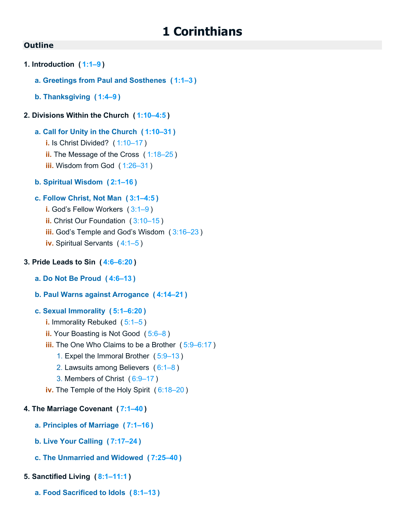- **1. Introduction ( [1:1–9](https://biblehub.com/bsb/1_corinthians/1.htm#1) )**
	- **a. Greetings from Paul and Sosthenes ( [1:1–3](https://biblehub.com/bsb/1_corinthians/1.htm#1) )**
	- **b. Thanksgiving ( [1:4–9](https://biblehub.com/bsb/1_corinthians/1.htm#4) )**

## **2. Divisions Within the Church ( [1:10–4:5](https://biblehub.com/bsb/1_corinthians/1.htm#10) )**

## **a. Call for Unity in the Church ( [1:10–31](https://biblehub.com/bsb/1_corinthians/1.htm#10) )**

- **i.** Is Christ Divided? ( [1:10–17](https://biblehub.com/bsb/1_corinthians/1.htm#10) )
- **ii.** The Message of the Cross ( [1:18–25](https://biblehub.com/bsb/1_corinthians/1.htm#18) )
- **iii.** Wisdom from God ([1:26–31](https://biblehub.com/bsb/1_corinthians/1.htm#26))
- **b. Spiritual Wisdom ( [2:1–16](https://biblehub.com/bsb/1_corinthians/2.htm#1) )**

## **c. Follow Christ, Not Man ( [3:1–4:5](https://biblehub.com/bsb/1_corinthians/3.htm#1) )**

- **i.** God's Fellow Workers ( [3:1–9](https://biblehub.com/bsb/1_corinthians/3.htm#1) )
- **ii.** Christ Our Foundation ( [3:10–15](https://biblehub.com/bsb/1_corinthians/3.htm#10) )
- **iii.** God's Temple and God's Wisdom ( [3:16–23](https://biblehub.com/bsb/1_corinthians/3.htm#16) )
- **iv.** Spiritual Servants ( [4:1–5](https://biblehub.com/bsb/1_corinthians/4.htm#1) )

## **3. Pride Leads to Sin ( [4:6–6:20](https://biblehub.com/bsb/1_corinthians/4.htm#6) )**

- **a. Do Not Be Proud ( [4:6–13](https://biblehub.com/bsb/1_corinthians/4.htm#6) )**
- **b. Paul Warns against Arrogance ( [4:14–21](https://biblehub.com/bsb/1_corinthians/4.htm#14) )**
- **c. Sexual Immorality ( [5:1–6:20](https://biblehub.com/bsb/1_corinthians/5.htm#1) )**
	- **i.** Immorality Rebuked ( [5:1–5](https://biblehub.com/bsb/1_corinthians/5.htm#1) )
	- **ii.** Your Boasting is Not Good ( [5:6–8](https://biblehub.com/bsb/1_corinthians/5.htm#6) )
	- **iii.** The One Who Claims to be a Brother ( [5:9–6:17](https://biblehub.com/bsb/1_corinthians/5.htm#9) )
		- 1. Expel the Immoral Brother ( [5:9–13](https://biblehub.com/bsb/1_corinthians/5.htm#9) )
		- 2. Lawsuits among Believers ( [6:1–8](https://biblehub.com/bsb/1_corinthians/6.htm#1) )
		- 3. Members of Christ ( [6:9–17](https://biblehub.com/bsb/1_corinthians/6.htm#9) )
	- **iv.** The Temple of the Holy Spirit ( [6:18–20](https://biblehub.com/bsb/1_corinthians/6.htm#18) )

## **4. The Marriage Covenant ( [7:1–40](https://biblehub.com/bsb/1_corinthians/7.htm#1) )**

- **a. Principles of Marriage ( [7:1–16](https://biblehub.com/bsb/1_corinthians/7.htm#1) )**
- **b. Live Your Calling ( [7:17–24](https://biblehub.com/bsb/1_corinthians/7.htm#17) )**
- **c. The Unmarried and Widowed ( [7:25–40](https://biblehub.com/bsb/1_corinthians/7.htm#25) )**

## **5. Sanctified Living ( [8:1–11:1](https://biblehub.com/bsb/1_corinthians/8.htm#1) )**

**a. Food Sacrificed to Idols ( [8:1–13](https://biblehub.com/bsb/1_corinthians/8.htm#1) )**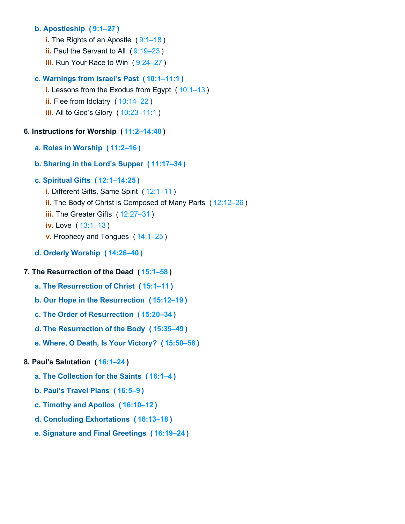## **b. Apostleship ( [9:1–27](https://biblehub.com/bsb/1_corinthians/9.htm#1) )**

- **i.** The Rights of an Apostle ( $9:1-18$ )
- **ii.** Paul the Servant to All ( $9:19-23$ )
- **iii.** Run Your Race to Win ([9:24–27](https://biblehub.com/bsb/1_corinthians/9.htm#24))

## **c. Warnings from Israel's Past ( [10:1–11:1](https://biblehub.com/bsb/1_corinthians/10.htm#1) )**

**i.** Lessons from the Exodus from Egypt (10:1-13) **ii.** Flee from Idolatry ( [10:14–22](https://biblehub.com/bsb/1_corinthians/10.htm#14) ) **iii.** All to God's Glory ( [10:23–11:1](https://biblehub.com/bsb/1_corinthians/10.htm#23) )

## **6. Instructions for Worship ( [11:2–14:40](https://biblehub.com/bsb/1_corinthians/11.htm#2) )**

- **a. Roles in Worship ( [11:2–16](https://biblehub.com/bsb/1_corinthians/11.htm#2) )**
- **b. Sharing in the Lord's Supper ( [11:17–34](https://biblehub.com/bsb/1_corinthians/11.htm#17) )**

## **c. Spiritual Gifts ( [12:1–14:25](https://biblehub.com/bsb/1_corinthians/12.htm#1) )**

- **i.** Different Gifts, Same Spirit ( [12:1–11](https://biblehub.com/bsb/1_corinthians/12.htm#1) )
- **ii.** The Body of Christ is Composed of Many Parts ( [12:12–26](https://biblehub.com/bsb/1_corinthians/12.htm#12) )
- **iii.** The Greater Gifts ( [12:27–31](https://biblehub.com/bsb/1_corinthians/12.htm#27) )
- **iv.** Love ( [13:1–13](https://biblehub.com/bsb/1_corinthians/13.htm#1) )
- **v.** Prophecy and Tongues ( [14:1–25](https://biblehub.com/bsb/1_corinthians/14.htm#1) )
- **d. Orderly Worship ( [14:26–40](https://biblehub.com/bsb/1_corinthians/14.htm#26) )**

## **7. The Resurrection of the Dead ( [15:1–58](https://biblehub.com/bsb/1_corinthians/15.htm#1) )**

- **a. The Resurrection of Christ ( [15:1–11](https://biblehub.com/bsb/1_corinthians/15.htm#1) )**
- **b. Our Hope in the Resurrection ( [15:12–19](https://biblehub.com/bsb/1_corinthians/15.htm#12) )**
- **c. The Order of Resurrection ( [15:20–34](https://biblehub.com/bsb/1_corinthians/15.htm#20) )**
- **d. The Resurrection of the Body ( [15:35–49](https://biblehub.com/bsb/1_corinthians/15.htm#35) )**
- **e. Where, O Death, Is Your Victory? ( [15:50–58](https://biblehub.com/bsb/1_corinthians/15.htm#50) )**

## **8. Paul's Salutation ( [16:1–24](https://biblehub.com/bsb/1_corinthians/16.htm#1) )**

- **a. The Collection for the Saints ( [16:1–4](https://biblehub.com/bsb/1_corinthians/16.htm#1) )**
- **b. Paul's Travel Plans ( [16:5–9](https://biblehub.com/bsb/1_corinthians/16.htm#5) )**
- **c. Timothy and Apollos ( [16:10–12](https://biblehub.com/bsb/1_corinthians/16.htm#10) )**
- **d. Concluding Exhortations ( [16:13–18](https://biblehub.com/bsb/1_corinthians/16.htm#13) )**
- **e. Signature and Final Greetings ( [16:19–24](https://biblehub.com/bsb/1_corinthians/16.htm#19) )**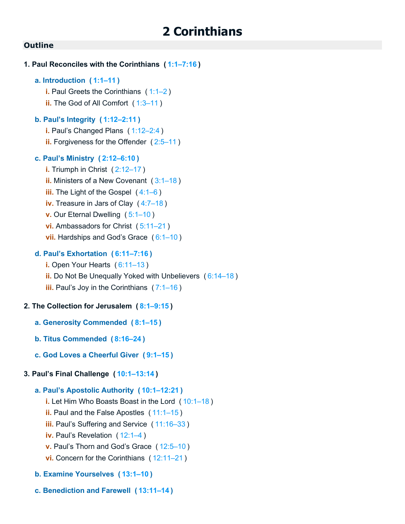| 1. Paul Reconciles with the Corinthians (1:1-7:16)                                                                                                                                                                                                                                                                                           |
|----------------------------------------------------------------------------------------------------------------------------------------------------------------------------------------------------------------------------------------------------------------------------------------------------------------------------------------------|
| a. Introduction $(1:1-11)$<br>i. Paul Greets the Corinthians $(1:1-2)$<br>ii. The God of All Comfort (1:3-11)                                                                                                                                                                                                                                |
| b. Paul's Integrity (1:12-2:11)<br>i. Paul's Changed Plans (1:12-2:4)<br><b>ii.</b> Forgiveness for the Offender (2:5-11)                                                                                                                                                                                                                    |
| c. Paul's Ministry (2:12-6:10)<br>i. Triumph in Christ (2:12-17)<br>ii. Ministers of a New Covenant $(3:1-18)$<br>iii. The Light of the Gospel $(4:1-6)$<br>iv. Treasure in Jars of Clay (4:7-18)<br><b>v.</b> Our Eternal Dwelling $(5:1-10)$<br>vi. Ambassadors for Christ $(5:11-21)$<br><b>vii.</b> Hardships and God's Grace $(6:1-10)$ |
| d. Paul's Exhortation (6:11-7:16)<br>i. Open Your Hearts $(6:11-13)$<br><b>ii.</b> Do Not Be Unequally Yoked with Unbelievers (6:14-18)<br><b>iii.</b> Paul's Joy in the Corinthians $(7:1-16)$                                                                                                                                              |
| 2. The Collection for Jerusalem (8:1-9:15)                                                                                                                                                                                                                                                                                                   |
| a. Generosity Commended (8:1-15)                                                                                                                                                                                                                                                                                                             |
| b. Titus Commended (8:16-24)                                                                                                                                                                                                                                                                                                                 |
| c. God Loves a Cheerful Giver (9:1-15)                                                                                                                                                                                                                                                                                                       |
| 3. Paul's Final Challenge (10:1-13:14)                                                                                                                                                                                                                                                                                                       |
| a. Paul's Apostolic Authority (10:1-12:21)<br>i. Let Him Who Boasts Boast in the Lord (10:1-18)<br>ii. Paul and the False Apostles $(11:1-15)$<br>iii. Paul's Suffering and Service (11:16-33)<br><b>iv.</b> Paul's Revelation (12:1-4)<br>v. Paul's Thorn and God's Grace (12:5-10)<br>vi. Concern for the Corinthians $(12:11-21)$         |

- **b. Examine Yourselves ( [13:1–10](https://biblehub.com/bsb/2_corinthians_/13.htm#1) )**
- **c. Benediction and Farewell ( [13:11–14](https://biblehub.com/bsb/2_corinthians_/13.htm#11) )**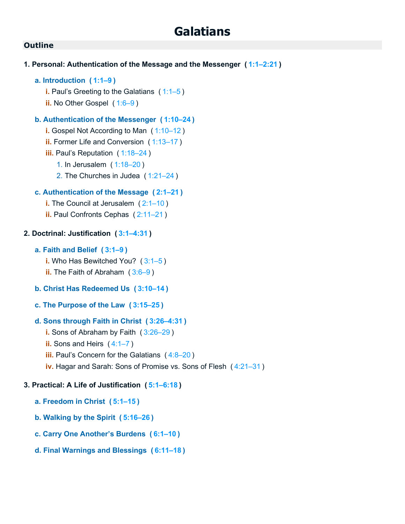#### **Outline**

- **1. Personal: Authentication of the Message and the Messenger ( [1:1–2:21](https://biblehub.com/bsb/galatians/1.htm#1) )**
	- **a. Introduction ( [1:1–9](https://biblehub.com/bsb/galatians/1.htm#1) )**
		- **i.** Paul's Greeting to the Galatians ( [1:1–5](https://biblehub.com/bsb/galatians/1.htm#1) )
		- **ii.** No Other Gospel ([1:6–9](https://biblehub.com/bsb/galatians/1.htm#6))

#### **b. Authentication of the Messenger ( [1:10–24](https://biblehub.com/bsb/galatians/1.htm#10) )**

- **i.** Gospel Not According to Man ( [1:10–12](https://biblehub.com/bsb/galatians/1.htm#10) )
- **ii.** Former Life and Conversion ( [1:13–17](https://biblehub.com/bsb/galatians/1.htm#13) )
- **iii.** Paul's Reputation ( [1:18–24](https://biblehub.com/bsb/galatians/1.htm#18) )
	- 1. In Jerusalem ( [1:18–20](https://biblehub.com/bsb/galatians/1.htm#18) )
	- 2. The Churches in Judea ( [1:21–24](https://biblehub.com/bsb/galatians/1.htm#21) )

#### **c. Authentication of the Message ( [2:1–21](https://biblehub.com/bsb/galatians/2.htm#1) )**

- **i.** The Council at Jerusalem ( $2:1-10$ )
- **ii.** Paul Confronts Cephas ( [2:11–21](https://biblehub.com/bsb/galatians/2.htm#11) )

#### **2. Doctrinal: Justification ( [3:1–4:31](https://biblehub.com/bsb/galatians/3.htm#1) )**

#### **a. Faith and Belief ( [3:1–9](https://biblehub.com/bsb/galatians/3.htm#1) )**

**i.** Who Has Bewitched You? ( [3:1–5](https://biblehub.com/bsb/galatians/3.htm#1) )

- **ii.** The Faith of Abraham ([3:6–9](https://biblehub.com/bsb/galatians/3.htm#6))
- **b. Christ Has Redeemed Us ( [3:10–14](https://biblehub.com/bsb/galatians/3.htm#10) )**
- **c. The Purpose of the Law ( [3:15–25](https://biblehub.com/bsb/galatians/3.htm#15) )**

#### **d. Sons through Faith in Christ ( [3:26–4:31](https://biblehub.com/bsb/galatians/3.htm#26) )**

- **i.** Sons of Abraham by Faith ( [3:26–29](https://biblehub.com/bsb/galatians/3.htm#26) )
- **ii.** Sons and Heirs ( [4:1–7](https://biblehub.com/bsb/galatians/4.htm#1) )
- **iii.** Paul's Concern for the Galatians ([4:8–20](https://biblehub.com/bsb/galatians/4.htm#8))
- **iv.** Hagar and Sarah: Sons of Promise vs. Sons of Flesh ( [4:21–31](https://biblehub.com/bsb/galatians/4.htm#21) )

#### **3. Practical: A Life of Justification ( [5:1–6:18](https://biblehub.com/bsb/galatians/5.htm#1) )**

- **a. Freedom in Christ ( [5:1–15](https://biblehub.com/bsb/galatians/5.htm#1) )**
- **b. Walking by the Spirit ( [5:16–26](https://biblehub.com/bsb/galatians/5.htm#16) )**
- **c. Carry One Another's Burdens ( [6:1–10](https://biblehub.com/bsb/galatians/6.htm#1) )**
- **d. Final Warnings and Blessings ( [6:11–18](https://biblehub.com/bsb/galatians/6.htm#11) )**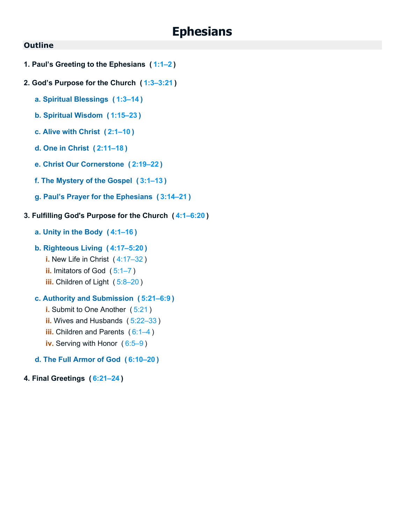# **Ephesians**

#### **Outline**

- **1. Paul's Greeting to the Ephesians ( [1:1–2](https://biblehub.com/bsb/ephesians/1.htm#1) )**
- **2. God's Purpose for the Church ( [1:3–3:21](https://biblehub.com/bsb/ephesians/1.htm#3) )**
	- **a. Spiritual Blessings ( [1:3–14](https://biblehub.com/bsb/ephesians/1.htm#3) )**
	- **b. Spiritual Wisdom ( [1:15–23](https://biblehub.com/bsb/ephesians/1.htm#15) )**
	- **c. Alive with Christ ( [2:1–10](https://biblehub.com/bsb/ephesians/2.htm#1) )**
	- **d. One in Christ ( [2:11–18](https://biblehub.com/bsb/ephesians/2.htm#11) )**
	- **e. Christ Our Cornerstone ( [2:19–22](https://biblehub.com/bsb/ephesians/2.htm#19) )**
	- **f. The Mystery of the Gospel ( [3:1–13](https://biblehub.com/bsb/ephesians/3.htm#1) )**
	- **g. Paul's Prayer for the Ephesians ( [3:14–21](https://biblehub.com/bsb/ephesians/3.htm#14) )**

#### **3. Fulfilling God's Purpose for the Church ( [4:1–6:20](https://biblehub.com/bsb/ephesians/4.htm#1) )**

- **a. Unity in the Body ( [4:1–16](https://biblehub.com/bsb/ephesians/4.htm#1) )**
- **b. Righteous Living ( [4:17–5:20](https://biblehub.com/bsb/ephesians/4.htm#17) )**
	- **i.** New Life in Christ ( [4:17–32](https://biblehub.com/bsb/ephesians/4.htm#17) )
	- **ii.** Imitators of God ( [5:1–7](https://biblehub.com/bsb/ephesians/5.htm#1) )
	- **iii.** Children of Light (5:8-20)

#### **c. Authority and Submission ( [5:21–6:9](https://biblehub.com/bsb/ephesians/5.htm#21) )**

- **i.** Submit to One Another ([5:21](https://biblehub.com/bsb/ephesians/5.htm#21))
- **ii.** Wives and Husbands ( [5:22–33](https://biblehub.com/bsb/ephesians/5.htm#22) )
- **iii.** Children and Parents ([6:1–4](https://biblehub.com/bsb/ephesians/6.htm#1))
- **iv.** Serving with Honor ( [6:5–9](https://biblehub.com/bsb/ephesians/6.htm#5) )
- **d. The Full Armor of God ( [6:10–20](https://biblehub.com/bsb/ephesians/6.htm#10) )**

#### **4. Final Greetings ( [6:21–24](https://biblehub.com/bsb/ephesians/6.htm#21) )**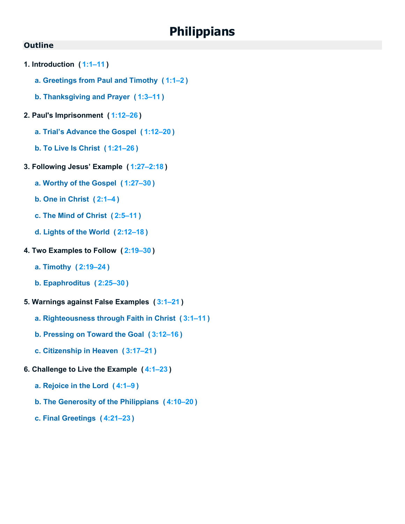# **Philippians**

- **1. Introduction ( [1:1–11](https://biblehub.com/bsb/philippians/1.htm#1) )**
	- **a. Greetings from Paul and Timothy ( [1:1–2](https://biblehub.com/bsb/philippians/1.htm#1) )**
	- **b. Thanksgiving and Prayer ( [1:3–11](https://biblehub.com/bsb/philippians/1.htm#3) )**
- **2. Paul's Imprisonment ( [1:12–26](https://biblehub.com/bsb/philippians/1.htm#12) )**
	- **a. Trial's Advance the Gospel ( [1:12–20](https://biblehub.com/bsb/philippians/1.htm#12) )**
	- **b. To Live Is Christ ( [1:21–26](https://biblehub.com/bsb/philippians/1.htm#21) )**
- **3. Following Jesus' Example ( [1:27–2:18](https://biblehub.com/bsb/philippians/1.htm#27) )**
	- **a. Worthy of the Gospel ( [1:27–30](https://biblehub.com/bsb/philippians/1.htm#27) )**
	- **b. One in Christ ( [2:1–4](https://biblehub.com/bsb/philippians/2.htm#1) )**
	- **c. The Mind of Christ ( [2:5–11](https://biblehub.com/bsb/philippians/2.htm#5) )**
	- **d. Lights of the World ( [2:12–18](https://biblehub.com/bsb/philippians/2.htm#12) )**
- **4. Two Examples to Follow ( [2:19–30](https://biblehub.com/bsb/philippians/2.htm#19) )**
	- **a. Timothy ( [2:19–24](https://biblehub.com/bsb/philippians/2.htm#19) )**
	- **b. Epaphroditus ( [2:25–30](https://biblehub.com/bsb/philippians/2.htm#25) )**
- **5. Warnings against False Examples ( [3:1–21](https://biblehub.com/bsb/philippians/3.htm#1) )**
	- **a. Righteousness through Faith in Christ ( [3:1–11](https://biblehub.com/bsb/philippians/3.htm#1) )**
	- **b. Pressing on Toward the Goal ( [3:12–16](https://biblehub.com/bsb/philippians/3.htm#12) )**
	- **c. Citizenship in Heaven ( [3:17–21](https://biblehub.com/bsb/philippians/3.htm#17) )**
- **6. Challenge to Live the Example ( [4:1–23](https://biblehub.com/bsb/philippians/4.htm#1) )**
	- **a. Rejoice in the Lord ( [4:1–9](https://biblehub.com/bsb/philippians/4.htm#1) )**
	- **b. The Generosity of the Philippians ( [4:10–20](https://biblehub.com/bsb/philippians/4.htm#10) )**
	- **c. Final Greetings ( [4:21–23](https://biblehub.com/bsb/philippians/4.htm#21) )**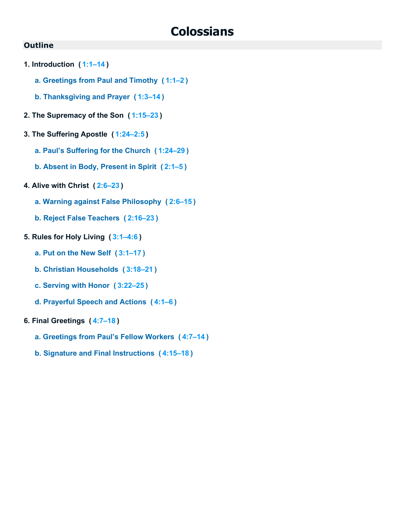# **Colossians**

- **1. Introduction ( [1:1–14](https://biblehub.com/bsb/colossians/1.htm#1) )**
	- **a. Greetings from Paul and Timothy ( [1:1–2](https://biblehub.com/bsb/colossians/1.htm#1) )**
	- **b. Thanksgiving and Prayer ( [1:3–14](https://biblehub.com/bsb/colossians/1.htm#3) )**
- **2. The Supremacy of the Son ( [1:15–23](https://biblehub.com/bsb/colossians/1.htm#15) )**
- **3. The Suffering Apostle ( [1:24–2:5](https://biblehub.com/bsb/colossians/1.htm#24) )**
	- **a. Paul's Suffering for the Church ( [1:24–29](https://biblehub.com/bsb/colossians/1.htm#24) )**
	- **b. Absent in Body, Present in Spirit ( [2:1–5](https://biblehub.com/bsb/colossians/2.htm#1) )**
- **4. Alive with Christ ( [2:6–23](https://biblehub.com/bsb/colossians/2.htm#6) )**
	- **a. Warning against False Philosophy ( [2:6–15](https://biblehub.com/bsb/colossians/2.htm#6) )**
	- **b. Reject False Teachers ( [2:16–23](https://biblehub.com/bsb/colossians/2.htm#16) )**
- **5. Rules for Holy Living ( [3:1–4:6](https://biblehub.com/bsb/colossians/3.htm#1) )**
	- **a. Put on the New Self ( [3:1–17](https://biblehub.com/bsb/colossians/3.htm#1) )**
	- **b. Christian Households ( [3:18–21](https://biblehub.com/bsb/colossians/3.htm#18) )**
	- **c. Serving with Honor ( [3:22–25](https://biblehub.com/bsb/colossians/3.htm#22) )**
	- **d. Prayerful Speech and Actions ( [4:1–6](https://biblehub.com/bsb/colossians/4.htm#1) )**
- **6. Final Greetings ( [4:7–18](https://biblehub.com/bsb/colossians/4.htm#7) )**
	- **a. Greetings from Paul's Fellow Workers ( [4:7–14](https://biblehub.com/bsb/colossians/4.htm#7) )**
	- **b. Signature and Final Instructions ( [4:15–18](https://biblehub.com/bsb/colossians/4.htm#15) )**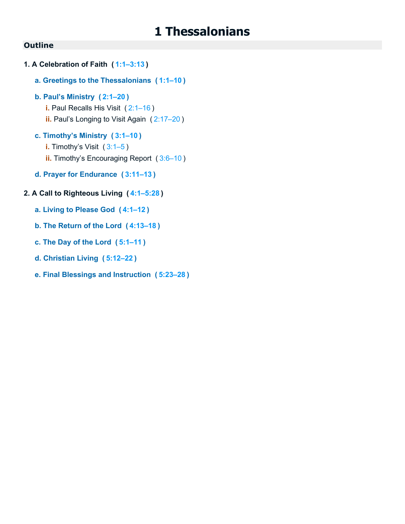### **Outline**

- **1. A Celebration of Faith ( [1:1–3:13](https://biblehub.com/bsb/1_thessalonians/1.htm#1) )**
	- **a. Greetings to the Thessalonians ( [1:1–10](https://biblehub.com/bsb/1_thessalonians/1.htm#1) )**
	- **b. Paul's Ministry ( [2:1–20](https://biblehub.com/bsb/1_thessalonians/2.htm#1) )**
		- **i.** Paul Recalls His Visit ( [2:1–16](https://biblehub.com/bsb/1_thessalonians/2.htm#1) )
		- **ii.** Paul's Longing to Visit Again ( [2:17–20](https://biblehub.com/bsb/1_thessalonians/2.htm#17) )
	- **c. Timothy's Ministry ( [3:1–10](https://biblehub.com/bsb/1_thessalonians/3.htm#1) )**
		- **i.** Timothy's Visit (3:1-5)
		- **ii.** Timothy's Encouraging Report ( [3:6–10](https://biblehub.com/bsb/1_thessalonians/3.htm#6) )
	- **d. Prayer for Endurance ( [3:11–13](https://biblehub.com/bsb/1_thessalonians/3.htm#11) )**

### **2. A Call to Righteous Living ( [4:1–5:28](https://biblehub.com/bsb/1_thessalonians/4.htm#1) )**

- **a. Living to Please God ( [4:1–12](https://biblehub.com/bsb/1_thessalonians/4.htm#1) )**
- **b. The Return of the Lord ( [4:13–18](https://biblehub.com/bsb/1_thessalonians/4.htm#13) )**
- **c. The Day of the Lord ( [5:1–11](https://biblehub.com/bsb/1_thessalonians/5.htm#1) )**
- **d. Christian Living ( [5:12–22](https://biblehub.com/bsb/1_thessalonians/5.htm#12) )**
- **e. Final Blessings and Instruction ( [5:23–28](https://biblehub.com/bsb/1_thessalonians/5.htm#23) )**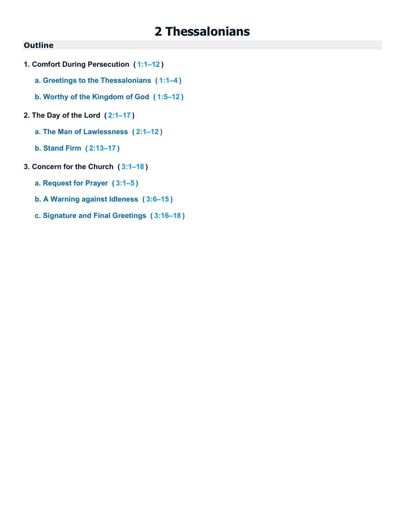# **2 Thessalonians**

- **1. Comfort During Persecution ( [1:1–12](https://biblehub.com/bsb/2_thessalonians/1.htm#1) )**
	- **a. Greetings to the Thessalonians ( [1:1–4](https://biblehub.com/bsb/2_thessalonians/1.htm#1) )**
	- **b. Worthy of the Kingdom of God ( [1:5–12](https://biblehub.com/bsb/2_thessalonians/1.htm#5) )**
- **2. The Day of the Lord ( [2:1–17](https://biblehub.com/bsb/2_thessalonians/2.htm#1) )**
	- **a. The Man of Lawlessness ( [2:1–12](https://biblehub.com/bsb/2_thessalonians/2.htm#1) )**
	- **b. Stand Firm ( [2:13–17](https://biblehub.com/bsb/2_thessalonians/2.htm#13) )**
- **3. Concern for the Church ( [3:1–18](https://biblehub.com/bsb/2_thessalonians/3.htm#1) )**
	- **a. Request for Prayer ( [3:1–5](https://biblehub.com/bsb/2_thessalonians/3.htm#1) )**
	- **b. A Warning against Idleness ( [3:6–15](https://biblehub.com/bsb/2_thessalonians/3.htm#6) )**
	- **c. Signature and Final Greetings ( [3:16–18](https://biblehub.com/bsb/2_thessalonians/3.htm#16) )**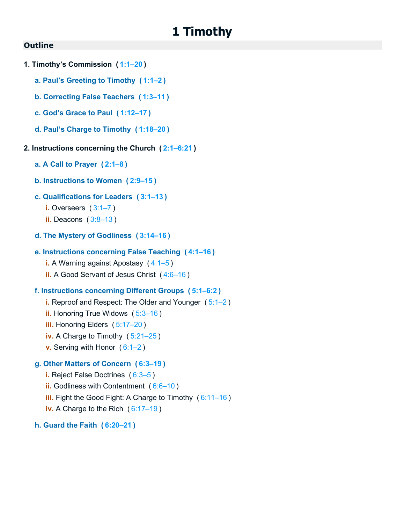# **1 Timothy**

#### **Outline**

- **1. Timothy's Commission ( [1:1–20](https://biblehub.com/bsb/1_timothy/1.htm#1) )**
	- **a. Paul's Greeting to Timothy ( [1:1–2](https://biblehub.com/bsb/1_timothy/1.htm#1) )**
	- **b. Correcting False Teachers ( [1:3–11](https://biblehub.com/bsb/1_timothy/1.htm#3) )**
	- **c. God's Grace to Paul ( [1:12–17](https://biblehub.com/bsb/1_timothy/1.htm#12) )**
	- **d. Paul's Charge to Timothy ( [1:18–20](https://biblehub.com/bsb/1_timothy/1.htm#18) )**

#### **2. Instructions concerning the Church ( [2:1–6:21](https://biblehub.com/bsb/1_timothy/2.htm#1) )**

- **a. A Call to Prayer ( [2:1–8](https://biblehub.com/bsb/1_timothy/2.htm#1) )**
- **b. Instructions to Women ( [2:9–15](https://biblehub.com/bsb/1_timothy/2.htm#9) )**
- **c. Qualifications for Leaders ( [3:1–13](https://biblehub.com/bsb/1_timothy/3.htm#1) )**
	- **i.** Overseers ( [3:1–7](https://biblehub.com/bsb/1_timothy/3.htm#1) )
	- **ii.** Deacons ( [3:8–13](https://biblehub.com/bsb/1_timothy/3.htm#8) )
- **d. The Mystery of Godliness ( [3:14–16](https://biblehub.com/bsb/1_timothy/3.htm#14) )**

#### **e. Instructions concerning False Teaching ( [4:1–16](https://biblehub.com/bsb/1_timothy/4.htm#1) )**

**i.** A Warning against Apostasy ( [4:1–5](https://biblehub.com/bsb/1_timothy/4.htm#1) )

**ii.** A Good Servant of Jesus Christ ( [4:6–16](https://biblehub.com/bsb/1_timothy/4.htm#6) )

#### **f. Instructions concerning Different Groups ( [5:1–6:2](https://biblehub.com/bsb/1_timothy/5.htm#1) )**

**i.** Reproof and Respect: The Older and Younger ( [5:1–2](https://biblehub.com/bsb/1_timothy/5.htm#1) ) **ii.** Honoring True Widows (5:3-16) **iii.** Honoring Elders ( [5:17–20](https://biblehub.com/bsb/1_timothy/5.htm#17) ) **iv.** A Charge to Timothy ( [5:21–25](https://biblehub.com/bsb/1_timothy/5.htm#21) ) **v.** Serving with Honor ( [6:1–2](https://biblehub.com/bsb/1_timothy/6.htm#1) ) **g. Other Matters of Concern ( [6:3–19](https://biblehub.com/bsb/1_timothy/6.htm#3) )**

**i.** Reject False Doctrines ( [6:3–5](https://biblehub.com/bsb/1_timothy/6.htm#3) ) **ii.** Godliness with Contentment (6:6-10) **iii.** Fight the Good Fight: A Charge to Timothy ( [6:11–16](https://biblehub.com/bsb/1_timothy/6.htm#11) ) **iv.** A Charge to the Rich ( [6:17–19](https://biblehub.com/bsb/1_timothy/6.htm#17) )

#### **h. Guard the Faith ( [6:20–21](https://biblehub.com/bsb/1_timothy/6.htm#20) )**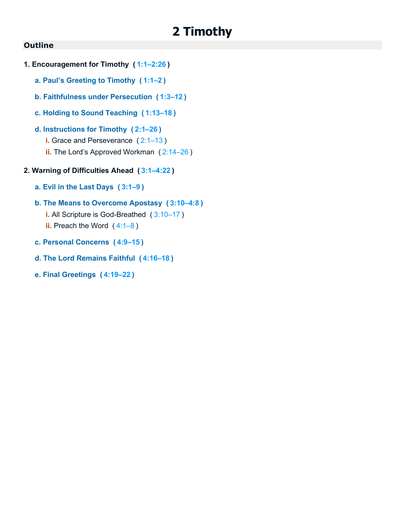# **2 Timothy**

#### **Outline**

- **1. Encouragement for Timothy ( [1:1–2:26](https://biblehub.com/bsb/2_timothy/1.htm#1) )**
	- **a. Paul's Greeting to Timothy ( [1:1–2](https://biblehub.com/bsb/2_timothy/1.htm#1) )**
	- **b. Faithfulness under Persecution ( [1:3–12](https://biblehub.com/bsb/2_timothy/1.htm#3) )**
	- **c. Holding to Sound Teaching ( [1:13–18](https://biblehub.com/bsb/2_timothy/1.htm#13) )**

### **d. Instructions for Timothy ( [2:1–26](https://biblehub.com/bsb/2_timothy/2.htm#1) )**

- **i.** Grace and Perseverance (2:1-13)
- **ii.** The Lord's Approved Workman ( [2:14–26](https://biblehub.com/bsb/2_timothy/2.htm#14) )
- **2. Warning of Difficulties Ahead ( [3:1–4:22](https://biblehub.com/bsb/2_timothy/3.htm#1) )**
	- **a. Evil in the Last Days ( [3:1–9](https://biblehub.com/bsb/2_timothy/3.htm#1) )**

### **b. The Means to Overcome Apostasy ( [3:10–4:8](https://biblehub.com/bsb/2_timothy/3.htm#10) )**

- **i.** All Scripture is God-Breathed ( [3:10–17](https://biblehub.com/bsb/2_timothy/3.htm#10) ) **ii.** Preach the Word ([4:1–8](https://biblehub.com/bsb/2_timothy/4.htm#1))
- **c. Personal Concerns ( [4:9–15](https://biblehub.com/bsb/2_timothy/4.htm#9) )**
- **d. The Lord Remains Faithful ( [4:16–18](https://biblehub.com/bsb/2_timothy/4.htm#16) )**
- **e. Final Greetings ( [4:19–22](https://biblehub.com/bsb/2_timothy/4.htm#19) )**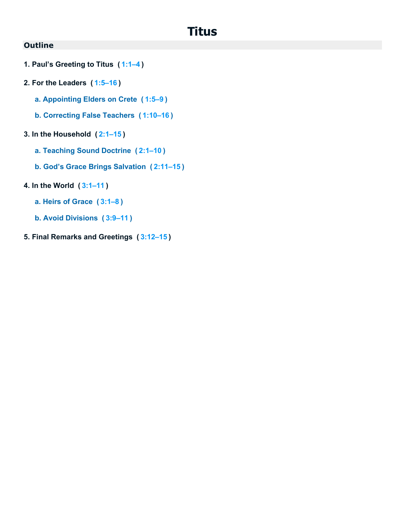# **Titus**

- **1. Paul's Greeting to Titus ( [1:1–4](https://biblehub.com/bsb/titus/1.htm#1) )**
- **2. For the Leaders ( [1:5–16](https://biblehub.com/bsb/titus/1.htm#5) )**
	- **a. Appointing Elders on Crete ( [1:5–9](https://biblehub.com/bsb/titus/1.htm#5) )**
	- **b. Correcting False Teachers ( [1:10–16](https://biblehub.com/bsb/titus/1.htm#10) )**
- **3. In the Household ( [2:1–15](https://biblehub.com/bsb/titus/2.htm#1) )**
	- **a. Teaching Sound Doctrine ( [2:1–10](https://biblehub.com/bsb/titus/2.htm#1) )**
	- **b. God's Grace Brings Salvation ( [2:11–15](https://biblehub.com/bsb/titus/2.htm#11) )**
- **4. In the World ( [3:1–11](https://biblehub.com/bsb/titus/3.htm#1) )**
	- **a. Heirs of Grace ( [3:1–8](https://biblehub.com/bsb/titus/3.htm#1) )**
	- **b. Avoid Divisions ( [3:9–11](https://biblehub.com/bsb/titus/3.htm#9) )**
- **5. Final Remarks and Greetings ( [3:12–15](https://biblehub.com/bsb/titus/3.htm#12) )**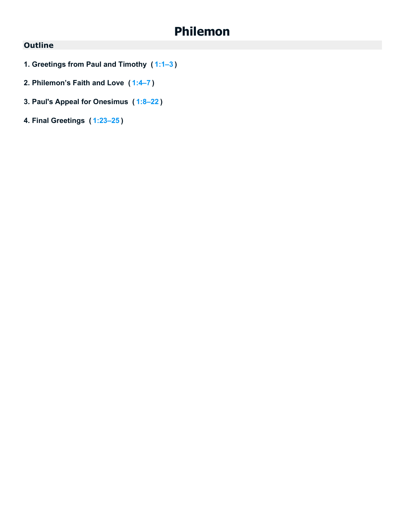# **Philemon**

- **1. Greetings from Paul and Timothy ( [1:1–3](https://biblehub.com/bsb/philemon/1.htm#1) )**
- **2. Philemon's Faith and Love ( [1:4–7](https://biblehub.com/bsb/philemon/1.htm#4) )**
- **3. Paul's Appeal for Onesimus ( [1:8–22](https://biblehub.com/bsb/philemon/1.htm#8) )**
- **4. Final Greetings ( [1:23–25](https://biblehub.com/bsb/philemon/1.htm#23) )**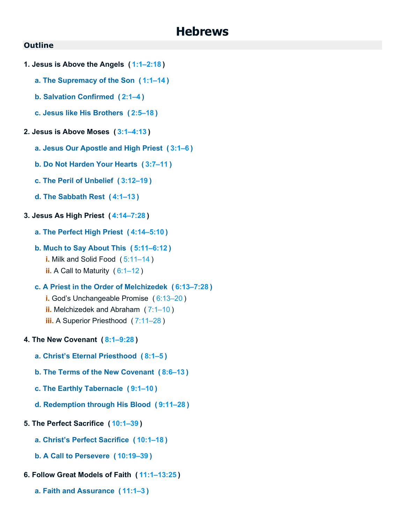### **Hebrews**

- **1. Jesus is Above the Angels ( [1:1–2:18](https://biblehub.com/bsb/hebrews/1.htm#1) )**
	- **a. The Supremacy of the Son ( [1:1–14](https://biblehub.com/bsb/hebrews/1.htm#1) )**
	- **b. Salvation Confirmed ( [2:1–4](https://biblehub.com/bsb/hebrews/2.htm#1) )**
	- **c. Jesus like His Brothers ( [2:5–18](https://biblehub.com/bsb/hebrews/2.htm#5) )**
- **2. Jesus is Above Moses ( [3:1–4:13](https://biblehub.com/bsb/hebrews/3.htm#1) )**
	- **a. Jesus Our Apostle and High Priest ( [3:1–6](https://biblehub.com/bsb/hebrews/3.htm#1) )**
	- **b. Do Not Harden Your Hearts ( [3:7–11](https://biblehub.com/bsb/hebrews/3.htm#7) )**
	- **c. The Peril of Unbelief ( [3:12–19](https://biblehub.com/bsb/hebrews/3.htm#12) )**
	- **d. The Sabbath Rest ( [4:1–13](https://biblehub.com/bsb/hebrews/4.htm#1) )**
- **3. Jesus As High Priest ( [4:14–7:28](https://biblehub.com/bsb/hebrews/4.htm#14) )**
	- **a. The Perfect High Priest ( [4:14–5:10](https://biblehub.com/bsb/hebrews/4.htm#14) )**
	- **b. Much to Say About This ( [5:11–6:12](https://biblehub.com/bsb/hebrews/5.htm#11) )**
		- **i.** Milk and Solid Food ( [5:11–14](https://biblehub.com/bsb/hebrews/5.htm#11) ) **ii.** A Call to Maturity ( [6:1–12](https://biblehub.com/bsb/hebrews/6.htm#1) )
	- **c. A Priest in the Order of Melchizedek ( [6:13–7:28](https://biblehub.com/bsb/hebrews/6.htm#13) )**
		- **i.** God's Unchangeable Promise ( [6:13–20](https://biblehub.com/bsb/hebrews/6.htm#13) )
		- **ii.** Melchizedek and Abraham ( [7:1–10](https://biblehub.com/bsb/hebrews/7.htm#1) )
		- **iii.** A Superior Priesthood ( [7:11–28](https://biblehub.com/bsb/hebrews/7.htm#11) )
- **4. The New Covenant ( [8:1–9:28](https://biblehub.com/bsb/hebrews/8.htm#1) )**
	- **a. Christ's Eternal Priesthood ( [8:1–5](https://biblehub.com/bsb/hebrews/8.htm#1) )**
	- **b. The Terms of the New Covenant ( [8:6–13](https://biblehub.com/bsb/hebrews/8.htm#6) )**
	- **c. The Earthly Tabernacle ( [9:1–10](https://biblehub.com/bsb/hebrews/9.htm#1) )**
	- **d. Redemption through His Blood ( [9:11–28](https://biblehub.com/bsb/hebrews/9.htm#11) )**
- **5. The Perfect Sacrifice ( [10:1–39](https://biblehub.com/bsb/hebrews/10.htm#1) )**
	- **a. Christ's Perfect Sacrifice ( [10:1–18](https://biblehub.com/bsb/hebrews/10.htm#1) )**
	- **b. A Call to Persevere ( [10:19–39](https://biblehub.com/bsb/hebrews/10.htm#19) )**
- **6. Follow Great Models of Faith ( [11:1–13:25](https://biblehub.com/bsb/hebrews/11.htm#1) )**
	- **a. Faith and Assurance ( [11:1–3](https://biblehub.com/bsb/hebrews/11.htm#1) )**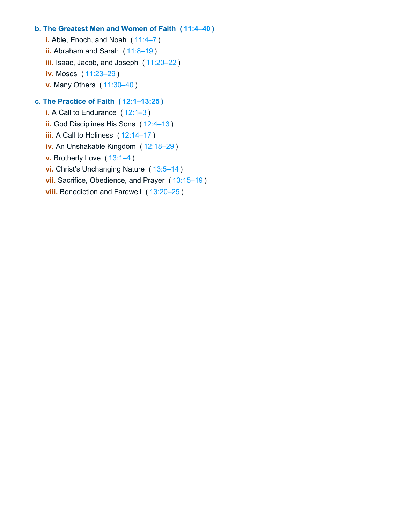### **b. The Greatest Men and Women of Faith ( [11:4–40](https://biblehub.com/bsb/hebrews/11.htm#4) )**

**i.** Able, Enoch, and Noah ( [11:4–7](https://biblehub.com/bsb/hebrews/11.htm#4) ) **ii.** Abraham and Sarah ([11:8–19](https://biblehub.com/bsb/hebrews/11.htm#8)) **iii.** Isaac, Jacob, and Joseph ( [11:20–22](https://biblehub.com/bsb/hebrews/11.htm#20) ) **iv.** Moses ( [11:23–29](https://biblehub.com/bsb/hebrews/11.htm#23) ) **v.** Many Others ( [11:30–40](https://biblehub.com/bsb/hebrews/11.htm#30) )

### **c. The Practice of Faith ( [12:1–13:25](https://biblehub.com/bsb/hebrews/12.htm#1) )**

**i.** A Call to Endurance ([12:1–3](https://biblehub.com/bsb/hebrews/12.htm#1)) **ii.** God Disciplines His Sons ( [12:4–13](https://biblehub.com/bsb/hebrews/12.htm#4) ) **iii.** A Call to Holiness ( [12:14–17](https://biblehub.com/bsb/hebrews/12.htm#14) ) **iv.** An Unshakable Kingdom ( [12:18–29](https://biblehub.com/bsb/hebrews/12.htm#18) ) **v.** Brotherly Love ( [13:1–4](https://biblehub.com/bsb/hebrews/13.htm#1) ) **vi.** Christ's Unchanging Nature ( [13:5–14](https://biblehub.com/bsb/hebrews/13.htm#5) ) **vii.** Sacrifice, Obedience, and Prayer ( [13:15–19](https://biblehub.com/bsb/hebrews/13.htm#15) ) **viii.** Benediction and Farewell ( [13:20–25](https://biblehub.com/bsb/hebrews/13.htm#20) )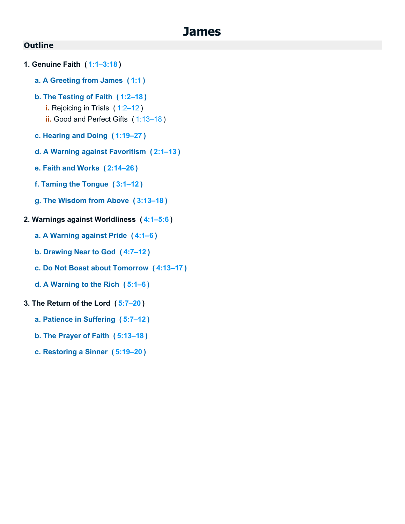### **James**

- **1. Genuine Faith ( [1:1–3:18](https://biblehub.com/bsb/james/1.htm#1) )**
	- **a. A Greeting from James ( [1:1](https://biblehub.com/bsb/james/1.htm#1) )**
	- **b. The Testing of Faith ( [1:2–18](https://biblehub.com/bsb/james/1.htm#2) )**
		- **i.** Rejoicing in Trials ( [1:2–12](https://biblehub.com/bsb/james/1.htm#2) ) **ii.** Good and Perfect Gifts ( [1:13–18](https://biblehub.com/bsb/james/1.htm#13) )
		-
	- **c. Hearing and Doing ( [1:19–27](https://biblehub.com/bsb/james/1.htm#19) )**
	- **d. A Warning against Favoritism ( [2:1–13](https://biblehub.com/bsb/james/2.htm#1) )**
	- **e. Faith and Works ( [2:14–26](https://biblehub.com/bsb/james/2.htm#14) )**
	- **f. Taming the Tongue ( [3:1–12](https://biblehub.com/bsb/james/3.htm#1) )**
	- **g. The Wisdom from Above ( [3:13–18](https://biblehub.com/bsb/james/3.htm#13) )**
- **2. Warnings against Worldliness ( [4:1–5:6](https://biblehub.com/bsb/james/4.htm#1) )**
	- **a. A Warning against Pride ( [4:1–6](https://biblehub.com/bsb/james/4.htm#1) )**
	- **b. Drawing Near to God ( [4:7–12](https://biblehub.com/bsb/james/4.htm#7) )**
	- **c. Do Not Boast about Tomorrow ( [4:13–17](https://biblehub.com/bsb/james/4.htm#13) )**
	- **d. A Warning to the Rich ( [5:1–6](https://biblehub.com/bsb/james/5.htm#1) )**
- **3. The Return of the Lord ( [5:7–20](https://biblehub.com/bsb/james/5.htm#7) )**
	- **a. Patience in Suffering ( [5:7–12](https://biblehub.com/bsb/james/5.htm#7) )**
	- **b. The Prayer of Faith ( [5:13–18](https://biblehub.com/bsb/james/5.htm#13) )**
	- **c. Restoring a Sinner ( [5:19–20](https://biblehub.com/bsb/james/5.htm#19) )**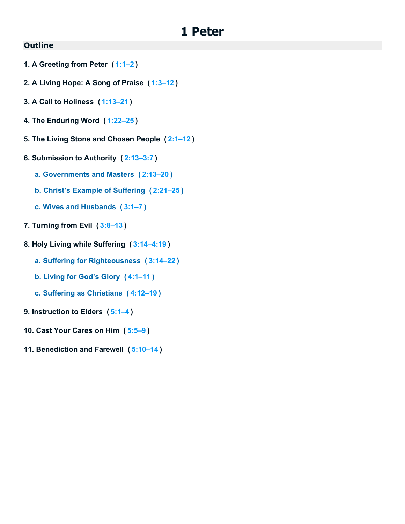### **1 Peter**

- **1. A Greeting from Peter ( [1:1–2](https://biblehub.com/bsb/1_peter/1.htm#1) )**
- **2. A Living Hope: A Song of Praise ( [1:3–12](https://biblehub.com/bsb/1_peter/1.htm#3) )**
- **3. A Call to Holiness ( [1:13–21](https://biblehub.com/bsb/1_peter/1.htm#13) )**
- **4. The Enduring Word ( [1:22–25](https://biblehub.com/bsb/1_peter/1.htm#22) )**
- **5. The Living Stone and Chosen People ( [2:1–12](https://biblehub.com/bsb/1_peter/2.htm#1) )**
- **6. Submission to Authority ( [2:13–3:7](https://biblehub.com/bsb/1_peter/2.htm#13) )**
	- **a. Governments and Masters ( [2:13–20](https://biblehub.com/bsb/1_peter/2.htm#13) )**
	- **b. Christ's Example of Suffering ( [2:21–25](https://biblehub.com/bsb/1_peter/2.htm#21) )**
	- **c. Wives and Husbands ( [3:1–7](https://biblehub.com/bsb/1_peter/3.htm#1) )**
- **7. Turning from Evil ( [3:8–13](https://biblehub.com/bsb/1_peter/3.htm#8) )**
- **8. Holy Living while Suffering ( [3:14–4:19](https://biblehub.com/bsb/1_peter/3.htm#14) )**
	- **a. Suffering for Righteousness ( [3:14–22](https://biblehub.com/bsb/1_peter/3.htm#14) )**
	- **b. Living for God's Glory ( [4:1–11](https://biblehub.com/bsb/1_peter/4.htm#1) )**
	- **c. Suffering as Christians ( [4:12–19](https://biblehub.com/bsb/1_peter/4.htm#12) )**
- **9. Instruction to Elders ( [5:1–4](https://biblehub.com/bsb/1_peter/5.htm#1) )**
- **10. Cast Your Cares on Him ( [5:5–9](https://biblehub.com/bsb/1_peter/5.htm#5) )**
- **11. Benediction and Farewell ( [5:10–14](https://biblehub.com/bsb/1_peter/5.htm#10) )**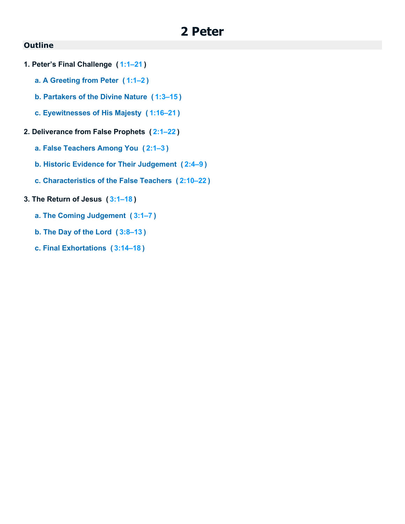# **2 Peter**

- **1. Peter's Final Challenge ( [1:1–21](https://biblehub.com/bsb/2_peter/1.htm#1) )**
	- **a. A Greeting from Peter ( [1:1–2](https://biblehub.com/bsb/2_peter/1.htm#1) )**
	- **b. Partakers of the Divine Nature ( [1:3–15](https://biblehub.com/bsb/2_peter/1.htm#3) )**
	- **c. Eyewitnesses of His Majesty ( [1:16–21](https://biblehub.com/bsb/2_peter/1.htm#16) )**
- **2. Deliverance from False Prophets ( [2:1–22](https://biblehub.com/bsb/2_peter/2.htm#1) )**
	- **a. False Teachers Among You ( [2:1–3](https://biblehub.com/bsb/2_peter/2.htm#1) )**
	- **b. Historic Evidence for Their Judgement ( [2:4–9](https://biblehub.com/bsb/2_peter/2.htm#4) )**
	- **c. Characteristics of the False Teachers ( [2:10–22](https://biblehub.com/bsb/2_peter/2.htm#10) )**
- **3. The Return of Jesus ( [3:1–18](https://biblehub.com/bsb/2_peter/3.htm#1) )**
	- **a. The Coming Judgement ( [3:1–7](https://biblehub.com/bsb/2_peter/3.htm#1) )**
	- **b. The Day of the Lord ( [3:8–13](https://biblehub.com/bsb/2_peter/3.htm#8) )**
	- **c. Final Exhortations ( [3:14–18](https://biblehub.com/bsb/2_peter/3.htm#14) )**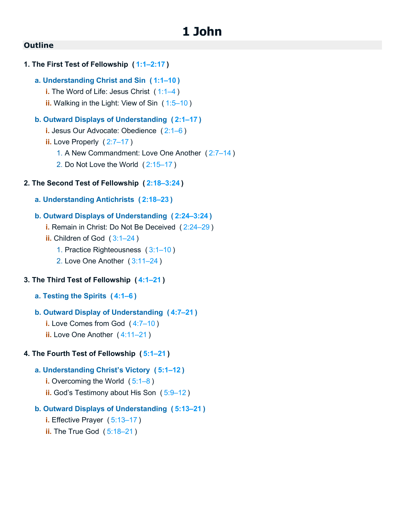# **1 John**

#### **Outline**

```
1. The First Test of Fellowship ( 1:1–2:17 )
   a. Understanding Christ and Sin ( 1:1–10 )
      i.1:1–4)
      ii. Walking in the Light: View of Sin ( 1:5–10 )
   b. Outward Displays of Understanding ( 2:1–17 )
      i. Jesus Our Advocate: Obedience ( 2:1–6 )
      ii. Love Properly (2:7-17)
         1. A New Commandment: Love One Another ( 2:7–14 )
         2. Do Not Love the World ( 2:15–17 )
2. The Second Test of Fellowship ( 2:18–3:24 )
   a. Understanding Antichrists ( 2:18–23 )
   b. Outward Displays of Understanding ( 2:24–3:24 )
      i. Remain in Christ: Do Not Be Deceived ( 2:24–29 )
      ii. Children of God ( 3:1–24 )
         1. Practice Righteousness ( 3:1–10 )
         2. Love One Another ( 3:11–24 )
```
#### **3. The Third Test of Fellowship ( [4:1–21](https://biblehub.com/bsb/1_john/4.htm#1) )**

**a. Testing the Spirits ( [4:1–6](https://biblehub.com/bsb/1_john/4.htm#1) )**

#### **b. Outward Display of Understanding ( [4:7–21](https://biblehub.com/bsb/1_john/4.htm#7) )**

- **i.** Love Comes from God ( [4:7–10](https://biblehub.com/bsb/1_john/4.htm#7) )
- **ii.** Love One Another ( [4:11–21](https://biblehub.com/bsb/1_john/4.htm#11) )

#### **4. The Fourth Test of Fellowship ( [5:1–21](https://biblehub.com/bsb/1_john/5.htm#1) )**

#### **a. Understanding Christ's Victory ( [5:1–12](https://biblehub.com/bsb/1_john/5.htm#1) )**

- **i.** Overcoming the World ([5:1–8](https://biblehub.com/bsb/1_john/5.htm#1))
- **ii.** God's Testimony about His Son ( [5:9–12](https://biblehub.com/bsb/1_john/5.htm#9) )

#### **b. Outward Displays of Understanding ( [5:13–21](https://biblehub.com/bsb/1_john/5.htm#13) )**

- **i.** Effective Prayer ( [5:13–17](https://biblehub.com/bsb/1_john/5.htm#13) )
- **ii.** The True God ( $5:18-21$ )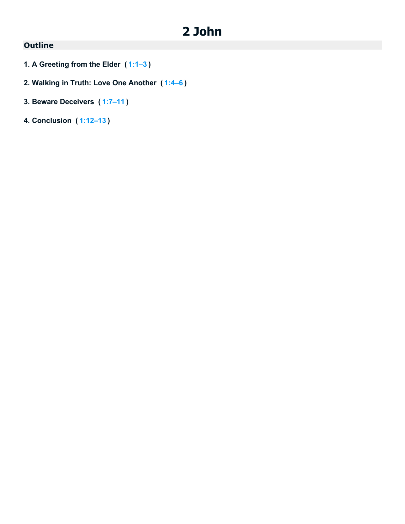# **2 John**

- **1. A Greeting from the Elder ( [1:1–3](https://biblehub.com/bsb/2_john/1.htm#1) )**
- **2. Walking in Truth: Love One Another ( [1:4–6](https://biblehub.com/bsb/2_john/1.htm#4) )**
- **3. Beware Deceivers ( [1:7–11](https://biblehub.com/bsb/2_john/1.htm#7) )**
- **4. Conclusion ( [1:12–13](https://biblehub.com/bsb/2_john/1.htm#12) )**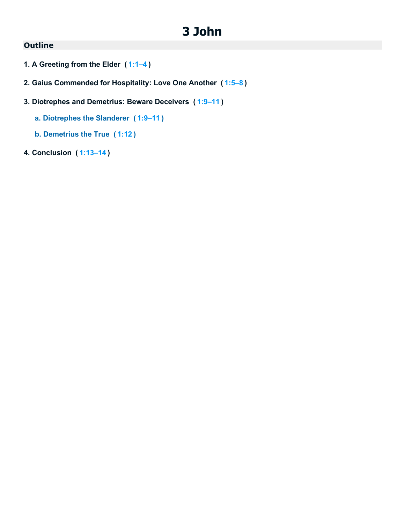# **3 John**

- **1. A Greeting from the Elder ( [1:1–4](https://biblehub.com/bsb/3_john/1.htm#1) )**
- **2. Gaius Commended for Hospitality: Love One Another ( [1:5–8](https://biblehub.com/bsb/3_john/1.htm#5) )**
- **3. Diotrephes and Demetrius: Beware Deceivers ( [1:9–11](https://biblehub.com/bsb/3_john/1.htm#9) )**
	- **a. Diotrephes the Slanderer ( [1:9–11](https://biblehub.com/bsb/3_john/1.htm#9) )**
	- **b. Demetrius the True ( [1:12](https://biblehub.com/bsb/3_john/1.htm#12) )**
- **4. Conclusion ( [1:13–14](https://biblehub.com/bsb/3_john/1.htm#13) )**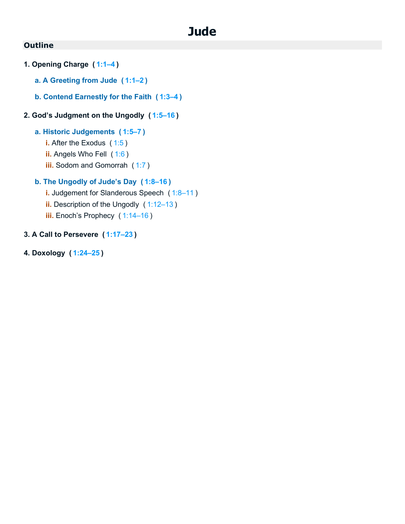# **Jude**

### **Outline**

- **1. Opening Charge ( [1:1–4](https://biblehub.com/bsb/jude/1.htm#1) )**
	- **a. A Greeting from Jude ( [1:1–2](https://biblehub.com/bsb/jude/1.htm#1) )**
	- **b. Contend Earnestly for the Faith ( [1:3–4](https://biblehub.com/bsb/jude/1.htm#3) )**

### **2. God's Judgment on the Ungodly ( [1:5–16](https://biblehub.com/bsb/jude/1.htm#5) )**

#### **a. Historic Judgements ( [1:5–7](https://biblehub.com/bsb/jude/1.htm#5) )**

- **i.** After the Exodus ([1:5](https://biblehub.com/bsb/jude/1.htm#5))
- **ii.** Angels Who Fell ( [1:6](https://biblehub.com/bsb/jude/1.htm#6) )
- **iii.** Sodom and Gomorrah ([1:7](https://biblehub.com/bsb/jude/1.htm#7))

### **b. The Ungodly of Jude's Day ( [1:8–16](https://biblehub.com/bsb/jude/1.htm#8) )**

- **i.** Judgement for Slanderous Speech (1:8-11) **ii.** Description of the Ungodly (1:12-13)
- **iii.** Enoch's Prophecy ( [1:14–16](https://biblehub.com/bsb/jude/1.htm#14) )

### **3. A Call to Persevere ( [1:17–23](https://biblehub.com/bsb/jude/1.htm#17) )**

**4. Doxology ( [1:24–25](https://biblehub.com/bsb/jude/1.htm#24) )**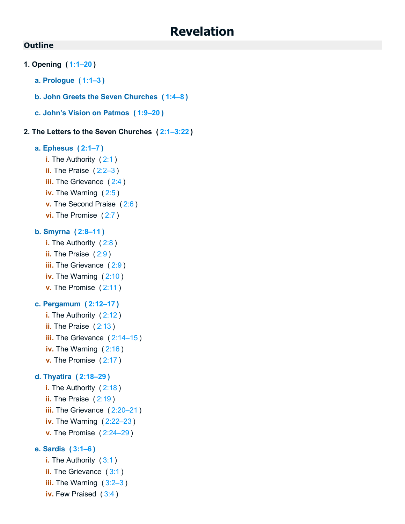### **Revelation**

#### **Outline**

- **1. Opening ( [1:1–20](https://biblehub.com/bsb/revelation/1.htm#1) )**
	- **a. Prologue ( [1:1–3](https://biblehub.com/bsb/revelation/1.htm#1) )**
	- **b. John Greets the Seven Churches ( [1:4–8](https://biblehub.com/bsb/revelation/1.htm#4) )**
	- **c. John's Vision on Patmos ( [1:9–20](https://biblehub.com/bsb/revelation/1.htm#9) )**

#### **2. The Letters to the Seven Churches ( [2:1–3:22](https://biblehub.com/bsb/revelation/2.htm#1) )**

#### **a. Ephesus ( [2:1–7](https://biblehub.com/bsb/revelation/2.htm#1) )**

- **i.** The Authority ([2:1](https://biblehub.com/bsb/revelation/2.htm#1))
- **ii.** The Praise ( [2:2–3](https://biblehub.com/bsb/revelation/2.htm#2) )
- **iii.** The Grievance ([2:4](https://biblehub.com/bsb/revelation/2.htm#4))
- **iv.** The Warning ( [2:5](https://biblehub.com/bsb/revelation/2.htm#5) )
- **v.** The Second Praise ( [2:6](https://biblehub.com/bsb/revelation/2.htm#6) )
- **vi.** The Promise ( [2:7](https://biblehub.com/bsb/revelation/2.htm#7) )

#### **b. Smyrna ( [2:8–11](https://biblehub.com/bsb/revelation/2.htm#8) )**

**i.** The Authority ([2:8](https://biblehub.com/bsb/revelation/2.htm#8)) **ii.** The Praise ([2:9](https://biblehub.com/bsb/revelation/2.htm#9)) **iii.** The Grievance ([2:9](https://biblehub.com/bsb/revelation/2.htm#9)) **iv.** The Warning ( [2:10](https://biblehub.com/bsb/revelation/2.htm#10) ) **v.** The Promise ( [2:11](https://biblehub.com/bsb/revelation/2.htm#11) )

#### **c. Pergamum ( [2:12–17](https://biblehub.com/bsb/revelation/2.htm#12) )**

- **i.** The Authority ( [2:12](https://biblehub.com/bsb/revelation/2.htm#12) ) **ii.** The Praise ([2:13](https://biblehub.com/bsb/revelation/2.htm#13))
- **iii.** The Grievance ([2:14–15](https://biblehub.com/bsb/revelation/2.htm#14))
- **iv.** The Warning ([2:16](https://biblehub.com/bsb/revelation/2.htm#16))
- **v.** The Promise ( [2:17](https://biblehub.com/bsb/revelation/2.htm#17) )

#### **d. Thyatira ( [2:18–29](https://biblehub.com/bsb/revelation/2.htm#18) )**

**i.** The Authority ([2:18](https://biblehub.com/bsb/revelation/2.htm#18)) **ii.** The Praise ([2:19](https://biblehub.com/bsb/revelation/2.htm#19)) **iii.** The Grievance ([2:20–21](https://biblehub.com/bsb/revelation/2.htm#20)) **iv.** The Warning ( [2:22–23](https://biblehub.com/bsb/revelation/2.htm#22) ) **v.** The Promise ( [2:24–29](https://biblehub.com/bsb/revelation/2.htm#24) )

#### **e. Sardis ( [3:1–6](https://biblehub.com/bsb/revelation/3.htm#1) )**

**i.** The Authority ([3:1](https://biblehub.com/bsb/revelation/3.htm#1)) **ii.** The Grievance ([3:1](https://biblehub.com/bsb/revelation/3.htm#1)) **iii.** The Warning ( [3:2–3](https://biblehub.com/bsb/revelation/3.htm#2) ) **iv.** Few Praised ( [3:4](https://biblehub.com/bsb/revelation/3.htm#4) )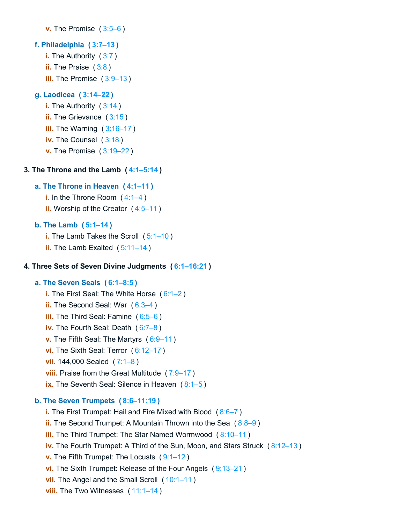```
v. The Promise ( 3:5–6 )
```
#### **f. Philadelphia ( 3:7–13 )**

- **i.** The Authority (3:7)
- **ii.** The Praise (3:8)
- **iii.** The Promise (3:9–13)

#### **g. Laodicea ( 3:14–22 )**

- **i.** The Authority ( 3:14 )
- **ii.** The Grievance ( 3:15 )
- **iii.** The Warning (3:16–17)
- **iv.** The Counsel ( 3:18 )
- **v.** The Promise ( 3:19–22 )

### **3. The Throne and the Lamb ( 4:1–5:14 )**

### **a. The Throne in Heaven ( 4:1–11 )**

- **i.** In the Throne Room (4:1–4)
- **ii.** Worship of the Creator ( 4:5–11 )

### **b. The Lamb ( 5:1–14 )**

- **i.** The Lamb Takes the Scroll ( 5:1–10 )
- **ii.** The Lamb Exalted (5:11–14)

#### **4. Three Sets of Seven Divine Judgments ( 6:1–16:21 )**

### **a. The Seven Seals ( 6:1–8:5 )**

- **i.** The First Seal: The White Horse ( 6:1–2 ) **ii.** The Second Seal: War (6:3-4) **iii.** The Third Seal: Famine ( 6:5–6 )
- **iv.** The Fourth Seal: Death ( 6:7–8 )
- **v.** The Fifth Seal: The Martyrs ( 6:9–11 )
- **vi.** The Sixth Seal: Terror ( 6:12–17 )
- **vii.** 144,000 Sealed ( 7:1–8 )
- **viii.** Praise from the Great Multitude (7:9–17)
- **ix.** The Seventh Seal: Silence in Heaven (8:1–5)

### **b. The Seven Trumpets ( 8:6–11:19 )**

**i.** The First Trumpet: Hail and Fire Mixed with Blood ( 8:6–7 ) **ii.** The Second Trumpet: A Mountain Thrown into the Sea ( $8:8-9$ ) **iii.** The Third Trumpet: The Star Named Wormwood ( 8:10–11 ) **iv.** The Fourth Trumpet: A Third of the Sun, Moon, and Stars Struck ( 8:12–13 ) **v.** The Fifth Trumpet: The Locusts ( 9:1–12 ) **vi.** The Sixth Trumpet: Release of the Four Angels ( 9:13–21 ) **vii.** The Angel and the Small Scroll (10:1-11) **viii.** The Two Witnesses (11:1–14)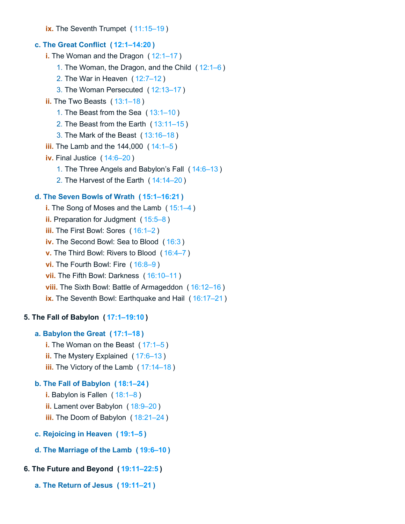**ix.** The Seventh Trumpet (11:15-19)

#### **c. The Great Conflict ( 12:1–14:20 )**

**i.** The Woman and the Dragon ( 12:1–17 )

- 1. The Woman, the Dragon, and the Child ( 12:1–6 )
- 2. The War in Heaven ( 12:7–12 )
- 3. The Woman Persecuted ( 12:13–17 )
- **ii.** The Two Beasts ( 13:1–18 )
	- 1. The Beast from the Sea ( 13:1–10 )
	- 2. The Beast from the Earth ( 13:11–15 )
	- 3. The Mark of the Beast ( 13:16–18 )
- **iii.** The Lamb and the 144,000 ( 14:1–5 )
- **iv.** Final Justice ( 14:6–20 )
	- 1. The Three Angels and Babylon's Fall ( 14:6–13 )
	- 2. The Harvest of the Earth ( 14:14–20 )

#### **d. The Seven Bowls of Wrath ( 15:1–16:21 )**

**i.** The Song of Moses and the Lamb ( 15:1–4 ) **ii.** Preparation for Judgment ( 15:5–8 ) **iii.** The First Bowl: Sores (16:1–2) **iv.** The Second Bowl: Sea to Blood ( 16:3 ) **v.** The Third Bowl: Rivers to Blood ( 16:4–7 ) **vi.** The Fourth Bowl: Fire (16:8–9) **vii.** The Fifth Bowl: Darkness ( 16:10–11 ) **viii.** The Sixth Bowl: Battle of Armageddon ( 16:12–16 ) **ix.** The Seventh Bowl: Earthquake and Hail ( 16:17–21 )

#### **5. The Fall of Babylon ( 17:1–19:10 )**

#### **a. Babylon the Great ( 17:1–18 )**

**i.** The Woman on the Beast ( 17:1–5 ) **ii.** The Mystery Explained ( 17:6–13 ) **iii.** The Victory of the Lamb ( 17:14–18 )

#### **b. The Fall of Babylon ( 18:1–24 )**

- **i.** Babylon is Fallen (18:1–8) **ii.** Lament over Babylon (18:9–20) **iii.** The Doom of Babylon ( 18:21–24 )
- **c. Rejoicing in Heaven ( 19:1–5 )**
- **d. The Marriage of the Lamb ( 19:6–10 )**

#### **6. The Future and Beyond ( 19:11–22:5 )**

**a. The Return of Jesus ( 19:11–21 )**